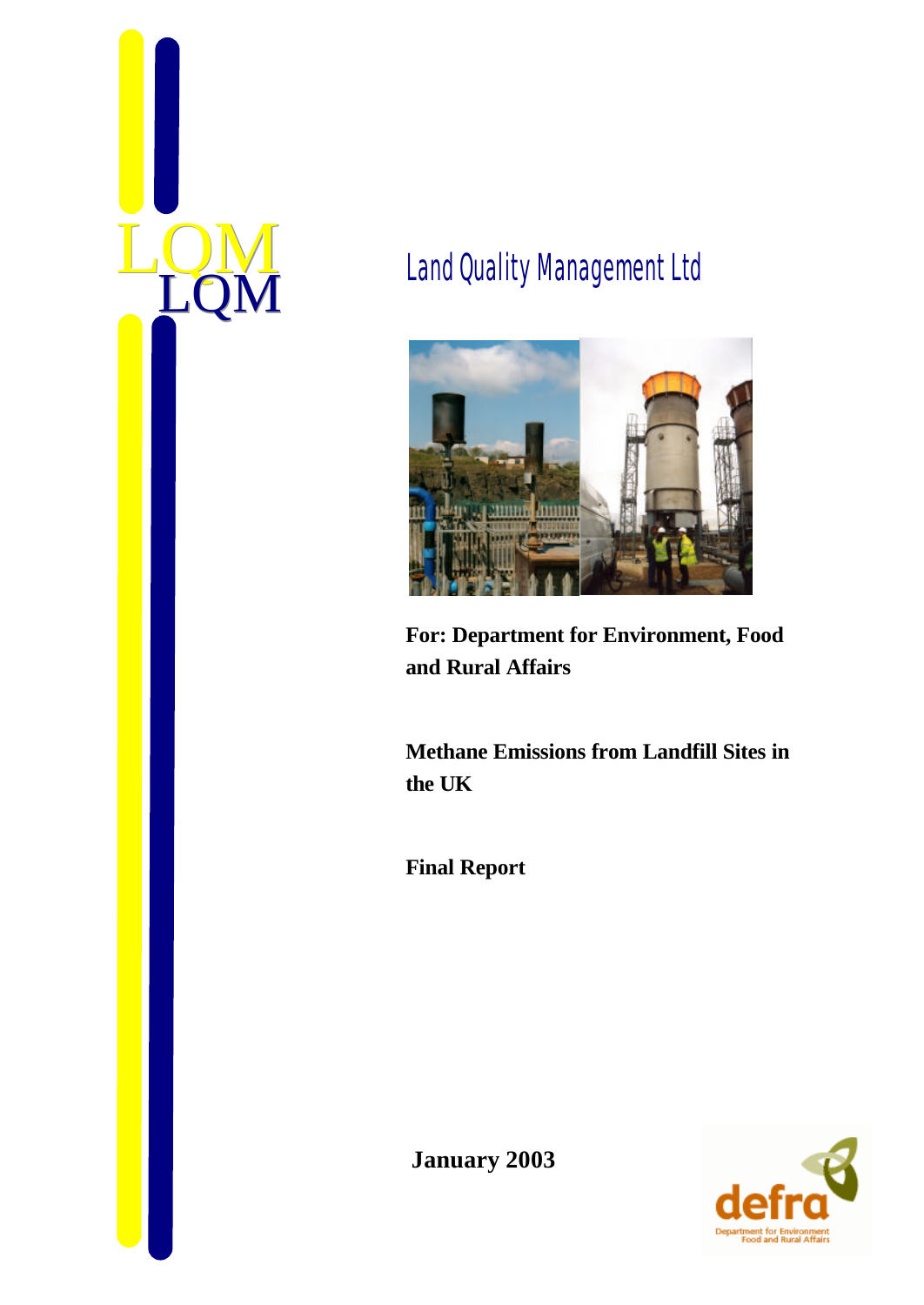# LQM LQM

# Land Quality Management Ltd



**For: Department for Environment, Food and Rural Affairs**

**Methane Emissions from Landfill Sites in the UK**

**Final Report**



**January 2003**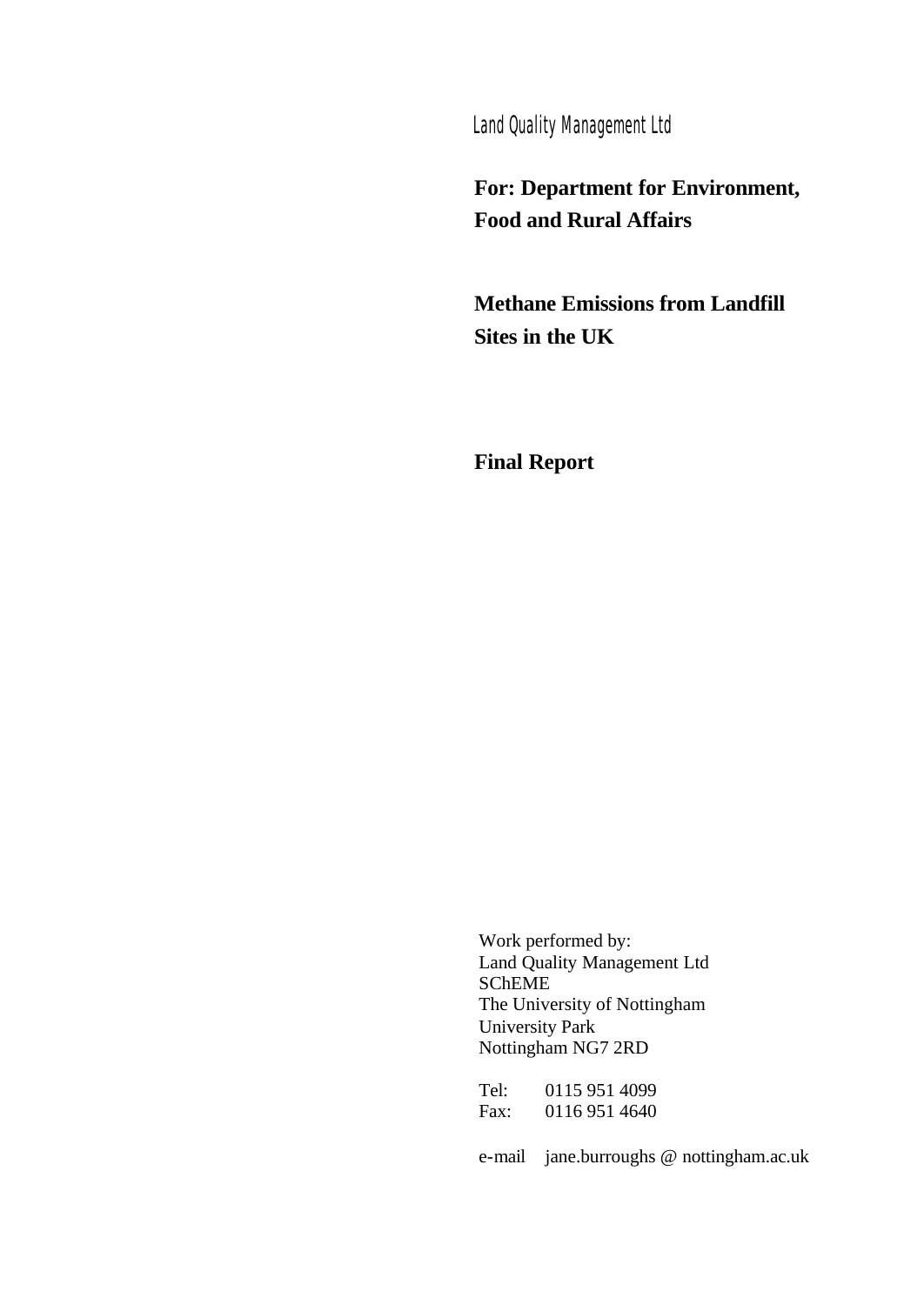Land Quality Management Ltd

**For: Department for Environment, Food and Rural Affairs**

**Methane Emissions from Landfill Sites in the UK**

**Final Report**

Work performed by: Land Quality Management Ltd SChEME The University of Nottingham University Park Nottingham NG7 2RD

Tel: 0115 951 4099<br>Fax: 0116 951 4640 0116 951 4640

e-mail jane.burroughs @ nottingham.ac.uk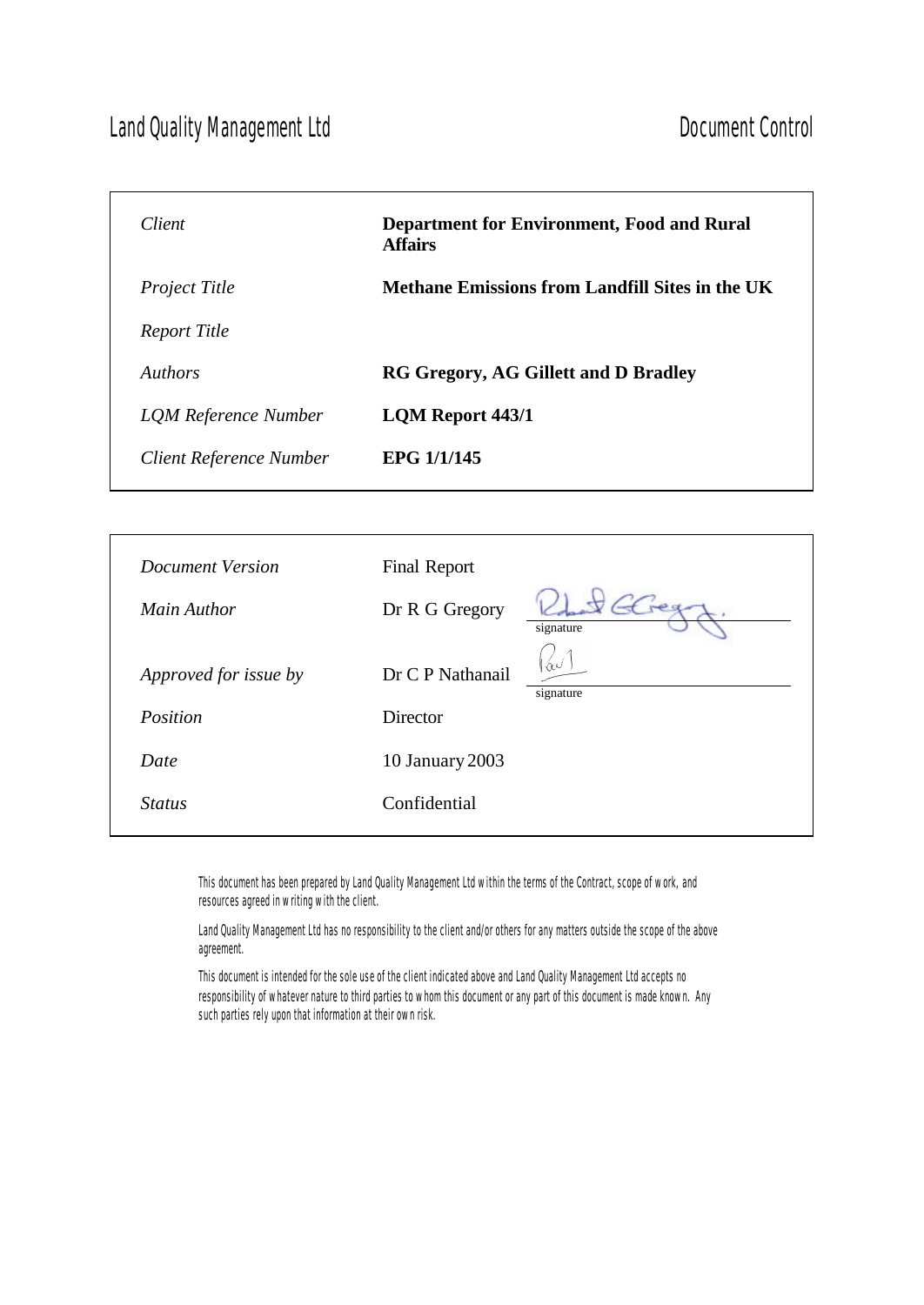| Client                      | <b>Department for Environment, Food and Rural</b><br><b>Affairs</b> |
|-----------------------------|---------------------------------------------------------------------|
| <i>Project Title</i>        | Methane Emissions from Landfill Sites in the UK                     |
| <b>Report Title</b>         |                                                                     |
| Authors                     | <b>RG Gregory, AG Gillett and D Bradley</b>                         |
| <b>LOM Reference Number</b> | <b>LQM Report 443/1</b>                                             |
| Client Reference Number     | EPG 1/1/145                                                         |

| <b>Document Version</b> | <b>Final Report</b> |           |
|-------------------------|---------------------|-----------|
| Main Author             | Dr R G Gregory      | signature |
| Approved for issue by   | Dr C P Nathanail    | signature |
| Position                | Director            |           |
| Date                    | 10 January 2003     |           |
| <b>Status</b>           | Confidential        |           |
|                         |                     |           |

This document has been prepared by Land Quality Management Ltd within the terms of the Contract, scope of work, and resources agreed in writing with the client.

Land Quality Management Ltd has no responsibility to the client and/or others for any matters outside the scope of the above agreement.

This document is intended for the sole use of the client indicated above and Land Quality Management Ltd accepts no responsibility of whatever nature to third parties to whom this document or any part of this document is made known. Any such parties rely upon that information at their own risk.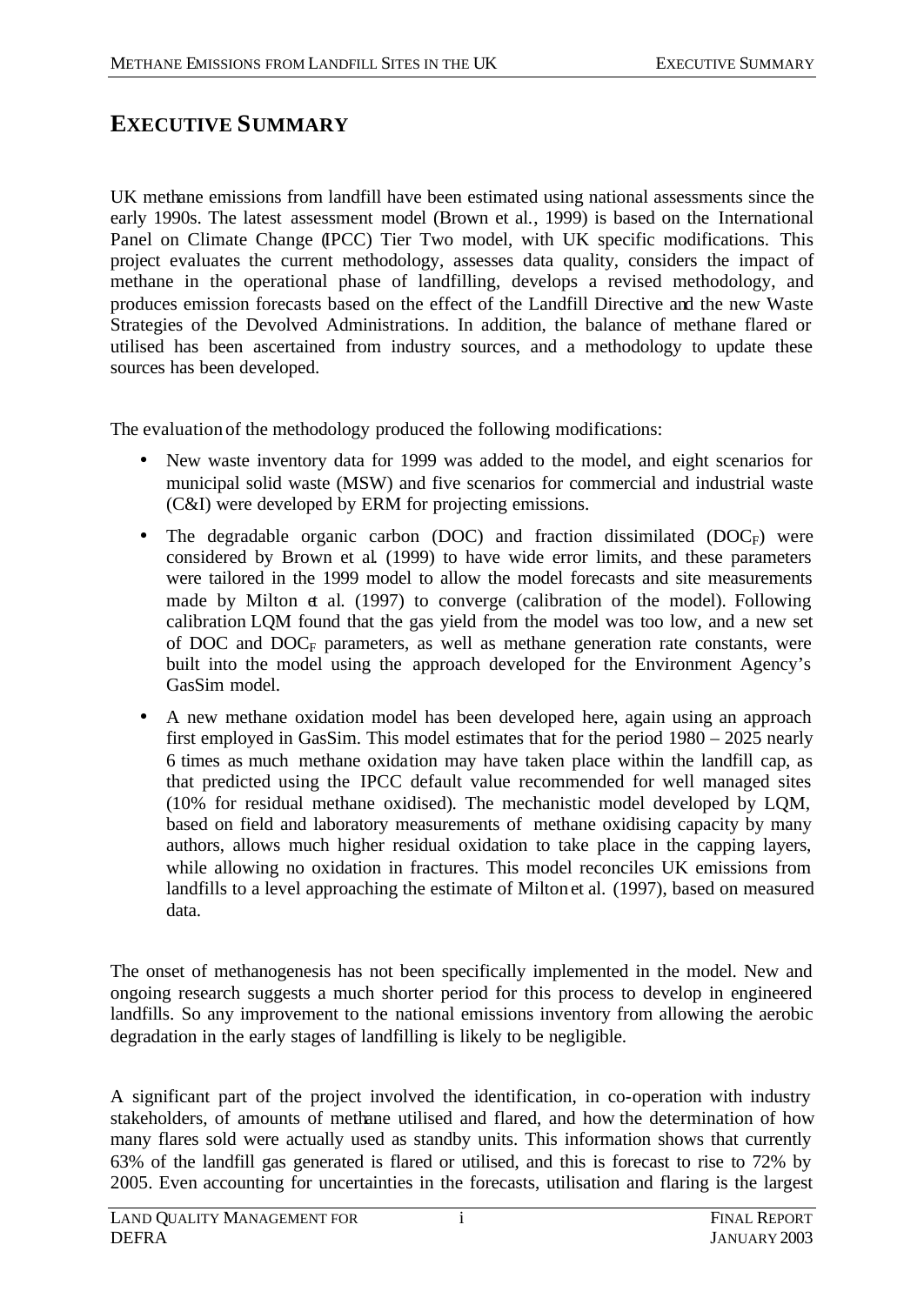# **EXECUTIVE SUMMARY**

UK methane emissions from landfill have been estimated using national assessments since the early 1990s. The latest assessment model (Brown et al., 1999) is based on the International Panel on Climate Change (IPCC) Tier Two model, with UK specific modifications. This project evaluates the current methodology, assesses data quality, considers the impact of methane in the operational phase of landfilling, develops a revised methodology, and produces emission forecasts based on the effect of the Landfill Directive and the new Waste Strategies of the Devolved Administrations. In addition, the balance of methane flared or utilised has been ascertained from industry sources, and a methodology to update these sources has been developed.

The evaluation of the methodology produced the following modifications:

- New waste inventory data for 1999 was added to the model, and eight scenarios for municipal solid waste (MSW) and five scenarios for commercial and industrial waste (C&I) were developed by ERM for projecting emissions.
- The degradable organic carbon (DOC) and fraction dissimilated (DOC<sub>F</sub>) were considered by Brown et al. (1999) to have wide error limits, and these parameters were tailored in the 1999 model to allow the model forecasts and site measurements made by Milton et al. (1997) to converge (calibration of the model). Following calibration LQM found that the gas yield from the model was too low, and a new set of DOC and  $DOC<sub>F</sub>$  parameters, as well as methane generation rate constants, were built into the model using the approach developed for the Environment Agency's GasSim model.
- A new methane oxidation model has been developed here, again using an approach first employed in GasSim. This model estimates that for the period 1980 – 2025 nearly 6 times as much methane oxidation may have taken place within the landfill cap, as that predicted using the IPCC default value recommended for well managed sites (10% for residual methane oxidised). The mechanistic model developed by LQM, based on field and laboratory measurements of methane oxidising capacity by many authors, allows much higher residual oxidation to take place in the capping layers, while allowing no oxidation in fractures. This model reconciles UK emissions from landfills to a level approaching the estimate of Milton et al. (1997), based on measured data.

The onset of methanogenesis has not been specifically implemented in the model. New and ongoing research suggests a much shorter period for this process to develop in engineered landfills. So any improvement to the national emissions inventory from allowing the aerobic degradation in the early stages of landfilling is likely to be negligible.

A significant part of the project involved the identification, in co-operation with industry stakeholders, of amounts of methane utilised and flared, and how the determination of how many flares sold were actually used as standby units. This information shows that currently 63% of the landfill gas generated is flared or utilised, and this is forecast to rise to 72% by 2005. Even accounting for uncertainties in the forecasts, utilisation and flaring is the largest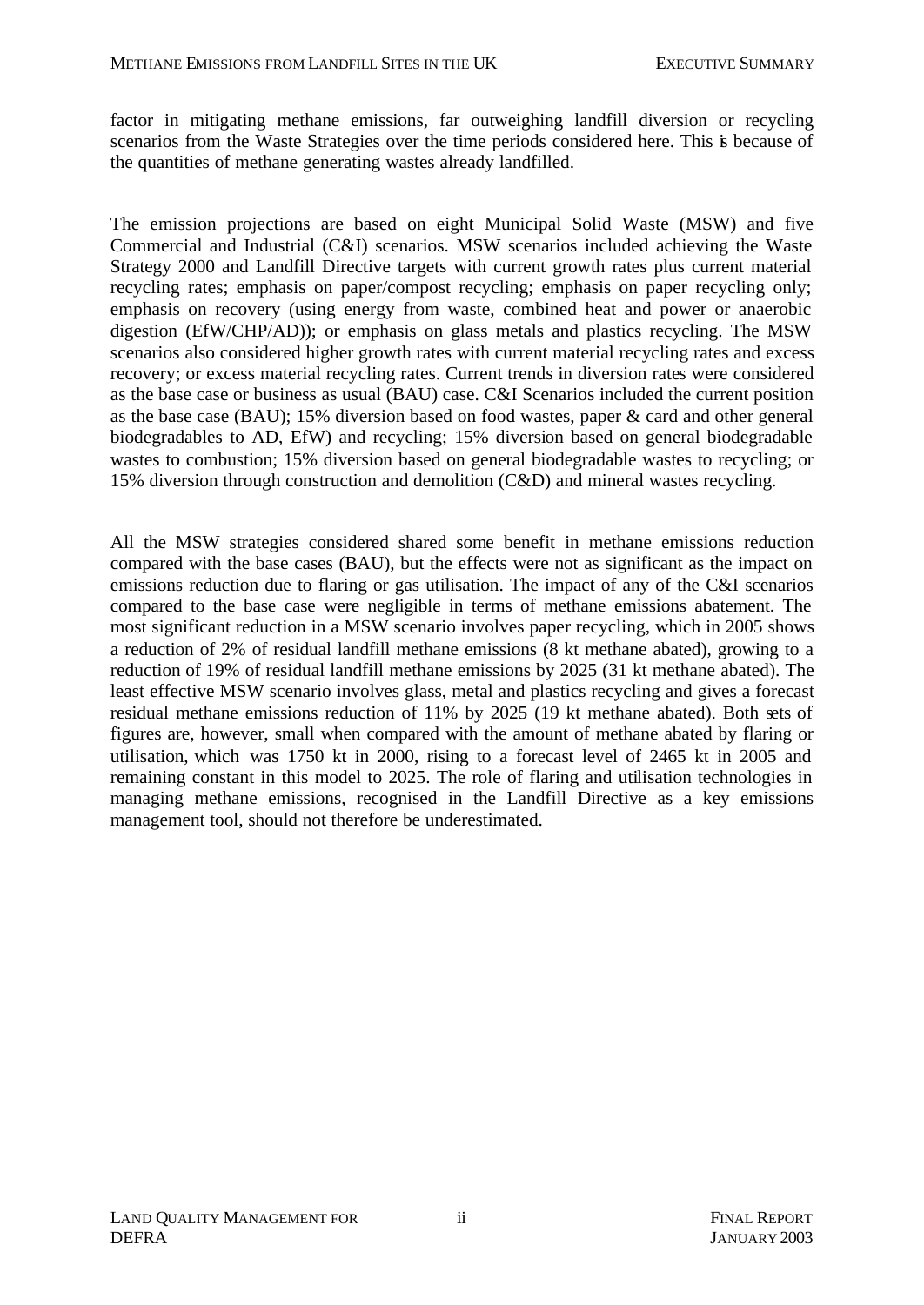factor in mitigating methane emissions, far outweighing landfill diversion or recycling scenarios from the Waste Strategies over the time periods considered here. This is because of the quantities of methane generating wastes already landfilled.

The emission projections are based on eight Municipal Solid Waste (MSW) and five Commercial and Industrial (C&I) scenarios. MSW scenarios included achieving the Waste Strategy 2000 and Landfill Directive targets with current growth rates plus current material recycling rates; emphasis on paper/compost recycling; emphasis on paper recycling only; emphasis on recovery (using energy from waste, combined heat and power or anaerobic digestion (EfW/CHP/AD)); or emphasis on glass metals and plastics recycling. The MSW scenarios also considered higher growth rates with current material recycling rates and excess recovery; or excess material recycling rates. Current trends in diversion rates were considered as the base case or business as usual (BAU) case. C&I Scenarios included the current position as the base case (BAU); 15% diversion based on food wastes, paper & card and other general biodegradables to AD, EfW) and recycling; 15% diversion based on general biodegradable wastes to combustion; 15% diversion based on general biodegradable wastes to recycling; or 15% diversion through construction and demolition (C&D) and mineral wastes recycling.

All the MSW strategies considered shared some benefit in methane emissions reduction compared with the base cases (BAU), but the effects were not as significant as the impact on emissions reduction due to flaring or gas utilisation. The impact of any of the C&I scenarios compared to the base case were negligible in terms of methane emissions abatement. The most significant reduction in a MSW scenario involves paper recycling, which in 2005 shows a reduction of 2% of residual landfill methane emissions (8 kt methane abated), growing to a reduction of 19% of residual landfill methane emissions by 2025 (31 kt methane abated). The least effective MSW scenario involves glass, metal and plastics recycling and gives a forecast residual methane emissions reduction of 11% by 2025 (19 kt methane abated). Both sets of figures are, however, small when compared with the amount of methane abated by flaring or utilisation, which was 1750 kt in 2000, rising to a forecast level of 2465 kt in 2005 and remaining constant in this model to 2025. The role of flaring and utilisation technologies in managing methane emissions, recognised in the Landfill Directive as a key emissions management tool, should not therefore be underestimated.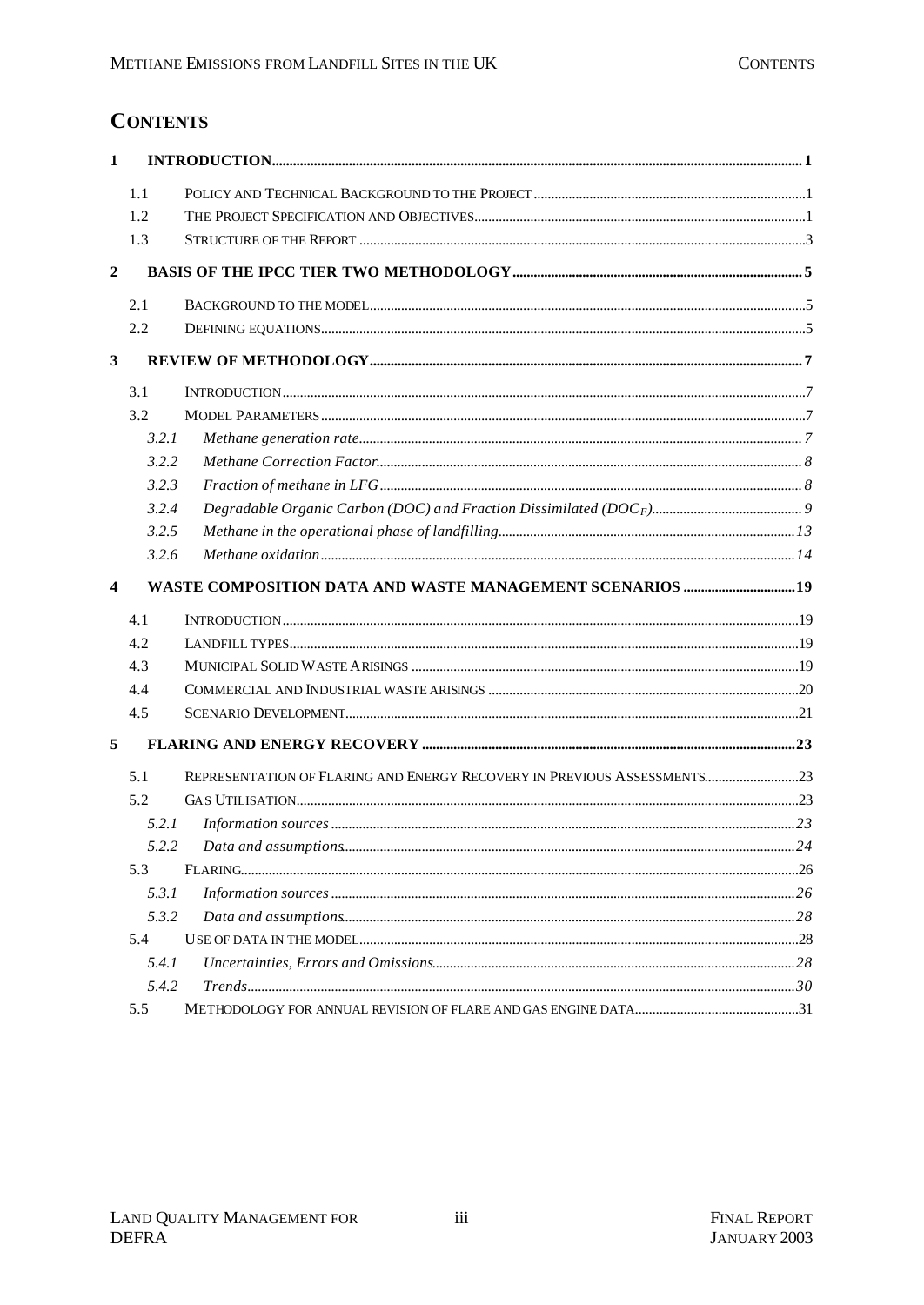# **CONTENTS**

| 1                       |              |                                                                          |  |
|-------------------------|--------------|--------------------------------------------------------------------------|--|
|                         | 1.1          |                                                                          |  |
|                         | 1.2          |                                                                          |  |
|                         | 1.3          |                                                                          |  |
| $\overline{2}$          |              |                                                                          |  |
|                         | 2.1          |                                                                          |  |
|                         | 2.2          |                                                                          |  |
| $\mathbf{3}$            |              |                                                                          |  |
|                         | 3.1          |                                                                          |  |
|                         | 3.2          |                                                                          |  |
|                         | 3.2.1        |                                                                          |  |
|                         | 3.2.2        |                                                                          |  |
|                         | 3.2.3        |                                                                          |  |
|                         | 3.2.4        |                                                                          |  |
|                         | 3.2.5        |                                                                          |  |
|                         | 3.2.6        |                                                                          |  |
| $\overline{\mathbf{4}}$ |              |                                                                          |  |
|                         | 4.1          |                                                                          |  |
|                         | 4.2          |                                                                          |  |
|                         | 4.3          |                                                                          |  |
|                         |              |                                                                          |  |
|                         |              |                                                                          |  |
|                         | 4.4          |                                                                          |  |
|                         | 4.5          |                                                                          |  |
| 5                       |              |                                                                          |  |
|                         | 5.1          | REPRESENTATION OF FLARING AND ENERGY RECOVERY IN PREVIOUS ASSESSMENTS 23 |  |
|                         | 5.2          |                                                                          |  |
|                         | 5.2.1        |                                                                          |  |
|                         |              |                                                                          |  |
|                         | 5.3          |                                                                          |  |
|                         | 5.3.1        |                                                                          |  |
|                         | 5.3.2        |                                                                          |  |
|                         | 5.4          |                                                                          |  |
|                         | 5.4.1        |                                                                          |  |
|                         | 5.4.2<br>5.5 |                                                                          |  |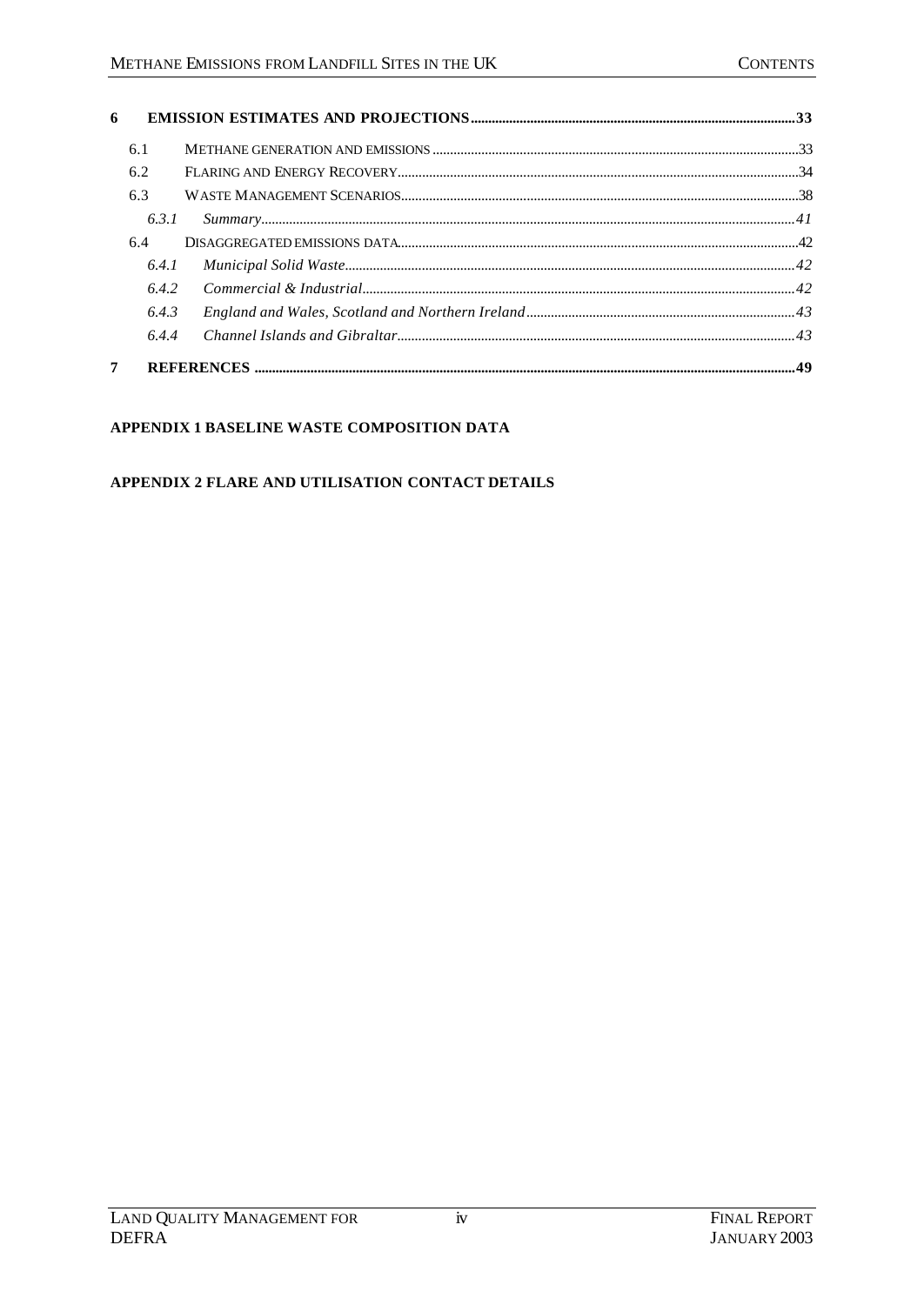| 6 |       |  |
|---|-------|--|
|   | 6.1   |  |
|   | 6.2   |  |
|   | 6.3   |  |
|   | 6.3.1 |  |
|   | 6.4   |  |
|   | 6.4.1 |  |
|   | 6.4.2 |  |
|   | 6.4.3 |  |
|   | 6.4.4 |  |
| 7 |       |  |

#### APPENDIX 1 BASELINE WASTE COMPOSITION DATA

#### APPENDIX 2 FLARE AND UTILISATION CONTACT DETAILS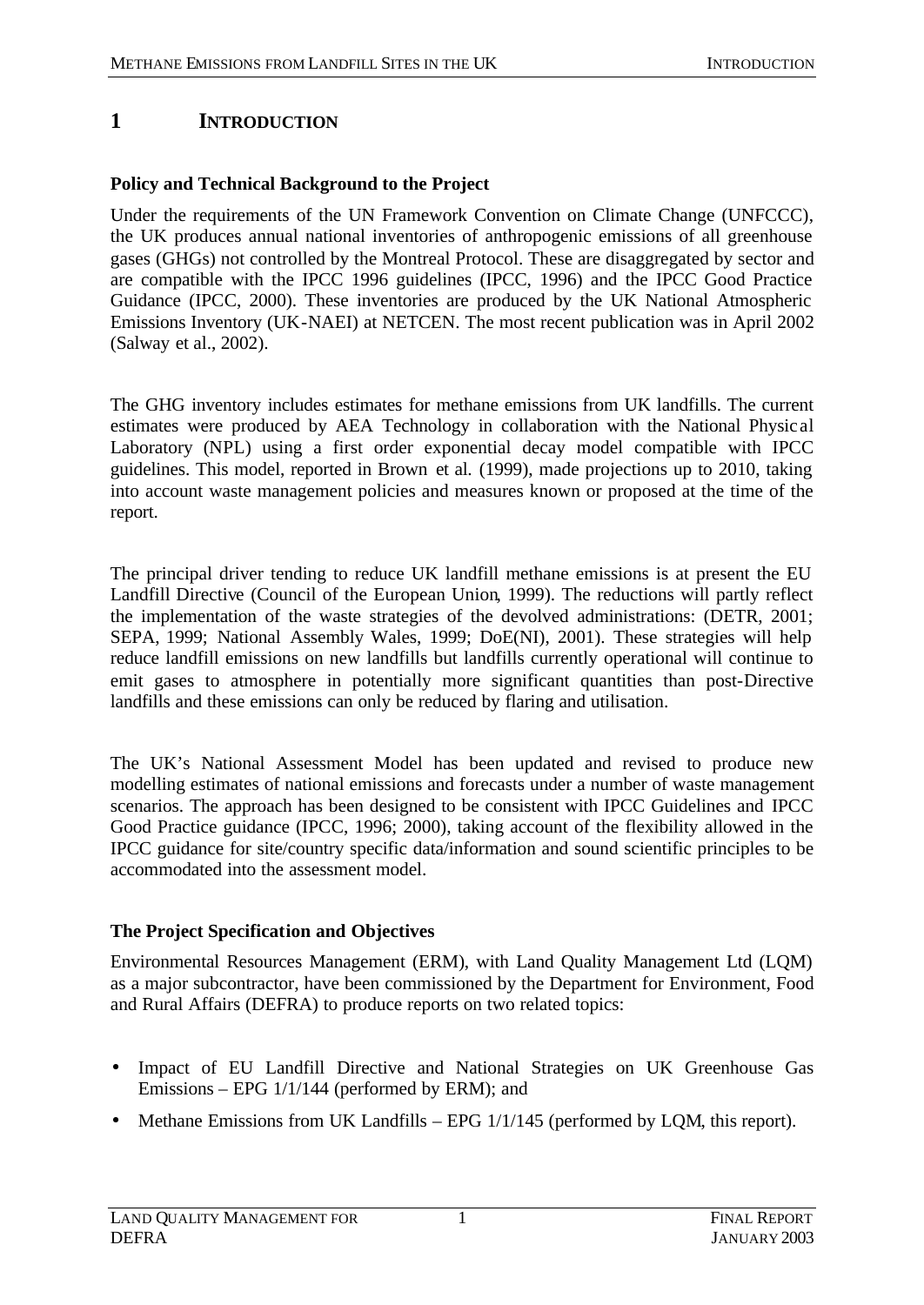# **1 INTRODUCTION**

#### **Policy and Technical Background to the Project**

Under the requirements of the UN Framework Convention on Climate Change (UNFCCC), the UK produces annual national inventories of anthropogenic emissions of all greenhouse gases (GHGs) not controlled by the Montreal Protocol. These are disaggregated by sector and are compatible with the IPCC 1996 guidelines (IPCC, 1996) and the IPCC Good Practice Guidance (IPCC, 2000). These inventories are produced by the UK National Atmospheric Emissions Inventory (UK-NAEI) at NETCEN. The most recent publication was in April 2002 (Salway et al., 2002).

The GHG inventory includes estimates for methane emissions from UK landfills. The current estimates were produced by AEA Technology in collaboration with the National Physic al Laboratory (NPL) using a first order exponential decay model compatible with IPCC guidelines. This model, reported in Brown et al. (1999), made projections up to 2010, taking into account waste management policies and measures known or proposed at the time of the report.

The principal driver tending to reduce UK landfill methane emissions is at present the EU Landfill Directive (Council of the European Union, 1999). The reductions will partly reflect the implementation of the waste strategies of the devolved administrations: (DETR, 2001; SEPA, 1999; National Assembly Wales, 1999; DoE(NI), 2001). These strategies will help reduce landfill emissions on new landfills but landfills currently operational will continue to emit gases to atmosphere in potentially more significant quantities than post-Directive landfills and these emissions can only be reduced by flaring and utilisation.

The UK's National Assessment Model has been updated and revised to produce new modelling estimates of national emissions and forecasts under a number of waste management scenarios. The approach has been designed to be consistent with IPCC Guidelines and IPCC Good Practice guidance (IPCC, 1996; 2000), taking account of the flexibility allowed in the IPCC guidance for site/country specific data/information and sound scientific principles to be accommodated into the assessment model.

# **The Project Specification and Objectives**

Environmental Resources Management (ERM), with Land Quality Management Ltd (LQM) as a major subcontractor, have been commissioned by the Department for Environment, Food and Rural Affairs (DEFRA) to produce reports on two related topics:

- Impact of EU Landfill Directive and National Strategies on UK Greenhouse Gas Emissions – EPG 1/1/144 (performed by ERM); and
- Methane Emissions from UK Landfills EPG 1/1/145 (performed by LQM, this report).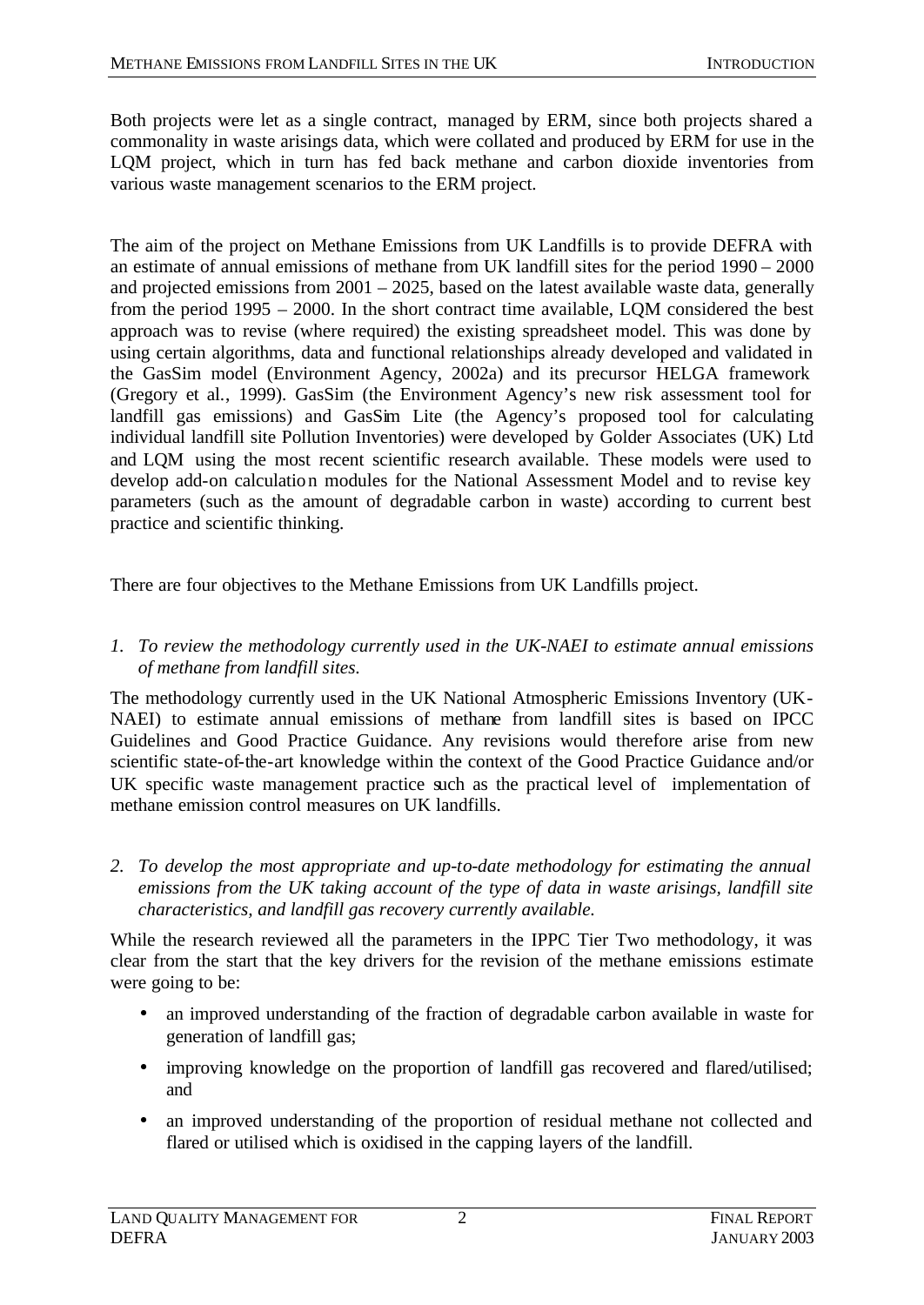Both projects were let as a single contract, managed by ERM, since both projects shared a commonality in waste arisings data, which were collated and produced by ERM for use in the LQM project, which in turn has fed back methane and carbon dioxide inventories from various waste management scenarios to the ERM project.

The aim of the project on Methane Emissions from UK Landfills is to provide DEFRA with an estimate of annual emissions of methane from UK landfill sites for the period 1990 – 2000 and projected emissions from 2001 – 2025, based on the latest available waste data, generally from the period 1995 – 2000. In the short contract time available, LQM considered the best approach was to revise (where required) the existing spreadsheet model. This was done by using certain algorithms, data and functional relationships already developed and validated in the GasSim model (Environment Agency, 2002a) and its precursor HELGA framework (Gregory et al., 1999). GasSim (the Environment Agency's new risk assessment tool for landfill gas emissions) and GasSim Lite (the Agency's proposed tool for calculating individual landfill site Pollution Inventories) were developed by Golder Associates (UK) Ltd and LQM using the most recent scientific research available. These models were used to develop add-on calculation modules for the National Assessment Model and to revise key parameters (such as the amount of degradable carbon in waste) according to current best practice and scientific thinking.

There are four objectives to the Methane Emissions from UK Landfills project.

# *1. To review the methodology currently used in the UK-NAEI to estimate annual emissions of methane from landfill sites.*

The methodology currently used in the UK National Atmospheric Emissions Inventory (UK-NAEI) to estimate annual emissions of methane from landfill sites is based on IPCC Guidelines and Good Practice Guidance. Any revisions would therefore arise from new scientific state-of-the-art knowledge within the context of the Good Practice Guidance and/or UK specific waste management practice such as the practical level of implementation of methane emission control measures on UK landfills.

*2. To develop the most appropriate and up-to-date methodology for estimating the annual emissions from the UK taking account of the type of data in waste arisings, landfill site characteristics, and landfill gas recovery currently available.*

While the research reviewed all the parameters in the IPPC Tier Two methodology, it was clear from the start that the key drivers for the revision of the methane emissions estimate were going to be:

- an improved understanding of the fraction of degradable carbon available in waste for generation of landfill gas;
- improving knowledge on the proportion of landfill gas recovered and flared/utilised; and
- an improved understanding of the proportion of residual methane not collected and flared or utilised which is oxidised in the capping layers of the landfill.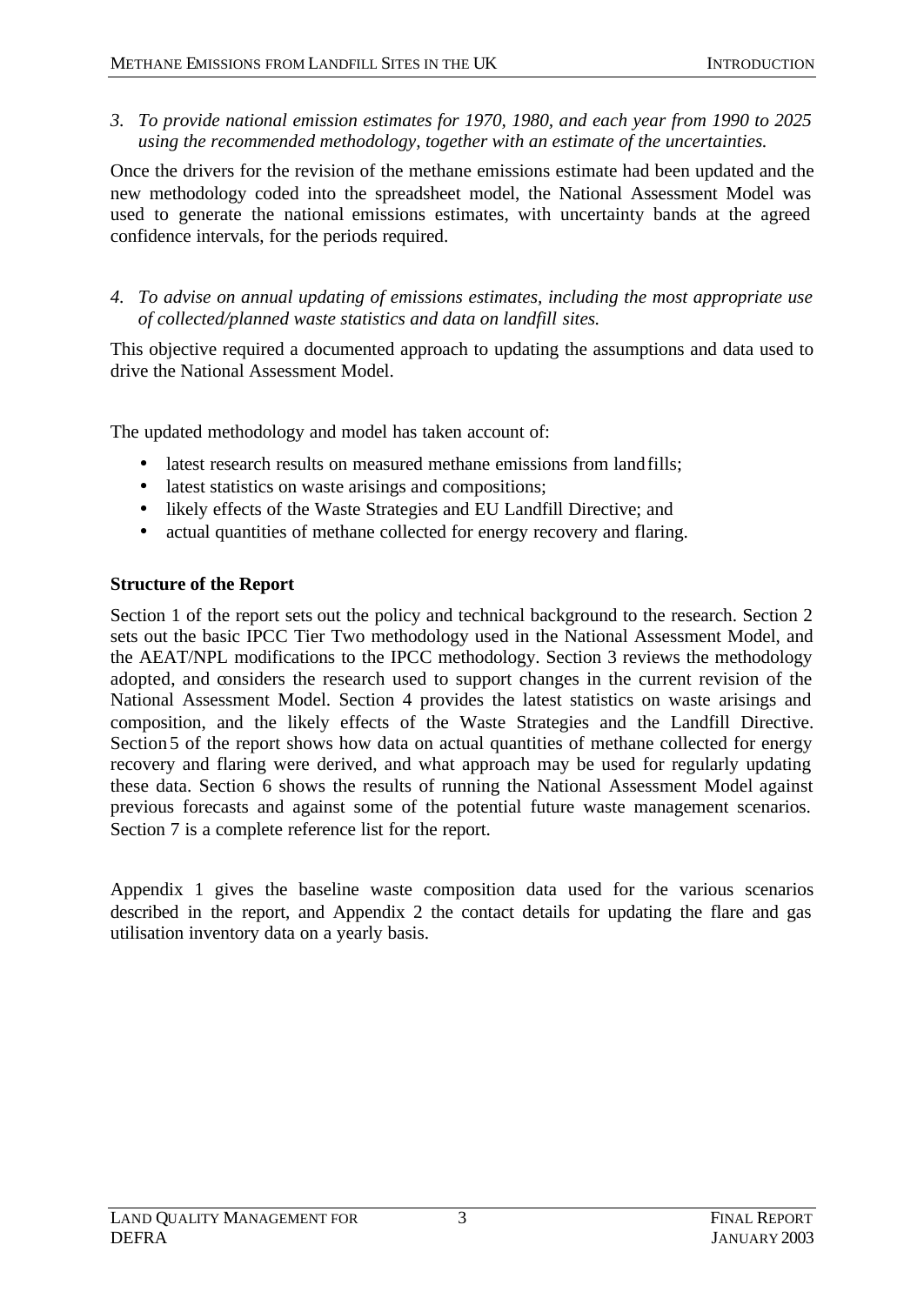*3. To provide national emission estimates for 1970, 1980, and each year from 1990 to 2025 using the recommended methodology, together with an estimate of the uncertainties.*

Once the drivers for the revision of the methane emissions estimate had been updated and the new methodology coded into the spreadsheet model, the National Assessment Model was used to generate the national emissions estimates, with uncertainty bands at the agreed confidence intervals, for the periods required.

*4. To advise on annual updating of emissions estimates, including the most appropriate use of collected/planned waste statistics and data on landfill sites.*

This objective required a documented approach to updating the assumptions and data used to drive the National Assessment Model.

The updated methodology and model has taken account of:

- latest research results on measured methane emissions from landfills;
- latest statistics on waste arisings and compositions;
- likely effects of the Waste Strategies and EU Landfill Directive; and
- actual quantities of methane collected for energy recovery and flaring.

#### **Structure of the Report**

Section 1 of the report sets out the policy and technical background to the research. Section 2 sets out the basic IPCC Tier Two methodology used in the National Assessment Model, and the AEAT/NPL modifications to the IPCC methodology. Section 3 reviews the methodology adopted, and considers the research used to support changes in the current revision of the National Assessment Model. Section 4 provides the latest statistics on waste arisings and composition, and the likely effects of the Waste Strategies and the Landfill Directive. Section 5 of the report shows how data on actual quantities of methane collected for energy recovery and flaring were derived, and what approach may be used for regularly updating these data. Section 6 shows the results of running the National Assessment Model against previous forecasts and against some of the potential future waste management scenarios. Section 7 is a complete reference list for the report.

Appendix 1 gives the baseline waste composition data used for the various scenarios described in the report, and Appendix 2 the contact details for updating the flare and gas utilisation inventory data on a yearly basis.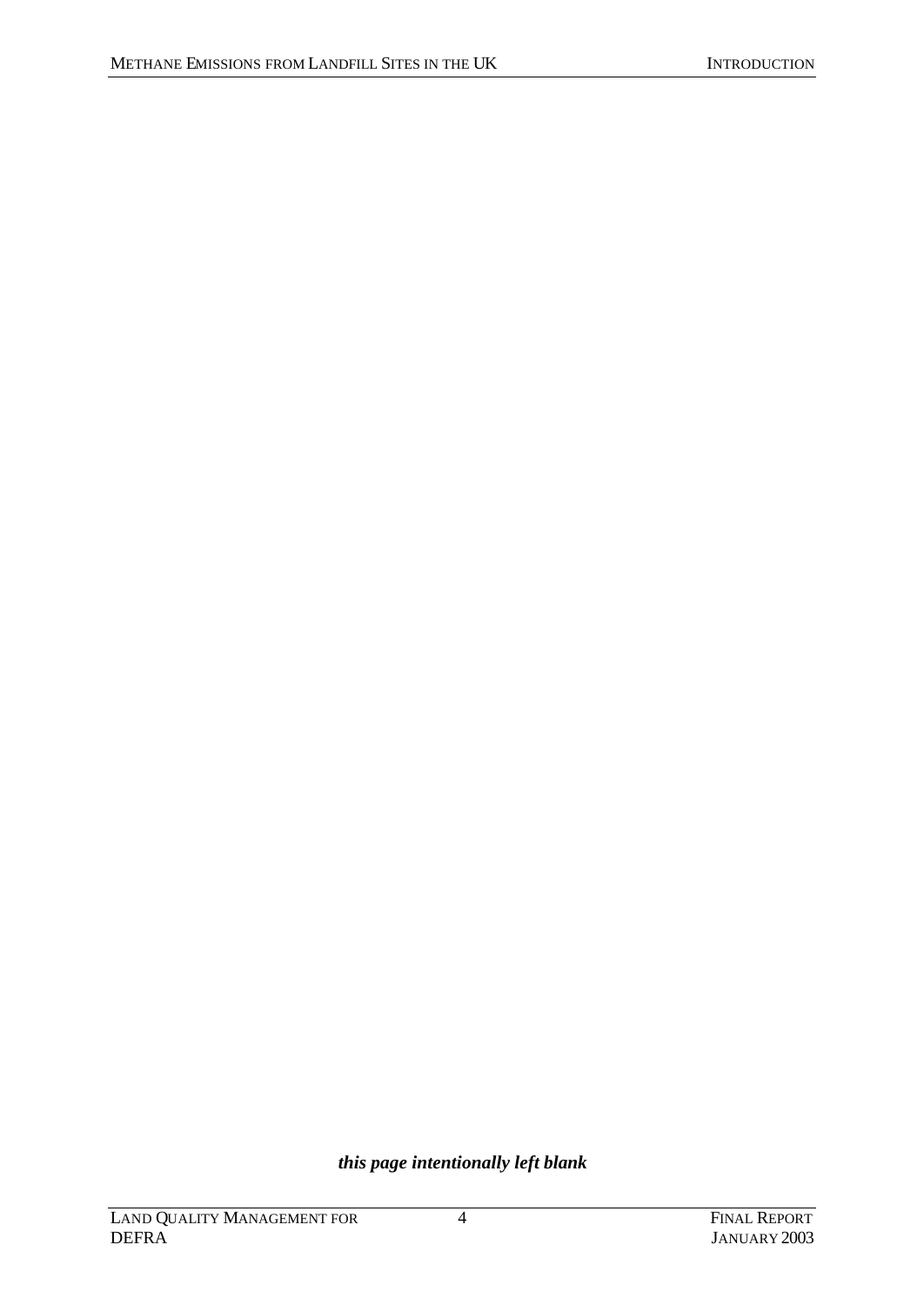*this page intentionally left blank*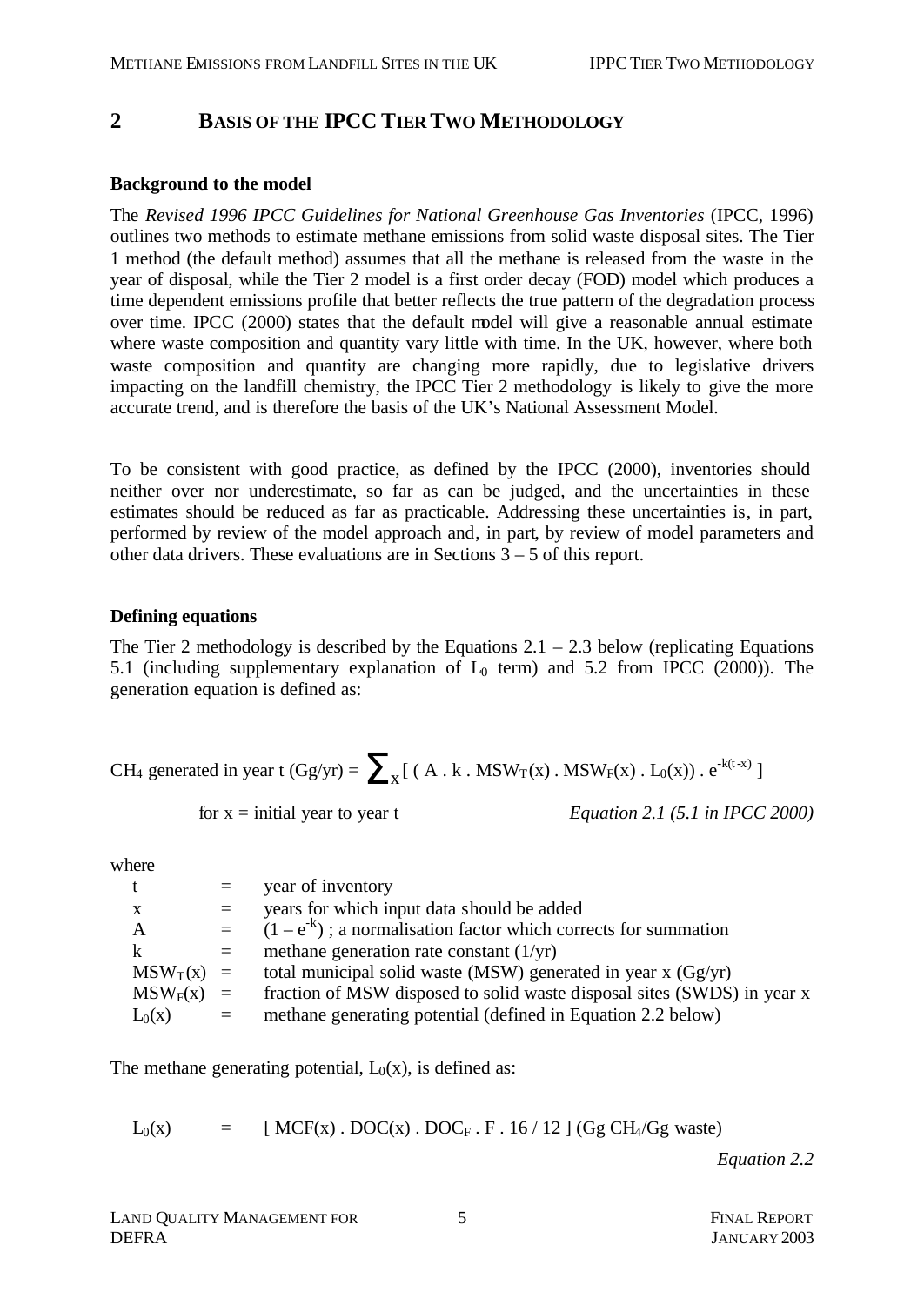# **2 BASIS OF THE IPCC TIER TWO METHODOLOGY**

#### **Background to the model**

The *Revised 1996 IPCC Guidelines for National Greenhouse Gas Inventories* (IPCC, 1996) outlines two methods to estimate methane emissions from solid waste disposal sites. The Tier 1 method (the default method) assumes that all the methane is released from the waste in the year of disposal, while the Tier 2 model is a first order decay (FOD) model which produces a time dependent emissions profile that better reflects the true pattern of the degradation process over time. IPCC (2000) states that the default model will give a reasonable annual estimate where waste composition and quantity vary little with time. In the UK, however, where both waste composition and quantity are changing more rapidly, due to legislative drivers impacting on the landfill chemistry, the IPCC Tier 2 methodology is likely to give the more accurate trend, and is therefore the basis of the UK's National Assessment Model.

To be consistent with good practice, as defined by the IPCC (2000), inventories should neither over nor underestimate, so far as can be judged, and the uncertainties in these estimates should be reduced as far as practicable. Addressing these uncertainties is, in part, performed by review of the model approach and, in part, by review of model parameters and other data drivers. These evaluations are in Sections  $3 - 5$  of this report.

#### **Defining equations**

The Tier 2 methodology is described by the Equations  $2.1 - 2.3$  below (replicating Equations 5.1 (including supplementary explanation of  $L_0$  term) and 5.2 from IPCC (2000)). The generation equation is defined as:

CH<sub>4</sub> generated in year t (Gg/yr) = 
$$
\sum_{x}
$$
 [(A.k.MSW<sub>T</sub>(x). MSW<sub>F</sub>(x). L<sub>0</sub>(x)). e<sup>-k(t-x)</sup>]

for x = initial year to year t *Equation 2.1 (5.1 in IPCC 2000)*

where

| t            | $=$               | year of inventory                                                       |
|--------------|-------------------|-------------------------------------------------------------------------|
| $\mathbf{X}$ | $=$               | years for which input data should be added                              |
| A            | $\equiv$ $\equiv$ | $(1-e^{-k})$ ; a normalisation factor which corrects for summation      |
| k            | $=$               | methane generation rate constant $(1/yr)$                               |
| $MSW_T(x) =$ |                   | total municipal solid waste (MSW) generated in year $x$ (Gg/yr)         |
| $MSW_F(x)$ = |                   | fraction of MSW disposed to solid waste disposal sites (SWDS) in year x |
| $L_0(x)$     | $=$               | methane generating potential (defined in Equation 2.2 below)            |

The methane generating potential,  $L_0(x)$ , is defined as:

$$
L_0(x) = [MCF(x) . DOC(x) . DOC_F . F . 16 / 12 ] (Gg CH_4/Gg waste)
$$

*Equation 2.2*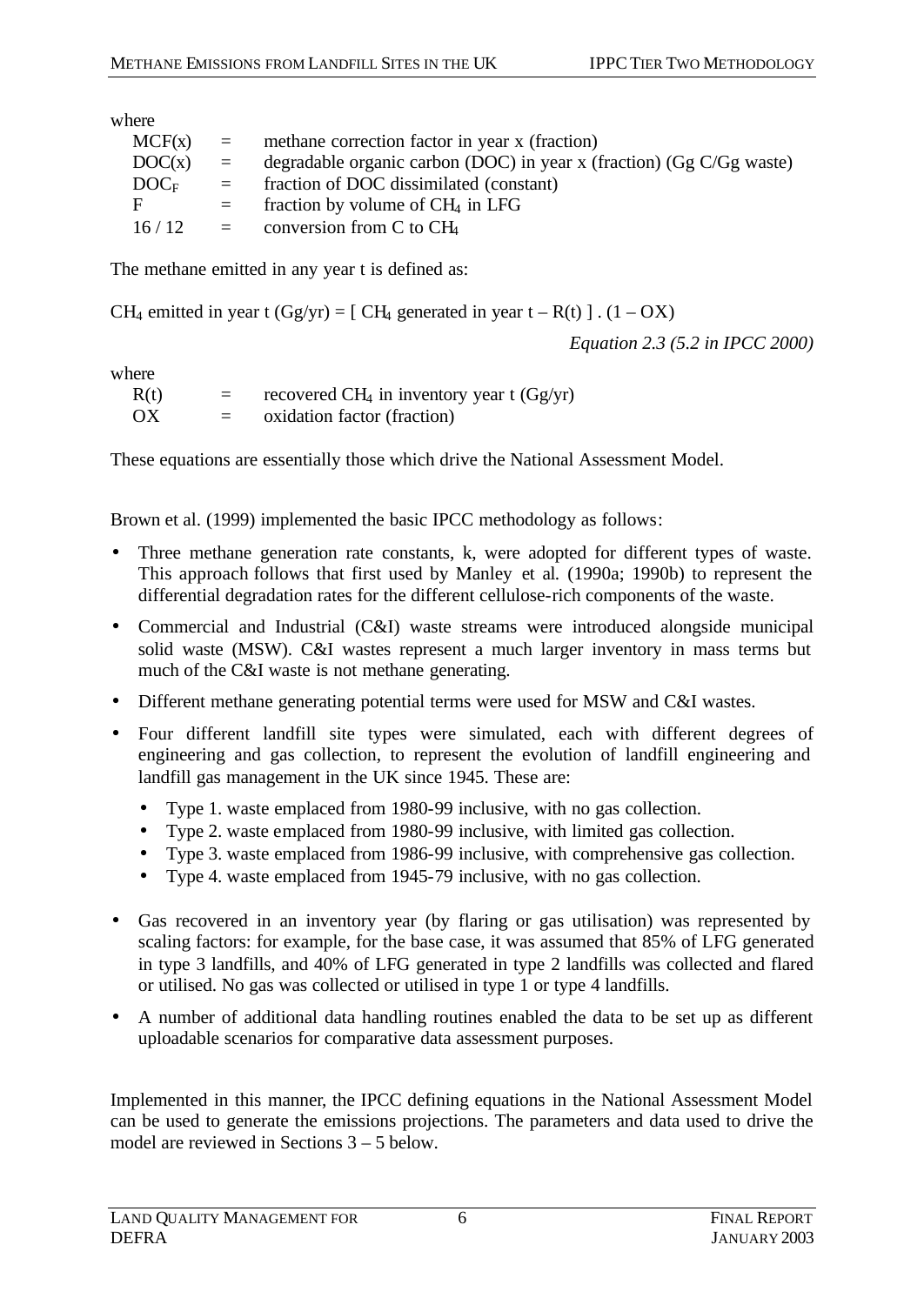where

| MCF(x)      | $\equiv$ | methane correction factor in year x (fraction)                         |
|-------------|----------|------------------------------------------------------------------------|
| DOC(x)      | $\equiv$ | degradable organic carbon (DOC) in year x (fraction) $(Gg C/Gg$ waste) |
| $DOC_F$     | $\equiv$ | fraction of DOC dissimilated (constant)                                |
| $F_{\perp}$ | $=$ $-$  | fraction by volume of $CH4$ in LFG                                     |
| 16/12       |          | $=$ conversion from C to CH <sub>4</sub>                               |

The methane emitted in any year t is defined as:

CH<sub>4</sub> emitted in year t (Gg/yr) = [ CH<sub>4</sub> generated in year t – R(t) ]  $(1 - OX)$ 

*Equation 2.3 (5.2 in IPCC 2000)*

where

 $R(t)$  = recovered CH<sub>4</sub> in inventory year t (Gg/yr)  $OX = \alpha x$  idation factor (fraction)

These equations are essentially those which drive the National Assessment Model.

Brown et al. (1999) implemented the basic IPCC methodology as follows:

- Three methane generation rate constants, k, were adopted for different types of waste. This approach follows that first used by Manley et al. (1990a; 1990b) to represent the differential degradation rates for the different cellulose-rich components of the waste.
- Commercial and Industrial (C&I) waste streams were introduced alongside municipal solid waste (MSW). C&I wastes represent a much larger inventory in mass terms but much of the C&I waste is not methane generating.
- Different methane generating potential terms were used for MSW and C&I wastes.
- Four different landfill site types were simulated, each with different degrees of engineering and gas collection, to represent the evolution of landfill engineering and landfill gas management in the UK since 1945. These are:
	- Type 1. waste emplaced from 1980-99 inclusive, with no gas collection.
	- Type 2. waste emplaced from 1980-99 inclusive, with limited gas collection.
	- Type 3. waste emplaced from 1986-99 inclusive, with comprehensive gas collection.
	- Type 4. waste emplaced from 1945-79 inclusive, with no gas collection.
- Gas recovered in an inventory year (by flaring or gas utilisation) was represented by scaling factors: for example, for the base case, it was assumed that 85% of LFG generated in type 3 landfills, and 40% of LFG generated in type 2 landfills was collected and flared or utilised. No gas was collected or utilised in type 1 or type 4 landfills.
- A number of additional data handling routines enabled the data to be set up as different uploadable scenarios for comparative data assessment purposes.

Implemented in this manner, the IPCC defining equations in the National Assessment Model can be used to generate the emissions projections. The parameters and data used to drive the model are reviewed in Sections 3 – 5 below.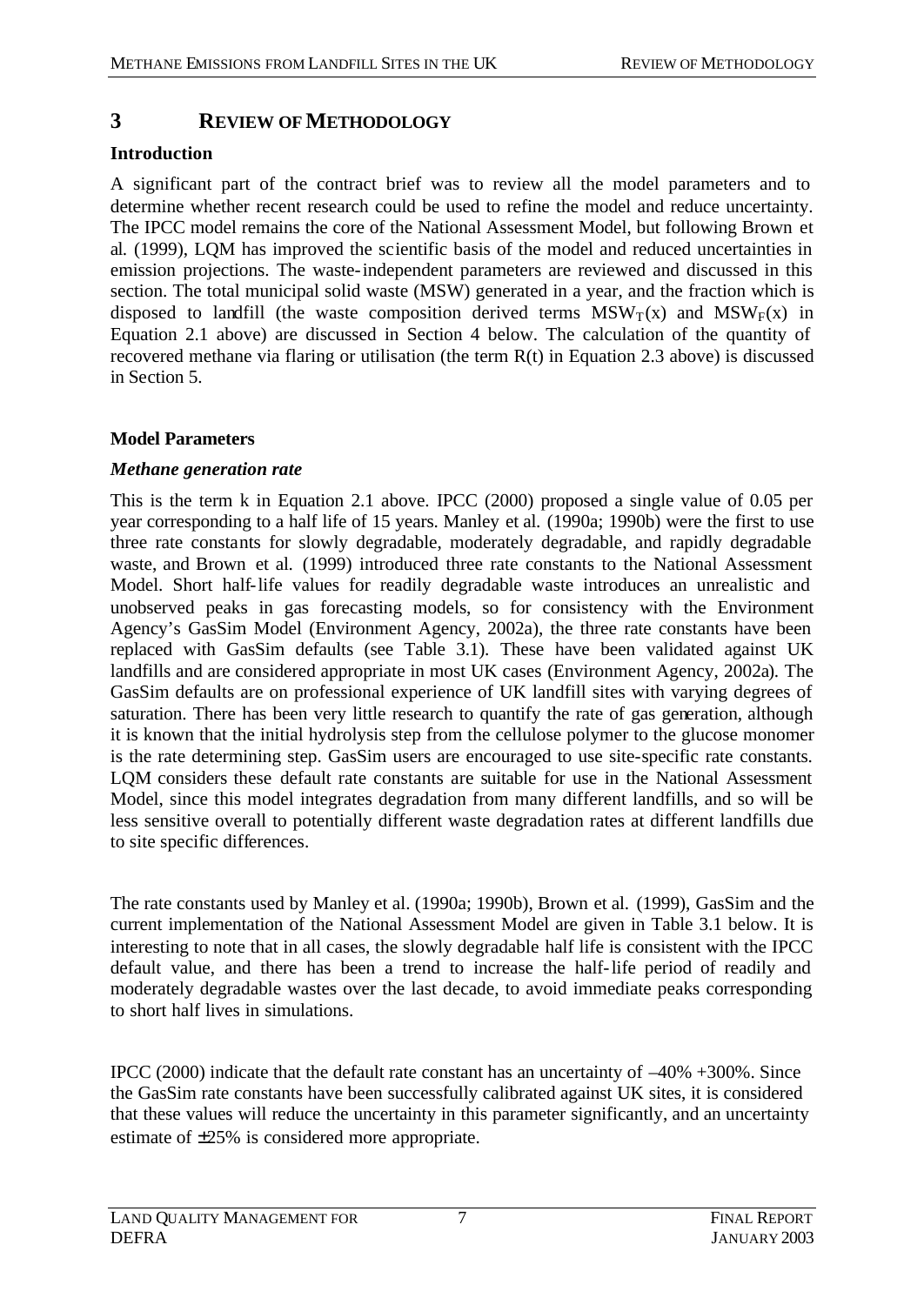# **3 REVIEW OF METHODOLOGY**

# **Introduction**

A significant part of the contract brief was to review all the model parameters and to determine whether recent research could be used to refine the model and reduce uncertainty. The IPCC model remains the core of the National Assessment Model, but following Brown et al. (1999), LQM has improved the scientific basis of the model and reduced uncertainties in emission projections. The waste-independent parameters are reviewed and discussed in this section. The total municipal solid waste (MSW) generated in a year, and the fraction which is disposed to landfill (the waste composition derived terms  $MSW_T(x)$  and  $MSW_F(x)$  in Equation 2.1 above) are discussed in Section 4 below. The calculation of the quantity of recovered methane via flaring or utilisation (the term  $R(t)$  in Equation 2.3 above) is discussed in Section 5.

# **Model Parameters**

# *Methane generation rate*

This is the term k in Equation 2.1 above. IPCC (2000) proposed a single value of 0.05 per year corresponding to a half life of 15 years. Manley et al. (1990a; 1990b) were the first to use three rate constants for slowly degradable, moderately degradable, and rapidly degradable waste, and Brown et al. (1999) introduced three rate constants to the National Assessment Model. Short half-life values for readily degradable waste introduces an unrealistic and unobserved peaks in gas forecasting models, so for consistency with the Environment Agency's GasSim Model (Environment Agency, 2002a), the three rate constants have been replaced with GasSim defaults (see Table 3.1). These have been validated against UK landfills and are considered appropriate in most UK cases (Environment Agency, 2002a). The GasSim defaults are on professional experience of UK landfill sites with varying degrees of saturation. There has been very little research to quantify the rate of gas generation, although it is known that the initial hydrolysis step from the cellulose polymer to the glucose monomer is the rate determining step. GasSim users are encouraged to use site-specific rate constants. LQM considers these default rate constants are suitable for use in the National Assessment Model, since this model integrates degradation from many different landfills, and so will be less sensitive overall to potentially different waste degradation rates at different landfills due to site specific differences.

The rate constants used by Manley et al. (1990a; 1990b), Brown et al. (1999), GasSim and the current implementation of the National Assessment Model are given in Table 3.1 below. It is interesting to note that in all cases, the slowly degradable half life is consistent with the IPCC default value, and there has been a trend to increase the half-life period of readily and moderately degradable wastes over the last decade, to avoid immediate peaks corresponding to short half lives in simulations.

IPCC (2000) indicate that the default rate constant has an uncertainty of –40% +300%. Since the GasSim rate constants have been successfully calibrated against UK sites, it is considered that these values will reduce the uncertainty in this parameter significantly, and an uncertainty estimate of ±25% is considered more appropriate.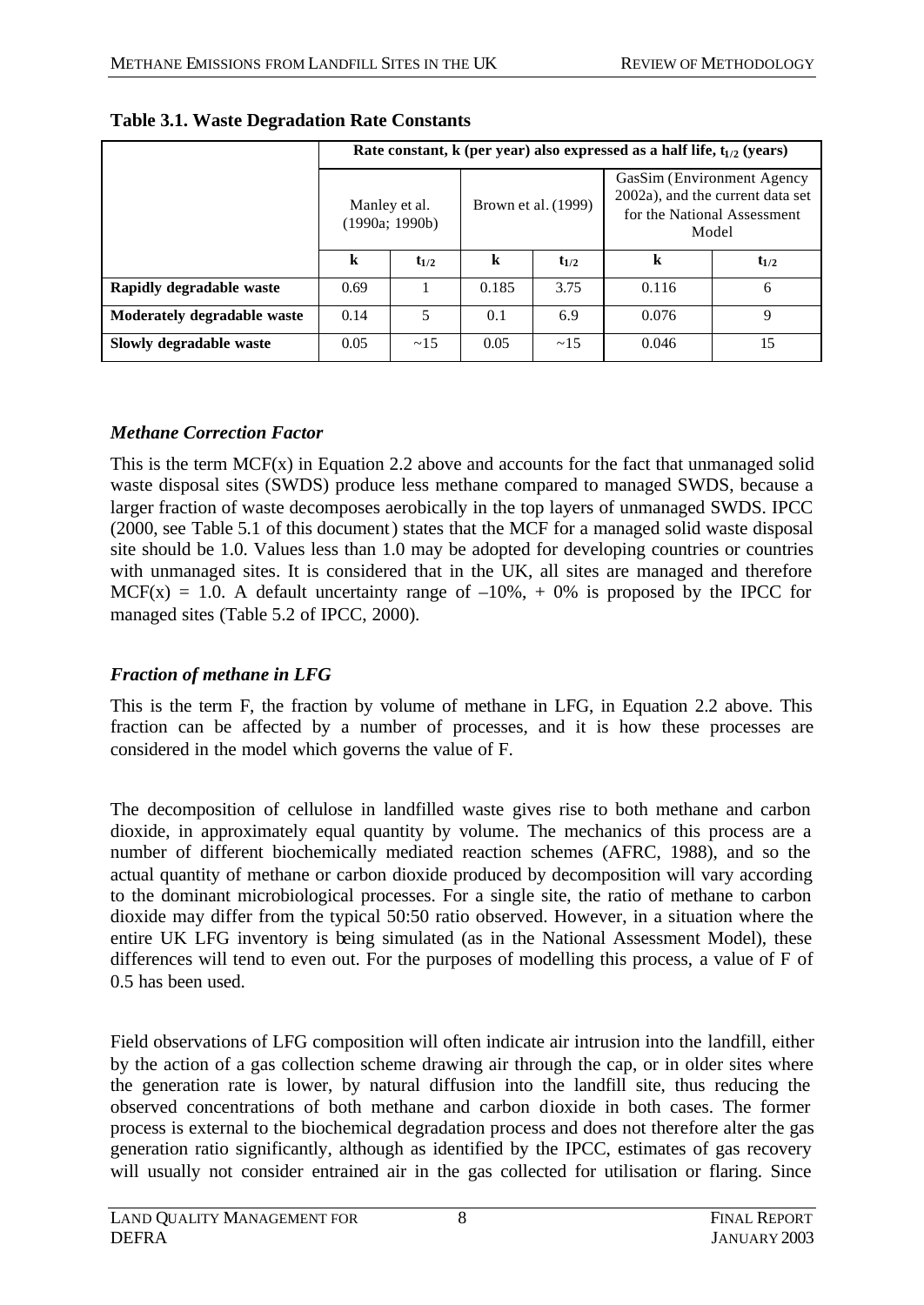|                             | Rate constant, $k$ (per year) also expressed as a half life, $t_{1/2}$ (years) |           |                     |           |                                                                                                        |           |  |  |
|-----------------------------|--------------------------------------------------------------------------------|-----------|---------------------|-----------|--------------------------------------------------------------------------------------------------------|-----------|--|--|
|                             | Manley et al.<br>(1990a; 1990b)                                                |           | Brown et al. (1999) |           | GasSim (Environment Agency<br>2002a), and the current data set<br>for the National Assessment<br>Model |           |  |  |
|                             | k                                                                              | $t_{1/2}$ | k                   | $t_{1/2}$ | k                                                                                                      | $t_{1/2}$ |  |  |
| Rapidly degradable waste    | 0.69                                                                           |           | 0.185               | 3.75      | 0.116                                                                                                  | 6         |  |  |
| Moderately degradable waste | 0.14                                                                           |           | 0.1<br>6.9          |           | 0.076                                                                                                  | 9         |  |  |
| Slowly degradable waste     | 0.05                                                                           | ~15       | 0.05                | ~15       | 15<br>0.046                                                                                            |           |  |  |

#### **Table 3.1. Waste Degradation Rate Constants**

# *Methane Correction Factor*

This is the term MCF(x) in Equation 2.2 above and accounts for the fact that unmanaged solid waste disposal sites (SWDS) produce less methane compared to managed SWDS, because a larger fraction of waste decomposes aerobically in the top layers of unmanaged SWDS. IPCC (2000, see Table 5.1 of this document) states that the MCF for a managed solid waste disposal site should be 1.0. Values less than 1.0 may be adopted for developing countries or countries with unmanaged sites. It is considered that in the UK, all sites are managed and therefore  $MCF(x) = 1.0$ . A default uncertainty range of  $-10\%$ , + 0% is proposed by the IPCC for managed sites (Table 5.2 of IPCC, 2000).

# *Fraction of methane in LFG*

This is the term F, the fraction by volume of methane in LFG, in Equation 2.2 above. This fraction can be affected by a number of processes, and it is how these processes are considered in the model which governs the value of F.

The decomposition of cellulose in landfilled waste gives rise to both methane and carbon dioxide, in approximately equal quantity by volume. The mechanics of this process are a number of different biochemically mediated reaction schemes (AFRC, 1988), and so the actual quantity of methane or carbon dioxide produced by decomposition will vary according to the dominant microbiological processes. For a single site, the ratio of methane to carbon dioxide may differ from the typical 50:50 ratio observed. However, in a situation where the entire UK LFG inventory is being simulated (as in the National Assessment Model), these differences will tend to even out. For the purposes of modelling this process, a value of F of 0.5 has been used.

Field observations of LFG composition will often indicate air intrusion into the landfill, either by the action of a gas collection scheme drawing air through the cap, or in older sites where the generation rate is lower, by natural diffusion into the landfill site, thus reducing the observed concentrations of both methane and carbon dioxide in both cases. The former process is external to the biochemical degradation process and does not therefore alter the gas generation ratio significantly, although as identified by the IPCC, estimates of gas recovery will usually not consider entrained air in the gas collected for utilisation or flaring. Since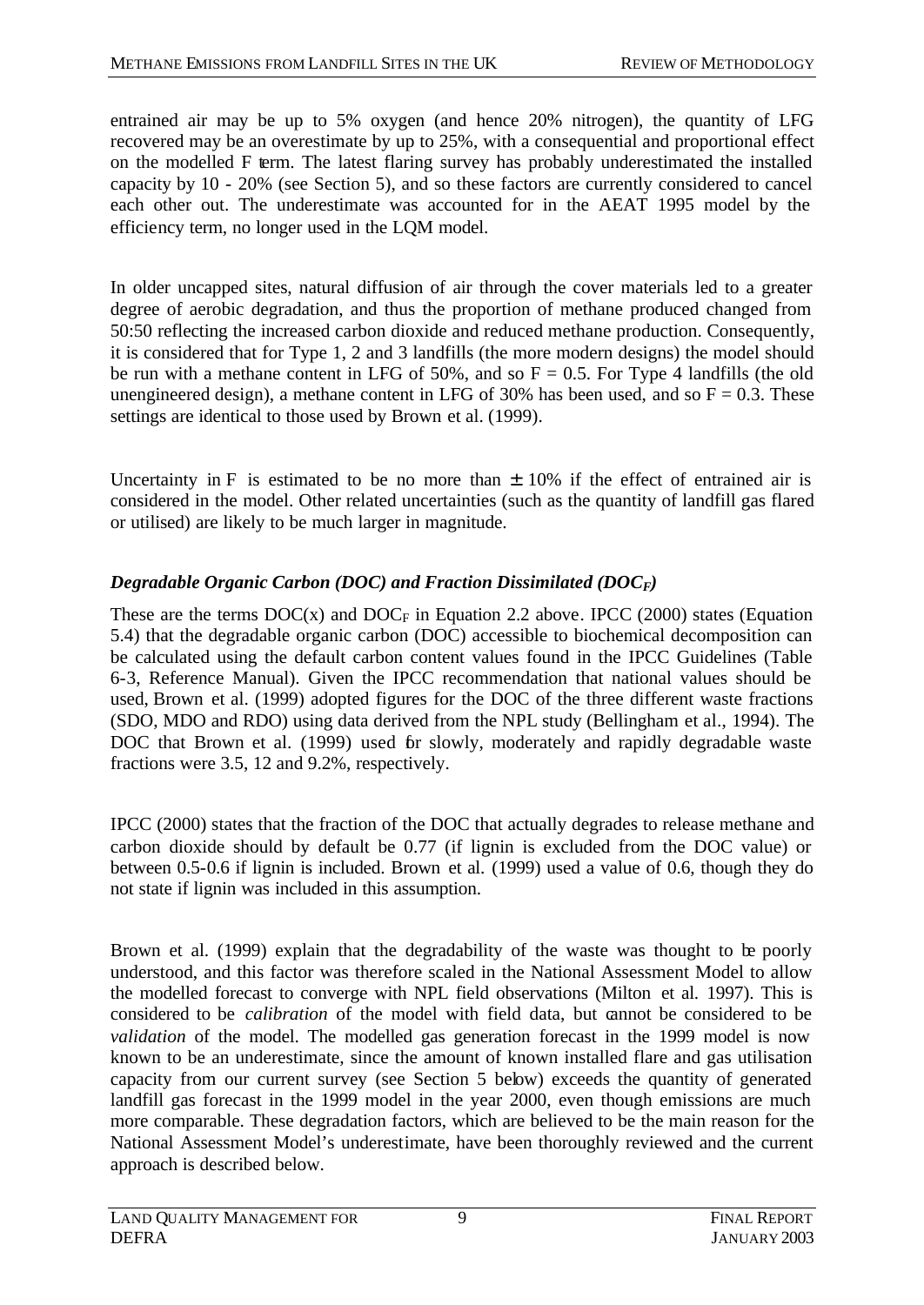entrained air may be up to 5% oxygen (and hence 20% nitrogen), the quantity of LFG recovered may be an overestimate by up to 25%, with a consequential and proportional effect on the modelled F term. The latest flaring survey has probably underestimated the installed capacity by 10 - 20% (see Section 5), and so these factors are currently considered to cancel each other out. The underestimate was accounted for in the AEAT 1995 model by the efficiency term, no longer used in the LQM model.

In older uncapped sites, natural diffusion of air through the cover materials led to a greater degree of aerobic degradation, and thus the proportion of methane produced changed from 50:50 reflecting the increased carbon dioxide and reduced methane production. Consequently, it is considered that for Type 1, 2 and 3 landfills (the more modern designs) the model should be run with a methane content in LFG of 50%, and so  $F = 0.5$ . For Type 4 landfills (the old unengineered design), a methane content in LFG of 30% has been used, and so  $F = 0.3$ . These settings are identical to those used by Brown et al. (1999).

Uncertainty in F is estimated to be no more than  $\pm$  10% if the effect of entrained air is considered in the model. Other related uncertainties (such as the quantity of landfill gas flared or utilised) are likely to be much larger in magnitude.

# *Degradable Organic Carbon (DOC) and Fraction Dissimilated (DOCF)*

These are the terms  $DOC(x)$  and  $DOC<sub>F</sub>$  in Equation 2.2 above. IPCC (2000) states (Equation 5.4) that the degradable organic carbon (DOC) accessible to biochemical decomposition can be calculated using the default carbon content values found in the IPCC Guidelines (Table 6-3, Reference Manual). Given the IPCC recommendation that national values should be used, Brown et al. (1999) adopted figures for the DOC of the three different waste fractions (SDO, MDO and RDO) using data derived from the NPL study (Bellingham et al., 1994). The DOC that Brown et al. (1999) used for slowly, moderately and rapidly degradable waste fractions were 3.5, 12 and 9.2%, respectively.

IPCC (2000) states that the fraction of the DOC that actually degrades to release methane and carbon dioxide should by default be 0.77 (if lignin is excluded from the DOC value) or between 0.5-0.6 if lignin is included. Brown et al. (1999) used a value of 0.6, though they do not state if lignin was included in this assumption.

Brown et al. (1999) explain that the degradability of the waste was thought to be poorly understood, and this factor was therefore scaled in the National Assessment Model to allow the modelled forecast to converge with NPL field observations (Milton et al. 1997). This is considered to be *calibration* of the model with field data, but cannot be considered to be *validation* of the model. The modelled gas generation forecast in the 1999 model is now known to be an underestimate, since the amount of known installed flare and gas utilisation capacity from our current survey (see Section 5 below) exceeds the quantity of generated landfill gas forecast in the 1999 model in the year 2000, even though emissions are much more comparable. These degradation factors, which are believed to be the main reason for the National Assessment Model's underestimate, have been thoroughly reviewed and the current approach is described below.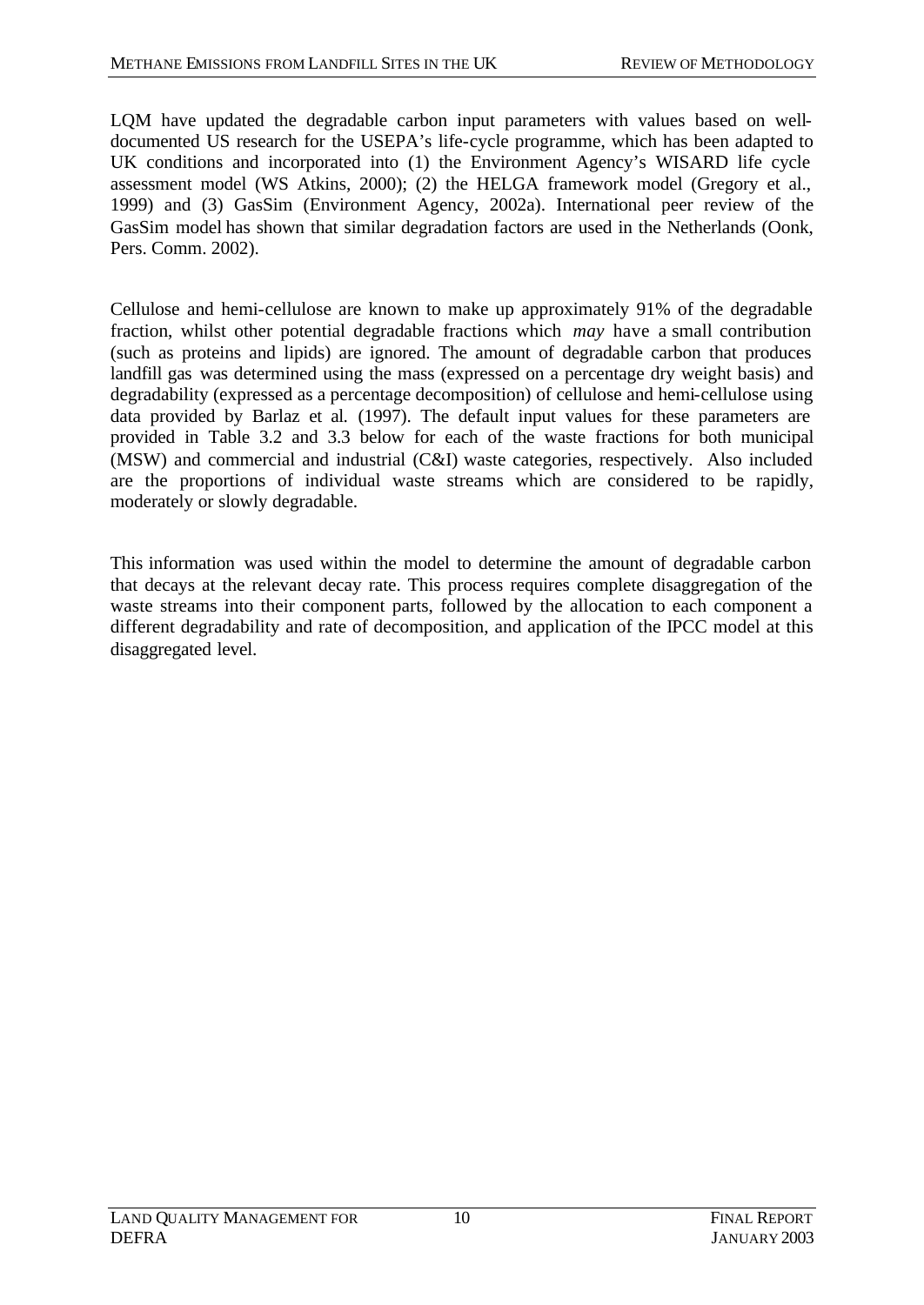LQM have updated the degradable carbon input parameters with values based on welldocumented US research for the USEPA's life-cycle programme, which has been adapted to UK conditions and incorporated into (1) the Environment Agency's WISARD life cycle assessment model (WS Atkins, 2000); (2) the HELGA framework model (Gregory et al., 1999) and (3) GasSim (Environment Agency, 2002a). International peer review of the GasSim model has shown that similar degradation factors are used in the Netherlands (Oonk, Pers. Comm. 2002).

Cellulose and hemi-cellulose are known to make up approximately 91% of the degradable fraction, whilst other potential degradable fractions which *may* have a small contribution (such as proteins and lipids) are ignored. The amount of degradable carbon that produces landfill gas was determined using the mass (expressed on a percentage dry weight basis) and degradability (expressed as a percentage decomposition) of cellulose and hemi-cellulose using data provided by Barlaz et al. (1997). The default input values for these parameters are provided in Table 3.2 and 3.3 below for each of the waste fractions for both municipal (MSW) and commercial and industrial (C&I) waste categories, respectively. Also included are the proportions of individual waste streams which are considered to be rapidly, moderately or slowly degradable.

This information was used within the model to determine the amount of degradable carbon that decays at the relevant decay rate. This process requires complete disaggregation of the waste streams into their component parts, followed by the allocation to each component a different degradability and rate of decomposition, and application of the IPCC model at this disaggregated level.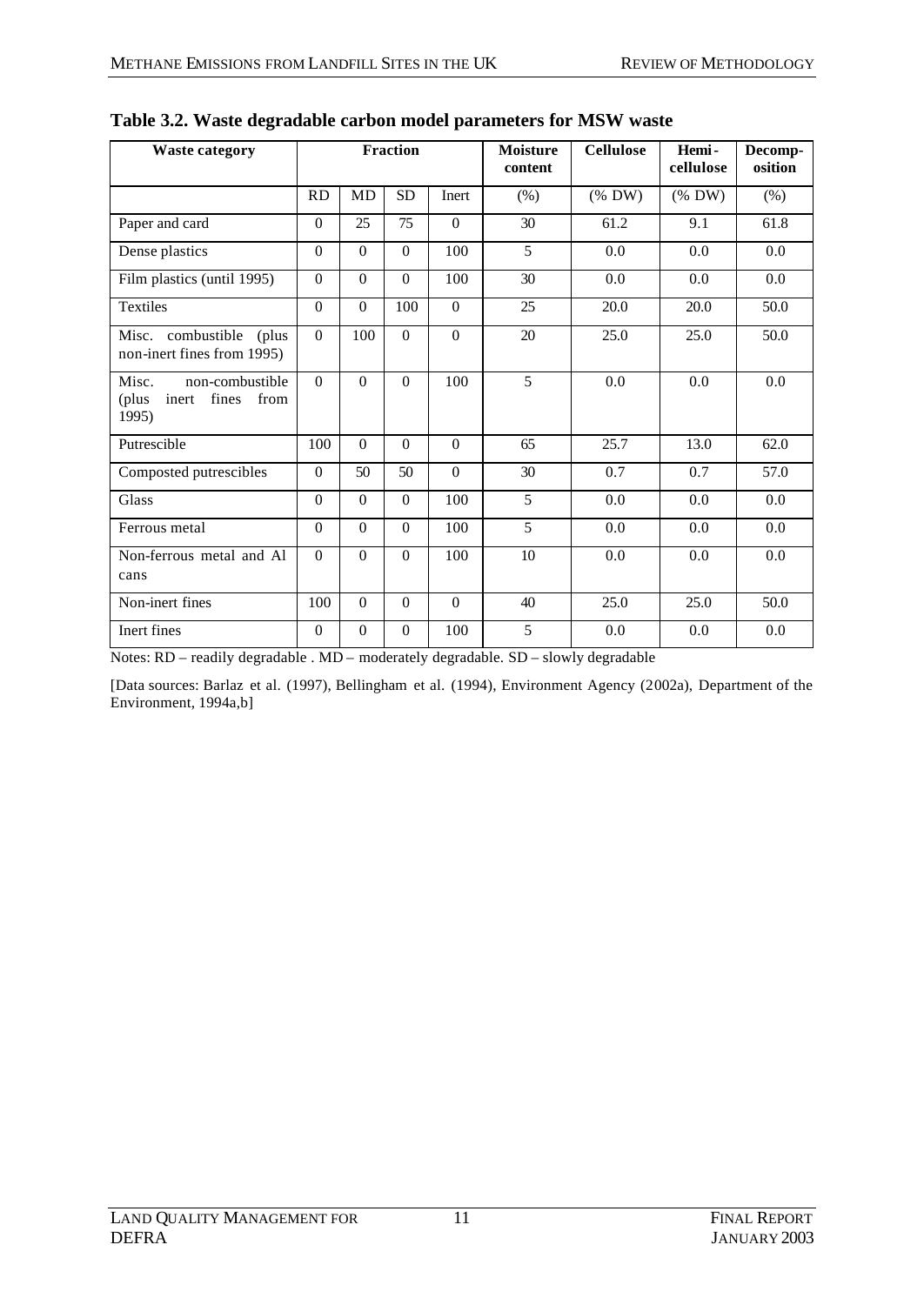| <b>Waste category</b>                                                | <b>Fraction</b>  |                | <b>Moisture</b><br>content | <b>Cellulose</b> | Hemi-<br>cellulose | Decomp-<br>osition |           |      |
|----------------------------------------------------------------------|------------------|----------------|----------------------------|------------------|--------------------|--------------------|-----------|------|
|                                                                      | <b>RD</b>        | MD             | <b>SD</b>                  | Inert            | $(\% )$            | (% W)              | $(\%$ DW) | (% ) |
| Paper and card                                                       | $\overline{0}$   | 25             | 75                         | $\mathbf{0}$     | 30                 | 61.2               | 9.1       | 61.8 |
| Dense plastics                                                       | $\boldsymbol{0}$ | $\mathbf{0}$   | $\Omega$                   | 100              | 5                  | 0.0                | 0.0       | 0.0  |
| Film plastics (until 1995)                                           | $\overline{0}$   | $\overline{0}$ | $\overline{0}$             | 100              | 30                 | 0.0                | 0.0       | 0.0  |
| <b>Textiles</b>                                                      | $\Omega$         | $\Omega$       | 100                        | $\overline{0}$   | 25                 | 20.0               | 20.0      | 50.0 |
| Misc. combustible (plus<br>non-inert fines from 1995)                | $\boldsymbol{0}$ | 100            | $\Omega$                   | $\boldsymbol{0}$ | 20                 | 25.0               | 25.0      | 50.0 |
| Misc.<br>non-combustible<br>fines<br>(plus<br>inert<br>from<br>1995) | $\Omega$         | $\Omega$       | $\Omega$                   | 100              | 5                  | 0.0                | 0.0       | 0.0  |
| Putrescible                                                          | 100              | $\Omega$       | $\Omega$                   | $\Omega$         | 65                 | 25.7               | 13.0      | 62.0 |
| Composted putrescibles                                               | $\Omega$         | 50             | 50                         | $\overline{0}$   | 30                 | 0.7                | 0.7       | 57.0 |
| Glass                                                                | $\Omega$         | $\Omega$       | $\Omega$                   | 100              | 5                  | 0.0                | 0.0       | 0.0  |
| Ferrous metal                                                        | $\Omega$         | $\Omega$       | $\Omega$                   | 100              | 5                  | 0.0                | 0.0       | 0.0  |
| Non-ferrous metal and Al<br>cans                                     | $\boldsymbol{0}$ | $\Omega$       | $\Omega$                   | 100              | 10                 | 0.0                | 0.0       | 0.0  |
| Non-inert fines                                                      | 100              | $\Omega$       | $\Omega$                   | $\Omega$         | 40                 | 25.0               | 25.0      | 50.0 |
| Inert fines                                                          | $\Omega$         | $\Omega$       | $\Omega$                   | 100              | 5                  | 0.0                | 0.0       | 0.0  |

|  | Table 3.2. Waste degradable carbon model parameters for MSW waste |  |  |  |
|--|-------------------------------------------------------------------|--|--|--|
|--|-------------------------------------------------------------------|--|--|--|

Notes: RD – readily degradable . MD – moderately degradable. SD – slowly degradable

[Data sources: Barlaz et al. (1997), Bellingham et al. (1994), Environment Agency (2002a), Department of the Environment, 1994a,b]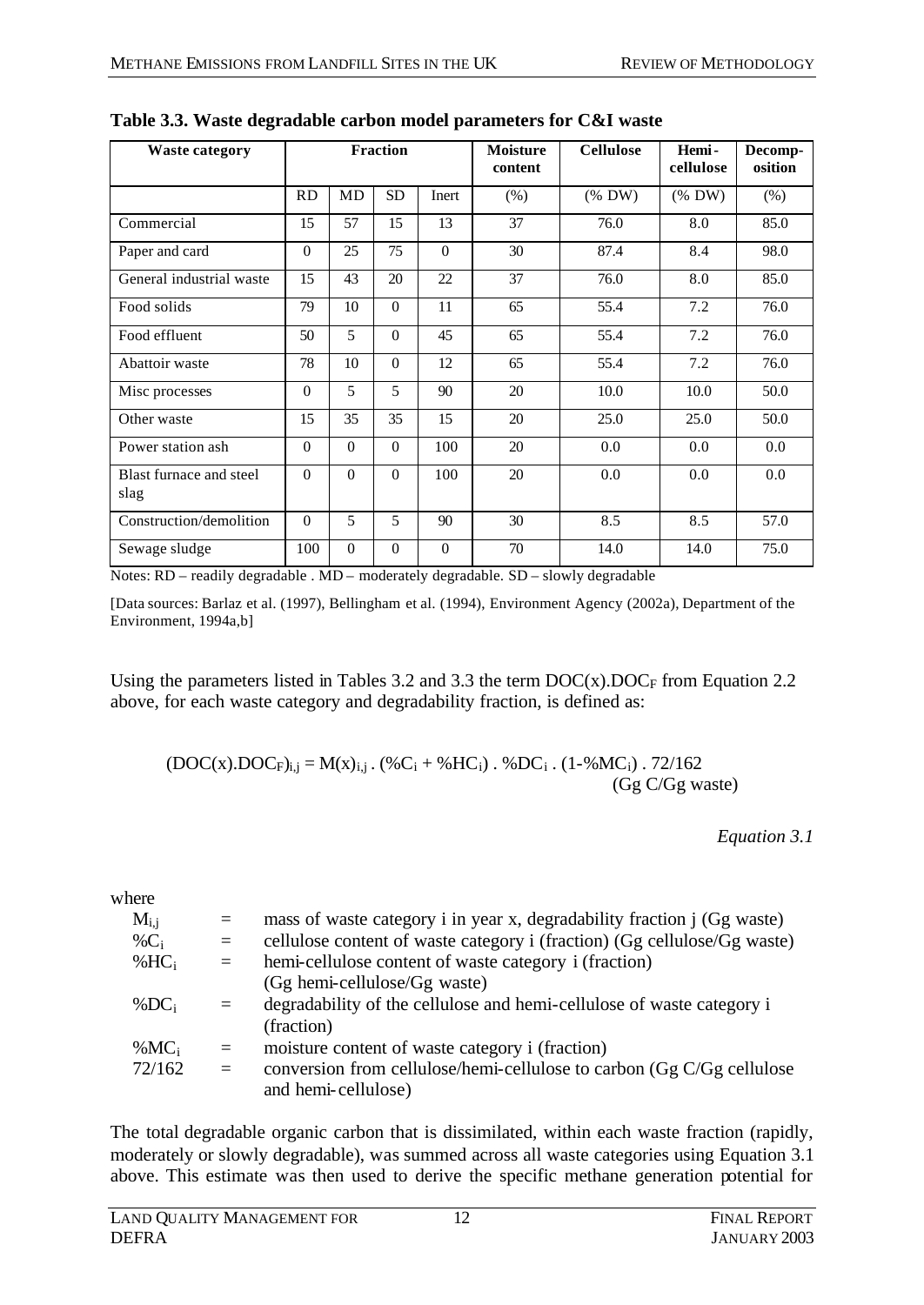| <b>Waste category</b>           | <b>Fraction</b> |          | <b>Moisture</b><br>content | <b>Cellulose</b> | Hemi-<br>cellulose | Decomp-<br>osition |           |      |
|---------------------------------|-----------------|----------|----------------------------|------------------|--------------------|--------------------|-----------|------|
|                                 | <b>RD</b>       | MD       | <b>SD</b>                  | Inert            | $(\%)$             | $(\%$ DW)          | $(\%$ DW) | (% ) |
| Commercial                      | 15              | 57       | 15                         | 13               | 37                 | 76.0               | 8.0       | 85.0 |
| Paper and card                  | $\Omega$        | 25       | 75                         | $\Omega$         | 30                 | 87.4               | 8.4       | 98.0 |
| General industrial waste        | 15              | 43       | 20                         | 22               | 37                 | 76.0               | 8.0       | 85.0 |
| Food solids                     | 79              | 10       | $\Omega$                   | 11               | 65                 | 55.4               | 7.2       | 76.0 |
| Food effluent                   | 50              | 5        | $\Omega$                   | 45               | 65                 | 55.4               | 7.2       | 76.0 |
| Abattoir waste                  | 78              | 10       | $\overline{0}$             | 12               | 65                 | 55.4               | 7.2       | 76.0 |
| Misc processes                  | $\Omega$        | 5        | 5                          | 90               | 20                 | 10.0               | 10.0      | 50.0 |
| Other waste                     | 15              | 35       | 35                         | 15               | 20                 | 25.0               | 25.0      | 50.0 |
| Power station ash               | $\theta$        | $\Omega$ | $\Omega$                   | 100              | 20                 | 0.0                | 0.0       | 0.0  |
| Blast furnace and steel<br>slag | $\theta$        | $\Omega$ | $\Omega$                   | 100              | 20                 | 0.0                | 0.0       | 0.0  |
| Construction/demolition         | $\theta$        | 5        | 5                          | 90               | 30                 | 8.5                | 8.5       | 57.0 |
| Sewage sludge                   | 100             | $\Omega$ | $\Omega$                   | $\theta$         | 70                 | 14.0               | 14.0      | 75.0 |

**Table 3.3. Waste degradable carbon model parameters for C&I waste**

Notes: RD – readily degradable . MD – moderately degradable. SD – slowly degradable

[Data sources: Barlaz et al. (1997), Bellingham et al. (1994), Environment Agency (2002a), Department of the Environment, 1994a,b]

Using the parameters listed in Tables 3.2 and 3.3 the term  $DOC(x)$ . DOC<sub>F</sub> from Equation 2.2 above, for each waste category and degradability fraction, is defined as:

$$
(DOC(x).DOC_{F})_{i,j} = M(x)_{i,j}. ( %C_i + %HC_i) . %DC_i . (1-%MC_i) . 72/162
$$
  
(Gg C/Gg waste)

*Equation 3.1*

where

| $M_{i,i}$ | $=$ | mass of waste category i in year x, degradability fraction j (Gg waste)  |
|-----------|-----|--------------------------------------------------------------------------|
| $\%C_i$   | $=$ | cellulose content of waste category i (fraction) (Gg cellulose/Gg waste) |
| $%HC_i$   | $=$ | hemi-cellulose content of waste category i (fraction)                    |
|           |     | (Gg hemi-cellulose/Gg waste)                                             |
| $%DC_i$   | $=$ | degradability of the cellulose and hemi-cellulose of waste category i    |
|           |     | (fraction)                                                               |
| $%MC_i$   | $=$ | moisture content of waste category i (fraction)                          |
| 72/162    | $=$ | conversion from cellulose/hemi-cellulose to carbon (Gg C/Gg cellulose)   |
|           |     | and hemi-cellulose)                                                      |

The total degradable organic carbon that is dissimilated, within each waste fraction (rapidly, moderately or slowly degradable), was summed across all waste categories using Equation 3.1 above. This estimate was then used to derive the specific methane generation potential for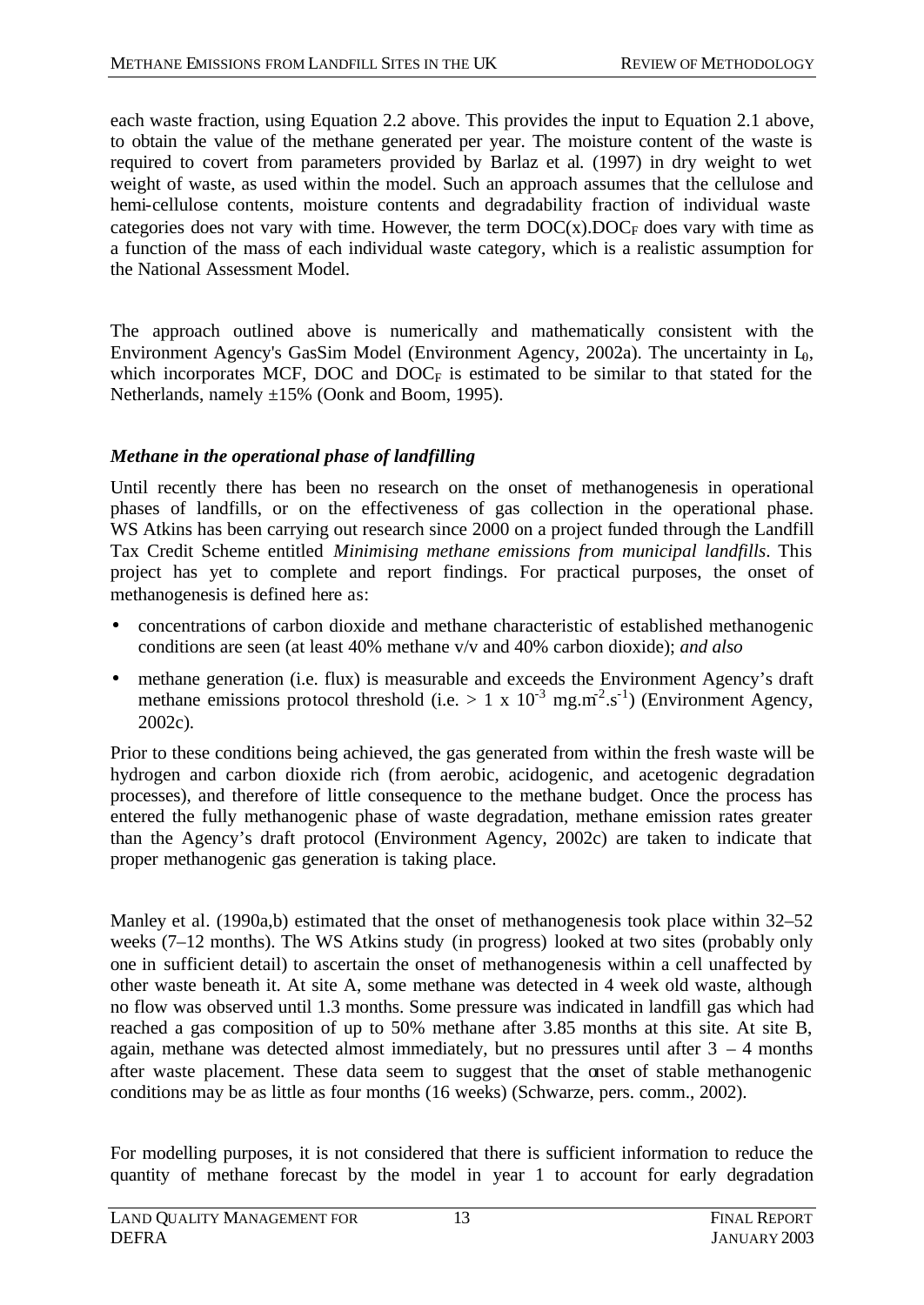each waste fraction, using Equation 2.2 above. This provides the input to Equation 2.1 above, to obtain the value of the methane generated per year. The moisture content of the waste is required to covert from parameters provided by Barlaz et al. (1997) in dry weight to wet weight of waste, as used within the model. Such an approach assumes that the cellulose and hemi-cellulose contents, moisture contents and degradability fraction of individual waste categories does not vary with time. However, the term  $DOC(x).DOC<sub>F</sub>$  does vary with time as a function of the mass of each individual waste category, which is a realistic assumption for the National Assessment Model.

The approach outlined above is numerically and mathematically consistent with the Environment Agency's GasSim Model (Environment Agency, 2002a). The uncertainty in  $I_0$ , which incorporates MCF, DOC and  $DOC<sub>F</sub>$  is estimated to be similar to that stated for the Netherlands, namely  $\pm 15\%$  (Oonk and Boom, 1995).

# *Methane in the operational phase of landfilling*

Until recently there has been no research on the onset of methanogenesis in operational phases of landfills, or on the effectiveness of gas collection in the operational phase. WS Atkins has been carrying out research since 2000 on a project funded through the Landfill Tax Credit Scheme entitled *Minimising methane emissions from municipal landfills*. This project has yet to complete and report findings. For practical purposes, the onset of methanogenesis is defined here as:

- concentrations of carbon dioxide and methane characteristic of established methanogenic conditions are seen (at least 40% methane v/v and 40% carbon dioxide); *and also*
- methane generation (i.e. flux) is measurable and exceeds the Environment Agency's draft methane emissions protocol threshold (i.e.  $> 1 \times 10^{-3}$  mg.m<sup>2</sup>.s<sup>-1</sup>) (Environment Agency, 2002c).

Prior to these conditions being achieved, the gas generated from within the fresh waste will be hydrogen and carbon dioxide rich (from aerobic, acidogenic, and acetogenic degradation processes), and therefore of little consequence to the methane budget. Once the process has entered the fully methanogenic phase of waste degradation, methane emission rates greater than the Agency's draft protocol (Environment Agency, 2002c) are taken to indicate that proper methanogenic gas generation is taking place.

Manley et al. (1990a,b) estimated that the onset of methanogenesis took place within 32–52 weeks (7–12 months). The WS Atkins study (in progress) looked at two sites (probably only one in sufficient detail) to ascertain the onset of methanogenesis within a cell unaffected by other waste beneath it. At site A, some methane was detected in 4 week old waste, although no flow was observed until 1.3 months. Some pressure was indicated in landfill gas which had reached a gas composition of up to 50% methane after 3.85 months at this site. At site B, again, methane was detected almost immediately, but no pressures until after  $3 - 4$  months after waste placement. These data seem to suggest that the onset of stable methanogenic conditions may be as little as four months (16 weeks) (Schwarze, pers. comm., 2002).

For modelling purposes, it is not considered that there is sufficient information to reduce the quantity of methane forecast by the model in year 1 to account for early degradation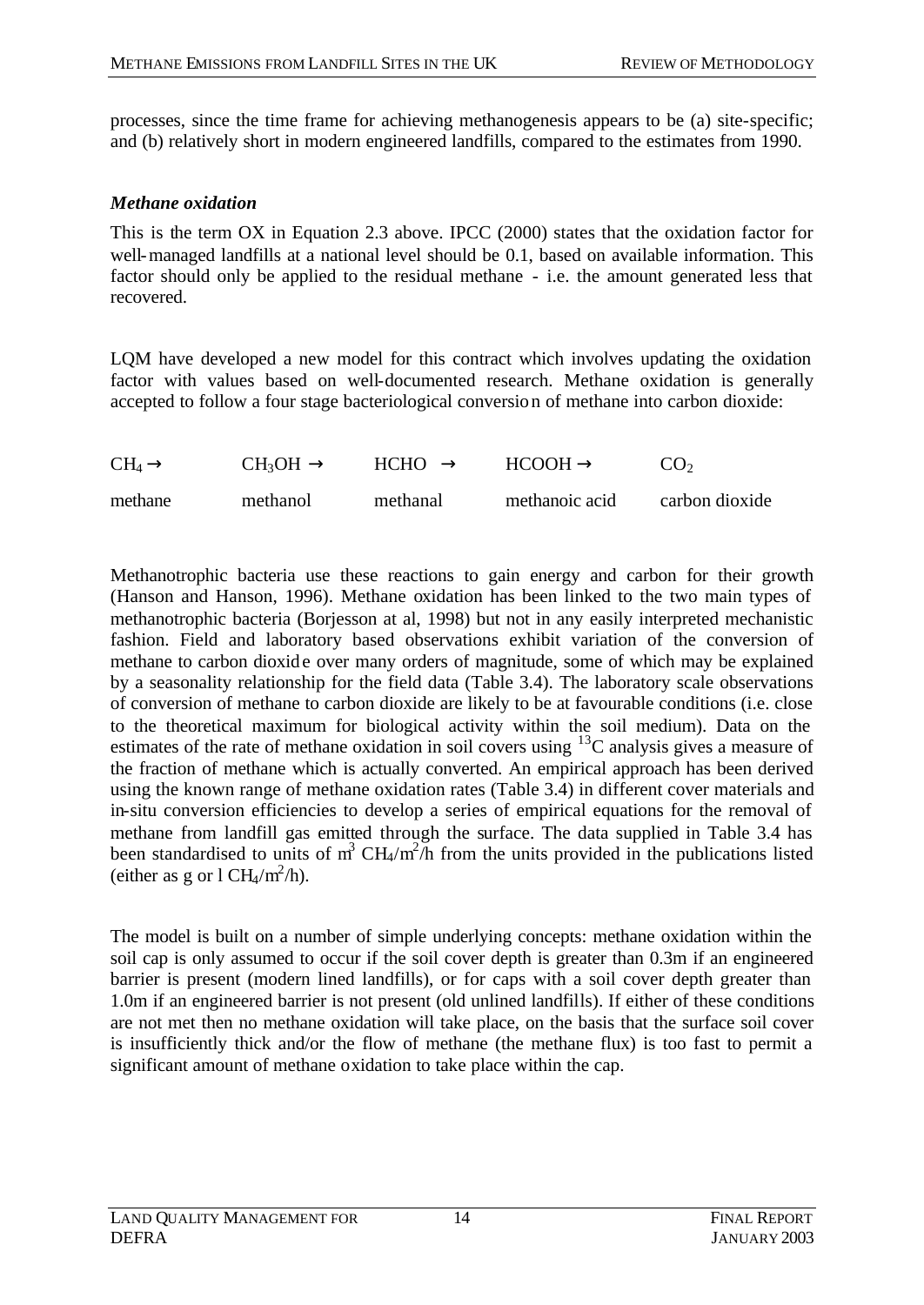processes, since the time frame for achieving methanogenesis appears to be (a) site-specific; and (b) relatively short in modern engineered landfills, compared to the estimates from 1990.

#### *Methane oxidation*

This is the term OX in Equation 2.3 above. IPCC (2000) states that the oxidation factor for well-managed landfills at a national level should be 0.1, based on available information. This factor should only be applied to the residual methane - i.e. the amount generated less that recovered.

LQM have developed a new model for this contract which involves updating the oxidation factor with values based on well-documented research. Methane oxidation is generally accepted to follow a four stage bacteriological conversion of methane into carbon dioxide:

| $CH_4 \rightarrow$ | $CH_3OH \rightarrow$ | $HCHO \rightarrow$ | $HCOOH \rightarrow$ | $C()_{2}$      |
|--------------------|----------------------|--------------------|---------------------|----------------|
| methane            | methanol             | methanal           | methanoic acid      | carbon dioxide |

Methanotrophic bacteria use these reactions to gain energy and carbon for their growth (Hanson and Hanson, 1996). Methane oxidation has been linked to the two main types of methanotrophic bacteria (Borjesson at al, 1998) but not in any easily interpreted mechanistic fashion. Field and laboratory based observations exhibit variation of the conversion of methane to carbon dioxide over many orders of magnitude, some of which may be explained by a seasonality relationship for the field data (Table 3.4). The laboratory scale observations of conversion of methane to carbon dioxide are likely to be at favourable conditions (i.e. close to the theoretical maximum for biological activity within the soil medium). Data on the estimates of the rate of methane oxidation in soil covers using  $^{13}$ C analysis gives a measure of the fraction of methane which is actually converted. An empirical approach has been derived using the known range of methane oxidation rates (Table 3.4) in different cover materials and in-situ conversion efficiencies to develop a series of empirical equations for the removal of methane from landfill gas emitted through the surface. The data supplied in Table 3.4 has been standardised to units of  $m^3 CH_4/m^2/h$  from the units provided in the publications listed (either as g or  $1 \text{ CH}_4/\text{m}^2/\text{h}$ ).

The model is built on a number of simple underlying concepts: methane oxidation within the soil cap is only assumed to occur if the soil cover depth is greater than 0.3m if an engineered barrier is present (modern lined landfills), or for caps with a soil cover depth greater than 1.0m if an engineered barrier is not present (old unlined landfills). If either of these conditions are not met then no methane oxidation will take place, on the basis that the surface soil cover is insufficiently thick and/or the flow of methane (the methane flux) is too fast to permit a significant amount of methane oxidation to take place within the cap.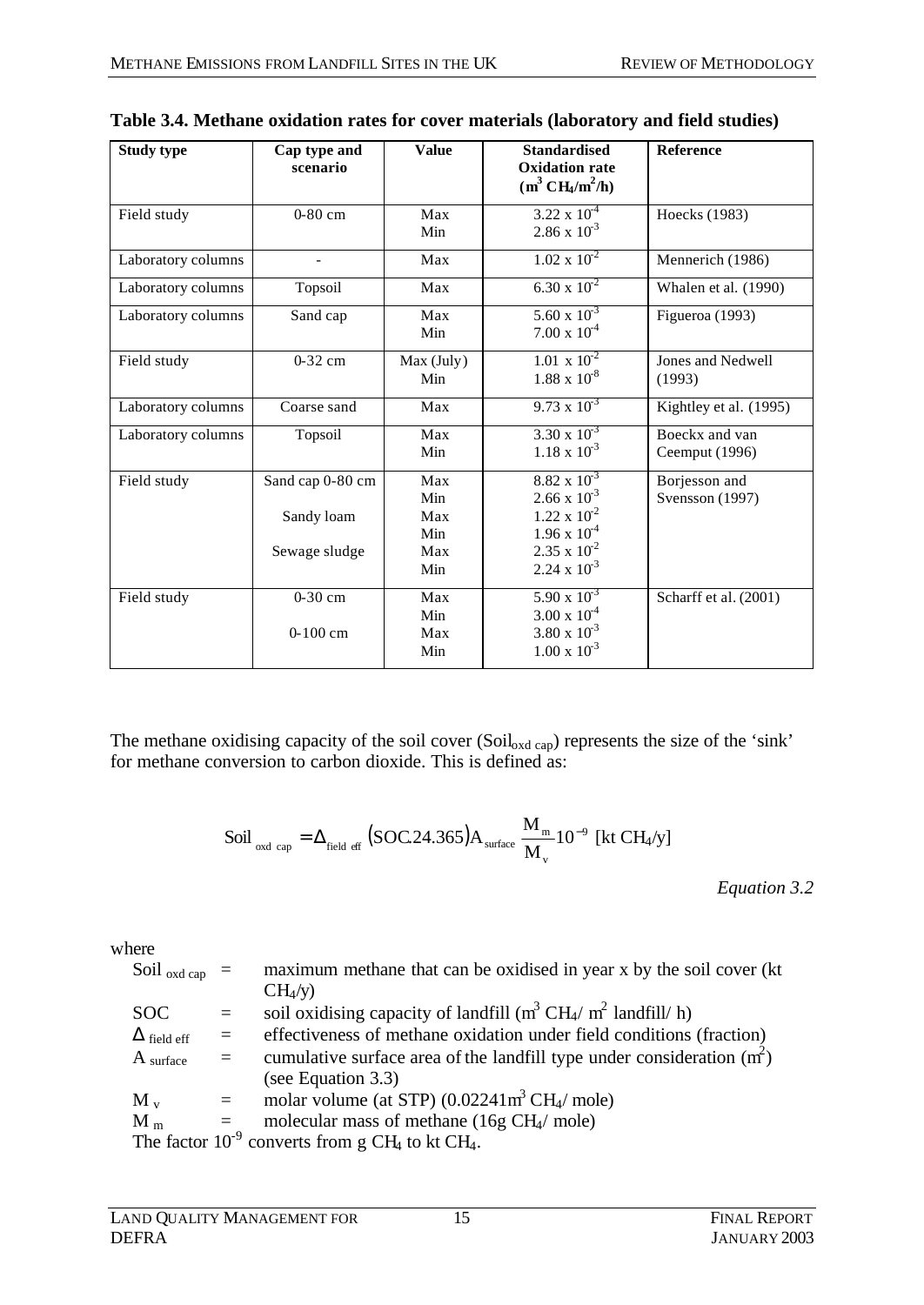| <b>Study type</b>  | Cap type and<br>scenario                        | <b>Value</b>                           | <b>Standardised</b><br><b>Oxidation rate</b><br>$(m^3 CH_4/m^2/h)$                                                                            | Reference                        |
|--------------------|-------------------------------------------------|----------------------------------------|-----------------------------------------------------------------------------------------------------------------------------------------------|----------------------------------|
| Field study        | $0-80$ cm                                       | Max<br>Min                             | $3.22 \times 10^{-4}$<br>$2.86 \times 10^{-3}$                                                                                                | Hoecks (1983)                    |
| Laboratory columns |                                                 | Max                                    | $1.02 \times 10^{2}$                                                                                                                          | Mennerich (1986)                 |
| Laboratory columns | Topsoil                                         | Max                                    | 6.30 x $10^2$                                                                                                                                 | Whalen et al. (1990)             |
| Laboratory columns | Sand cap                                        | Max<br>Min                             | $5.60 \times 10^{3}$<br>$7.00 \times 10^{-4}$                                                                                                 | Figueroa (1993)                  |
| Field study        | 0-32 cm                                         | Max (July)<br>Min                      | $1.01 \times 10^{-2}$<br>$1.88 \times 10^{8}$                                                                                                 | Jones and Nedwell<br>(1993)      |
| Laboratory columns | Coarse sand                                     | Max                                    | $9.73 \times 10^{3}$                                                                                                                          | Kightley et al. (1995)           |
| Laboratory columns | Topsoil                                         | Max<br>Min                             | $3.30 \times 10^{3}$<br>$1.18 \times 10^{-3}$                                                                                                 | Boeckx and van<br>Ceemput (1996) |
| Field study        | Sand cap 0-80 cm<br>Sandy loam<br>Sewage sludge | Max<br>Min<br>Max<br>Min<br>Max<br>Min | $8.82 \times 10^{3}$<br>$2.66 \times 10^{3}$<br>$1.22 \times 10^{2}$<br>$1.96 \times 10^{-4}$<br>$2.35 \times 10^{2}$<br>$2.24 \times 10^{3}$ | Borjesson and<br>Svensson (1997) |
| Field study        | $0-30$ cm<br>0-100 cm                           | Max<br>Min<br>Max<br>Min               | 5.90 x $10^{-3}$<br>$3.00 \times 10^{-4}$<br>$3.80 \times 10^{3}$<br>$1.00 \times 10^{-3}$                                                    | Scharff et al. (2001)            |

| Table 3.4. Methane oxidation rates for cover materials (laboratory and field studies) |  |
|---------------------------------------------------------------------------------------|--|
|---------------------------------------------------------------------------------------|--|

The methane oxidising capacity of the soil cover  $(Soil<sub>oxd cap</sub>)$  represents the size of the 'sink' for methane conversion to carbon dioxide. This is defined as:

Soil<sub>oxd cap</sub> = 
$$
\Delta_{\text{field eff}}
$$
 (SOC.24.365) $A_{\text{surface}} \frac{M_m}{M_v} 10^{-9}$  [kt CH<sub>4</sub>/y]

*Equation 3.2*

where

| Soil $_{\text{oxd cap}}$ = |     | maximum methane that can be oxidised in year x by the soil cover (kt)           |
|----------------------------|-----|---------------------------------------------------------------------------------|
|                            |     | $CH_4(y)$                                                                       |
| <b>SOC</b>                 | $=$ | soil oxidising capacity of landfill ( $m^3$ CH <sub>4</sub> / $m^2$ landfill/h) |
| $\Delta$ field eff         | $=$ | effectiveness of methane oxidation under field conditions (fraction)            |
| A <sub>surface</sub>       | $=$ | cumulative surface area of the landfill type under consideration $(m2)$         |
|                            |     | (see Equation 3.3)                                                              |
| $M_{v}$                    | $=$ | molar volume (at STP) $(0.02241m^3 \text{ CH}_4/\text{mole})$                   |
| $M_m$                      | $=$ | molecular mass of methane $(16g \text{ CH}_4/\text{mole})$                      |
|                            |     | The factor $10^{-9}$ converts from g CH <sub>4</sub> to kt CH <sub>4</sub> .    |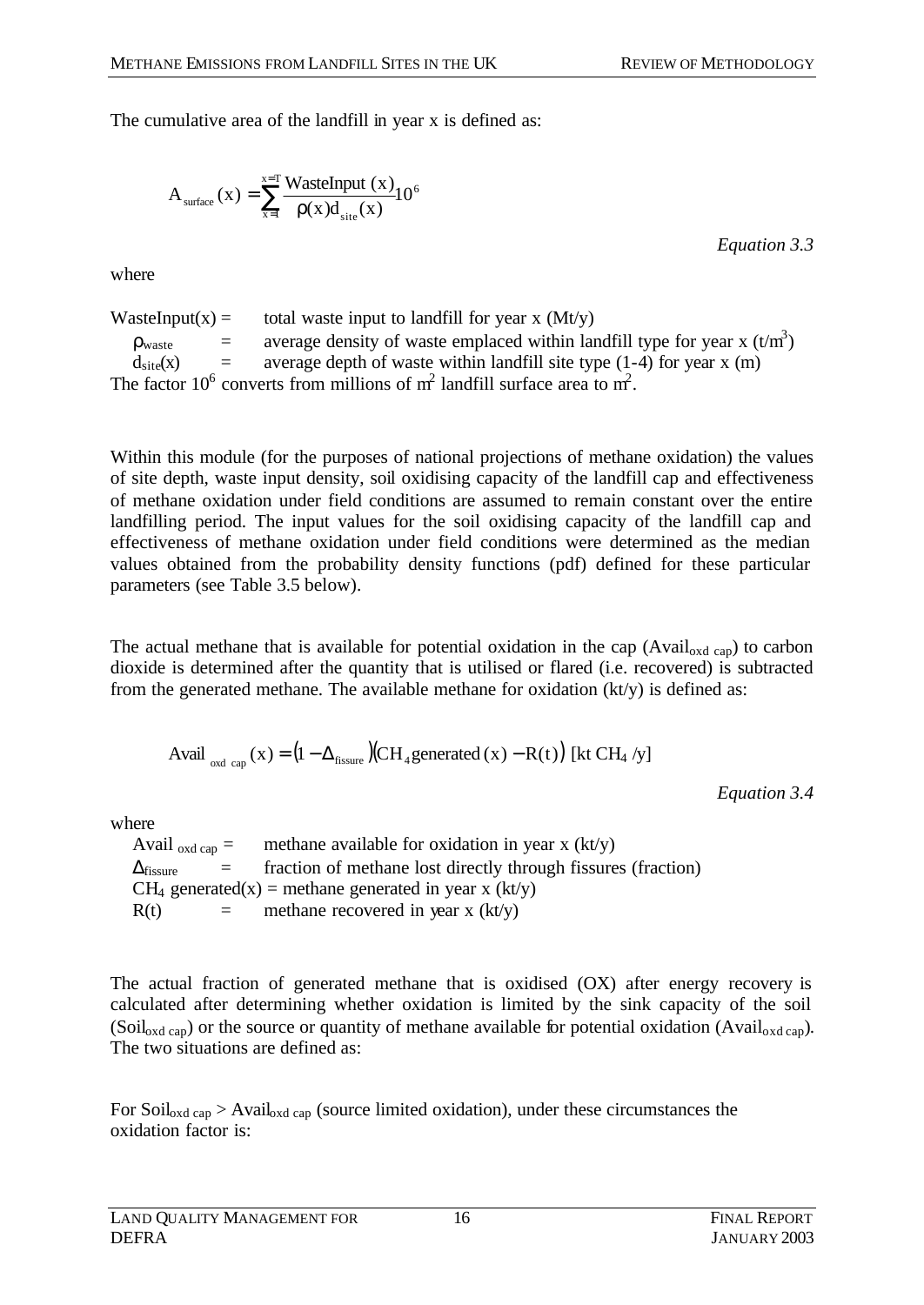The cumulative area of the landfill in year x is defined as:

$$
A_{\text{surface}}(x) = \sum_{x=1}^{x=T} \frac{Wastelnput(x)}{\rho(x)d_{\text{site}}(x)} 10^6
$$

*Equation 3.3*

where

| $WasteInput(x) =$     | total waste input to landfill for year x $(Mt/v)$                                                    |
|-----------------------|------------------------------------------------------------------------------------------------------|
| $\rho_{\text{waste}}$ | average density of waste emplaced within landfill type for year x $(t/m3)$                           |
| $d_{\text{site}}(x)$  | $=$ average depth of waste within landfill site type (1-4) for year x (m)                            |
|                       | The factor $10^6$ converts from millions of m <sup>2</sup> landfill surface area to m <sup>2</sup> . |

Within this module (for the purposes of national projections of methane oxidation) the values of site depth, waste input density, soil oxidising capacity of the landfill cap and effectiveness of methane oxidation under field conditions are assumed to remain constant over the entire landfilling period. The input values for the soil oxidising capacity of the landfill cap and effectiveness of methane oxidation under field conditions were determined as the median values obtained from the probability density functions (pdf) defined for these particular parameters (see Table 3.5 below).

The actual methane that is available for potential oxidation in the cap (Avail<sub>oxd cap</sub>) to carbon dioxide is determined after the quantity that is utilised or flared (i.e. recovered) is subtracted from the generated methane. The available methane for oxidation  $(kt/v)$  is defined as:

$$
Avail_{\text{oxd cap}}(x) = (1 - \Delta_{\text{fissue}})(CH_4 \text{generated } (x) - R(t)) \text{ [kt } CH_4 / y]
$$

*Equation 3.4*

where

Avail  $_{\text{oxd cap}} =$  methane available for oxidation in year x (kt/y)  $\Delta_{\text{fissue}}$  = fraction of methane lost directly through fissures (fraction)  $CH_4$  generated(x) = methane generated in year x (kt/y)  $R(t)$  = methane recovered in year x (kt/y)

The actual fraction of generated methane that is oxidised (OX) after energy recovery is calculated after determining whether oxidation is limited by the sink capacity of the soil (Soil<sub>oxd cap</sub>) or the source or quantity of methane available for potential oxidation (Avail<sub>oxd cap</sub>). The two situations are defined as:

For Soil<sub>oxd cap</sub> > Avail<sub>oxd cap</sub> (source limited oxidation), under these circumstances the oxidation factor is: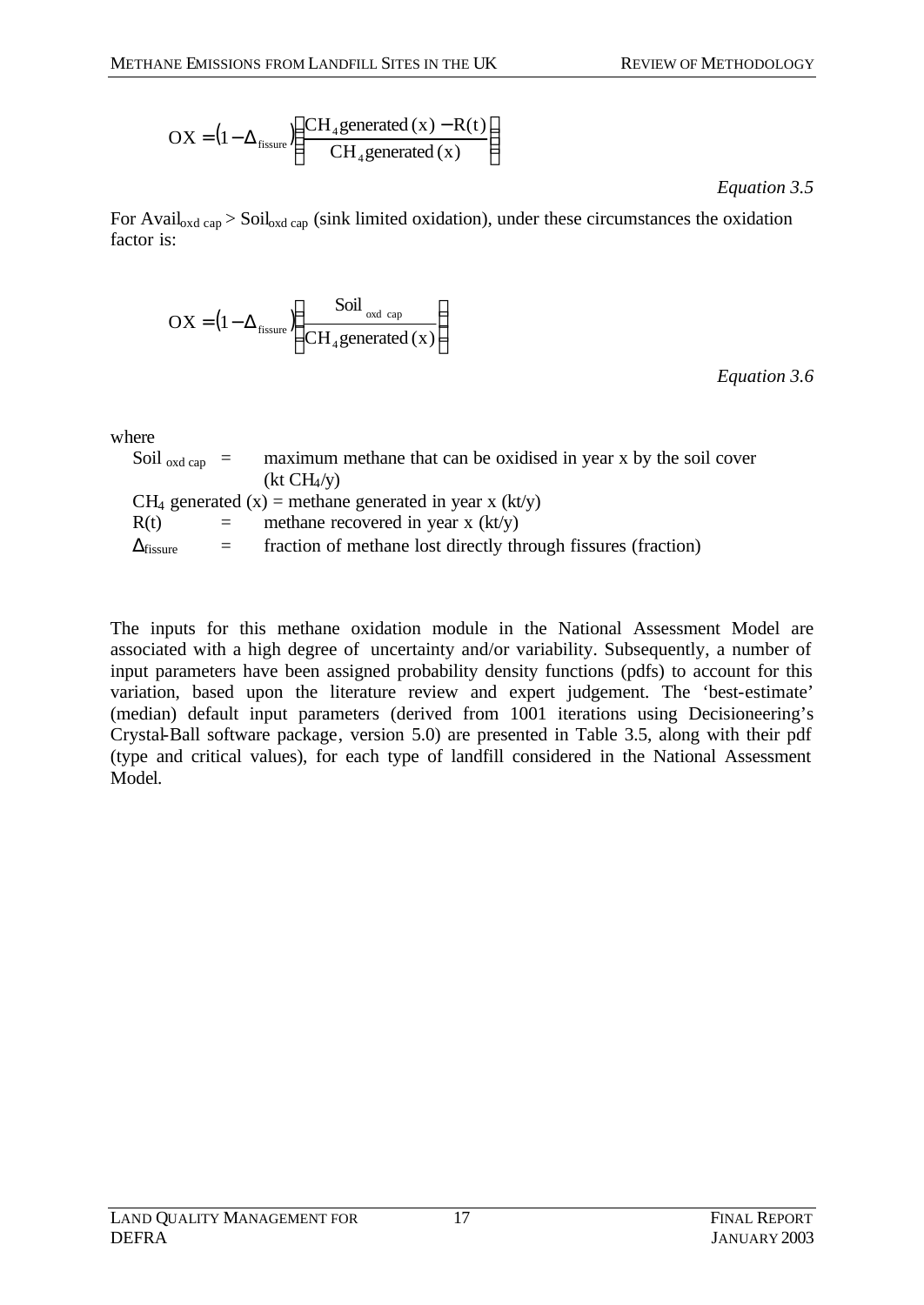$$
OX = (1 - \Delta_{\text{fissue}}) \left( \frac{CH_4 \text{generated } (x) - R(t)}{CH_4 \text{generated } (x)} \right)
$$

*Equation 3.5*

For Avail<sub>oxd cap</sub> > Soil<sub>oxd cap</sub> (sink limited oxidation), under these circumstances the oxidation factor is:

$$
OX = (1 - \Delta_{fissue}) \left( \frac{Soil_{\text{oxd cap}}}{CH_4 generated(x)} \right)
$$

*Equation 3.6*

where

| Soil $_{\text{oxd cap}}$ = |          | maximum methane that can be oxidised in year x by the soil cover |
|----------------------------|----------|------------------------------------------------------------------|
|                            |          | (kt CH <sub>4</sub> /y)                                          |
|                            |          | $CH_4$ generated (x) = methane generated in year x (kt/y)        |
| R(t)                       | $\equiv$ | methane recovered in year x $(kt/v)$                             |
| $\Delta$ fissure           | $\equiv$ | fraction of methane lost directly through fissures (fraction)    |

The inputs for this methane oxidation module in the National Assessment Model are associated with a high degree of uncertainty and/or variability. Subsequently, a number of input parameters have been assigned probability density functions (pdfs) to account for this variation, based upon the literature review and expert judgement. The 'best-estimate' (median) default input parameters (derived from 1001 iterations using Decisioneering's Crystal-Ball software package, version 5.0) are presented in Table 3.5, along with their pdf (type and critical values), for each type of landfill considered in the National Assessment Model.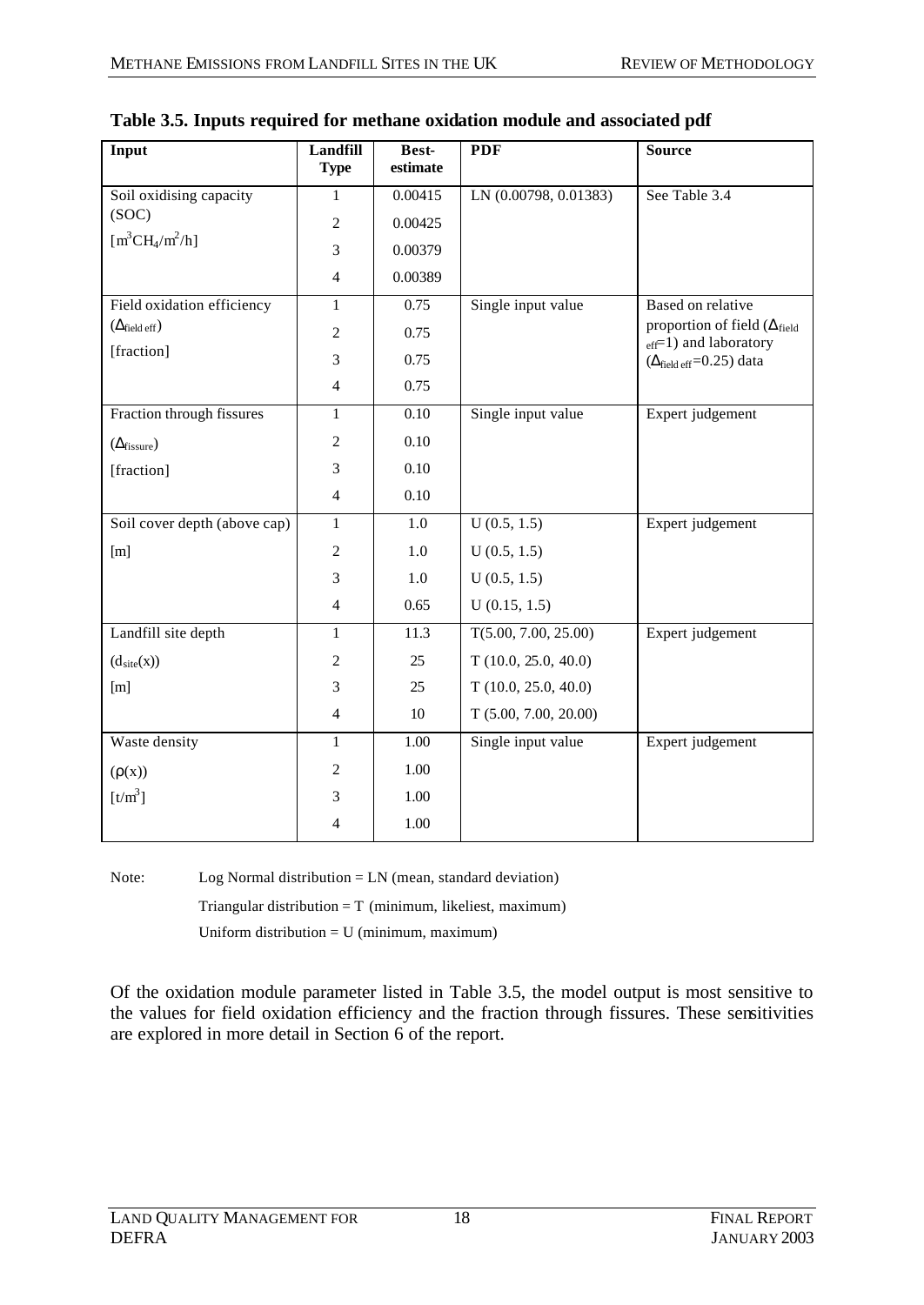| Input                                                    | Landfill<br><b>Type</b> | Best-<br>estimate | <b>PDF</b>            | <b>Source</b>                                                                       |
|----------------------------------------------------------|-------------------------|-------------------|-----------------------|-------------------------------------------------------------------------------------|
|                                                          |                         |                   |                       |                                                                                     |
| Soil oxidising capacity<br>(SOC)                         | $\mathbf{1}$            | 0.00415           | LN (0.00798, 0.01383) | See Table 3.4                                                                       |
| $\left[\text{m}^3\text{CH}_4/\text{m}^2/\text{h}\right]$ | $\overline{2}$          | 0.00425           |                       |                                                                                     |
|                                                          | 3                       | 0.00379           |                       |                                                                                     |
|                                                          | $\overline{4}$          | 0.00389           |                       |                                                                                     |
| Field oxidation efficiency                               | $\mathbf{1}$            | 0.75              | Single input value    | Based on relative                                                                   |
| $(\Delta_{\text{field eff}})$                            | $\sqrt{2}$              | 0.75              |                       | proportion of field ( $\Delta_{\text{field}}$<br>$_{\text{eff}}$ =1) and laboratory |
| [fraction]                                               | 3                       | 0.75              |                       | $(\Delta_{\text{field eff}}=0.25)$ data                                             |
|                                                          | $\overline{4}$          | 0.75              |                       |                                                                                     |
| Fraction through fissures                                | $\mathbf{1}$            | 0.10              | Single input value    | Expert judgement                                                                    |
| $(\Delta_{\text{fissue}})$                               | $\overline{2}$          | 0.10              |                       |                                                                                     |
| [fraction]                                               | 3                       | 0.10              |                       |                                                                                     |
|                                                          | $\overline{4}$          | 0.10              |                       |                                                                                     |
| Soil cover depth (above cap)                             | $\mathbf{1}$            | 1.0               | U(0.5, 1.5)           | Expert judgement                                                                    |
| [m]                                                      | $\boldsymbol{2}$        | 1.0               | U(0.5, 1.5)           |                                                                                     |
|                                                          | 3                       | 1.0               | U(0.5, 1.5)           |                                                                                     |
|                                                          | $\overline{4}$          | 0.65              | U(0.15, 1.5)          |                                                                                     |
| Landfill site depth                                      | $\mathbf{1}$            | 11.3              | T(5.00, 7.00, 25.00)  | Expert judgement                                                                    |
| (d <sub>site</sub> (x))                                  | $\overline{c}$          | 25                | T(10.0, 25.0, 40.0)   |                                                                                     |
| [m]                                                      | 3                       | 25                | T(10.0, 25.0, 40.0)   |                                                                                     |
|                                                          | $\overline{4}$          | 10                | T(5.00, 7.00, 20.00)  |                                                                                     |
| Waste density                                            | $\mathbf{1}$            | 1.00              | Single input value    | Expert judgement                                                                    |
| $(\rho(x))$                                              | $\overline{c}$          | 1.00              |                       |                                                                                     |
| $\lceil t/m^3 \rceil$                                    | 3                       | 1.00              |                       |                                                                                     |
|                                                          | $\overline{4}$          | 1.00              |                       |                                                                                     |

|  |  |  |  |  |  |  |  | Table 3.5. Inputs required for methane oxidation module and associated pdf |  |
|--|--|--|--|--|--|--|--|----------------------------------------------------------------------------|--|
|--|--|--|--|--|--|--|--|----------------------------------------------------------------------------|--|

Note: Log Normal distribution = LN (mean, standard deviation) Triangular distribution = T (minimum, likeliest, maximum) Uniform distribution = U (minimum, maximum)

Of the oxidation module parameter listed in Table 3.5, the model output is most sensitive to the values for field oxidation efficiency and the fraction through fissures. These sensitivities are explored in more detail in Section 6 of the report.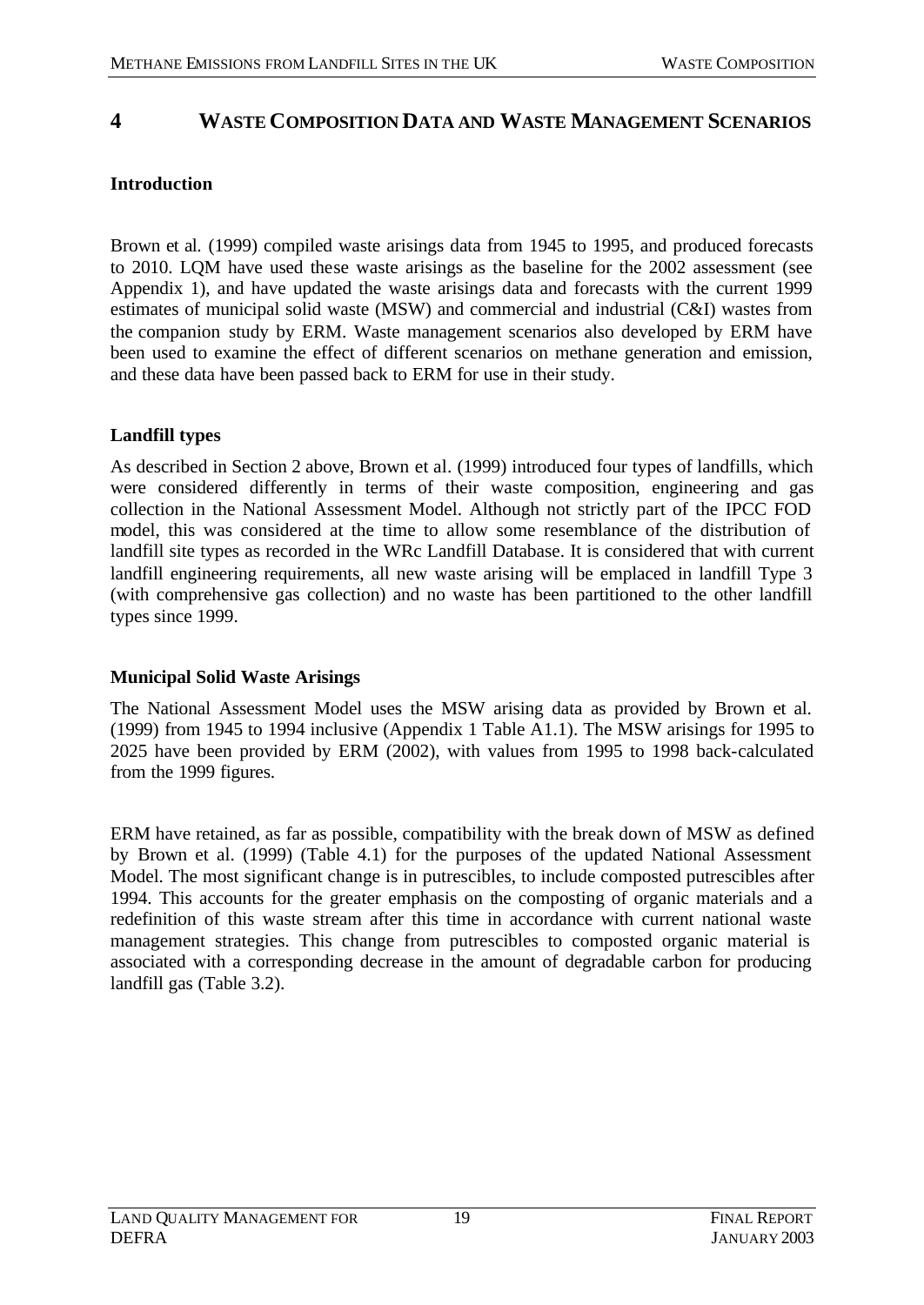# **4 WASTE COMPOSITION DATA AND WASTE MANAGEMENT SCENARIOS**

# **Introduction**

Brown et al. (1999) compiled waste arisings data from 1945 to 1995, and produced forecasts to 2010. LQM have used these waste arisings as the baseline for the 2002 assessment (see Appendix 1), and have updated the waste arisings data and forecasts with the current 1999 estimates of municipal solid waste (MSW) and commercial and industrial (C&I) wastes from the companion study by ERM. Waste management scenarios also developed by ERM have been used to examine the effect of different scenarios on methane generation and emission, and these data have been passed back to ERM for use in their study.

# **Landfill types**

As described in Section 2 above, Brown et al. (1999) introduced four types of landfills, which were considered differently in terms of their waste composition, engineering and gas collection in the National Assessment Model. Although not strictly part of the IPCC FOD model, this was considered at the time to allow some resemblance of the distribution of landfill site types as recorded in the WRc Landfill Database. It is considered that with current landfill engineering requirements, all new waste arising will be emplaced in landfill Type 3 (with comprehensive gas collection) and no waste has been partitioned to the other landfill types since 1999.

# **Municipal Solid Waste Arisings**

The National Assessment Model uses the MSW arising data as provided by Brown et al. (1999) from 1945 to 1994 inclusive (Appendix 1 Table A1.1). The MSW arisings for 1995 to 2025 have been provided by ERM (2002), with values from 1995 to 1998 back-calculated from the 1999 figures.

ERM have retained, as far as possible, compatibility with the break down of MSW as defined by Brown et al. (1999) (Table 4.1) for the purposes of the updated National Assessment Model. The most significant change is in putrescibles, to include composted putrescibles after 1994. This accounts for the greater emphasis on the composting of organic materials and a redefinition of this waste stream after this time in accordance with current national waste management strategies. This change from putrescibles to composted organic material is associated with a corresponding decrease in the amount of degradable carbon for producing landfill gas (Table 3.2).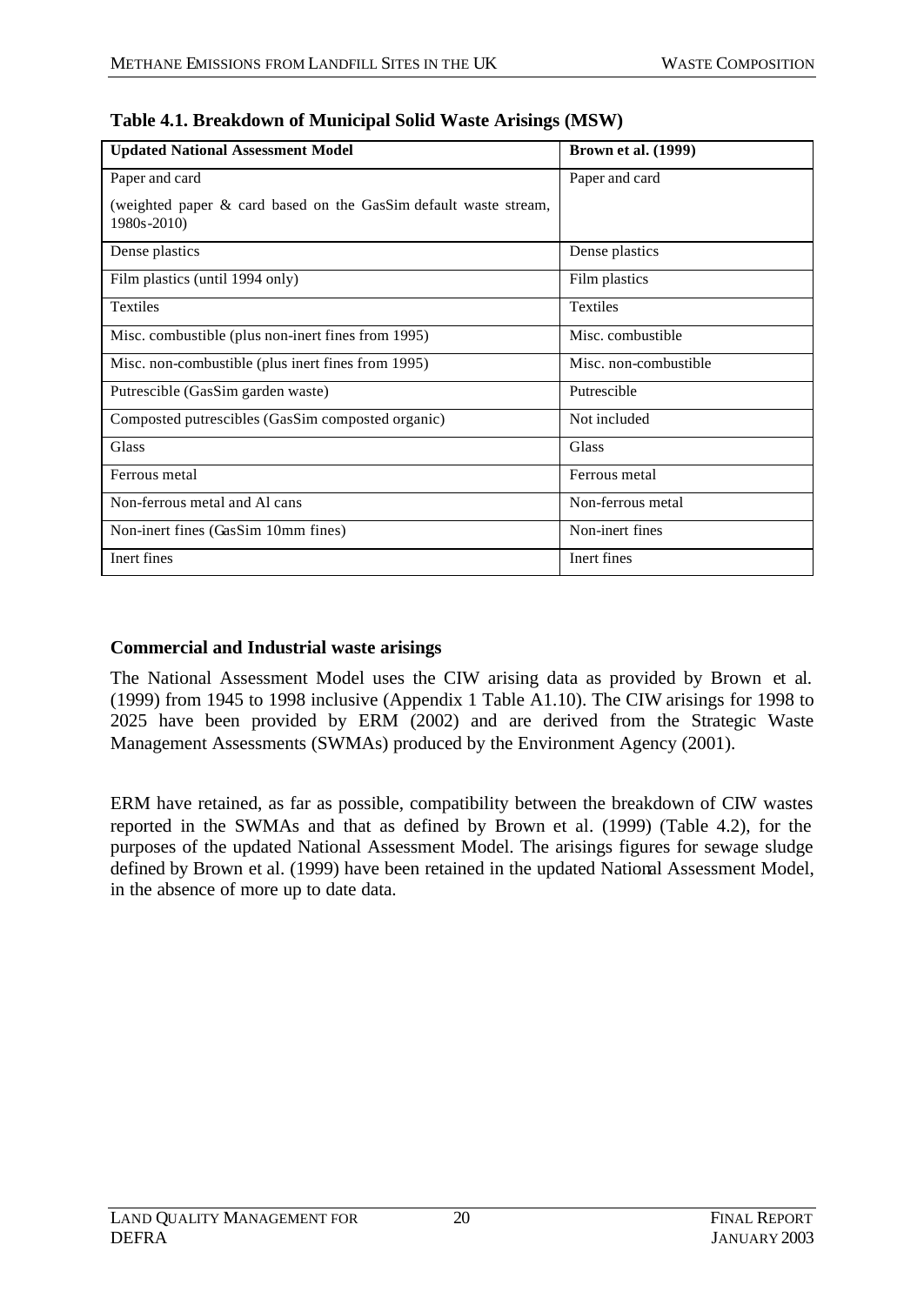| <b>Updated National Assessment Model</b>                                        | <b>Brown et al. (1999)</b> |
|---------------------------------------------------------------------------------|----------------------------|
| Paper and card                                                                  | Paper and card             |
| (weighted paper & card based on the GasSim default waste stream,<br>1980s-2010) |                            |
| Dense plastics                                                                  | Dense plastics             |
| Film plastics (until 1994 only)                                                 | Film plastics              |
| <b>Textiles</b>                                                                 | Textiles                   |
| Misc. combustible (plus non-inert fines from 1995)                              | Misc. combustible          |
| Misc. non-combustible (plus inert fines from 1995)                              | Misc. non-combustible      |
| Putrescible (GasSim garden waste)                                               | Putrescible                |
| Composted putrescibles (GasSim composted organic)                               | Not included               |
| Glass                                                                           | Glass                      |
| Ferrous metal                                                                   | Ferrous metal              |
| Non-ferrous metal and Al cans                                                   | Non-ferrous metal          |
| Non-inert fines (GasSim 10mm fines)                                             | Non-inert fines            |
| Inert fines                                                                     | Inert fines                |

**Table 4.1. Breakdown of Municipal Solid Waste Arisings (MSW)**

# **Commercial and Industrial waste arisings**

The National Assessment Model uses the CIW arising data as provided by Brown et al. (1999) from 1945 to 1998 inclusive (Appendix 1 Table A1.10). The CIW arisings for 1998 to 2025 have been provided by ERM (2002) and are derived from the Strategic Waste Management Assessments (SWMAs) produced by the Environment Agency (2001).

ERM have retained, as far as possible, compatibility between the breakdown of CIW wastes reported in the SWMAs and that as defined by Brown et al. (1999) (Table 4.2), for the purposes of the updated National Assessment Model. The arisings figures for sewage sludge defined by Brown et al. (1999) have been retained in the updated National Assessment Model, in the absence of more up to date data.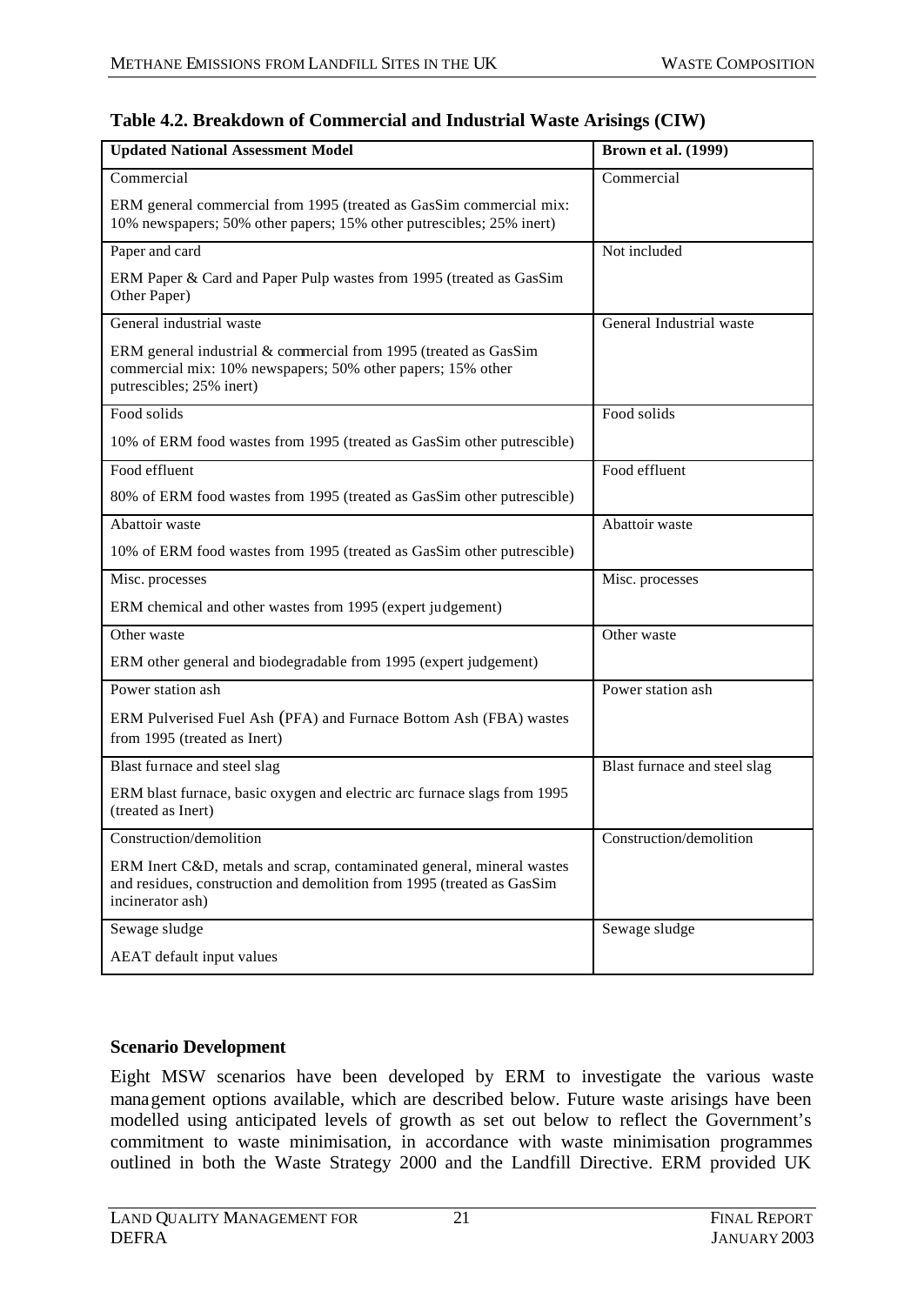| <b>Updated National Assessment Model</b>                                                                                                                            | <b>Brown et al. (1999)</b>   |
|---------------------------------------------------------------------------------------------------------------------------------------------------------------------|------------------------------|
| Commercial                                                                                                                                                          | Commercial                   |
| ERM general commercial from 1995 (treated as GasSim commercial mix:<br>10% newspapers; 50% other papers; 15% other putrescibles; 25% inert)                         |                              |
| Paper and card                                                                                                                                                      | Not included                 |
| ERM Paper & Card and Paper Pulp wastes from 1995 (treated as GasSim<br>Other Paper)                                                                                 |                              |
| General industrial waste                                                                                                                                            | General Industrial waste     |
| ERM general industrial & commercial from 1995 (treated as GasSim<br>commercial mix: 10% newspapers; 50% other papers; 15% other<br>putrescibles; 25% inert)         |                              |
| Food solids                                                                                                                                                         | Food solids                  |
| 10% of ERM food wastes from 1995 (treated as GasSim other putrescible)                                                                                              |                              |
| Food effluent                                                                                                                                                       | Food effluent                |
| 80% of ERM food wastes from 1995 (treated as GasSim other putrescible)                                                                                              |                              |
| Abattoir waste                                                                                                                                                      | Abattoir waste               |
| 10% of ERM food wastes from 1995 (treated as GasSim other putrescible)                                                                                              |                              |
| Misc. processes                                                                                                                                                     | Misc. processes              |
| ERM chemical and other wastes from 1995 (expert judgement)                                                                                                          |                              |
| Other waste                                                                                                                                                         | Other waste                  |
| ERM other general and biodegradable from 1995 (expert judgement)                                                                                                    |                              |
| Power station ash                                                                                                                                                   | Power station ash            |
| ERM Pulverised Fuel Ash (PFA) and Furnace Bottom Ash (FBA) wastes<br>from 1995 (treated as Inert)                                                                   |                              |
| Blast furnace and steel slag                                                                                                                                        | Blast furnace and steel slag |
| ERM blast furnace, basic oxygen and electric arc furnace slags from 1995<br>(treated as Inert)                                                                      |                              |
| Construction/demolition                                                                                                                                             | Construction/demolition      |
| ERM Inert C&D, metals and scrap, contaminated general, mineral wastes<br>and residues, construction and demolition from 1995 (treated as GasSim<br>incinerator ash) |                              |
| Sewage sludge                                                                                                                                                       | Sewage sludge                |
| <b>AEAT</b> default input values                                                                                                                                    |                              |

# **Table 4.2. Breakdown of Commercial and Industrial Waste Arisings (CIW)**

#### **Scenario Development**

Eight MSW scenarios have been developed by ERM to investigate the various waste management options available, which are described below. Future waste arisings have been modelled using anticipated levels of growth as set out below to reflect the Government's commitment to waste minimisation, in accordance with waste minimisation programmes outlined in both the Waste Strategy 2000 and the Landfill Directive. ERM provided UK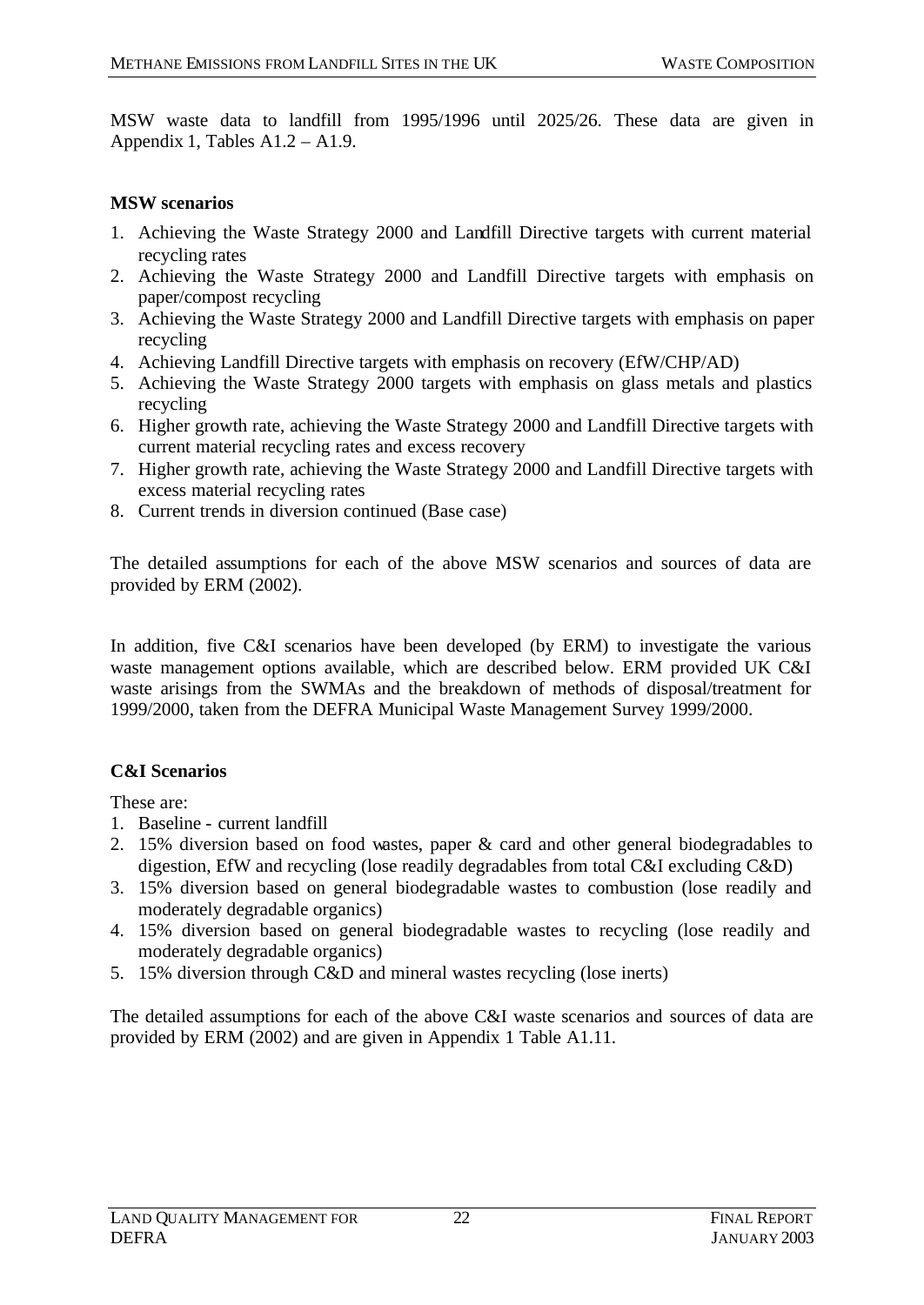MSW waste data to landfill from 1995/1996 until 2025/26. These data are given in Appendix 1, Tables A1.2 – A1.9.

#### **MSW scenarios**

- 1. Achieving the Waste Strategy 2000 and Landfill Directive targets with current material recycling rates
- 2. Achieving the Waste Strategy 2000 and Landfill Directive targets with emphasis on paper/compost recycling
- 3. Achieving the Waste Strategy 2000 and Landfill Directive targets with emphasis on paper recycling
- 4. Achieving Landfill Directive targets with emphasis on recovery (EfW/CHP/AD)
- 5. Achieving the Waste Strategy 2000 targets with emphasis on glass metals and plastics recycling
- 6. Higher growth rate, achieving the Waste Strategy 2000 and Landfill Directive targets with current material recycling rates and excess recovery
- 7. Higher growth rate, achieving the Waste Strategy 2000 and Landfill Directive targets with excess material recycling rates
- 8. Current trends in diversion continued (Base case)

The detailed assumptions for each of the above MSW scenarios and sources of data are provided by ERM (2002).

In addition, five C&I scenarios have been developed (by ERM) to investigate the various waste management options available, which are described below. ERM provided UK C&I waste arisings from the SWMAs and the breakdown of methods of disposal/treatment for 1999/2000, taken from the DEFRA Municipal Waste Management Survey 1999/2000.

# **C&I Scenarios**

These are:

- 1. Baseline current landfill
- 2. 15% diversion based on food wastes, paper & card and other general biodegradables to digestion, EfW and recycling (lose readily degradables from total C&I excluding C&D)
- 3. 15% diversion based on general biodegradable wastes to combustion (lose readily and moderately degradable organics)
- 4. 15% diversion based on general biodegradable wastes to recycling (lose readily and moderately degradable organics)
- 5. 15% diversion through C&D and mineral wastes recycling (lose inerts)

The detailed assumptions for each of the above C&I waste scenarios and sources of data are provided by ERM (2002) and are given in Appendix 1 Table A1.11.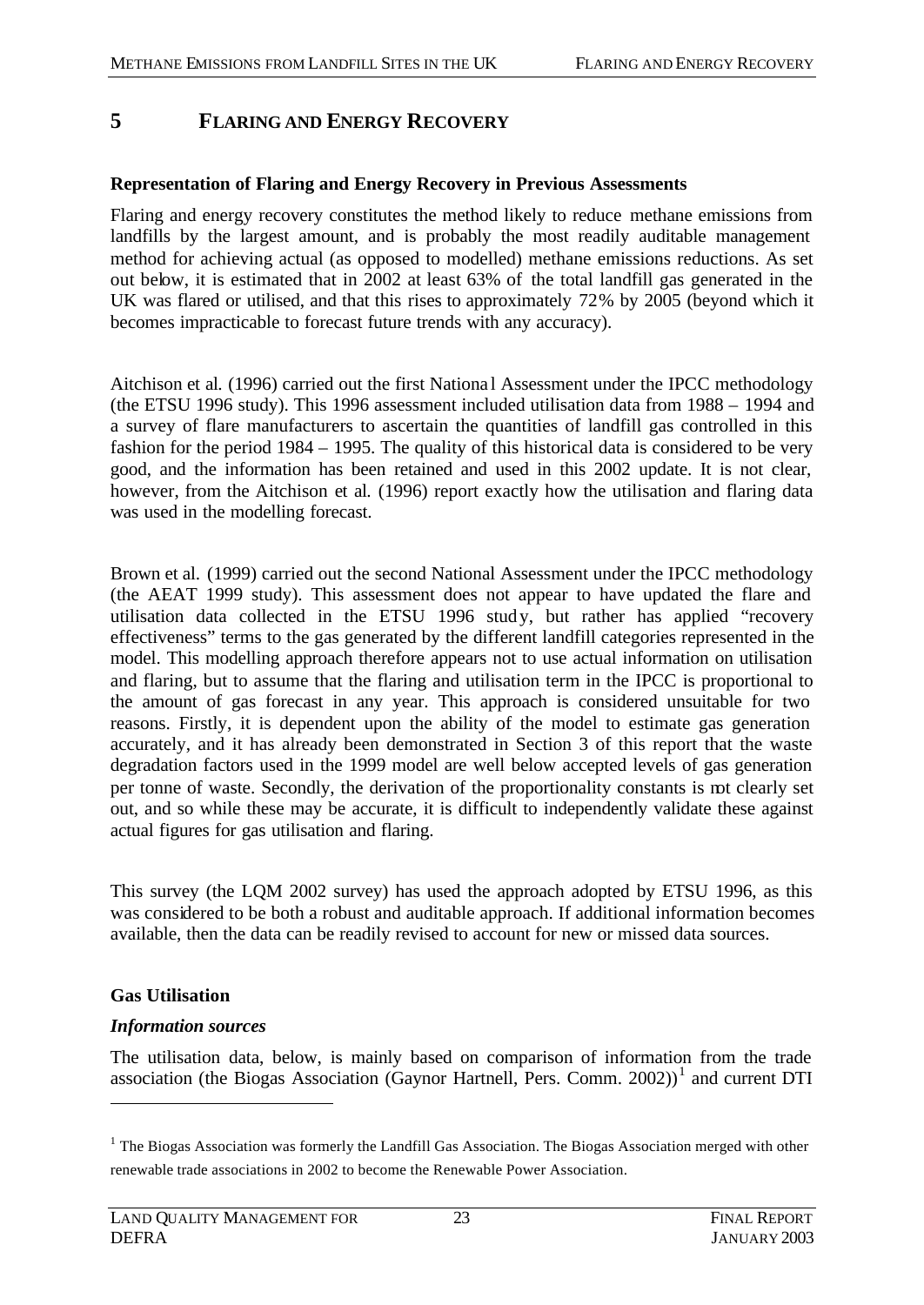# **5 FLARING AND ENERGY RECOVERY**

#### **Representation of Flaring and Energy Recovery in Previous Assessments**

Flaring and energy recovery constitutes the method likely to reduce methane emissions from landfills by the largest amount, and is probably the most readily auditable management method for achieving actual (as opposed to modelled) methane emissions reductions. As set out below, it is estimated that in 2002 at least 63% of the total landfill gas generated in the UK was flared or utilised, and that this rises to approximately 72% by 2005 (beyond which it becomes impracticable to forecast future trends with any accuracy).

Aitchison et al. (1996) carried out the first Nationa l Assessment under the IPCC methodology (the ETSU 1996 study). This 1996 assessment included utilisation data from 1988 – 1994 and a survey of flare manufacturers to ascertain the quantities of landfill gas controlled in this fashion for the period 1984 – 1995. The quality of this historical data is considered to be very good, and the information has been retained and used in this 2002 update. It is not clear, however, from the Aitchison et al. (1996) report exactly how the utilisation and flaring data was used in the modelling forecast.

Brown et al. (1999) carried out the second National Assessment under the IPCC methodology (the AEAT 1999 study). This assessment does not appear to have updated the flare and utilisation data collected in the ETSU 1996 study, but rather has applied "recovery effectiveness" terms to the gas generated by the different landfill categories represented in the model. This modelling approach therefore appears not to use actual information on utilisation and flaring, but to assume that the flaring and utilisation term in the IPCC is proportional to the amount of gas forecast in any year. This approach is considered unsuitable for two reasons. Firstly, it is dependent upon the ability of the model to estimate gas generation accurately, and it has already been demonstrated in Section 3 of this report that the waste degradation factors used in the 1999 model are well below accepted levels of gas generation per tonne of waste. Secondly, the derivation of the proportionality constants is not clearly set out, and so while these may be accurate, it is difficult to independently validate these against actual figures for gas utilisation and flaring.

This survey (the LQM 2002 survey) has used the approach adopted by ETSU 1996, as this was considered to be both a robust and auditable approach. If additional information becomes available, then the data can be readily revised to account for new or missed data sources.

#### **Gas Utilisation**

l

#### *Information sources*

The utilisation data, below, is mainly based on comparison of information from the trade association (the Biogas Association (Gaynor Hartnell, Pers. Comm. 2002))<sup>1</sup> and current DTI

<sup>&</sup>lt;sup>1</sup> The Biogas Association was formerly the Landfill Gas Association. The Biogas Association merged with other renewable trade associations in 2002 to become the Renewable Power Association.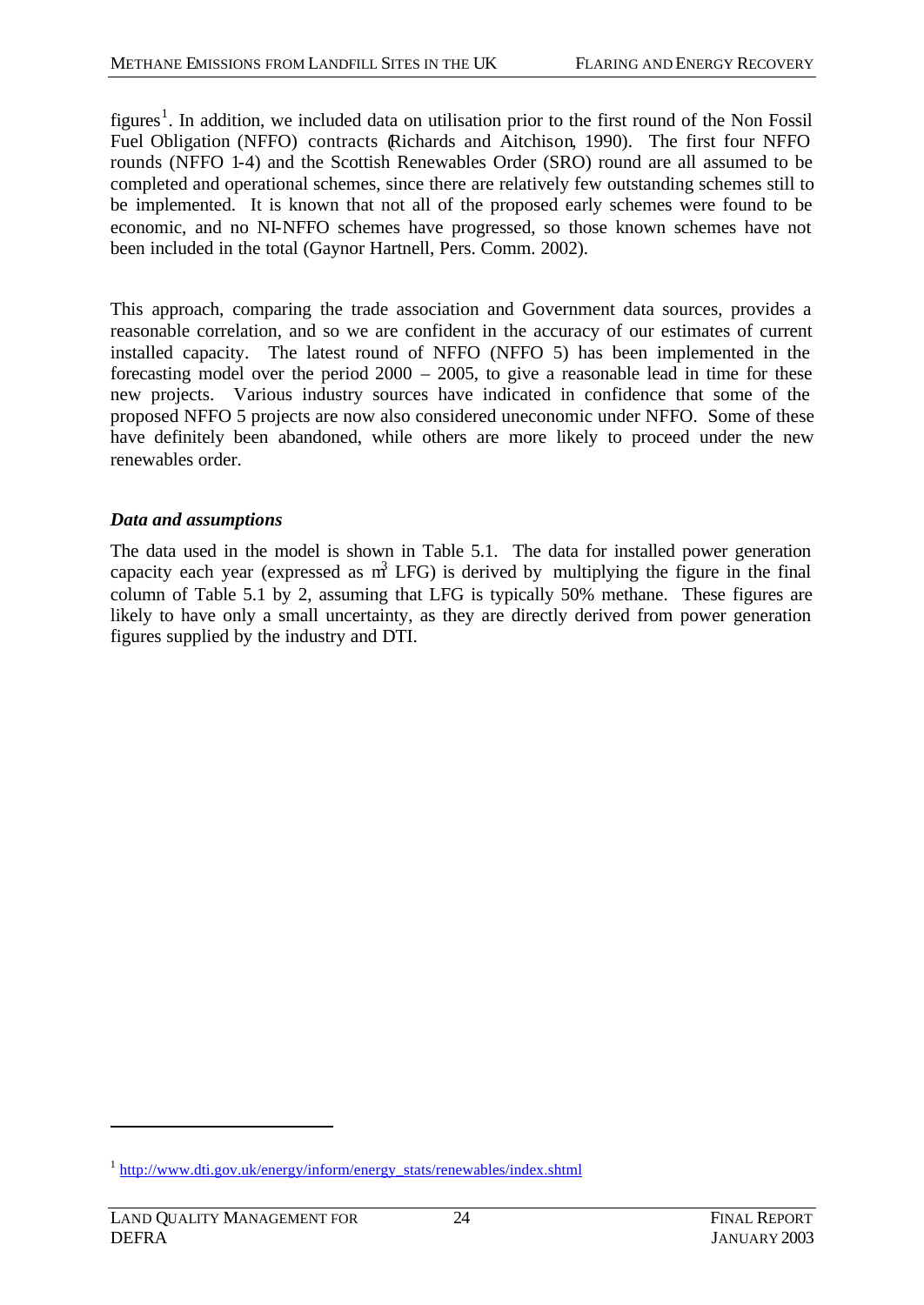figures<sup>1</sup>. In addition, we included data on utilisation prior to the first round of the Non Fossil Fuel Obligation (NFFO) contracts (Richards and Aitchison, 1990). The first four NFFO rounds (NFFO 1-4) and the Scottish Renewables Order (SRO) round are all assumed to be completed and operational schemes, since there are relatively few outstanding schemes still to be implemented. It is known that not all of the proposed early schemes were found to be economic, and no NI-NFFO schemes have progressed, so those known schemes have not been included in the total (Gaynor Hartnell, Pers. Comm. 2002).

This approach, comparing the trade association and Government data sources, provides a reasonable correlation, and so we are confident in the accuracy of our estimates of current installed capacity. The latest round of NFFO (NFFO 5) has been implemented in the forecasting model over the period 2000 – 2005, to give a reasonable lead in time for these new projects. Various industry sources have indicated in confidence that some of the proposed NFFO 5 projects are now also considered uneconomic under NFFO. Some of these have definitely been abandoned, while others are more likely to proceed under the new renewables order.

#### *Data and assumptions*

The data used in the model is shown in Table 5.1. The data for installed power generation capacity each year (expressed as  $m<sup>3</sup>$  LFG) is derived by multiplying the figure in the final column of Table 5.1 by 2, assuming that LFG is typically 50% methane. These figures are likely to have only a small uncertainty, as they are directly derived from power generation figures supplied by the industry and DTI.

l

<sup>&</sup>lt;sup>1</sup> http://www.dti.gov.uk/energy/inform/energy\_stats/renewables/index.shtml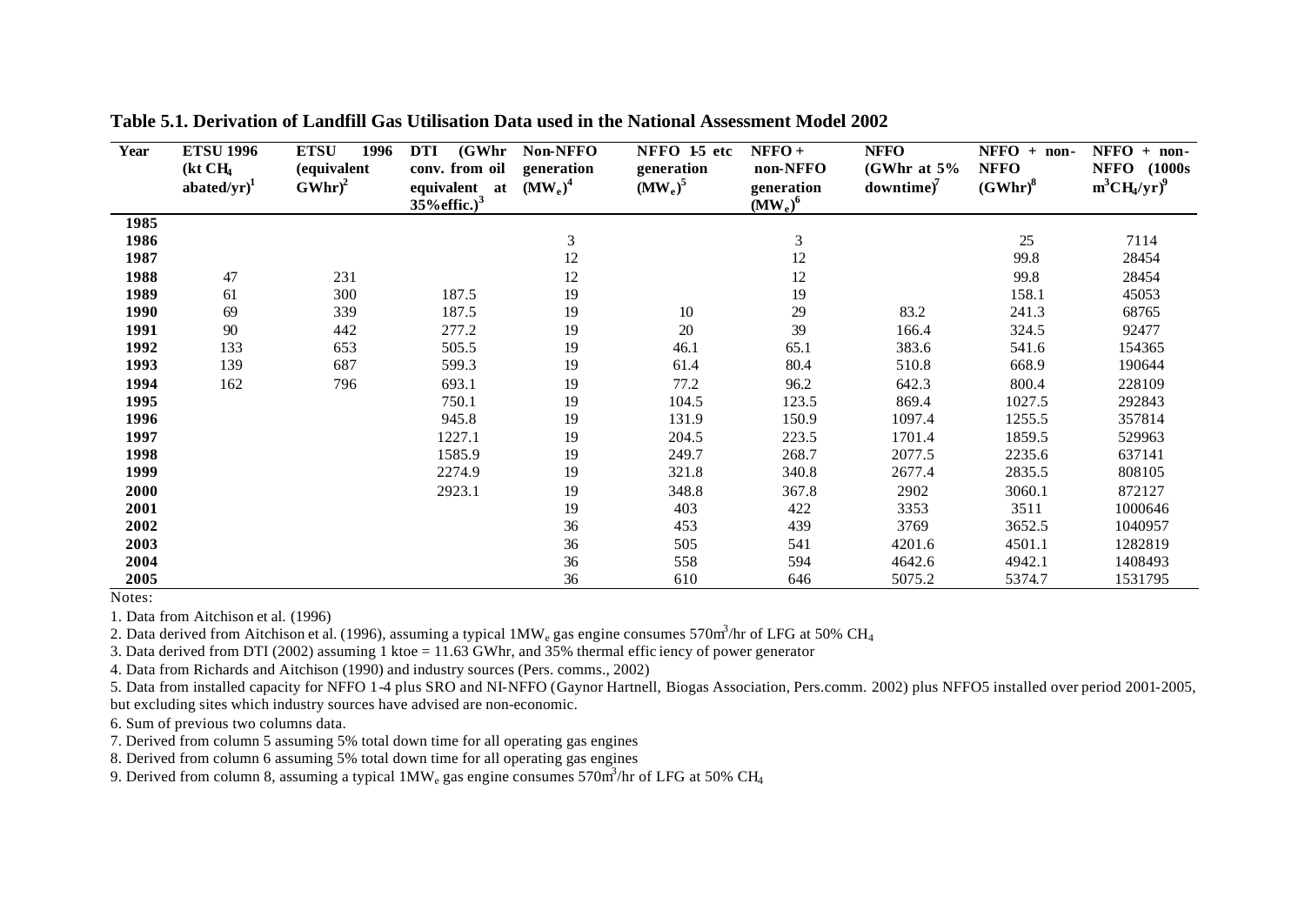| Year | <b>ETSU 1996</b><br>(kt CH <sub>4</sub> )<br>abated/yr $)^1$ | <b>ETSU</b><br>1996<br>(equivalent<br>$GWhr)^2$ | (GWhr<br>DTI<br>conv. from oil<br>equivalent at $(MW_e)^4$<br>$35%$ effic.) <sup>3</sup> | <b>Non-NFFO</b><br>generation | NFFO 1-5 etc<br>generation<br>$(MW_e)^5$ | $NFFO +$<br>non-NFFO<br>generation<br>$(MW_e)^6$ | <b>NFFO</b><br>(GWhr at $5\%$<br>$downtime$ <sup>7</sup> | $NFFO + non-$<br><b>NFFO</b><br>$(GWhr)^8$ | $NFFO + non-$<br><b>NFFO</b> (1000s)<br>$m^3CH_4/yr)^9$ |
|------|--------------------------------------------------------------|-------------------------------------------------|------------------------------------------------------------------------------------------|-------------------------------|------------------------------------------|--------------------------------------------------|----------------------------------------------------------|--------------------------------------------|---------------------------------------------------------|
| 1985 |                                                              |                                                 |                                                                                          |                               |                                          |                                                  |                                                          |                                            |                                                         |
| 1986 |                                                              |                                                 |                                                                                          | $\mathfrak{Z}$                |                                          | $\mathfrak{Z}$                                   |                                                          | 25                                         | 7114                                                    |
| 1987 |                                                              |                                                 |                                                                                          | 12                            |                                          | 12                                               |                                                          | 99.8                                       | 28454                                                   |
| 1988 | 47                                                           | 231                                             |                                                                                          | 12                            |                                          | 12                                               |                                                          | 99.8                                       | 28454                                                   |
| 1989 | 61                                                           | 300                                             | 187.5                                                                                    | 19                            |                                          | 19                                               |                                                          | 158.1                                      | 45053                                                   |
| 1990 | 69                                                           | 339                                             | 187.5                                                                                    | 19                            | 10                                       | 29                                               | 83.2                                                     | 241.3                                      | 68765                                                   |
| 1991 | 90                                                           | 442                                             | 277.2                                                                                    | 19                            | 20                                       | 39                                               | 166.4                                                    | 324.5                                      | 92477                                                   |
| 1992 | 133                                                          | 653                                             | 505.5                                                                                    | 19                            | 46.1                                     | 65.1                                             | 383.6                                                    | 541.6                                      | 154365                                                  |
| 1993 | 139                                                          | 687                                             | 599.3                                                                                    | 19                            | 61.4                                     | 80.4                                             | 510.8                                                    | 668.9                                      | 190644                                                  |
| 1994 | 162                                                          | 796                                             | 693.1                                                                                    | 19                            | 77.2                                     | 96.2                                             | 642.3                                                    | 800.4                                      | 228109                                                  |
| 1995 |                                                              |                                                 | 750.1                                                                                    | 19                            | 104.5                                    | 123.5                                            | 869.4                                                    | 1027.5                                     | 292843                                                  |
| 1996 |                                                              |                                                 | 945.8                                                                                    | 19                            | 131.9                                    | 150.9                                            | 1097.4                                                   | 1255.5                                     | 357814                                                  |
| 1997 |                                                              |                                                 | 1227.1                                                                                   | 19                            | 204.5                                    | 223.5                                            | 1701.4                                                   | 1859.5                                     | 529963                                                  |
| 1998 |                                                              |                                                 | 1585.9                                                                                   | 19                            | 249.7                                    | 268.7                                            | 2077.5                                                   | 2235.6                                     | 637141                                                  |
| 1999 |                                                              |                                                 | 2274.9                                                                                   | 19                            | 321.8                                    | 340.8                                            | 2677.4                                                   | 2835.5                                     | 808105                                                  |
| 2000 |                                                              |                                                 | 2923.1                                                                                   | 19                            | 348.8                                    | 367.8                                            | 2902                                                     | 3060.1                                     | 872127                                                  |
| 2001 |                                                              |                                                 |                                                                                          | 19                            | 403                                      | 422                                              | 3353                                                     | 3511                                       | 1000646                                                 |
| 2002 |                                                              |                                                 |                                                                                          | 36                            | 453                                      | 439                                              | 3769                                                     | 3652.5                                     | 1040957                                                 |
| 2003 |                                                              |                                                 |                                                                                          | 36                            | 505                                      | 541                                              | 4201.6                                                   | 4501.1                                     | 1282819                                                 |
| 2004 |                                                              |                                                 |                                                                                          | 36                            | 558                                      | 594                                              | 4642.6                                                   | 4942.1                                     | 1408493                                                 |
| 2005 |                                                              |                                                 |                                                                                          | 36                            | 610                                      | 646                                              | 5075.2                                                   | 5374.7                                     | 1531795                                                 |

**Table 5.1. Derivation of Landfill Gas Utilisation Data used in the National Assessment Model 2002**

Notes:

1. Data from Aitchison et al. (1996)

2. Data derived from Aitchison et al. (1996), assuming a typical  $1\rm{MW_e}$  gas engine consumes 570m<sup>3</sup>/hr of LFG at 50% CH<sub>4</sub>

3. Data derived from DTI (2002) assuming 1 ktoe = 11.63 GWhr, and 35% thermal effic iency of power generator

4. Data from Richards and Aitchison (1990) and industry sources (Pers. comms., 2002)

5. Data from installed capacity for NFFO 1-4 plus SRO and NI-NFFO (Gaynor Hartnell, Biogas Association, Pers.comm. 2002) plus NFFO5 installed over period 2001-2005, but excluding sites which industry sources have advised are non-economic.

6. Sum of previous two columns data.

7. Derived from column 5 assuming 5% total down time for all operating gas engines

8. Derived from column 6 assuming 5% total down time for all operating gas engines

9. Derived from column 8, assuming a typical  $1MW_e$  gas engine consumes 570m<sup>3</sup>/hr of LFG at 50% CH<sub>4</sub>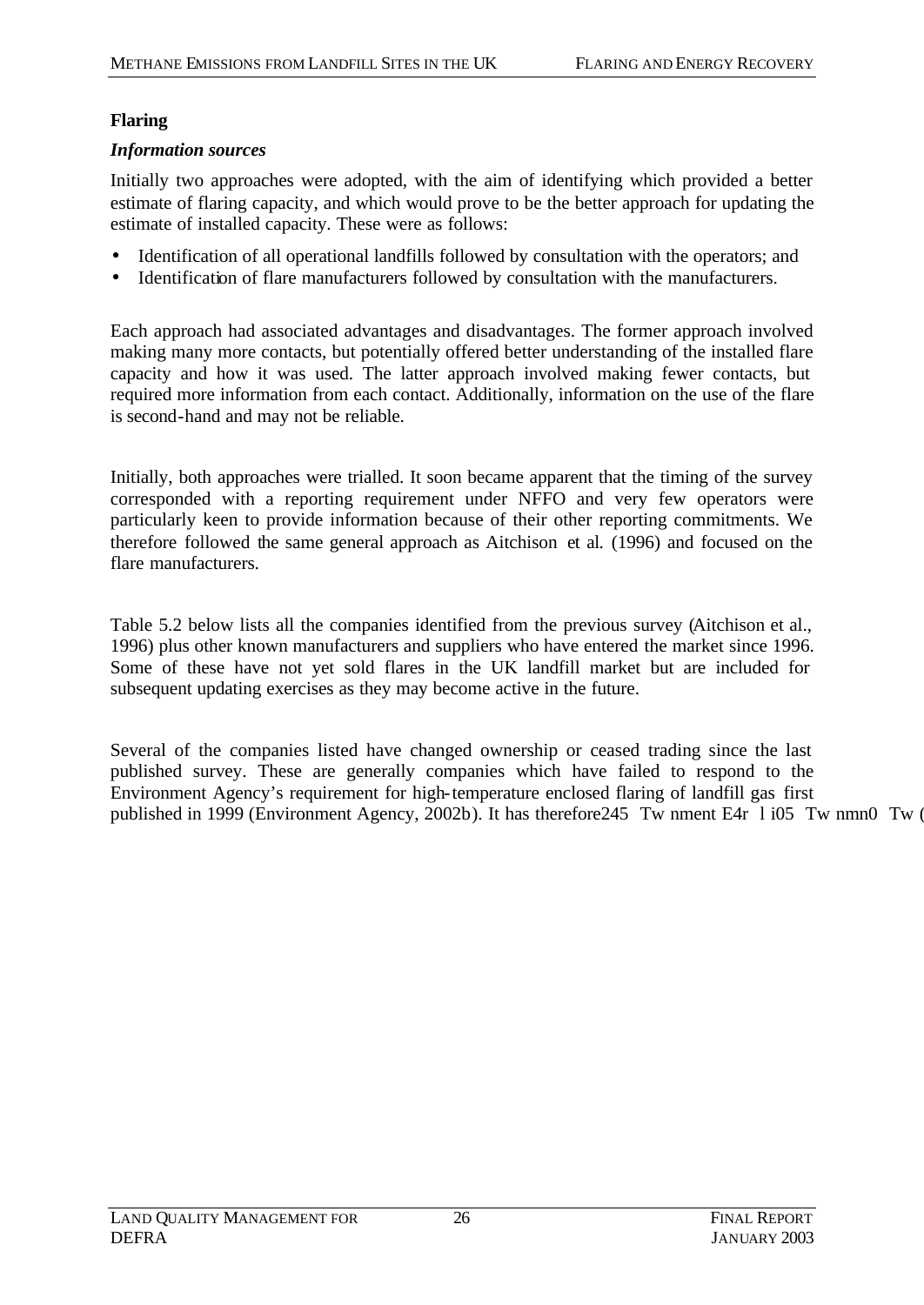#### **Flaring**

#### **Information sources**

Initially two approaches were adopted, with the aim of identifying which provided a better estimate of flaring capacity, and which would prove to be the better approach for updating the estimate of installed capacity. These were as follows:

- Identification of all operational landfills followed by consultation with the operators; and
- Identification of flare manufacturers followed by consultation with the manufacturers.

Each approach had associated advantages and disadvantages. The former approach involved making many more contacts, but potentially offered better understanding of the installed flare capacity and how it was used. The latter approach involved making fewer contacts. but required more information from each contact. Additionally, information on the use of the flare is second-hand and may not be reliable.

Initially, both approaches were trialled. It soon became apparent that the timing of the survey corresponded with a reporting requirement under NFFO and very few operators were particularly keen to provide information because of their other reporting commitments. We therefore followed the same general approach as Aitchison et al. (1996) and focused on the flare manufacturers.

Table 5.2 below lists all the companies identified from the previous survey (Aitchison et al., 1996) plus other known manufacturers and suppliers who have entered the market since 1996. Some of these have not yet sold flares in the UK landfill market but are included for subsequent updating exercises as they may become active in the future.

Several of the companies listed have changed ownership or ceased trading since the last published survey. These are generally companies which have failed to respond to the Environment Agency's requirement for high-temperature enclosed flaring of landfill gas first published in 1999 (Environment Agency, 2002b). It has therefore 245 Tw nment E4r 1 i05 Tw nmn0 Tw (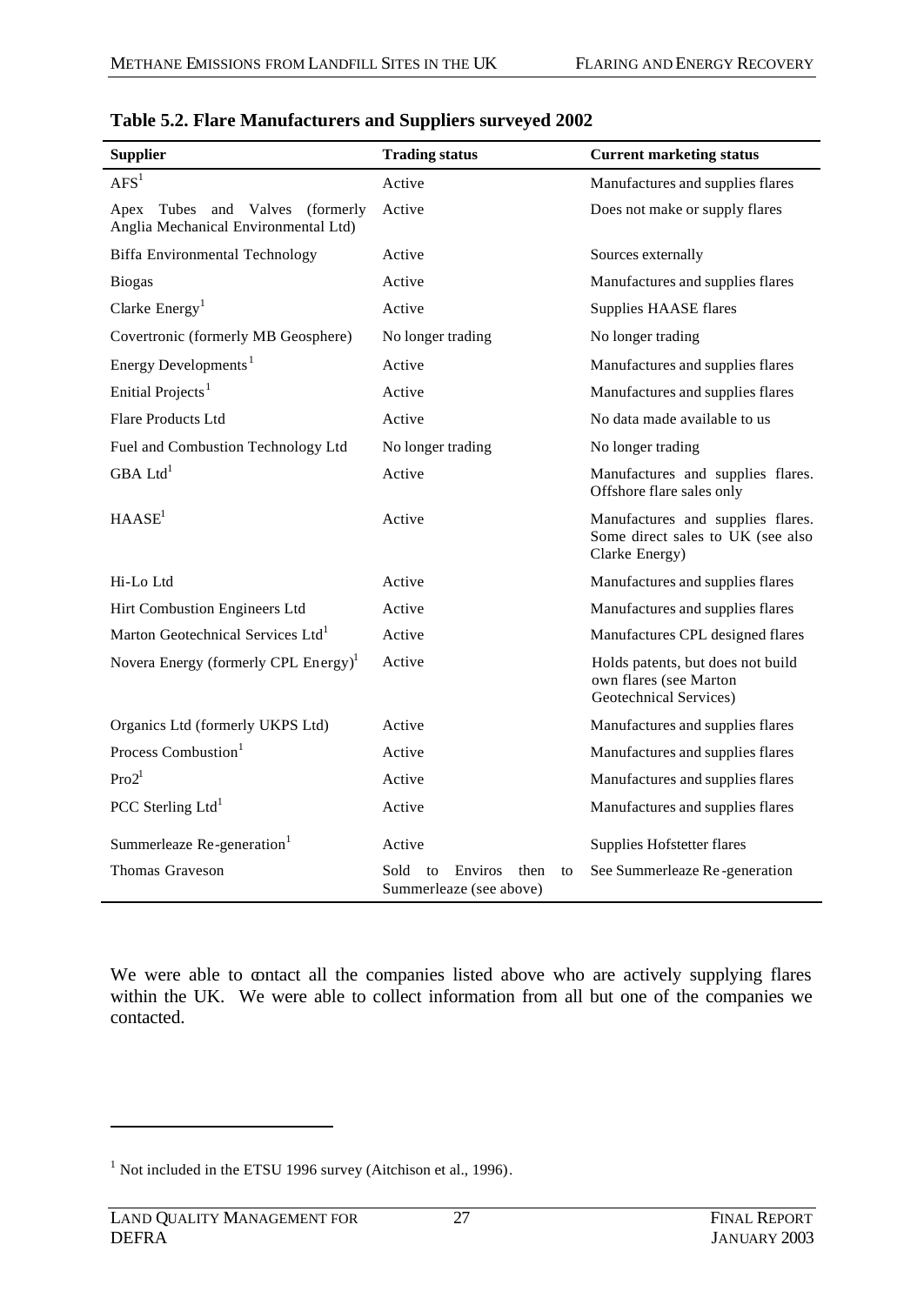| <b>Supplier</b>                                                                   | <b>Trading status</b>                                          | <b>Current marketing status</b>                                                          |
|-----------------------------------------------------------------------------------|----------------------------------------------------------------|------------------------------------------------------------------------------------------|
| AFS <sup>1</sup>                                                                  | Active                                                         | Manufactures and supplies flares                                                         |
| Tubes<br>and Valves<br>Apex<br>(formerly)<br>Anglia Mechanical Environmental Ltd) | Active                                                         | Does not make or supply flares                                                           |
| <b>Biffa Environmental Technology</b>                                             | Active                                                         | Sources externally                                                                       |
| <b>Biogas</b>                                                                     | Active                                                         | Manufactures and supplies flares                                                         |
| Clarke $Energy1$                                                                  | Active                                                         | Supplies HAASE flares                                                                    |
| Covertronic (formerly MB Geosphere)                                               | No longer trading                                              | No longer trading                                                                        |
| Energy Developments <sup>1</sup>                                                  | Active                                                         | Manufactures and supplies flares                                                         |
| Enitial Projects <sup>1</sup>                                                     | Active                                                         | Manufactures and supplies flares                                                         |
| <b>Flare Products Ltd</b>                                                         | Active                                                         | No data made available to us                                                             |
| Fuel and Combustion Technology Ltd                                                | No longer trading                                              | No longer trading                                                                        |
| GBA Ltd <sup>1</sup>                                                              | Active                                                         | Manufactures and supplies flares.<br>Offshore flare sales only                           |
| HAASE <sup>1</sup>                                                                | Active                                                         | Manufactures and supplies flares.<br>Some direct sales to UK (see also<br>Clarke Energy) |
| Hi-Lo Ltd                                                                         | Active                                                         | Manufactures and supplies flares                                                         |
| Hirt Combustion Engineers Ltd                                                     | Active                                                         | Manufactures and supplies flares                                                         |
| Marton Geotechnical Services Ltd <sup>1</sup>                                     | Active                                                         | Manufactures CPL designed flares                                                         |
| Novera Energy (formerly CPL Energy) <sup>1</sup>                                  | Active                                                         | Holds patents, but does not build<br>own flares (see Marton<br>Geotechnical Services)    |
| Organics Ltd (formerly UKPS Ltd)                                                  | Active                                                         | Manufactures and supplies flares                                                         |
| Process Combustion <sup>1</sup>                                                   | Active                                                         | Manufactures and supplies flares                                                         |
| Pro2 <sup>1</sup>                                                                 | Active                                                         | Manufactures and supplies flares                                                         |
| PCC Sterling $Ltd1$                                                               | Active                                                         | Manufactures and supplies flares                                                         |
| Summerleaze Re-generation <sup>1</sup>                                            | Active                                                         | Supplies Hofstetter flares                                                               |
| Thomas Graveson                                                                   | Sold<br>Enviros<br>to<br>then<br>to<br>Summerleaze (see above) | See Summerleaze Re-generation                                                            |

|  | Table 5.2. Flare Manufacturers and Suppliers surveyed 2002 |  |  |
|--|------------------------------------------------------------|--|--|
|--|------------------------------------------------------------|--|--|

We were able to contact all the companies listed above who are actively supplying flares within the UK. We were able to collect information from all but one of the companies we contacted.

l

 $1$  Not included in the ETSU 1996 survey (Aitchison et al., 1996).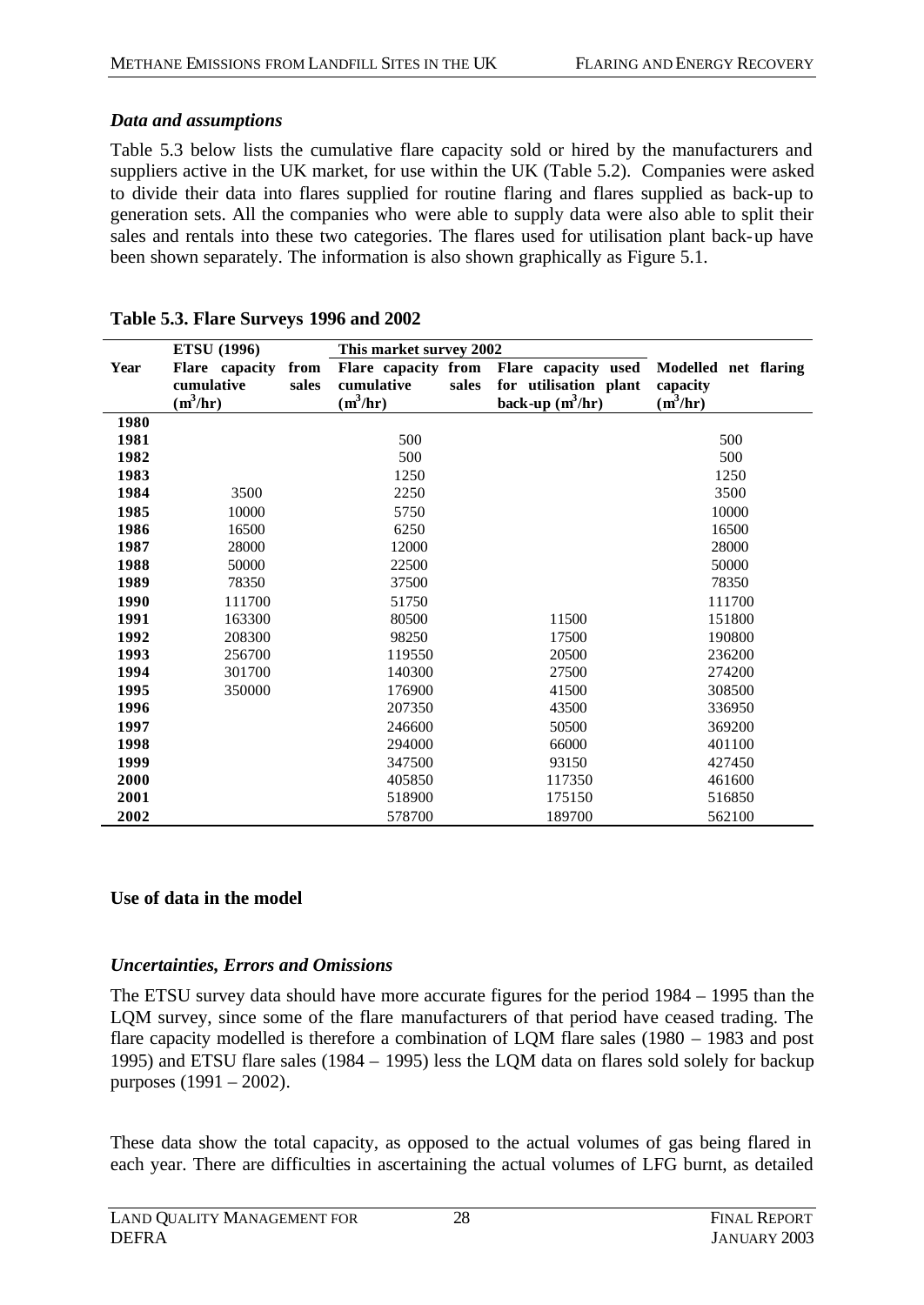### *Data and assumptions*

Table 5.3 below lists the cumulative flare capacity sold or hired by the manufacturers and suppliers active in the UK market, for use within the UK (Table 5.2). Companies were asked to divide their data into flares supplied for routine flaring and flares supplied as back-up to generation sets. All the companies who were able to supply data were also able to split their sales and rentals into these two categories. The flares used for utilisation plant back-up have been shown separately. The information is also shown graphically as Figure 5.1.

|      | <b>ETSU</b> (1996) |       | This market survey 2002 |       |                       |                      |
|------|--------------------|-------|-------------------------|-------|-----------------------|----------------------|
| Year | Flare capacity     | from  | Flare capacity from     |       | Flare capacity used   | Modelled net flaring |
|      | cumulative         | sales | cumulative              | sales | for utilisation plant | capacity             |
|      | $(m^3/hr)$         |       | $(m^3/hr)$              |       | back-up $(m^3/hr)$    | $(m^3/hr)$           |
| 1980 |                    |       |                         |       |                       |                      |
| 1981 |                    |       | 500                     |       |                       | 500                  |
| 1982 |                    |       | 500                     |       |                       | 500                  |
| 1983 |                    |       | 1250                    |       |                       | 1250                 |
| 1984 | 3500               |       | 2250                    |       |                       | 3500                 |
| 1985 | 10000              |       | 5750                    |       |                       | 10000                |
| 1986 | 16500              |       | 6250                    |       |                       | 16500                |
| 1987 | 28000              |       | 12000                   |       |                       | 28000                |
| 1988 | 50000              |       | 22500                   |       |                       | 50000                |
| 1989 | 78350              |       | 37500                   |       |                       | 78350                |
| 1990 | 111700             |       | 51750                   |       |                       | 111700               |
| 1991 | 163300             |       | 80500                   |       | 11500                 | 151800               |
| 1992 | 208300             |       | 98250                   |       | 17500                 | 190800               |
| 1993 | 256700             |       | 119550                  |       | 20500                 | 236200               |
| 1994 | 301700             |       | 140300                  |       | 27500                 | 274200               |
| 1995 | 350000             |       | 176900                  |       | 41500                 | 308500               |
| 1996 |                    |       | 207350                  |       | 43500                 | 336950               |
| 1997 |                    |       | 246600                  |       | 50500                 | 369200               |
| 1998 |                    |       | 294000                  |       | 66000                 | 401100               |
| 1999 |                    |       | 347500                  |       | 93150                 | 427450               |
| 2000 |                    |       | 405850                  |       | 117350                | 461600               |
| 2001 |                    |       | 518900                  |       | 175150                | 516850               |
| 2002 |                    |       | 578700                  |       | 189700                | 562100               |

### **Table 5.3. Flare Surveys 1996 and 2002**

### **Use of data in the model**

#### *Uncertainties, Errors and Omissions*

The ETSU survey data should have more accurate figures for the period 1984 – 1995 than the LQM survey, since some of the flare manufacturers of that period have ceased trading. The flare capacity modelled is therefore a combination of LQM flare sales (1980 – 1983 and post 1995) and ETSU flare sales (1984 – 1995) less the LQM data on flares sold solely for backup purposes (1991 – 2002).

These data show the total capacity, as opposed to the actual volumes of gas being flared in each year. There are difficulties in ascertaining the actual volumes of LFG burnt, as detailed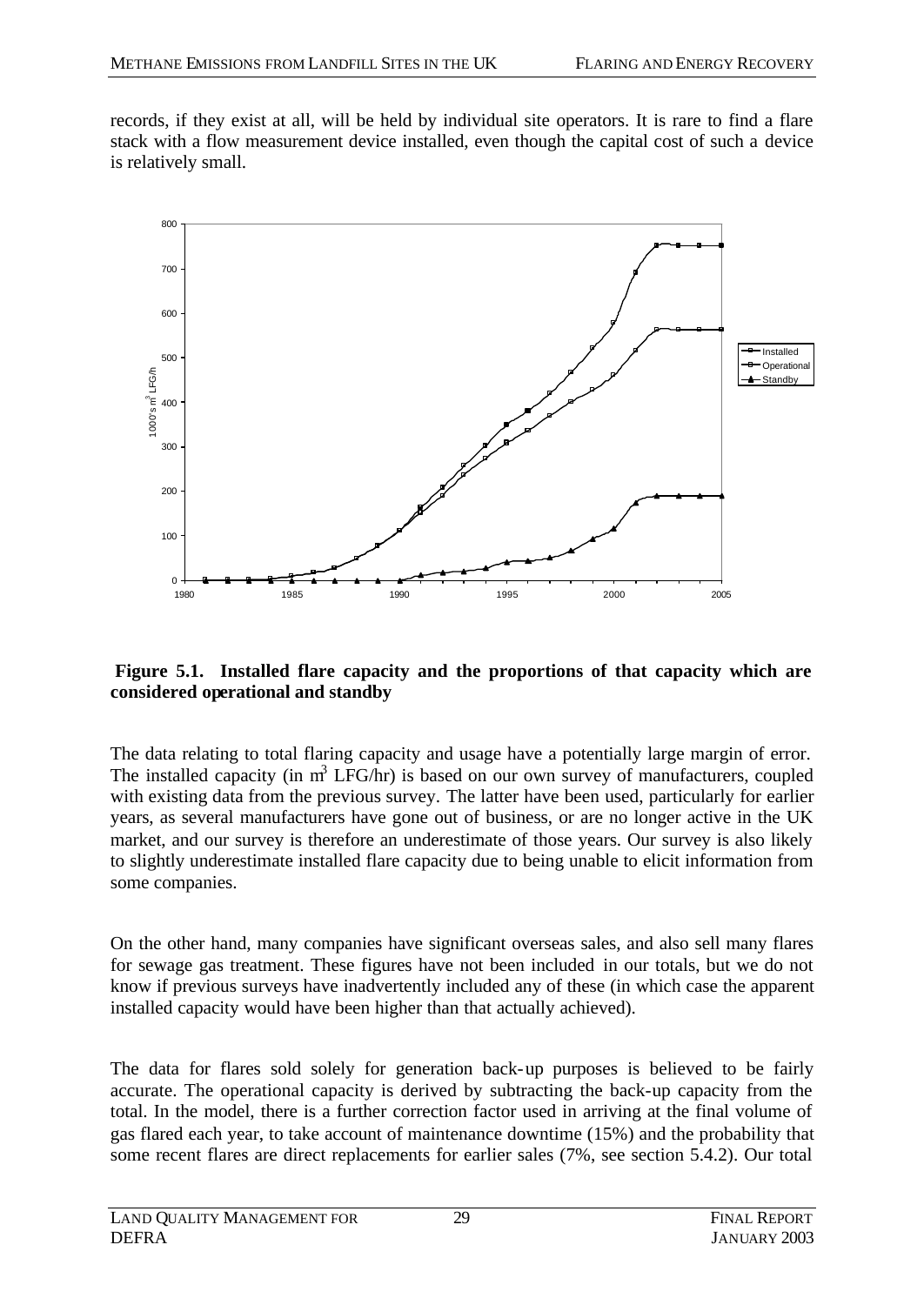records, if they exist at all, will be held by individual site operators. It is rare to find a flare stack with a flow measurement device installed, even though the capital cost of such a device is relatively small.



# **Figure 5.1. Installed flare capacity and the proportions of that capacity which are considered operational and standby**

The data relating to total flaring capacity and usage have a potentially large margin of error. The installed capacity (in  $m^3$  LFG/hr) is based on our own survey of manufacturers, coupled with existing data from the previous survey. The latter have been used, particularly for earlier years, as several manufacturers have gone out of business, or are no longer active in the UK market, and our survey is therefore an underestimate of those years. Our survey is also likely to slightly underestimate installed flare capacity due to being unable to elicit information from some companies.

On the other hand, many companies have significant overseas sales, and also sell many flares for sewage gas treatment. These figures have not been included in our totals, but we do not know if previous surveys have inadvertently included any of these (in which case the apparent installed capacity would have been higher than that actually achieved).

The data for flares sold solely for generation back-up purposes is believed to be fairly accurate. The operational capacity is derived by subtracting the back-up capacity from the total. In the model, there is a further correction factor used in arriving at the final volume of gas flared each year, to take account of maintenance downtime (15%) and the probability that some recent flares are direct replacements for earlier sales (7%, see section 5.4.2). Our total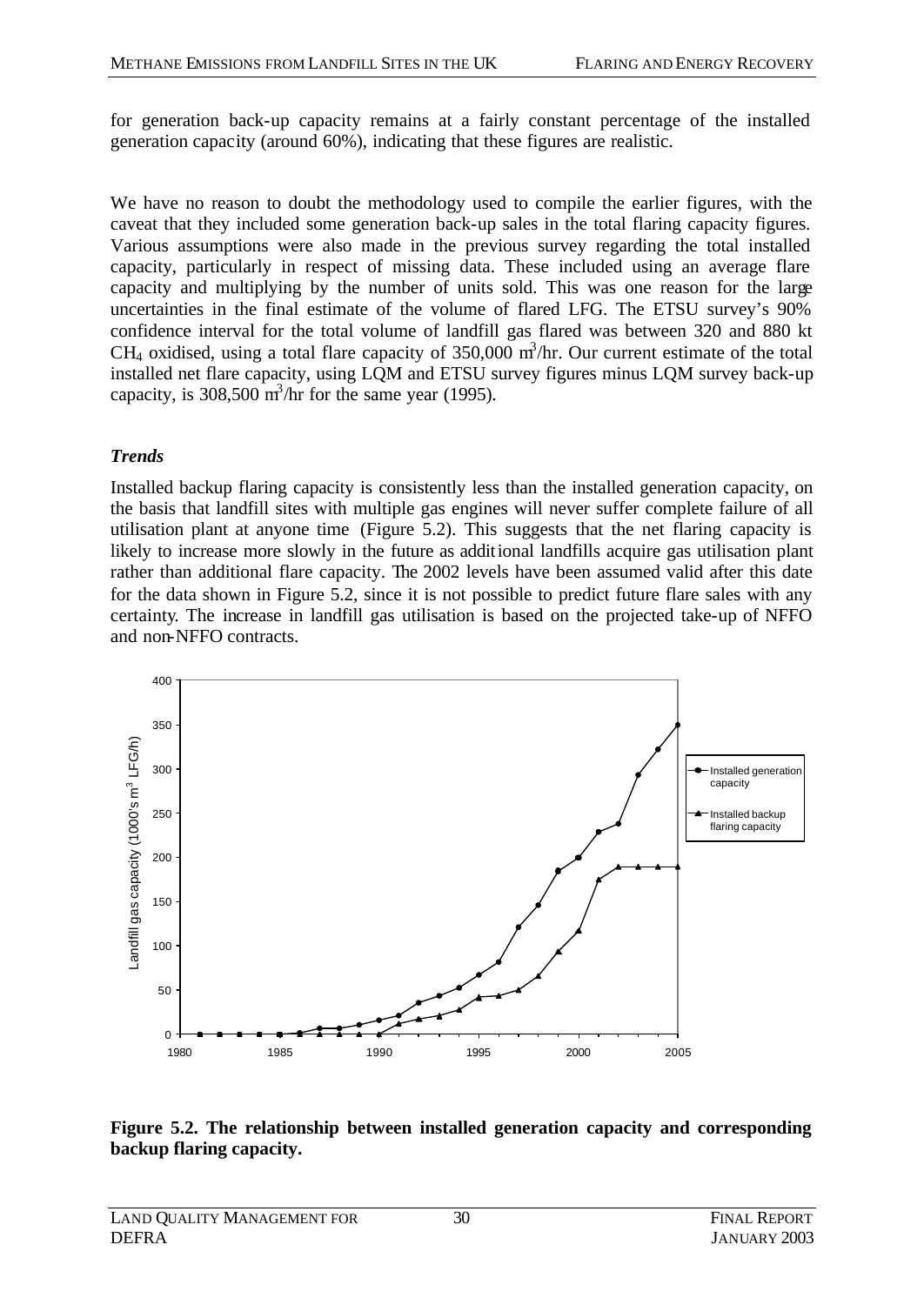for generation back-up capacity remains at a fairly constant percentage of the installed generation capacity (around 60%), indicating that these figures are realistic.

We have no reason to doubt the methodology used to compile the earlier figures, with the caveat that they included some generation back-up sales in the total flaring capacity figures. Various assumptions were also made in the previous survey regarding the total installed capacity, particularly in respect of missing data. These included using an average flare capacity and multiplying by the number of units sold. This was one reason for the large uncertainties in the final estimate of the volume of flared LFG. The ETSU survey's 90% confidence interval for the total volume of landfill gas flared was between 320 and 880 kt CH<sub>4</sub> oxidised, using a total flare capacity of  $350,000$  m<sup>3</sup>/hr. Our current estimate of the total installed net flare capacity, using LQM and ETSU survey figures minus LQM survey back-up capacity, is  $308,500 \text{ m}^3/\text{hr}$  for the same year (1995).

# *Trends*

Installed backup flaring capacity is consistently less than the installed generation capacity, on the basis that landfill sites with multiple gas engines will never suffer complete failure of all utilisation plant at anyone time (Figure 5.2). This suggests that the net flaring capacity is likely to increase more slowly in the future as additional landfills acquire gas utilisation plant rather than additional flare capacity. The 2002 levels have been assumed valid after this date for the data shown in Figure 5.2, since it is not possible to predict future flare sales with any certainty. The increase in landfill gas utilisation is based on the projected take-up of NFFO and non-NFFO contracts.



## **Figure 5.2. The relationship between installed generation capacity and corresponding backup flaring capacity.**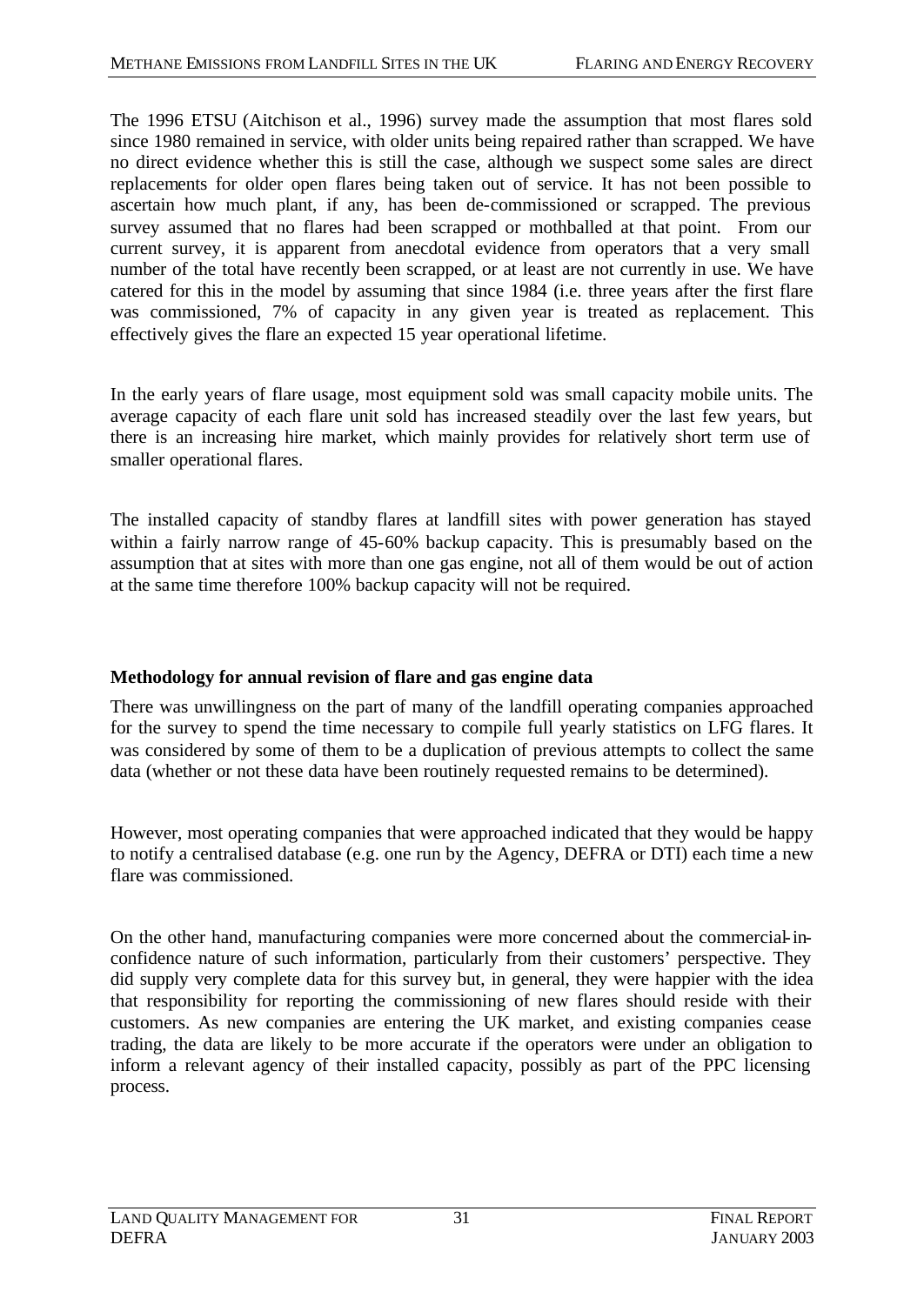The 1996 ETSU (Aitchison et al., 1996) survey made the assumption that most flares sold since 1980 remained in service, with older units being repaired rather than scrapped. We have no direct evidence whether this is still the case, although we suspect some sales are direct replacements for older open flares being taken out of service. It has not been possible to ascertain how much plant, if any, has been de-commissioned or scrapped. The previous survey assumed that no flares had been scrapped or mothballed at that point. From our current survey, it is apparent from anecdotal evidence from operators that a very small number of the total have recently been scrapped, or at least are not currently in use. We have catered for this in the model by assuming that since 1984 (i.e. three years after the first flare was commissioned, 7% of capacity in any given year is treated as replacement. This effectively gives the flare an expected 15 year operational lifetime.

In the early years of flare usage, most equipment sold was small capacity mobile units. The average capacity of each flare unit sold has increased steadily over the last few years, but there is an increasing hire market, which mainly provides for relatively short term use of smaller operational flares.

The installed capacity of standby flares at landfill sites with power generation has stayed within a fairly narrow range of 45-60% backup capacity. This is presumably based on the assumption that at sites with more than one gas engine, not all of them would be out of action at the same time therefore 100% backup capacity will not be required.

#### **Methodology for annual revision of flare and gas engine data**

There was unwillingness on the part of many of the landfill operating companies approached for the survey to spend the time necessary to compile full yearly statistics on LFG flares. It was considered by some of them to be a duplication of previous attempts to collect the same data (whether or not these data have been routinely requested remains to be determined).

However, most operating companies that were approached indicated that they would be happy to notify a centralised database (e.g. one run by the Agency, DEFRA or DTI) each time a new flare was commissioned.

On the other hand, manufacturing companies were more concerned about the commercial-inconfidence nature of such information, particularly from their customers' perspective. They did supply very complete data for this survey but, in general, they were happier with the idea that responsibility for reporting the commissioning of new flares should reside with their customers. As new companies are entering the UK market, and existing companies cease trading, the data are likely to be more accurate if the operators were under an obligation to inform a relevant agency of their installed capacity, possibly as part of the PPC licensing process.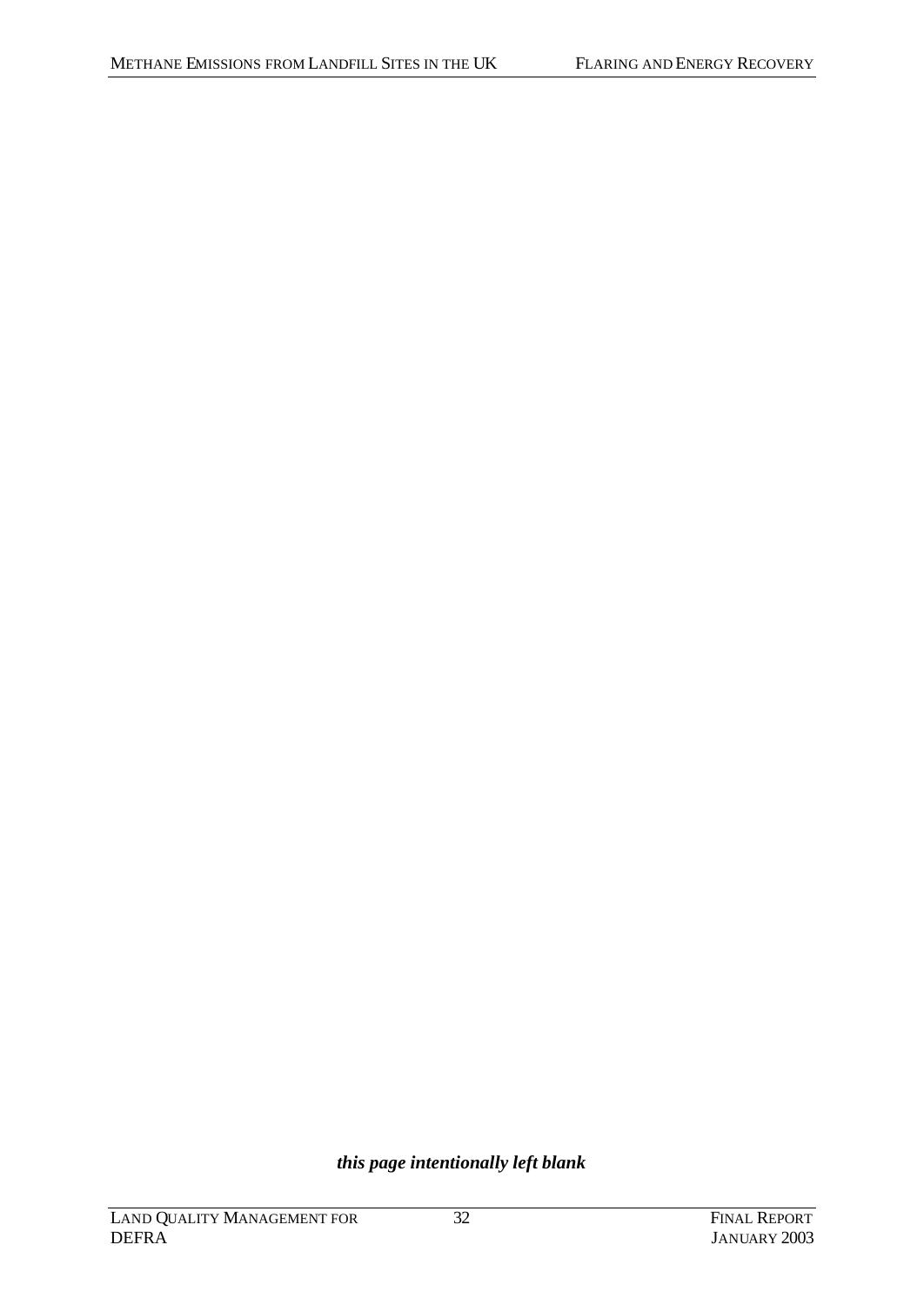*this page intentionally left blank*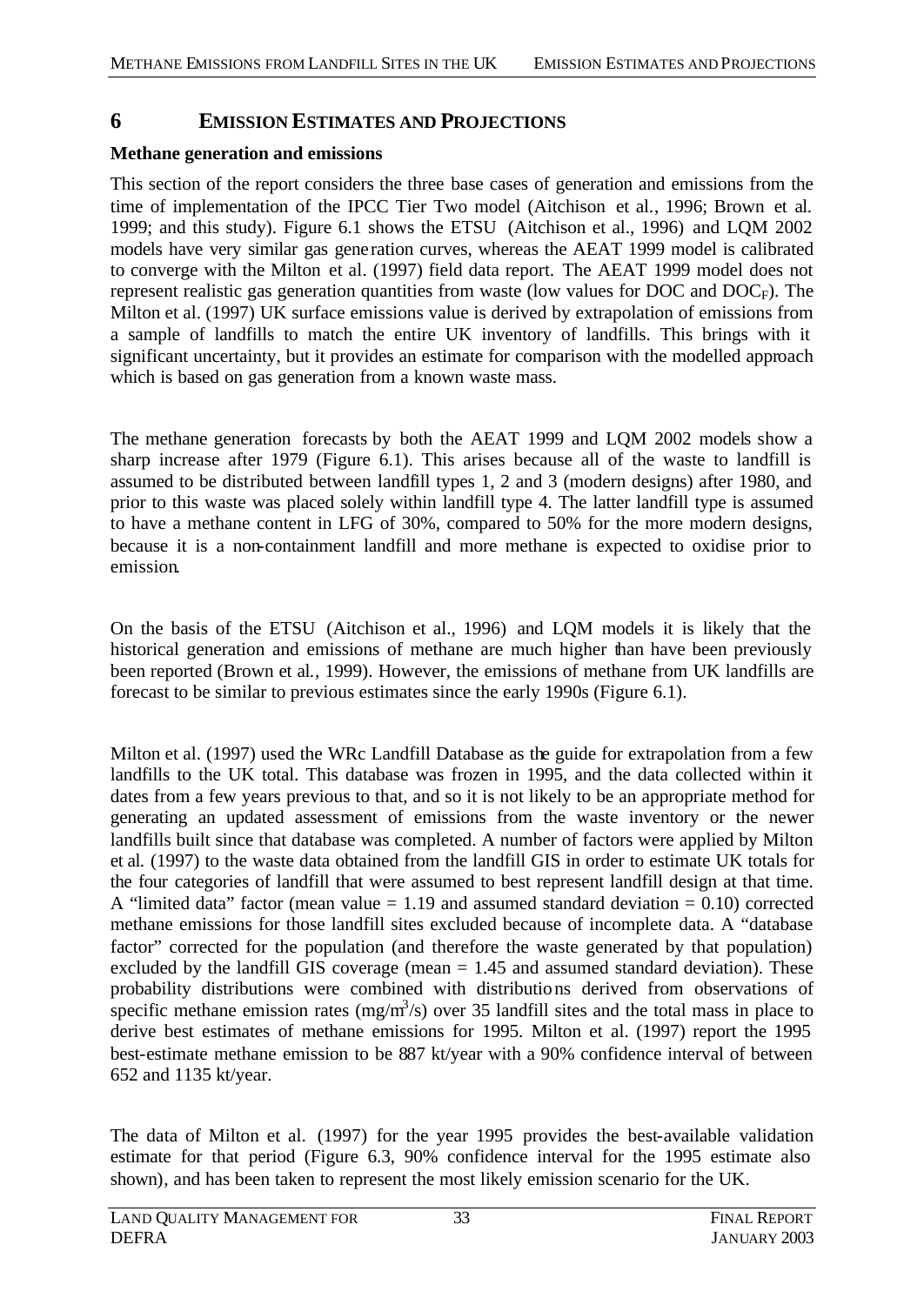# **6 EMISSION ESTIMATES AND PROJECTIONS**

## **Methane generation and emissions**

This section of the report considers the three base cases of generation and emissions from the time of implementation of the IPCC Tier Two model (Aitchison et al., 1996; Brown et al. 1999; and this study). Figure 6.1 shows the ETSU (Aitchison et al., 1996) and LQM 2002 models have very similar gas generation curves, whereas the AEAT 1999 model is calibrated to converge with the Milton et al. (1997) field data report. The AEAT 1999 model does not represent realistic gas generation quantities from waste (low values for DOC and  $DOC<sub>F</sub>$ ). The Milton et al. (1997) UK surface emissions value is derived by extrapolation of emissions from a sample of landfills to match the entire UK inventory of landfills. This brings with it significant uncertainty, but it provides an estimate for comparison with the modelled approach which is based on gas generation from a known waste mass.

The methane generation forecasts by both the AEAT 1999 and LQM 2002 models show a sharp increase after 1979 (Figure 6.1). This arises because all of the waste to landfill is assumed to be distributed between landfill types 1, 2 and 3 (modern designs) after 1980, and prior to this waste was placed solely within landfill type 4. The latter landfill type is assumed to have a methane content in LFG of 30%, compared to 50% for the more modern designs, because it is a non-containment landfill and more methane is expected to oxidise prior to emission.

On the basis of the ETSU (Aitchison et al., 1996) and LQM models it is likely that the historical generation and emissions of methane are much higher than have been previously been reported (Brown et al., 1999). However, the emissions of methane from UK landfills are forecast to be similar to previous estimates since the early 1990s (Figure 6.1).

Milton et al. (1997) used the WRc Landfill Database as the guide for extrapolation from a few landfills to the UK total. This database was frozen in 1995, and the data collected within it dates from a few years previous to that, and so it is not likely to be an appropriate method for generating an updated assessment of emissions from the waste inventory or the newer landfills built since that database was completed. A number of factors were applied by Milton et al. (1997) to the waste data obtained from the landfill GIS in order to estimate UK totals for the four categories of landfill that were assumed to best represent landfill design at that time. A "limited data" factor (mean value  $= 1.19$  and assumed standard deviation  $= 0.10$ ) corrected methane emissions for those landfill sites excluded because of incomplete data. A "database factor" corrected for the population (and therefore the waste generated by that population) excluded by the landfill GIS coverage (mean  $= 1.45$  and assumed standard deviation). These probability distributions were combined with distributions derived from observations of specific methane emission rates  $(mg/m<sup>3</sup>/s)$  over 35 landfill sites and the total mass in place to derive best estimates of methane emissions for 1995. Milton et al. (1997) report the 1995 best-estimate methane emission to be 887 kt/year with a 90% confidence interval of between 652 and 1135 kt/year.

The data of Milton et al. (1997) for the year 1995 provides the best-available validation estimate for that period (Figure 6.3, 90% confidence interval for the 1995 estimate also shown), and has been taken to represent the most likely emission scenario for the UK.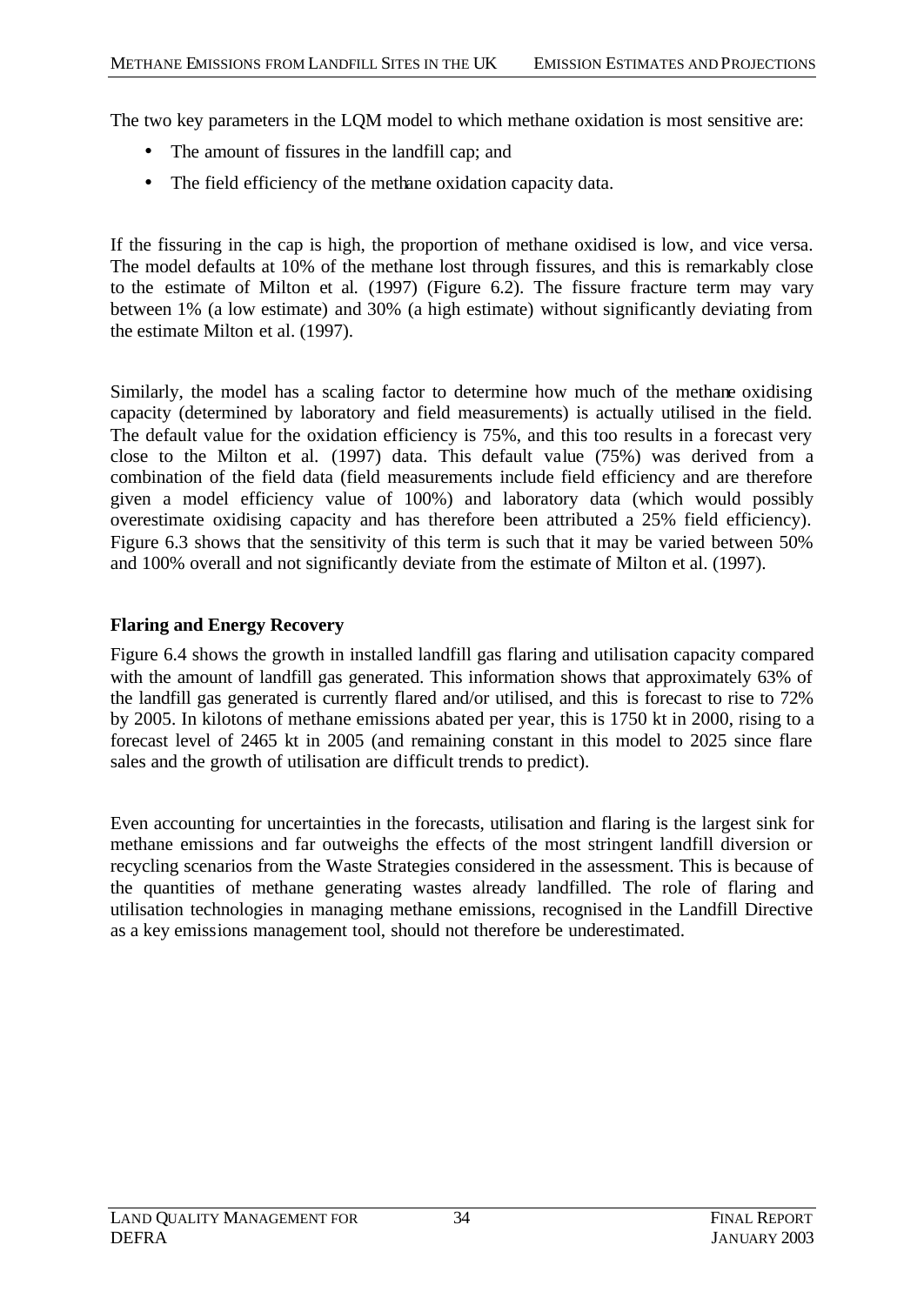The two key parameters in the LQM model to which methane oxidation is most sensitive are:

- The amount of fissures in the landfill cap; and
- The field efficiency of the methane oxidation capacity data.

If the fissuring in the cap is high, the proportion of methane oxidised is low, and vice versa. The model defaults at 10% of the methane lost through fissures, and this is remarkably close to the estimate of Milton et al. (1997) (Figure 6.2). The fissure fracture term may vary between 1% (a low estimate) and 30% (a high estimate) without significantly deviating from the estimate Milton et al. (1997).

Similarly, the model has a scaling factor to determine how much of the methane oxidising capacity (determined by laboratory and field measurements) is actually utilised in the field. The default value for the oxidation efficiency is 75%, and this too results in a forecast very close to the Milton et al. (1997) data. This default value (75%) was derived from a combination of the field data (field measurements include field efficiency and are therefore given a model efficiency value of 100%) and laboratory data (which would possibly overestimate oxidising capacity and has therefore been attributed a 25% field efficiency). Figure 6.3 shows that the sensitivity of this term is such that it may be varied between 50% and 100% overall and not significantly deviate from the estimate of Milton et al. (1997).

#### **Flaring and Energy Recovery**

Figure 6.4 shows the growth in installed landfill gas flaring and utilisation capacity compared with the amount of landfill gas generated. This information shows that approximately 63% of the landfill gas generated is currently flared and/or utilised, and this is forecast to rise to 72% by 2005. In kilotons of methane emissions abated per year, this is 1750 kt in 2000, rising to a forecast level of 2465 kt in 2005 (and remaining constant in this model to 2025 since flare sales and the growth of utilisation are difficult trends to predict).

Even accounting for uncertainties in the forecasts, utilisation and flaring is the largest sink for methane emissions and far outweighs the effects of the most stringent landfill diversion or recycling scenarios from the Waste Strategies considered in the assessment. This is because of the quantities of methane generating wastes already landfilled. The role of flaring and utilisation technologies in managing methane emissions, recognised in the Landfill Directive as a key emissions management tool, should not therefore be underestimated.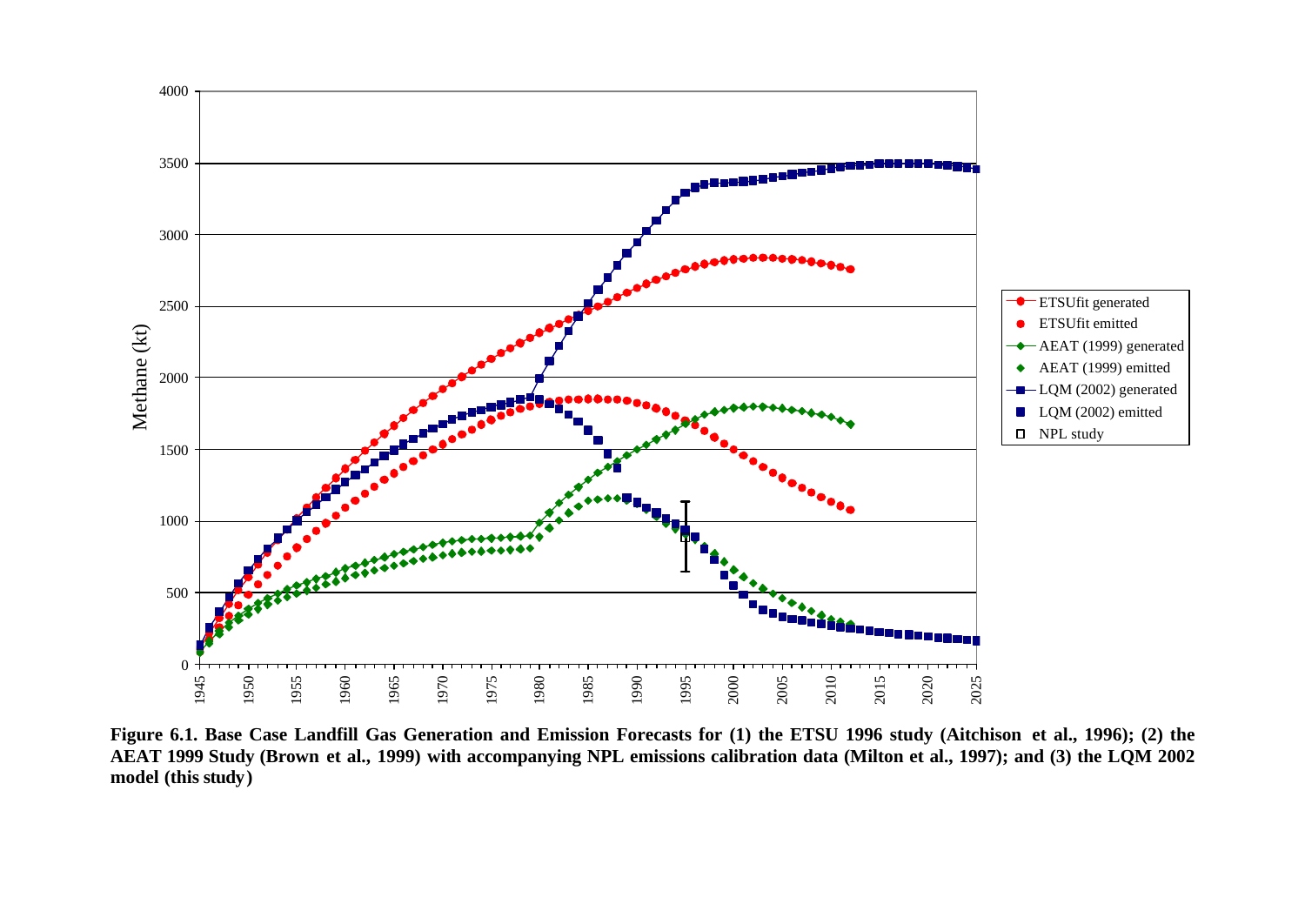

**Figure 6.1. Base Case Landfill Gas Generation and Emission Forecasts for (1) the ETSU 1996 study (Aitchison et al., 1996); (2) the AEAT 1999 Study (Brown et al., 1999) with accompanying NPL emissions calibration data (Milton et al., 1997); and (3) the LQM 2002 model (this study)**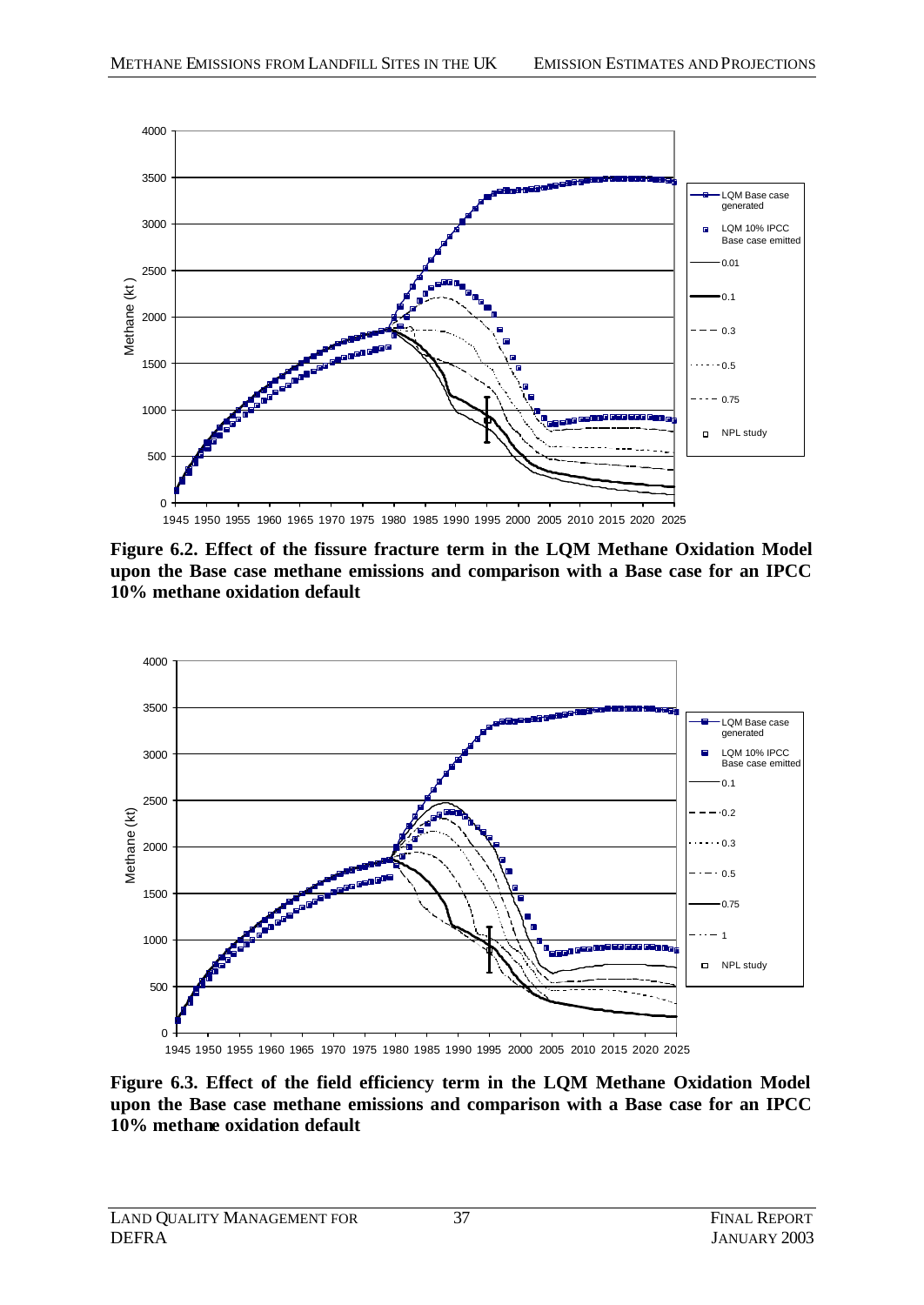

**Figure 6.2. Effect of the fissure fracture term in the LQM Methane Oxidation Model upon the Base case methane emissions and comparison with a Base case for an IPCC 10% methane oxidation default**



1945 1950 1955 1960 1965 1970 1975 1980 1985 1990 1995 2000 2005 2010 2015 2020 2025

**Figure 6.3. Effect of the field efficiency term in the LQM Methane Oxidation Model upon the Base case methane emissions and comparison with a Base case for an IPCC 10% methane oxidation default**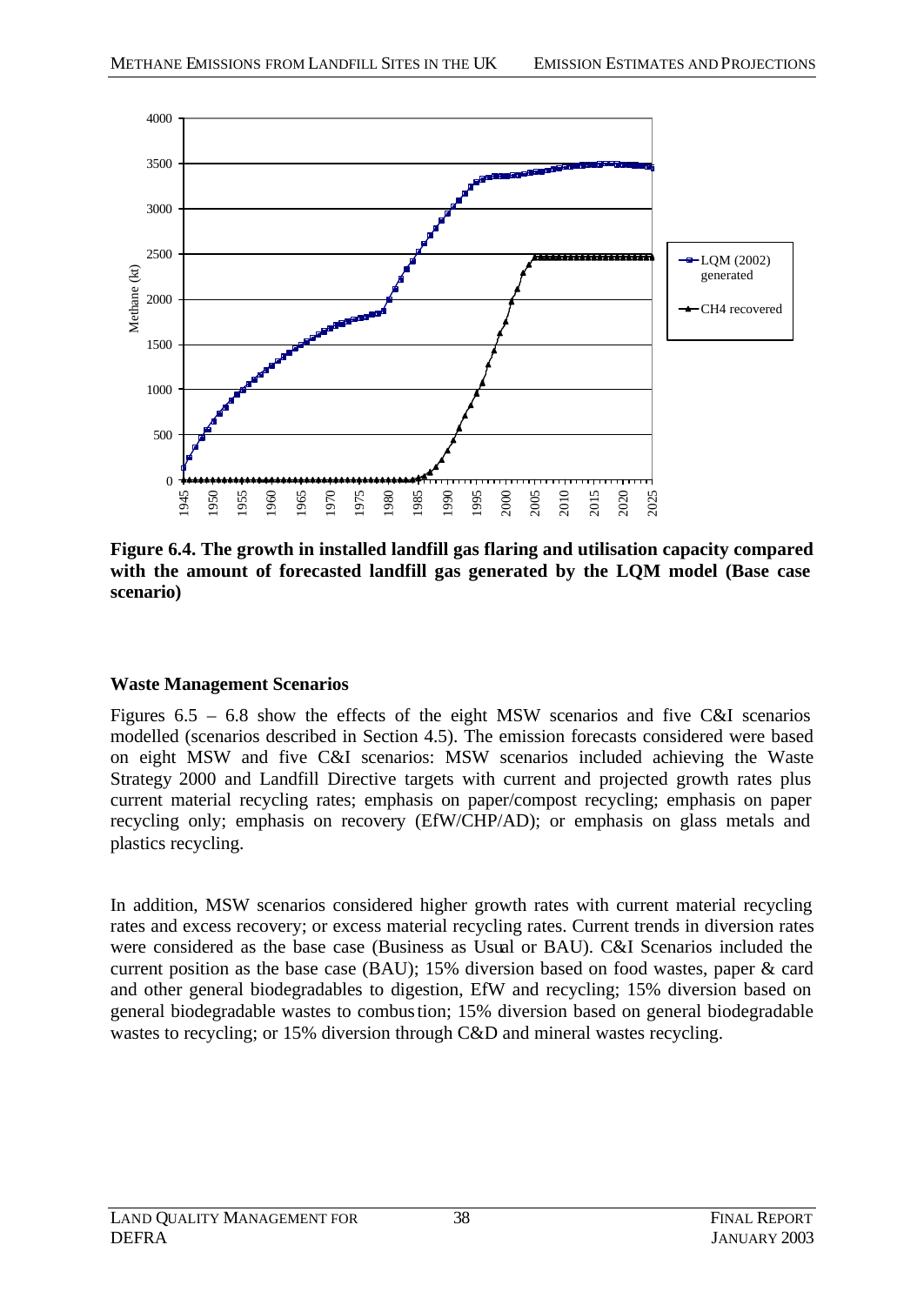

**Figure 6.4. The growth in installed landfill gas flaring and utilisation capacity compared with the amount of forecasted landfill gas generated by the LQM model (Base case scenario)**

#### **Waste Management Scenarios**

Figures 6.5 – 6.8 show the effects of the eight MSW scenarios and five C&I scenarios modelled (scenarios described in Section 4.5). The emission forecasts considered were based on eight MSW and five C&I scenarios: MSW scenarios included achieving the Waste Strategy 2000 and Landfill Directive targets with current and projected growth rates plus current material recycling rates; emphasis on paper/compost recycling; emphasis on paper recycling only; emphasis on recovery (EfW/CHP/AD); or emphasis on glass metals and plastics recycling.

In addition, MSW scenarios considered higher growth rates with current material recycling rates and excess recovery; or excess material recycling rates. Current trends in diversion rates were considered as the base case (Business as Usual or BAU). C&I Scenarios included the current position as the base case (BAU); 15% diversion based on food wastes, paper & card and other general biodegradables to digestion, EfW and recycling; 15% diversion based on general biodegradable wastes to combustion; 15% diversion based on general biodegradable wastes to recycling; or 15% diversion through C&D and mineral wastes recycling.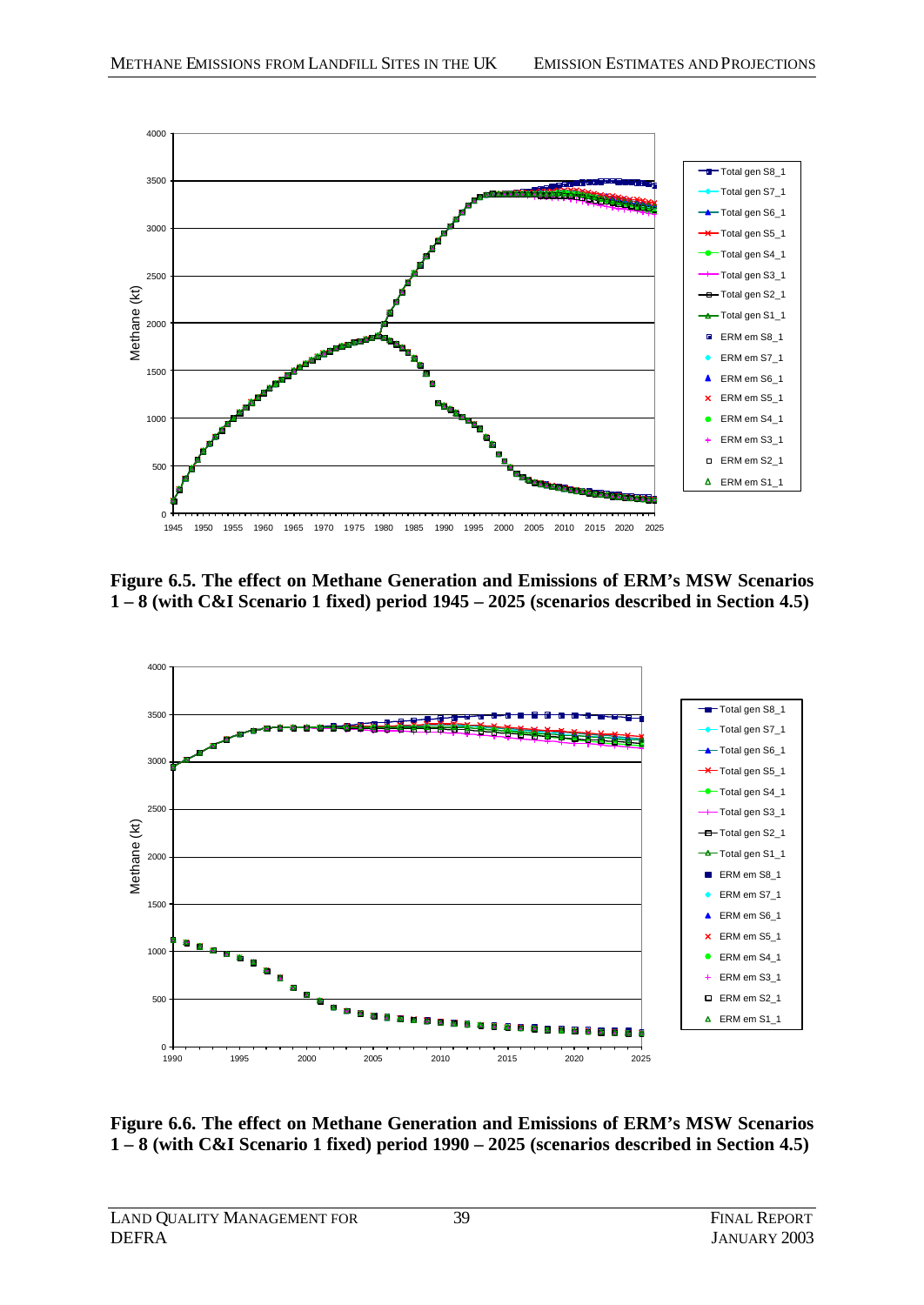

**Figure 6.5. The effect on Methane Generation and Emissions of ERM's MSW Scenarios 1 – 8 (with C&I Scenario 1 fixed) period 1945 – 2025 (scenarios described in Section 4.5)**



**Figure 6.6. The effect on Methane Generation and Emissions of ERM's MSW Scenarios 1 – 8 (with C&I Scenario 1 fixed) period 1990 – 2025 (scenarios described in Section 4.5)**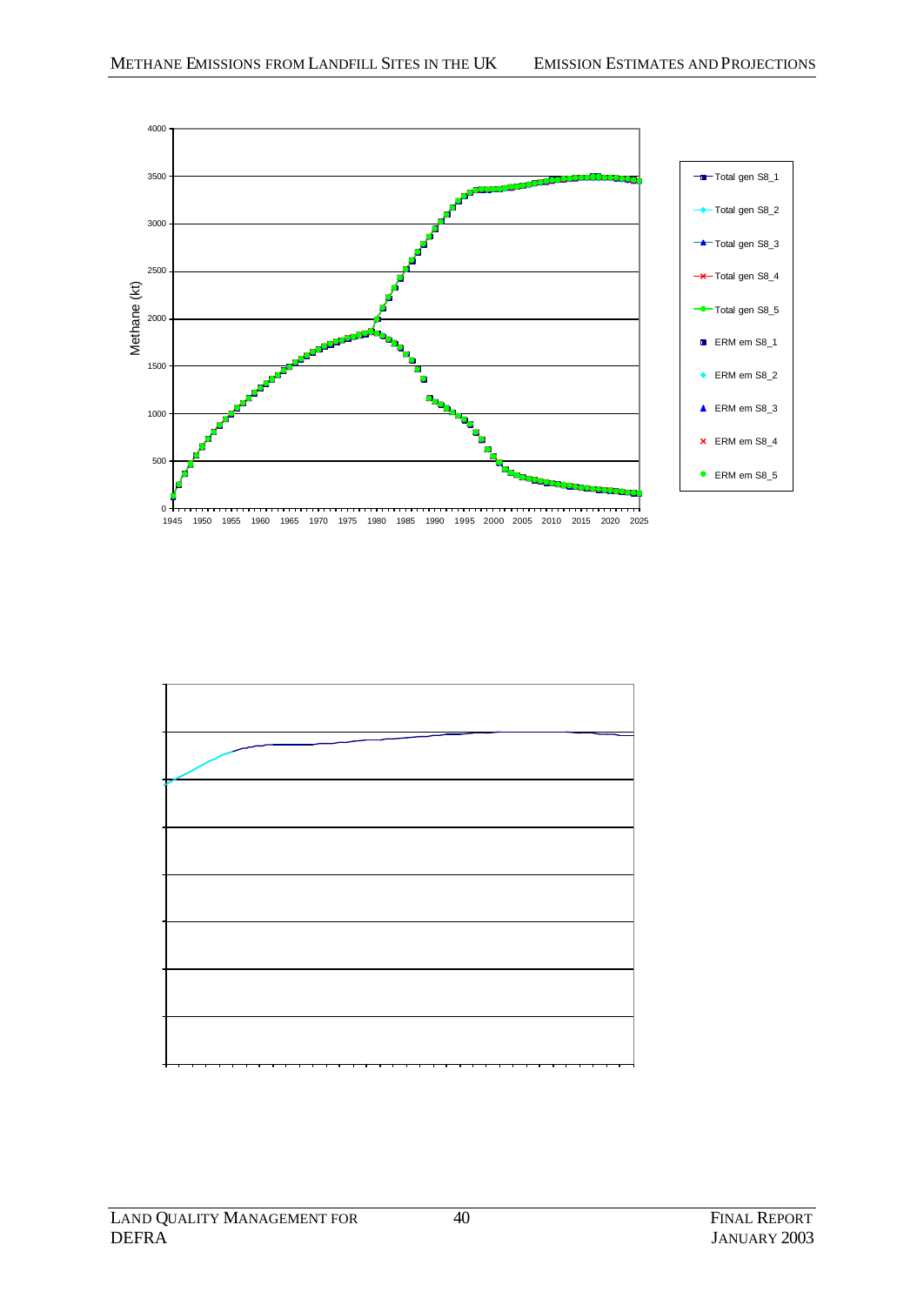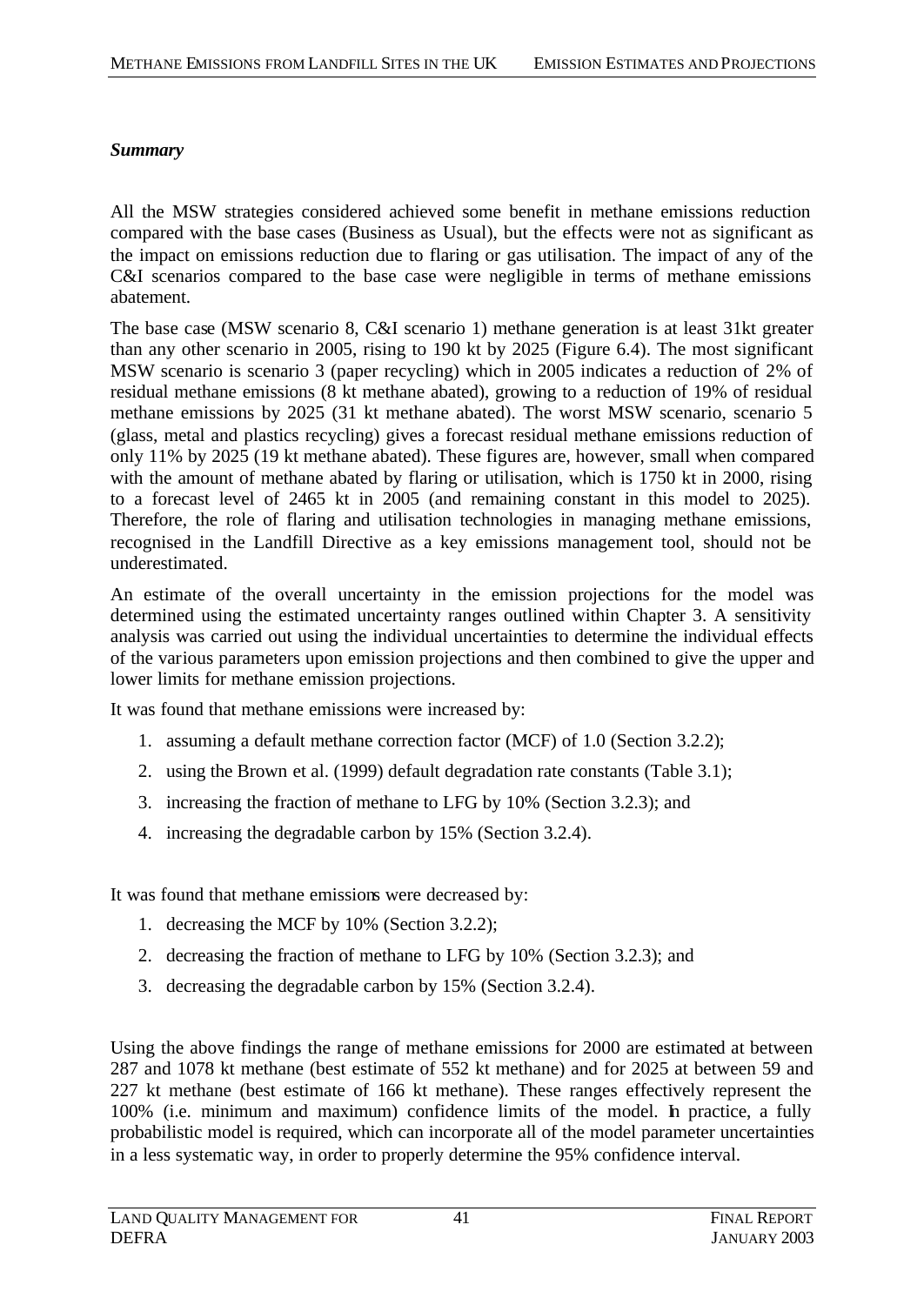## *Summary*

All the MSW strategies considered achieved some benefit in methane emissions reduction compared with the base cases (Business as Usual), but the effects were not as significant as the impact on emissions reduction due to flaring or gas utilisation. The impact of any of the C&I scenarios compared to the base case were negligible in terms of methane emissions abatement.

The base case (MSW scenario 8, C&I scenario 1) methane generation is at least 31kt greater than any other scenario in 2005, rising to 190 kt by 2025 (Figure 6.4). The most significant MSW scenario is scenario 3 (paper recycling) which in 2005 indicates a reduction of 2% of residual methane emissions (8 kt methane abated), growing to a reduction of 19% of residual methane emissions by 2025 (31 kt methane abated). The worst MSW scenario, scenario 5 (glass, metal and plastics recycling) gives a forecast residual methane emissions reduction of only 11% by 2025 (19 kt methane abated). These figures are, however, small when compared with the amount of methane abated by flaring or utilisation, which is 1750 kt in 2000, rising to a forecast level of 2465 kt in 2005 (and remaining constant in this model to 2025). Therefore, the role of flaring and utilisation technologies in managing methane emissions, recognised in the Landfill Directive as a key emissions management tool, should not be underestimated.

An estimate of the overall uncertainty in the emission projections for the model was determined using the estimated uncertainty ranges outlined within Chapter 3. A sensitivity analysis was carried out using the individual uncertainties to determine the individual effects of the various parameters upon emission projections and then combined to give the upper and lower limits for methane emission projections.

It was found that methane emissions were increased by:

- 1. assuming a default methane correction factor (MCF) of 1.0 (Section 3.2.2);
- 2. using the Brown et al. (1999) default degradation rate constants (Table 3.1);
- 3. increasing the fraction of methane to LFG by 10% (Section 3.2.3); and
- 4. increasing the degradable carbon by 15% (Section 3.2.4).

It was found that methane emissions were decreased by:

- 1. decreasing the MCF by 10% (Section 3.2.2);
- 2. decreasing the fraction of methane to LFG by 10% (Section 3.2.3); and
- 3. decreasing the degradable carbon by 15% (Section 3.2.4).

Using the above findings the range of methane emissions for 2000 are estimated at between 287 and 1078 kt methane (best estimate of 552 kt methane) and for 2025 at between 59 and 227 kt methane (best estimate of 166 kt methane). These ranges effectively represent the 100% (i.e. minimum and maximum) confidence limits of the model. In practice, a fully probabilistic model is required, which can incorporate all of the model parameter uncertainties in a less systematic way, in order to properly determine the 95% confidence interval.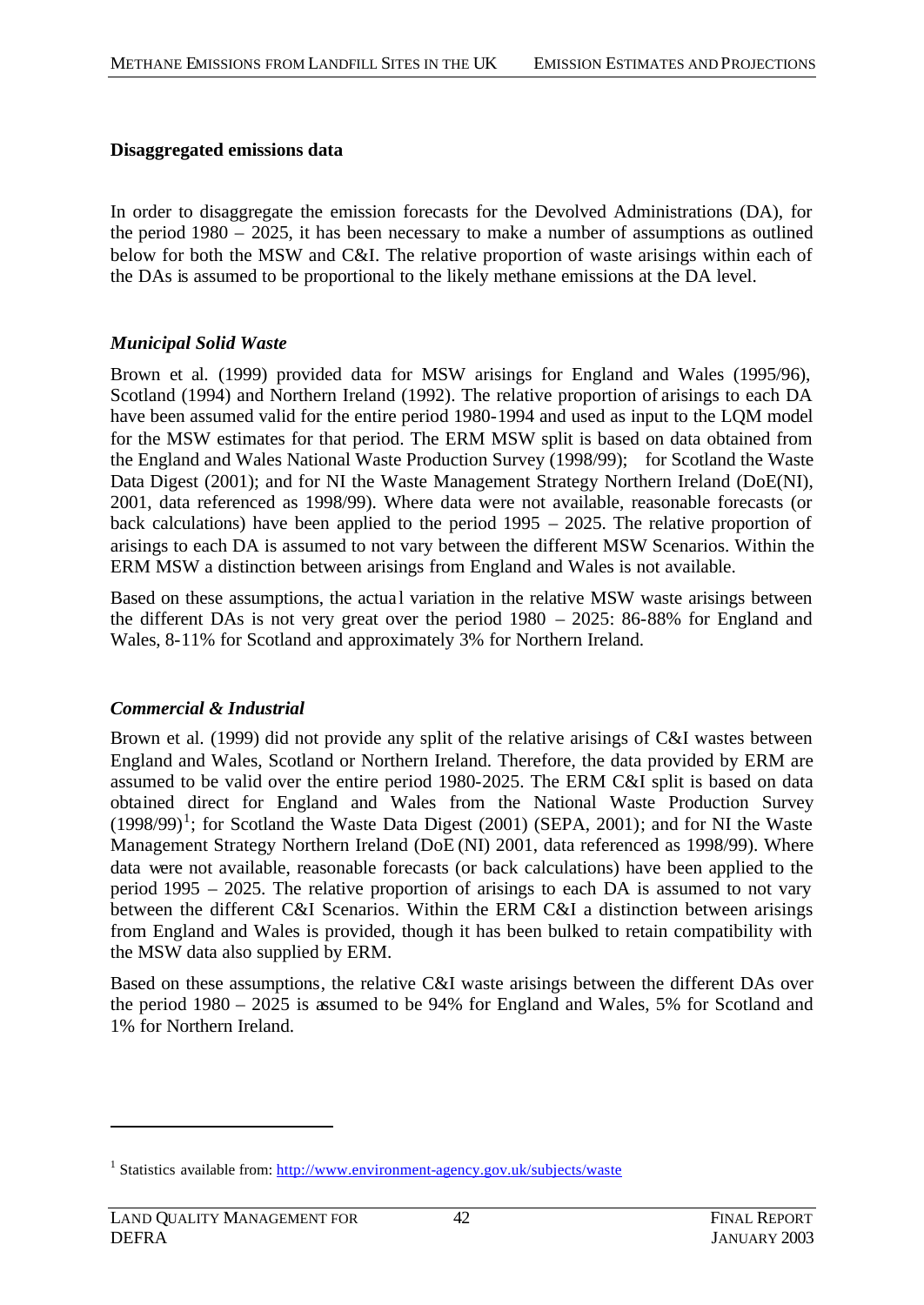### **Disaggregated emissions data**

In order to disaggregate the emission forecasts for the Devolved Administrations (DA), for the period 1980 – 2025, it has been necessary to make a number of assumptions as outlined below for both the MSW and C&I. The relative proportion of waste arisings within each of the DAs is assumed to be proportional to the likely methane emissions at the DA level.

# *Municipal Solid Waste*

Brown et al. (1999) provided data for MSW arisings for England and Wales (1995/96), Scotland (1994) and Northern Ireland (1992). The relative proportion of arisings to each DA have been assumed valid for the entire period 1980-1994 and used as input to the LQM model for the MSW estimates for that period. The ERM MSW split is based on data obtained from the England and Wales National Waste Production Survey (1998/99); for Scotland the Waste Data Digest (2001); and for NI the Waste Management Strategy Northern Ireland (DoE(NI), 2001, data referenced as 1998/99). Where data were not available, reasonable forecasts (or back calculations) have been applied to the period 1995 – 2025. The relative proportion of arisings to each DA is assumed to not vary between the different MSW Scenarios. Within the ERM MSW a distinction between arisings from England and Wales is not available.

Based on these assumptions, the actual variation in the relative MSW waste arisings between the different DAs is not very great over the period 1980 – 2025: 86-88% for England and Wales, 8-11% for Scotland and approximately 3% for Northern Ireland.

# *Commercial & Industrial*

Brown et al. (1999) did not provide any split of the relative arisings of C&I wastes between England and Wales, Scotland or Northern Ireland. Therefore, the data provided by ERM are assumed to be valid over the entire period 1980-2025. The ERM C&I split is based on data obtained direct for England and Wales from the National Waste Production Survey  $(1998/99)^1$ ; for Scotland the Waste Data Digest (2001) (SEPA, 2001); and for NI the Waste Management Strategy Northern Ireland (DoE (NI) 2001, data referenced as 1998/99). Where data were not available, reasonable forecasts (or back calculations) have been applied to the period 1995 – 2025. The relative proportion of arisings to each DA is assumed to not vary between the different C&I Scenarios. Within the ERM C&I a distinction between arisings from England and Wales is provided, though it has been bulked to retain compatibility with the MSW data also supplied by ERM.

Based on these assumptions, the relative C&I waste arisings between the different DAs over the period 1980 – 2025 is assumed to be 94% for England and Wales, 5% for Scotland and 1% for Northern Ireland.

l

<sup>&</sup>lt;sup>1</sup> Statistics available from: http://www.environment-agency.gov.uk/subjects/waste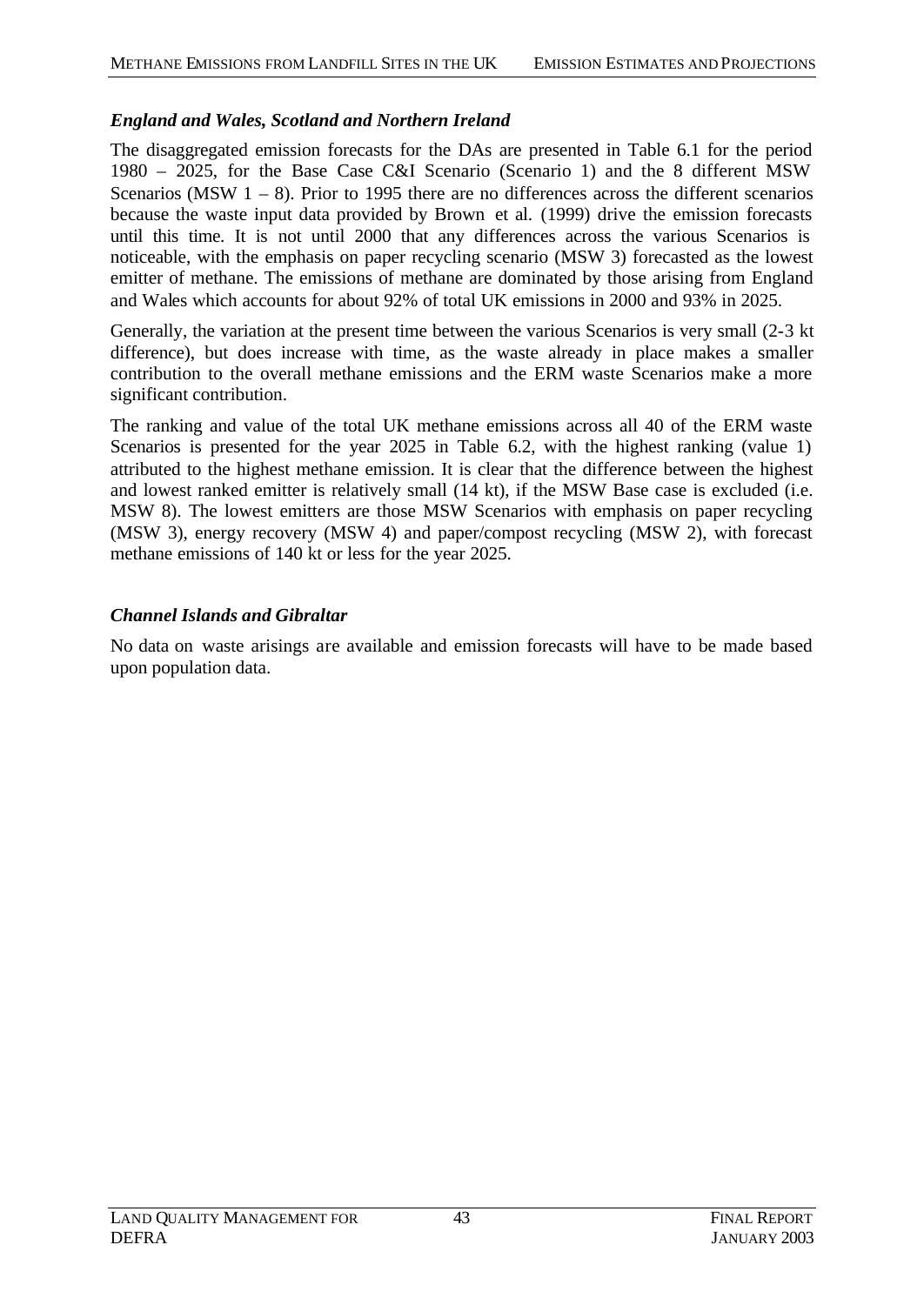# *England and Wales, Scotland and Northern Ireland*

The disaggregated emission forecasts for the DAs are presented in Table 6.1 for the period 1980 – 2025, for the Base Case C&I Scenario (Scenario 1) and the 8 different MSW Scenarios (MSW  $1 - 8$ ). Prior to 1995 there are no differences across the different scenarios because the waste input data provided by Brown et al. (1999) drive the emission forecasts until this time. It is not until 2000 that any differences across the various Scenarios is noticeable, with the emphasis on paper recycling scenario (MSW 3) forecasted as the lowest emitter of methane. The emissions of methane are dominated by those arising from England and Wales which accounts for about 92% of total UK emissions in 2000 and 93% in 2025.

Generally, the variation at the present time between the various Scenarios is very small (2-3 kt difference), but does increase with time, as the waste already in place makes a smaller contribution to the overall methane emissions and the ERM waste Scenarios make a more significant contribution.

The ranking and value of the total UK methane emissions across all 40 of the ERM waste Scenarios is presented for the year 2025 in Table 6.2, with the highest ranking (value 1) attributed to the highest methane emission. It is clear that the difference between the highest and lowest ranked emitter is relatively small (14 kt), if the MSW Base case is excluded (i.e. MSW 8). The lowest emitters are those MSW Scenarios with emphasis on paper recycling (MSW 3), energy recovery (MSW 4) and paper/compost recycling (MSW 2), with forecast methane emissions of 140 kt or less for the year 2025.

## *Channel Islands and Gibraltar*

No data on waste arisings are available and emission forecasts will have to be made based upon population data.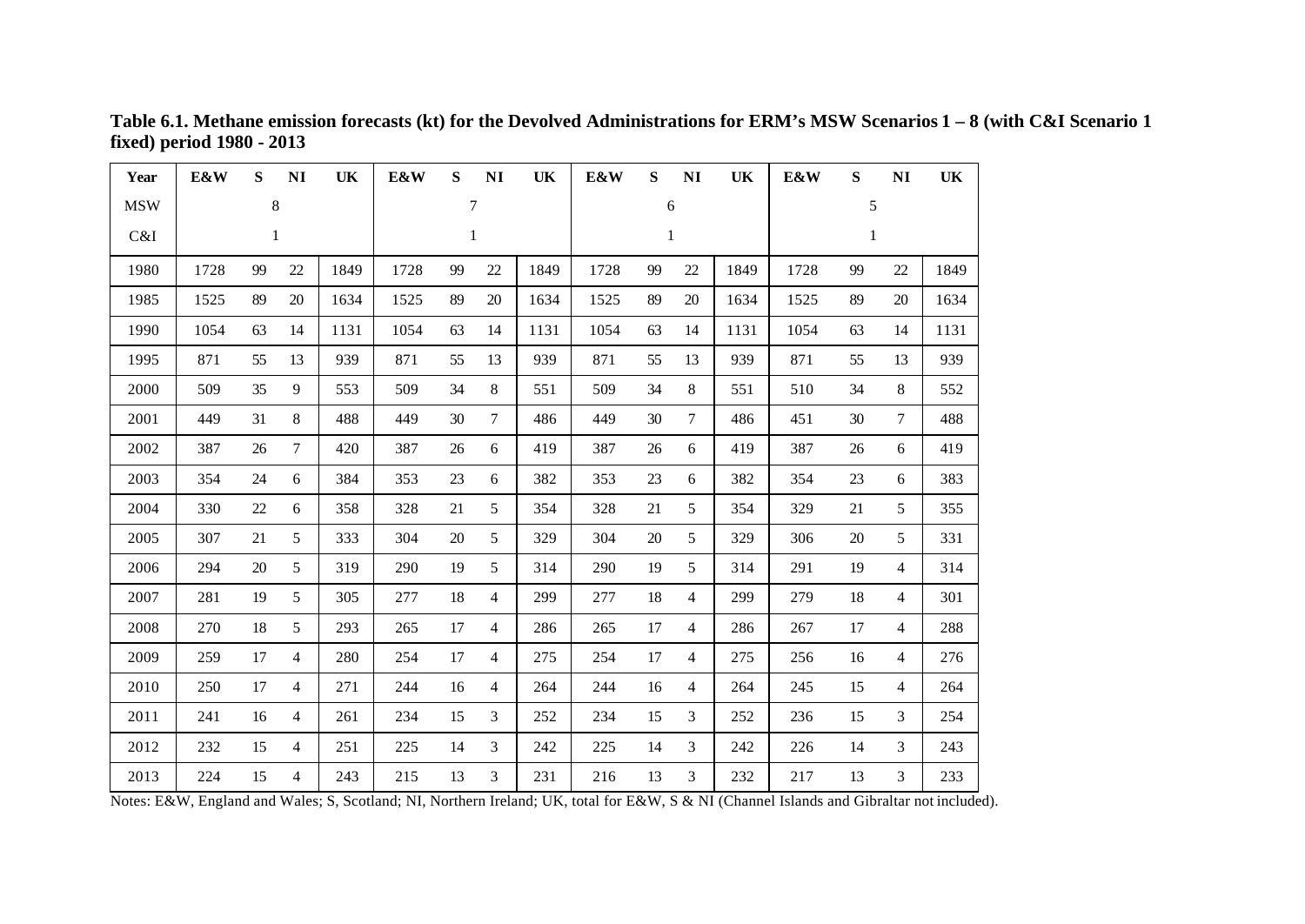| Year       | E&W  | ${\bf S}$ | $\mathbf{N}\mathbf{I}$ | UK   | E&W  | S      | $\mathbf{N}\mathbf{I}$ | UK   | E&W  | ${\bf S}$ | NI                       | UK   | E&W  | ${\bf S}$    | NI             | UK   |
|------------|------|-----------|------------------------|------|------|--------|------------------------|------|------|-----------|--------------------------|------|------|--------------|----------------|------|
| <b>MSW</b> |      |           | $8\,$                  |      |      |        | 7                      |      |      |           | 6                        |      |      | 5            |                |      |
| C&I        |      |           | $\mathbf{1}$           |      |      |        | 1                      |      |      |           | 1                        |      |      | $\mathbf{1}$ |                |      |
| 1980       | 1728 | 99        | 22                     | 1849 | 1728 | 99     | 22                     | 1849 | 1728 | 99        | 22                       | 1849 | 1728 | 99           | 22             | 1849 |
| 1985       | 1525 | 89        | 20                     | 1634 | 1525 | 89     | 20                     | 1634 | 1525 | 89        | 20                       | 1634 | 1525 | 89           | 20             | 1634 |
| 1990       | 1054 | 63        | 14                     | 1131 | 1054 | 63     | 14                     | 1131 | 1054 | 63        | 14                       | 1131 | 1054 | 63           | 14             | 1131 |
| 1995       | 871  | 55        | 13                     | 939  | 871  | 55     | 13                     | 939  | 871  | 55        | 13                       | 939  | 871  | 55           | 13             | 939  |
| 2000       | 509  | 35        | 9                      | 553  | 509  | 34     | 8                      | 551  | 509  | 34        | 8                        | 551  | 510  | 34           | 8              | 552  |
| 2001       | 449  | 31        | $\,8\,$                | 488  | 449  | 30     | $\overline{7}$         | 486  | 449  | 30        | $\overline{7}$           | 486  | 451  | 30           | $\overline{7}$ | 488  |
| 2002       | 387  | 26        | $7\overline{ }$        | 420  | 387  | 26     | 6                      | 419  | 387  | 26        | 6                        | 419  | 387  | 26           | 6              | 419  |
| 2003       | 354  | 24        | 6                      | 384  | 353  | 23     | 6                      | 382  | 353  | 23        | 6                        | 382  | 354  | 23           | 6              | 383  |
| 2004       | 330  | 22        | 6                      | 358  | 328  | 21     | 5                      | 354  | 328  | 21        | 5                        | 354  | 329  | 21           | 5              | 355  |
| 2005       | 307  | 21        | 5                      | 333  | 304  | 20     | 5                      | 329  | 304  | 20        | 5                        | 329  | 306  | 20           | 5              | 331  |
| 2006       | 294  | 20        | 5                      | 319  | 290  | 19     | 5                      | 314  | 290  | 19        | 5                        | 314  | 291  | 19           | 4              | 314  |
| 2007       | 281  | 19        | $5\overline{)}$        | 305  | 277  | $18\,$ | $\overline{4}$         | 299  | 277  | 18        | $\overline{4}$           | 299  | 279  | 18           | $\overline{4}$ | 301  |
| 2008       | 270  | 18        | 5                      | 293  | 265  | 17     | 4                      | 286  | 265  | 17        | $\overline{\mathcal{A}}$ | 286  | 267  | 17           | $\overline{4}$ | 288  |
| 2009       | 259  | 17        | $\overline{4}$         | 280  | 254  | 17     | $\overline{4}$         | 275  | 254  | 17        | $\overline{4}$           | 275  | 256  | 16           | $\overline{4}$ | 276  |
| 2010       | 250  | 17        | $\overline{4}$         | 271  | 244  | 16     | $\overline{4}$         | 264  | 244  | 16        | 4                        | 264  | 245  | 15           | $\overline{4}$ | 264  |
| 2011       | 241  | 16        | $\overline{4}$         | 261  | 234  | 15     | 3                      | 252  | 234  | 15        | 3                        | 252  | 236  | 15           | $\overline{3}$ | 254  |
| 2012       | 232  | 15        | 4                      | 251  | 225  | 14     | 3                      | 242  | 225  | 14        | 3                        | 242  | 226  | 14           | 3              | 243  |
| 2013       | 224  | 15        | 4                      | 243  | 215  | 13     | 3                      | 231  | 216  | 13        | 3                        | 232  | 217  | 13           | 3              | 233  |

**Table 6.1. Methane emission forecasts (kt) for the Devolved Administrations for ERM's MSW Scenarios 1 – 8 (with C&I Scenario 1 fixed) period 1980 - 2013**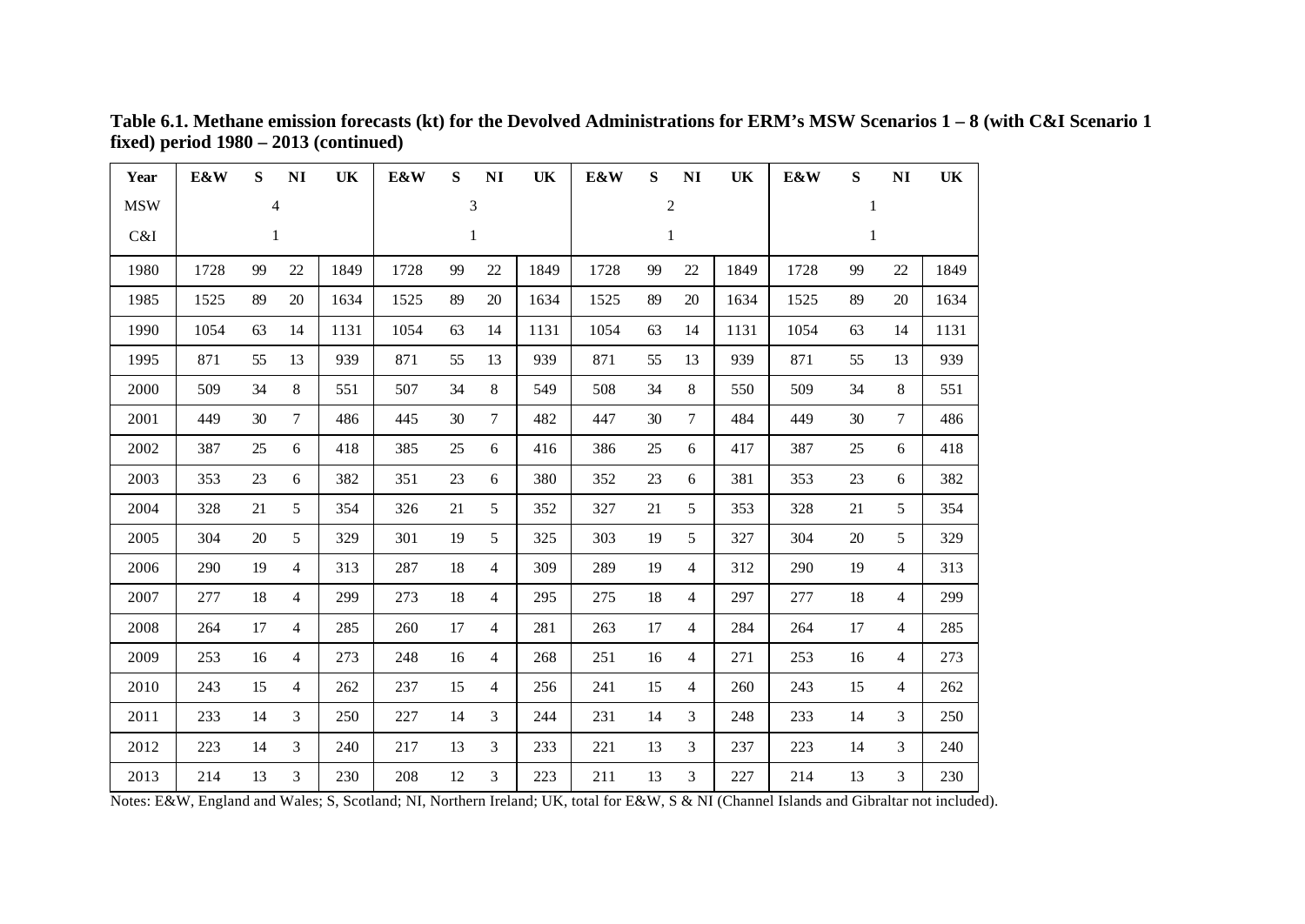| Year       | E&W  | S            | $\mathbf{N}\mathbf{I}$ | UK   | E&W  | S  | $\mathbf{N}\mathbf{I}$   | UK   | E&W  | ${\bf S}$ | NI                       | UK   | E&W  | ${\bf S}$ | NI             | UK   |
|------------|------|--------------|------------------------|------|------|----|--------------------------|------|------|-----------|--------------------------|------|------|-----------|----------------|------|
| <b>MSW</b> |      | 4            |                        |      |      |    | 3                        |      |      |           | $\sqrt{2}$               |      |      | 1         |                |      |
| C&I        |      | $\mathbf{1}$ |                        |      |      |    | $\mathbf{1}$             |      |      | 1         |                          |      |      | 1         |                |      |
| 1980       | 1728 | 99           | 22                     | 1849 | 1728 | 99 | 22                       | 1849 | 1728 | 99        | 22                       | 1849 | 1728 | 99        | 22             | 1849 |
| 1985       | 1525 | 89           | 20                     | 1634 | 1525 | 89 | 20                       | 1634 | 1525 | 89        | 20                       | 1634 | 1525 | 89        | 20             | 1634 |
| 1990       | 1054 | 63           | 14                     | 1131 | 1054 | 63 | 14                       | 1131 | 1054 | 63        | 14                       | 1131 | 1054 | 63        | 14             | 1131 |
| 1995       | 871  | 55           | 13                     | 939  | 871  | 55 | 13                       | 939  | 871  | 55        | 13                       | 939  | 871  | 55        | 13             | 939  |
| 2000       | 509  | 34           | 8                      | 551  | 507  | 34 | 8                        | 549  | 508  | 34        | 8                        | 550  | 509  | 34        | 8              | 551  |
| 2001       | 449  | 30           | $\tau$                 | 486  | 445  | 30 | $\tau$                   | 482  | 447  | 30        | $\tau$                   | 484  | 449  | 30        | $\tau$         | 486  |
| 2002       | 387  | 25           | 6                      | 418  | 385  | 25 | 6                        | 416  | 386  | 25        | 6                        | 417  | 387  | 25        | 6              | 418  |
| 2003       | 353  | 23           | 6                      | 382  | 351  | 23 | 6                        | 380  | 352  | 23        | 6                        | 381  | 353  | 23        | 6              | 382  |
| 2004       | 328  | 21           | 5                      | 354  | 326  | 21 | 5                        | 352  | 327  | 21        | 5                        | 353  | 328  | 21        | 5              | 354  |
| 2005       | 304  | 20           | 5                      | 329  | 301  | 19 | 5                        | 325  | 303  | 19        | 5                        | 327  | 304  | 20        | 5 <sup>5</sup> | 329  |
| 2006       | 290  | 19           | 4                      | 313  | 287  | 18 | 4                        | 309  | 289  | 19        | 4                        | 312  | 290  | 19        | $\overline{4}$ | 313  |
| 2007       | 277  | 18           | $\overline{4}$         | 299  | 273  | 18 | $\overline{4}$           | 295  | 275  | 18        | 4                        | 297  | 277  | 18        | $\overline{4}$ | 299  |
| 2008       | 264  | 17           | $\overline{4}$         | 285  | 260  | 17 | $\overline{\mathcal{L}}$ | 281  | 263  | 17        | $\overline{\mathcal{L}}$ | 284  | 264  | 17        | $\overline{4}$ | 285  |
| 2009       | 253  | 16           | $\overline{4}$         | 273  | 248  | 16 | 4                        | 268  | 251  | 16        | 4                        | 271  | 253  | 16        | $\overline{4}$ | 273  |
| 2010       | 243  | 15           | $\overline{4}$         | 262  | 237  | 15 | $\overline{4}$           | 256  | 241  | 15        | $\overline{4}$           | 260  | 243  | 15        | $\overline{4}$ | 262  |
| 2011       | 233  | 14           | $\overline{3}$         | 250  | 227  | 14 | 3                        | 244  | 231  | 14        | 3                        | 248  | 233  | 14        | 3              | 250  |
| 2012       | 223  | 14           | $\mathfrak{Z}$         | 240  | 217  | 13 | 3                        | 233  | 221  | 13        | 3                        | 237  | 223  | 14        | 3              | 240  |
| 2013       | 214  | 13           | 3                      | 230  | 208  | 12 | 3                        | 223  | 211  | 13        | 3                        | 227  | 214  | 13        | 3              | 230  |

**Table 6.1. Methane emission forecasts (kt) for the Devolved Administrations for ERM's MSW Scenarios 1 – 8 (with C&I Scenario 1 fixed) period 1980 – 2013 (continued)**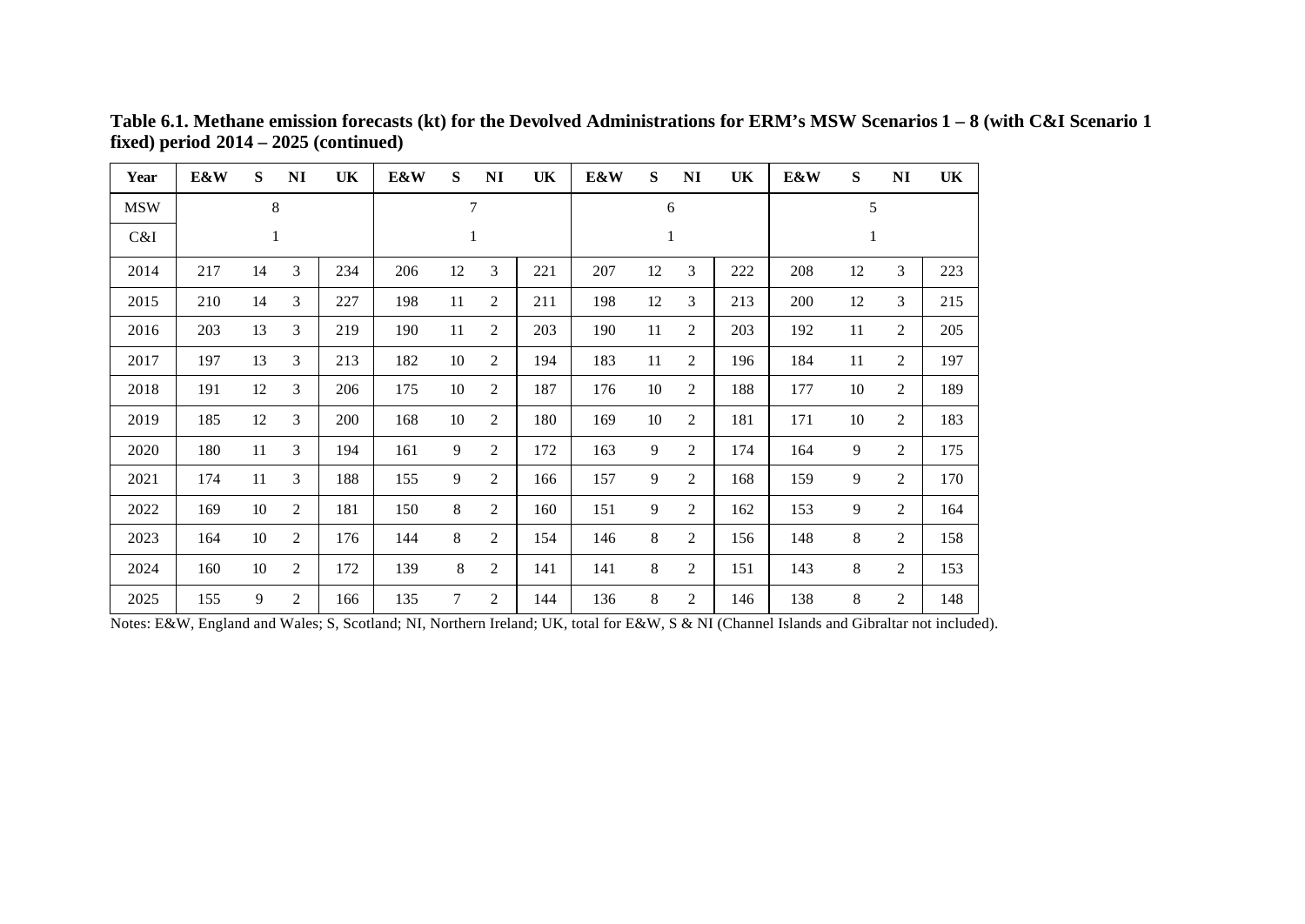| Year       | E&W | S            | $\mathbf{N}\mathbf{I}$ | UK  | E&W | S            | NI             | UK  | E&W | S            | NI             | UK  | E&W | ${\bf S}$    | NI             | UK  |
|------------|-----|--------------|------------------------|-----|-----|--------------|----------------|-----|-----|--------------|----------------|-----|-----|--------------|----------------|-----|
| <b>MSW</b> |     | $8\,$        |                        |     |     |              | $\overline{7}$ |     |     | 6            |                |     |     | 5            |                |     |
| C&I        |     | $\mathbf{1}$ |                        |     |     | $\mathbf{1}$ |                |     |     | $\mathbf{1}$ |                |     |     | $\mathbf{1}$ |                |     |
| 2014       | 217 | 14           | 3                      | 234 | 206 | 12           | 3              | 221 | 207 | 12           | 3              | 222 | 208 | 12           | 3              | 223 |
| 2015       | 210 | 14           | 3                      | 227 | 198 | 11           | $\overline{c}$ | 211 | 198 | 12           | 3              | 213 | 200 | 12           | 3              | 215 |
| 2016       | 203 | 13           | 3                      | 219 | 190 | 11           | 2              | 203 | 190 | 11           | $\overline{c}$ | 203 | 192 | 11           | $\overline{c}$ | 205 |
| 2017       | 197 | 13           | 3                      | 213 | 182 | 10           | 2              | 194 | 183 | 11           | $\overline{2}$ | 196 | 184 | 11           | $\overline{c}$ | 197 |
| 2018       | 191 | 12           | 3                      | 206 | 175 | 10           | $\overline{2}$ | 187 | 176 | 10           | $\overline{2}$ | 188 | 177 | 10           | $\overline{2}$ | 189 |
| 2019       | 185 | 12           | 3                      | 200 | 168 | 10           | 2              | 180 | 169 | 10           | $\overline{c}$ | 181 | 171 | 10           | 2              | 183 |
| 2020       | 180 | 11           | 3                      | 194 | 161 | 9            | 2              | 172 | 163 | 9            | 2              | 174 | 164 | 9            | 2              | 175 |
| 2021       | 174 | 11           | 3                      | 188 | 155 | 9            | 2              | 166 | 157 | 9            | $\overline{2}$ | 168 | 159 | 9            | $\overline{c}$ | 170 |
| 2022       | 169 | 10           | $\overline{c}$         | 181 | 150 | 8            | $\overline{c}$ | 160 | 151 | 9            | $\overline{c}$ | 162 | 153 | 9            | $\overline{c}$ | 164 |
| 2023       | 164 | 10           | $\overline{c}$         | 176 | 144 | 8            | $\overline{c}$ | 154 | 146 | 8            | $\overline{c}$ | 156 | 148 | 8            | 2              | 158 |
| 2024       | 160 | 10           | $\overline{c}$         | 172 | 139 | $8\,$        | $\overline{c}$ | 141 | 141 | 8            | $\mathbf{2}$   | 151 | 143 | 8            | 2              | 153 |
| 2025       | 155 | 9            | $\overline{2}$         | 166 | 135 | 7            | $\mathfrak{2}$ | 144 | 136 | 8            | $\overline{c}$ | 146 | 138 | 8            | 2              | 148 |

**Table 6.1. Methane emission forecasts (kt) for the Devolved Administrations for ERM's MSW Scenarios 1 – 8 (with C&I Scenario 1 fixed) period 2014 – 2025 (continued)**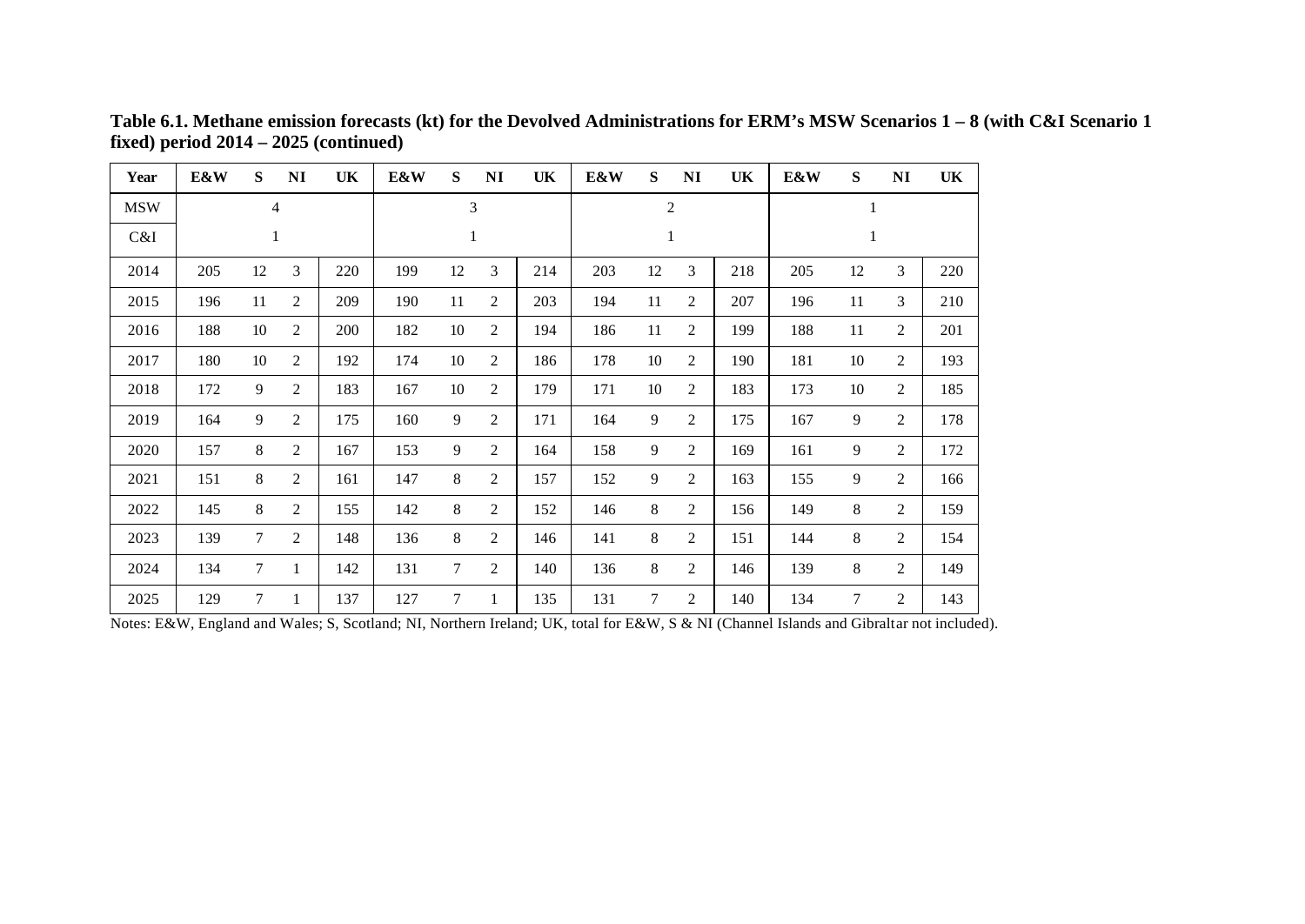| Year       | E&W | S                       | $\mathbf{N}\mathbf{I}$ | UK  | E&W | S            | NI             | UK  | E&W | S          | NI             | UK  | E&W | S            | NI             | UK  |
|------------|-----|-------------------------|------------------------|-----|-----|--------------|----------------|-----|-----|------------|----------------|-----|-----|--------------|----------------|-----|
| <b>MSW</b> |     | $\overline{\mathbf{4}}$ |                        |     |     |              | 3              |     |     | $\sqrt{2}$ |                |     |     | $\,1$        |                |     |
| C&I        |     | $\,1$                   |                        |     |     | $\mathbf{1}$ |                |     |     | $\,1\,$    |                |     |     | $\mathbf{1}$ |                |     |
| 2014       | 205 | 12                      | 3                      | 220 | 199 | 12           | 3              | 214 | 203 | 12         | 3              | 218 | 205 | 12           | 3              | 220 |
| 2015       | 196 | 11                      | $\overline{2}$         | 209 | 190 | 11           | 2              | 203 | 194 | 11         | $\overline{2}$ | 207 | 196 | 11           | $\mathfrak{Z}$ | 210 |
| 2016       | 188 | 10                      | $\overline{c}$         | 200 | 182 | 10           | $\overline{c}$ | 194 | 186 | 11         | $\overline{c}$ | 199 | 188 | 11           | $\overline{2}$ | 201 |
| 2017       | 180 | 10                      | $\overline{2}$         | 192 | 174 | 10           | $\overline{2}$ | 186 | 178 | 10         | $\overline{2}$ | 190 | 181 | 10           | 2              | 193 |
| 2018       | 172 | 9                       | $\overline{c}$         | 183 | 167 | 10           | 2              | 179 | 171 | 10         | $\overline{c}$ | 183 | 173 | 10           | 2              | 185 |
| 2019       | 164 | 9                       | $\overline{c}$         | 175 | 160 | 9            | $\overline{c}$ | 171 | 164 | 9          | $\mathfrak{2}$ | 175 | 167 | 9            | 2              | 178 |
| 2020       | 157 | 8                       | $\overline{2}$         | 167 | 153 | 9            | 2              | 164 | 158 | 9          | $\overline{c}$ | 169 | 161 | 9            | 2              | 172 |
| 2021       | 151 | $8\,$                   | $\overline{c}$         | 161 | 147 | 8            | 2              | 157 | 152 | 9          | $\mathfrak{2}$ | 163 | 155 | 9            | $\overline{c}$ | 166 |
| 2022       | 145 | $8\,$                   | $\overline{2}$         | 155 | 142 | 8            | $\overline{c}$ | 152 | 146 | $8\,$      | $\overline{c}$ | 156 | 149 | 8            | $\overline{c}$ | 159 |
| 2023       | 139 | $\tau$                  | $\overline{2}$         | 148 | 136 | 8            | $\overline{2}$ | 146 | 141 | 8          | $\mathbf{2}$   | 151 | 144 | 8            | $\overline{c}$ | 154 |
| 2024       | 134 | $\overline{7}$          | $\mathbf{1}$           | 142 | 131 | 7            | $\overline{2}$ | 140 | 136 | 8          | $\overline{c}$ | 146 | 139 | 8            | $\mathfrak{2}$ | 149 |
| 2025       | 129 | $7\overline{ }$         | $\mathbf{1}$           | 137 | 127 | $\tau$       | 1              | 135 | 131 | $\tau$     | $\overline{c}$ | 140 | 134 | $\tau$       | 2              | 143 |

**Table 6.1. Methane emission forecasts (kt) for the Devolved Administrations for ERM's MSW Scenarios 1 – 8 (with C&I Scenario 1 fixed) period 2014 – 2025 (continued)**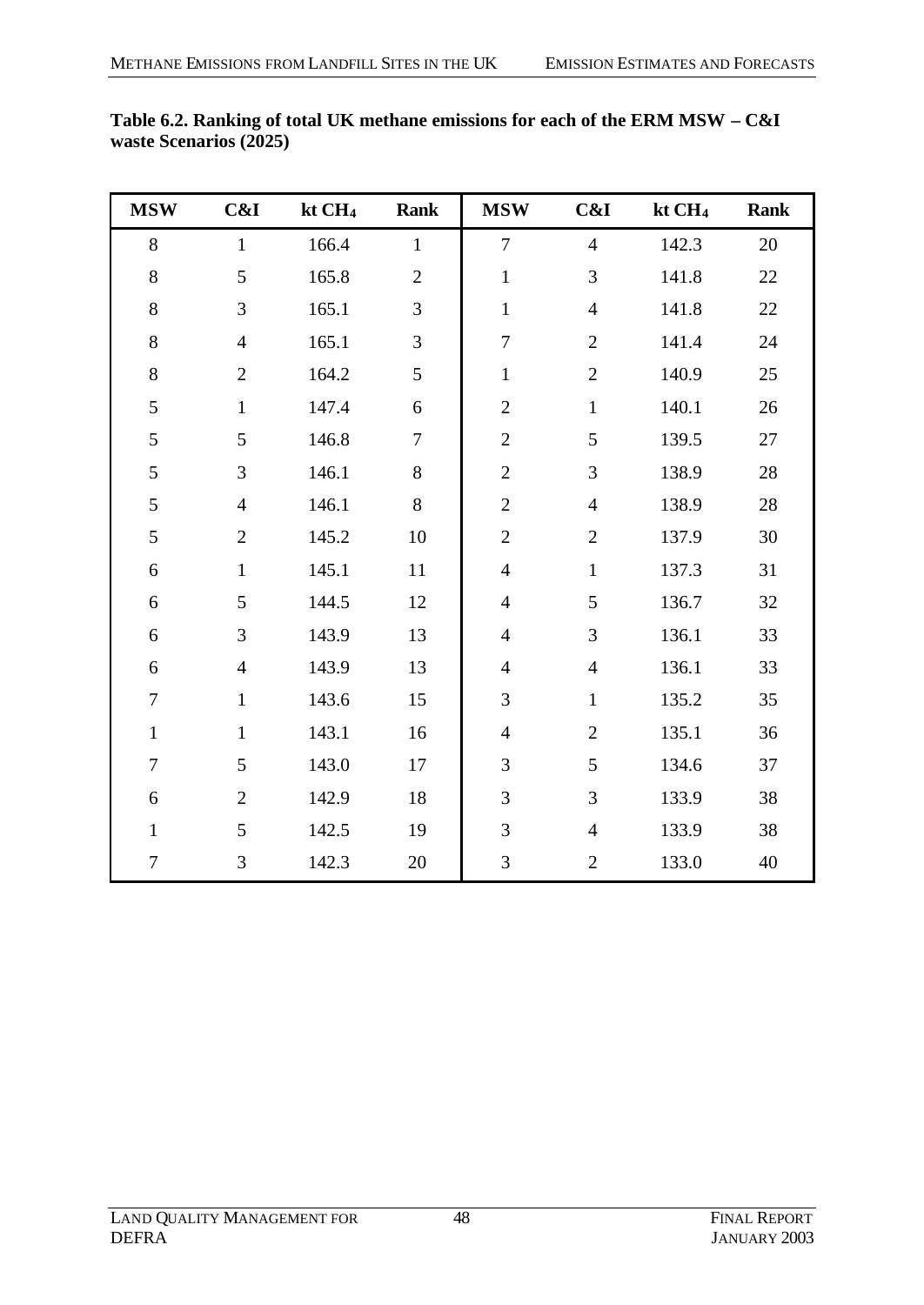| <b>MSW</b>   | C&I            | $kt$ CH <sub>4</sub> | <b>Rank</b>    | <b>MSW</b>       | C&I            | $kt$ CH <sub>4</sub> | <b>Rank</b> |
|--------------|----------------|----------------------|----------------|------------------|----------------|----------------------|-------------|
| $8\,$        | $\mathbf{1}$   | 166.4                | $\mathbf{1}$   | $\tau$           | $\overline{4}$ | 142.3                | 20          |
| 8            | 5              | 165.8                | $\mathbf{2}$   | $\mathbf{1}$     | 3              | 141.8                | 22          |
| 8            | 3              | 165.1                | 3              | $\mathbf{1}$     | $\overline{4}$ | 141.8                | 22          |
| 8            | $\overline{4}$ | 165.1                | 3              | $\boldsymbol{7}$ | $\overline{2}$ | 141.4                | 24          |
| 8            | $\overline{2}$ | 164.2                | 5              | $\mathbf{1}$     | $\overline{2}$ | 140.9                | 25          |
| 5            | $\mathbf{1}$   | 147.4                | 6              | $\overline{2}$   | $\mathbf{1}$   | 140.1                | 26          |
| 5            | 5              | 146.8                | $\overline{7}$ | $\overline{2}$   | 5              | 139.5                | 27          |
| 5            | 3              | 146.1                | 8              | $\overline{2}$   | 3              | 138.9                | 28          |
| 5            | $\overline{4}$ | 146.1                | 8              | $\overline{c}$   | $\overline{4}$ | 138.9                | 28          |
| 5            | $\mathbf{2}$   | 145.2                | 10             | $\overline{2}$   | $\mathbf{2}$   | 137.9                | 30          |
| 6            | $\mathbf{1}$   | 145.1                | 11             | $\overline{4}$   | $\mathbf{1}$   | 137.3                | 31          |
| 6            | 5              | 144.5                | 12             | $\overline{4}$   | 5              | 136.7                | 32          |
| 6            | 3              | 143.9                | 13             | $\overline{4}$   | 3              | 136.1                | 33          |
| 6            | $\overline{4}$ | 143.9                | 13             | $\overline{4}$   | $\overline{4}$ | 136.1                | 33          |
| 7            | $\mathbf{1}$   | 143.6                | 15             | 3                | $\mathbf{1}$   | 135.2                | 35          |
| $\mathbf{1}$ | $\mathbf{1}$   | 143.1                | 16             | $\overline{4}$   | $\overline{2}$ | 135.1                | 36          |
| 7            | 5              | 143.0                | 17             | 3                | 5              | 134.6                | 37          |
| 6            | $\overline{2}$ | 142.9                | 18             | 3                | 3              | 133.9                | 38          |
| $\mathbf{1}$ | 5              | 142.5                | 19             | 3                | $\overline{4}$ | 133.9                | 38          |
| $\tau$       | 3              | 142.3                | 20             | 3                | $\overline{2}$ | 133.0                | 40          |

**Table 6.2. Ranking of total UK methane emissions for each of the ERM MSW – C&I waste Scenarios (2025)**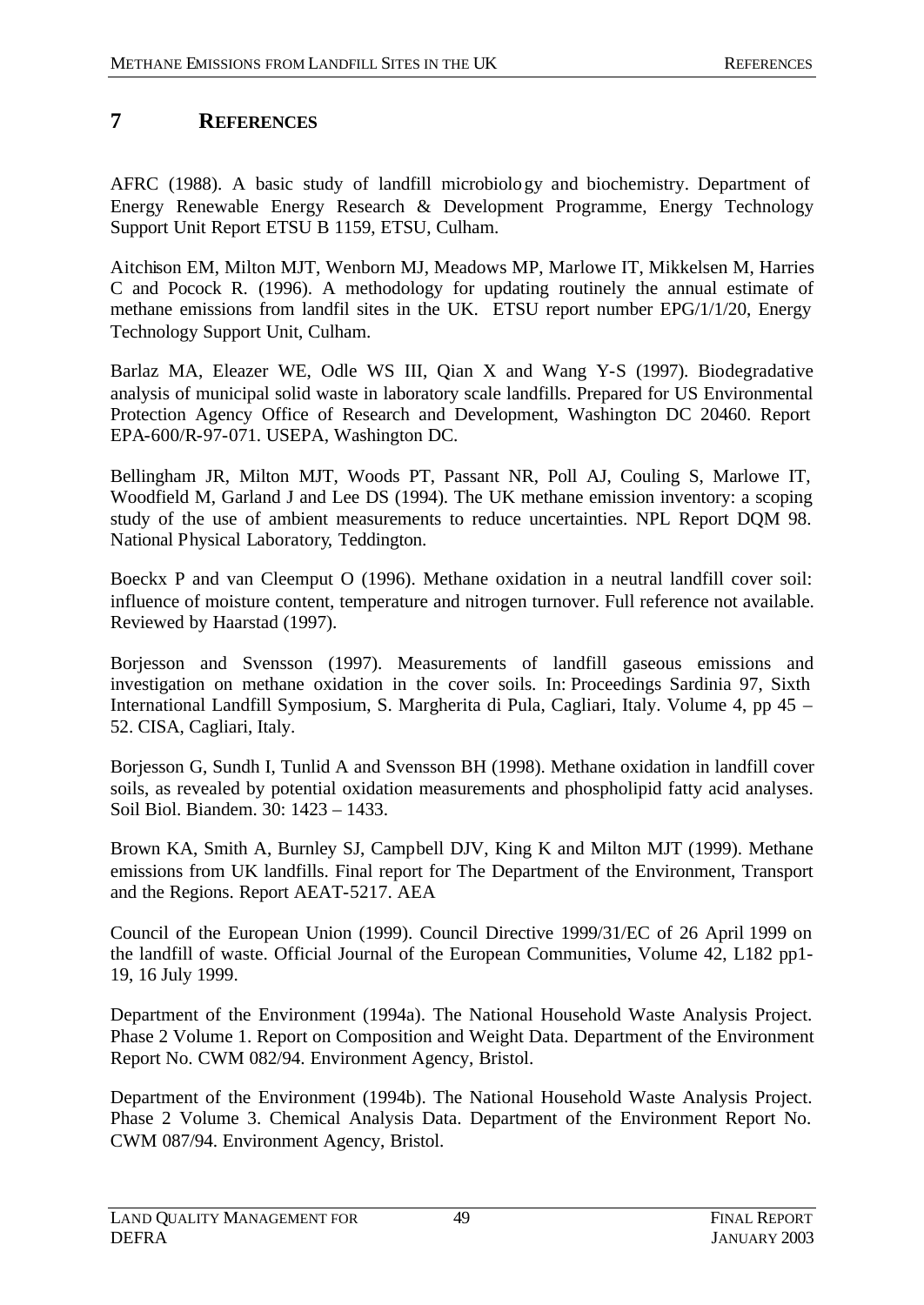# **7 REFERENCES**

AFRC (1988). A basic study of landfill microbiology and biochemistry. Department of Energy Renewable Energy Research & Development Programme, Energy Technology Support Unit Report ETSU B 1159, ETSU, Culham.

Aitchison EM, Milton MJT, Wenborn MJ, Meadows MP, Marlowe IT, Mikkelsen M, Harries C and Pocock R. (1996). A methodology for updating routinely the annual estimate of methane emissions from landfil sites in the UK. ETSU report number EPG/1/1/20, Energy Technology Support Unit, Culham.

Barlaz MA, Eleazer WE, Odle WS III, Qian X and Wang Y-S (1997). Biodegradative analysis of municipal solid waste in laboratory scale landfills. Prepared for US Environmental Protection Agency Office of Research and Development, Washington DC 20460. Report EPA-600/R-97-071. USEPA, Washington DC.

Bellingham JR, Milton MJT, Woods PT, Passant NR, Poll AJ, Couling S, Marlowe IT, Woodfield M, Garland J and Lee DS (1994). The UK methane emission inventory: a scoping study of the use of ambient measurements to reduce uncertainties. NPL Report DQM 98. National Physical Laboratory, Teddington.

Boeckx P and van Cleemput O (1996). Methane oxidation in a neutral landfill cover soil: influence of moisture content, temperature and nitrogen turnover. Full reference not available. Reviewed by Haarstad (1997).

Borjesson and Svensson (1997). Measurements of landfill gaseous emissions and investigation on methane oxidation in the cover soils. In: Proceedings Sardinia 97, Sixth International Landfill Symposium, S. Margherita di Pula, Cagliari, Italy. Volume 4, pp 45 – 52. CISA, Cagliari, Italy.

Borjesson G, Sundh I, Tunlid A and Svensson BH (1998). Methane oxidation in landfill cover soils, as revealed by potential oxidation measurements and phospholipid fatty acid analyses. Soil Biol. Biandem. 30: 1423 – 1433.

Brown KA, Smith A, Burnley SJ, Campbell DJV, King K and Milton MJT (1999). Methane emissions from UK landfills. Final report for The Department of the Environment, Transport and the Regions. Report AEAT-5217. AEA

Council of the European Union (1999). Council Directive 1999/31/EC of 26 April 1999 on the landfill of waste. Official Journal of the European Communities, Volume 42, L182 pp1- 19, 16 July 1999.

Department of the Environment (1994a). The National Household Waste Analysis Project. Phase 2 Volume 1. Report on Composition and Weight Data. Department of the Environment Report No. CWM 082/94. Environment Agency, Bristol.

Department of the Environment (1994b). The National Household Waste Analysis Project. Phase 2 Volume 3. Chemical Analysis Data. Department of the Environment Report No. CWM 087/94. Environment Agency, Bristol.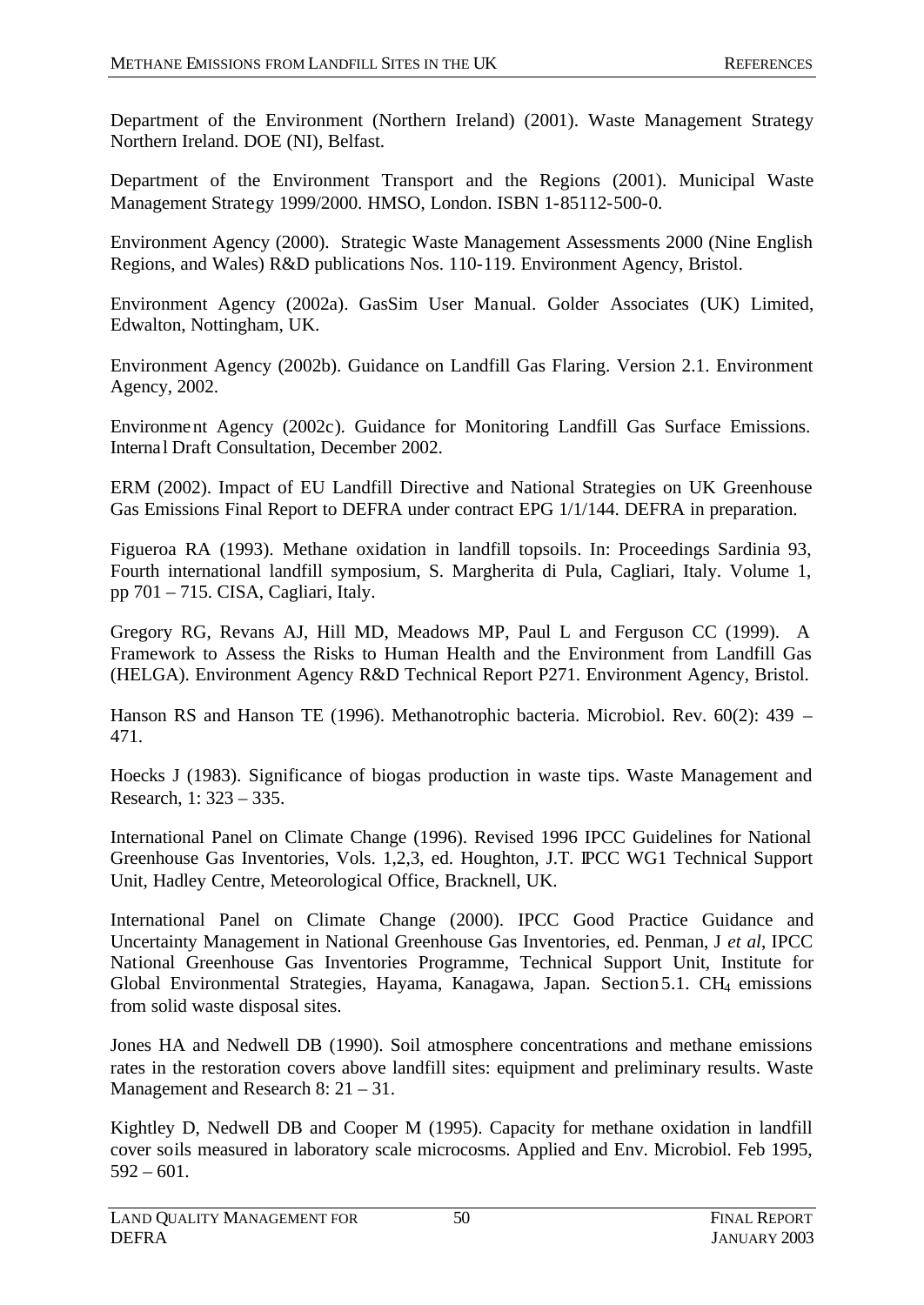Department of the Environment (Northern Ireland) (2001). Waste Management Strategy Northern Ireland. DOE (NI), Belfast.

Department of the Environment Transport and the Regions (2001). Municipal Waste Management Strategy 1999/2000. HMSO, London. ISBN 1-85112-500-0.

Environment Agency (2000). Strategic Waste Management Assessments 2000 (Nine English Regions, and Wales) R&D publications Nos. 110-119. Environment Agency, Bristol.

Environment Agency (2002a). GasSim User Manual. Golder Associates (UK) Limited, Edwalton, Nottingham, UK.

Environment Agency (2002b). Guidance on Landfill Gas Flaring. Version 2.1. Environment Agency, 2002.

Environment Agency (2002c). Guidance for Monitoring Landfill Gas Surface Emissions. Internal Draft Consultation, December 2002.

ERM (2002). Impact of EU Landfill Directive and National Strategies on UK Greenhouse Gas Emissions Final Report to DEFRA under contract EPG 1/1/144. DEFRA in preparation.

Figueroa RA (1993). Methane oxidation in landfill topsoils. In: Proceedings Sardinia 93, Fourth international landfill symposium, S. Margherita di Pula, Cagliari, Italy. Volume 1, pp 701 – 715. CISA, Cagliari, Italy.

Gregory RG, Revans AJ, Hill MD, Meadows MP, Paul L and Ferguson CC (1999). A Framework to Assess the Risks to Human Health and the Environment from Landfill Gas (HELGA). Environment Agency R&D Technical Report P271. Environment Agency, Bristol.

Hanson RS and Hanson TE (1996). Methanotrophic bacteria. Microbiol. Rev. 60(2): 439 – 471.

Hoecks J (1983). Significance of biogas production in waste tips. Waste Management and Research, 1: 323 – 335.

International Panel on Climate Change (1996). Revised 1996 IPCC Guidelines for National Greenhouse Gas Inventories, Vols. 1,2,3, ed. Houghton, J.T. IPCC WG1 Technical Support Unit, Hadley Centre, Meteorological Office, Bracknell, UK.

International Panel on Climate Change (2000). IPCC Good Practice Guidance and Uncertainty Management in National Greenhouse Gas Inventories, ed. Penman, J *et al*, IPCC National Greenhouse Gas Inventories Programme, Technical Support Unit, Institute for Global Environmental Strategies, Hayama, Kanagawa, Japan. Section 5.1. CH<sub>4</sub> emissions from solid waste disposal sites.

Jones HA and Nedwell DB (1990). Soil atmosphere concentrations and methane emissions rates in the restoration covers above landfill sites: equipment and preliminary results. Waste Management and Research 8:  $21 - 31$ .

Kightley D, Nedwell DB and Cooper M (1995). Capacity for methane oxidation in landfill cover soils measured in laboratory scale microcosms. Applied and Env. Microbiol. Feb 1995,  $592 - 601$ .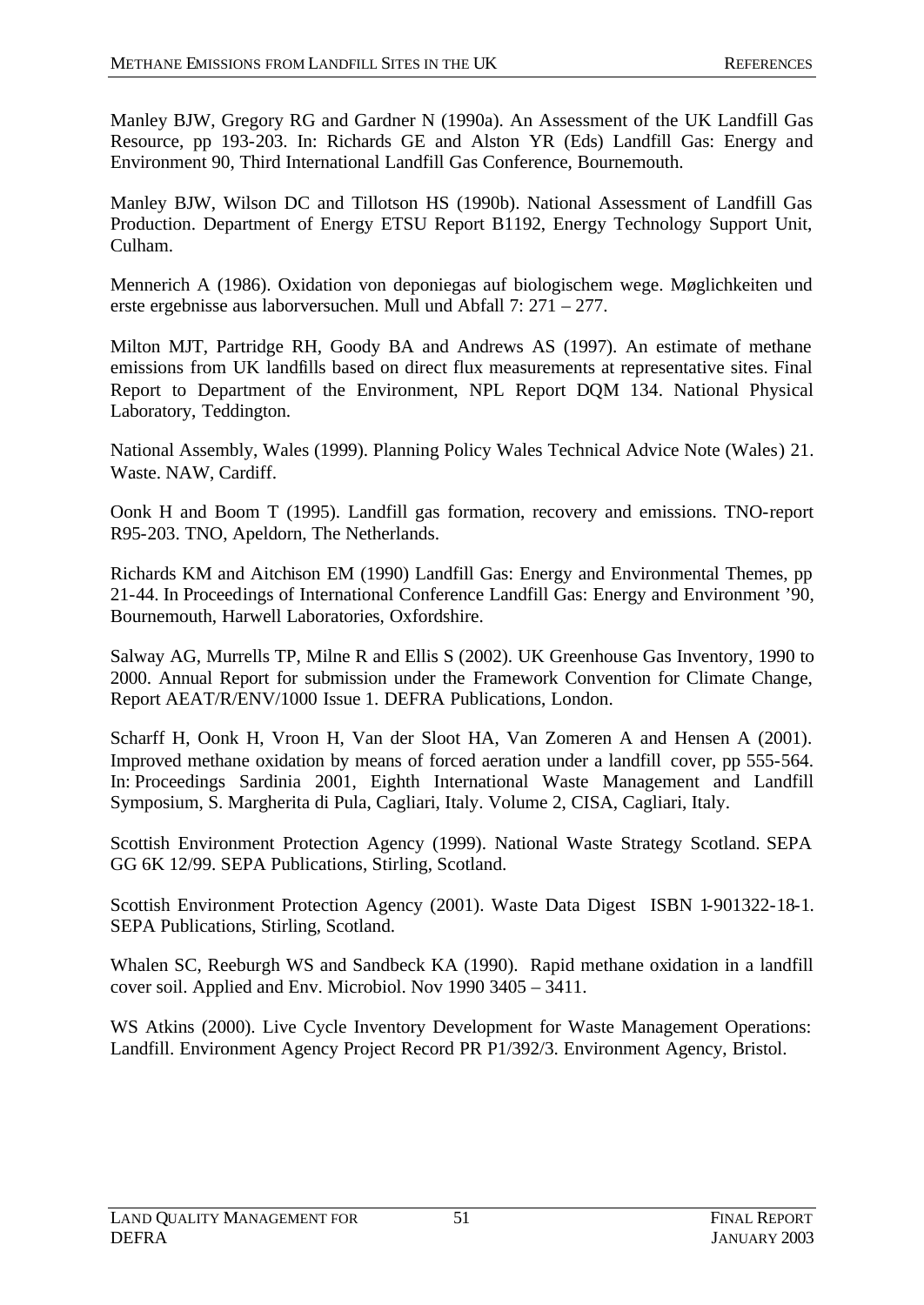Manley BJW, Gregory RG and Gardner N (1990a). An Assessment of the UK Landfill Gas Resource, pp 193-203. In: Richards GE and Alston YR (Eds) Landfill Gas: Energy and Environment 90, Third International Landfill Gas Conference, Bournemouth.

Manley BJW, Wilson DC and Tillotson HS (1990b). National Assessment of Landfill Gas Production. Department of Energy ETSU Report B1192, Energy Technology Support Unit, Culham.

Mennerich A (1986). Oxidation von deponiegas auf biologischem wege. Møglichkeiten und erste ergebnisse aus laborversuchen. Mull und Abfall 7: 271 – 277.

Milton MJT, Partridge RH, Goody BA and Andrews AS (1997). An estimate of methane emissions from UK landfills based on direct flux measurements at representative sites. Final Report to Department of the Environment, NPL Report DQM 134. National Physical Laboratory, Teddington.

National Assembly, Wales (1999). Planning Policy Wales Technical Advice Note (Wales) 21. Waste. NAW, Cardiff.

Oonk H and Boom T (1995). Landfill gas formation, recovery and emissions. TNO-report R95-203. TNO, Apeldorn, The Netherlands.

Richards KM and Aitchison EM (1990) Landfill Gas: Energy and Environmental Themes, pp 21-44. In Proceedings of International Conference Landfill Gas: Energy and Environment '90, Bournemouth, Harwell Laboratories, Oxfordshire.

Salway AG, Murrells TP, Milne R and Ellis S (2002). UK Greenhouse Gas Inventory, 1990 to 2000. Annual Report for submission under the Framework Convention for Climate Change, Report AEAT/R/ENV/1000 Issue 1. DEFRA Publications, London.

Scharff H, Oonk H, Vroon H, Van der Sloot HA, Van Zomeren A and Hensen A (2001). Improved methane oxidation by means of forced aeration under a landfill cover, pp 555-564. In: Proceedings Sardinia 2001, Eighth International Waste Management and Landfill Symposium, S. Margherita di Pula, Cagliari, Italy. Volume 2, CISA, Cagliari, Italy.

Scottish Environment Protection Agency (1999). National Waste Strategy Scotland. SEPA GG 6K 12/99. SEPA Publications, Stirling, Scotland.

Scottish Environment Protection Agency (2001). Waste Data Digest ISBN 1-901322-18-1. SEPA Publications, Stirling, Scotland.

Whalen SC, Reeburgh WS and Sandbeck KA (1990). Rapid methane oxidation in a landfill cover soil. Applied and Env. Microbiol. Nov 1990 3405 – 3411.

WS Atkins (2000). Live Cycle Inventory Development for Waste Management Operations: Landfill. Environment Agency Project Record PR P1/392/3. Environment Agency, Bristol.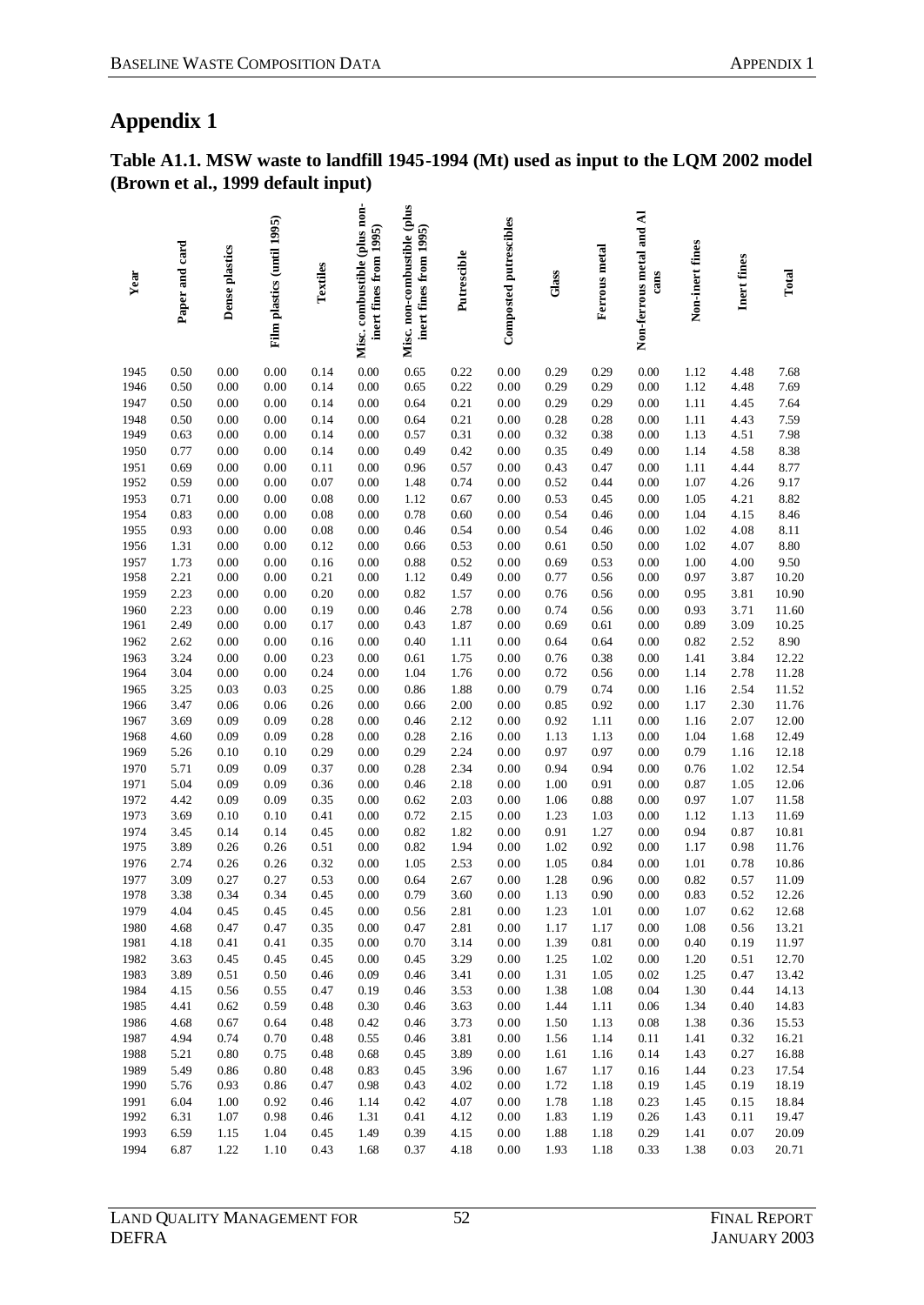# **Appendix 1**

## **Table A1.1. MSW waste to landfill 1945-1994 (Mt) used as input to the LQM 2002 model (Brown et al., 1999 default input)**

| Year                        | Paper and card | Dense plastics | Film plastics (until 1995) | Textiles     | Misc. combustible (plus non-<br>inert fines from 1995) | Misc. non-combustible (plus<br>inert fines from 1995) | Putrescible  | <b>Composted putrescibles</b> | Glass        | Ferrous metal | Non-ferrous metal and Al<br>cans | Non-inert fines  | <b>Inert</b> fines | Total               |
|-----------------------------|----------------|----------------|----------------------------|--------------|--------------------------------------------------------|-------------------------------------------------------|--------------|-------------------------------|--------------|---------------|----------------------------------|------------------|--------------------|---------------------|
| 1945                        | 0.50           | 0.00           | 0.00                       | 0.14         | $0.00\,$                                               | 0.65                                                  | 0.22         | 0.00                          | 0.29         | 0.29          | 0.00                             | 1.12             | 4.48               | 7.68                |
| 1946                        | 0.50           | 0.00           | 0.00                       | 0.14         | $0.00\,$                                               | 0.65                                                  | 0.22         | $0.00\,$                      | 0.29         | 0.29          | $0.00\,$                         | 1.12             | 4.48               | 7.69                |
| 1947                        | 0.50           | $0.00\,$       | 0.00                       | 0.14         | $0.00\,$                                               | 0.64                                                  | 0.21         | $0.00\,$                      | 0.29         | 0.29          | $0.00\,$                         | 1.11             | 4.45               | 7.64                |
| 1948                        | 0.50           | 0.00           | 0.00                       | 0.14         | 0.00                                                   | 0.64                                                  | 0.21         | 0.00                          | 0.28         | 0.28          | 0.00                             | 1.11             | 4.43               | 7.59                |
| 1949                        | 0.63           | $0.00\,$       | $0.00\,$                   | 0.14         | $0.00\,$                                               | 0.57                                                  | 0.31         | $0.00\,$                      | 0.32         | 0.38          | $0.00\,$                         | 1.13             | 4.51               | 7.98                |
| 1950                        | 0.77           | 0.00           | 0.00                       | 0.14         | $0.00\,$                                               | 0.49                                                  | 0.42         | 0.00                          | 0.35         | 0.49          | $0.00\,$                         | 1.14             | 4.58               | 8.38                |
| 1951                        | 0.69           | 0.00           | 0.00                       | 0.11         | 0.00                                                   | 0.96                                                  | 0.57         | $0.00\,$                      | 0.43         | 0.47          | 0.00                             | 1.11             | 4.44               | 8.77                |
| 1952                        | 0.59           | 0.00           | 0.00                       | 0.07         | 0.00                                                   | 1.48                                                  | 0.74         | 0.00                          | 0.52         | 0.44          | $0.00\,$                         | 1.07             | 4.26               | 9.17                |
| 1953<br>1954                | 0.71<br>0.83   | 0.00<br>0.00   | 0.00<br>0.00               | 0.08<br>0.08 | 0.00<br>0.00                                           | 1.12<br>0.78                                          | 0.67<br>0.60 | 0.00<br>$0.00\,$              | 0.53<br>0.54 | 0.45<br>0.46  | $0.00\,$<br>$0.00\,$             | 1.05<br>1.04     | 4.21<br>4.15       | 8.82<br>8.46        |
| 1955                        | 0.93           | 0.00           | 0.00                       | 0.08         | 0.00                                                   | 0.46                                                  | 0.54         | 0.00                          | 0.54         | 0.46          | $0.00\,$                         | 1.02             | 4.08               | 8.11                |
| 1956                        | 1.31           | $0.00\,$       | $0.00\,$                   | 0.12         | $0.00\,$                                               | 0.66                                                  | 0.53         | $0.00\,$                      | 0.61         | 0.50          | $0.00\,$                         | 1.02             | 4.07               | 8.80                |
| 1957                        | 1.73           | 0.00           | 0.00                       | 0.16         | 0.00                                                   | $0.88\,$                                              | 0.52         | 0.00                          | 0.69         | 0.53          | $0.00\,$                         | 1.00             | 4.00               | 9.50                |
| 1958                        | 2.21           | 0.00           | 0.00                       | 0.21         | 0.00                                                   | 1.12                                                  | 0.49         | 0.00                          | 0.77         | 0.56          | $0.00\,$                         | 0.97             | 3.87               | 10.20               |
| 1959                        | 2.23           | $0.00\,$       | $0.00\,$                   | 0.20         | $0.00\,$                                               | 0.82                                                  | 1.57         | $0.00\,$                      | 0.76         | 0.56          | $0.00\,$                         | 0.95             | 3.81               | 10.90               |
| 1960                        | 2.23           | 0.00           | 0.00                       | 0.19         | 0.00                                                   | 0.46                                                  | 2.78         | 0.00                          | 0.74         | 0.56          | 0.00                             | 0.93             | 3.71               | 11.60               |
| 1961                        | 2.49           | $0.00\,$       | 0.00                       | 0.17         | $0.00\,$                                               | 0.43                                                  | 1.87         | 0.00                          | 0.69         | 0.61          | $0.00\,$                         | 0.89             | 3.09               | 10.25               |
| 1962                        | 2.62           | $0.00\,$       | $0.00\,$                   | 0.16         | $0.00\,$                                               | 0.40                                                  | $1.11\,$     | $0.00\,$                      | 0.64         | 0.64          | $0.00\,$                         | 0.82             | 2.52               | 8.90                |
| 1963                        | 3.24           | 0.00           | $0.00\,$                   | 0.23         | 0.00                                                   | 0.61                                                  | 1.75         | 0.00                          | 0.76         | 0.38          | 0.00                             | 1.41             | 3.84               | 12.22               |
| 1964                        | 3.04           | 0.00           | 0.00                       | 0.24         | 0.00                                                   | 1.04                                                  | 1.76         | 0.00                          | 0.72         | 0.56          | $0.00\,$                         | 1.14             | 2.78               | 11.28               |
| 1965<br>1966                | 3.25<br>3.47   | 0.03<br>0.06   | 0.03<br>0.06               | 0.25<br>0.26 | $0.00\,$<br>0.00                                       | 0.86<br>0.66                                          | 1.88<br>2.00 | $0.00\,$<br>0.00              | 0.79<br>0.85 | 0.74<br>0.92  | $0.00\,$<br>0.00                 | 1.16<br>1.17     | 2.54<br>2.30       | 11.52<br>11.76      |
| 1967                        | 3.69           | 0.09           | 0.09                       | 0.28         | 0.00                                                   | 0.46                                                  | 2.12         | 0.00                          | 0.92         | 1.11          | $0.00\,$                         | 1.16             | 2.07               | 12.00               |
| 1968                        | 4.60           | 0.09           | 0.09                       | 0.28         | 0.00                                                   | 0.28                                                  | 2.16         | $0.00\,$                      | 1.13         | 1.13          | 0.00                             | 1.04             | 1.68               | 12.49               |
| 1969                        | 5.26           | 0.10           | 0.10                       | 0.29         | $0.00\,$                                               | 0.29                                                  | 2.24         | 0.00                          | 0.97         | 0.97          | $0.00\,$                         | 0.79             | 1.16               | 12.18               |
| 1970                        | 5.71           | 0.09           | 0.09                       | 0.37         | $0.00\,$                                               | 0.28                                                  | 2.34         | $0.00\,$                      | 0.94         | 0.94          | $0.00\,$                         | 0.76             | 1.02               | 12.54               |
| 1971                        | 5.04           | 0.09           | 0.09                       | 0.36         | 0.00                                                   | 0.46                                                  | 2.18         | $0.00\,$                      | 1.00         | 0.91          | 0.00                             | 0.87             | 1.05               | 12.06               |
| 1972                        | 4.42           | 0.09           | 0.09                       | 0.35         | 0.00                                                   | 0.62                                                  | 2.03         | 0.00                          | 1.06         | 0.88          | 0.00                             | 0.97             | 1.07               | 11.58               |
| 1973                        | 3.69           | $0.10\,$       | 0.10                       | 0.41         | $0.00\,$                                               | 0.72                                                  | 2.15         | $0.00\,$                      | 1.23         | 1.03          | $0.00\,$                         | 1.12             | 1.13               | 11.69               |
| 1974                        | 3.45           | 0.14           | 0.14                       | 0.45         | 0.00                                                   | 0.82                                                  | 1.82         | 0.00                          | 0.91         | 1.27          | 0.00                             | 0.94             | 0.87               | 10.81               |
| 1975<br>1976                | 3.89<br>2.74   | 0.26<br>0.26   | 0.26<br>0.26               | 0.51<br>0.32 | 0.00<br>$0.00\,$                                       | 0.82<br>1.05                                          | 1.94<br>2.53 | 0.00<br>$0.00\,$              | 1.02<br>1.05 | 0.92<br>0.84  | $0.00\,$<br>$0.00\,$             | 1.17<br>$1.01\,$ | 0.98<br>0.78       | 11.76<br>10.86      |
| 1977                        | 3.09           | 0.27           | 0.27                       | 0.53         | 0.00                                                   | 0.64                                                  | 2.67         | 0.00                          | 1.28         | 0.96          | $0.00\,$                         | 0.82             | 0.57               | 11.09               |
| 1978                        | 3.38           | 0.34           | 0.34                       | 0.45         | 0.00                                                   | 0.79                                                  | 3.60         | 0.00                          | 1.13         | 0.90          | 0.00                             | 0.83             | 0.52               | 12.26               |
| 1979                        | 4.04           | 0.45           | 0.45                       | 0.45         | $0.00\,$                                               | 0.56                                                  | 2.81         | $0.00\,$                      | 1.23         | 1.01          | $0.00\,$                         | 1.07             | 0.62               | 12.68               |
| 1980                        | 4.68           | 0.47           | 0.47                       | 0.35         | 0.00                                                   | 0.47                                                  | 2.81         | 0.00                          | 1.17         | 1.17          | 0.00                             | 1.08             | 0.56               | 13.21               |
| 1981                        | 4.18           | 0.41           | 0.41                       | 0.35         | 0.00                                                   | 0.70                                                  | 3.14         | $0.00\,$                      | 1.39         | 0.81          | $0.00\,$                         | 0.40             | 0.19               | 11.97               |
| 1982                        | 3.63           | 0.45           | 0.45                       | 0.45         | 0.00                                                   | 0.45                                                  | 3.29         | 0.00                          | 1.25         | 1.02          | 0.00                             | 1.20             | 0.51               | 12.70               |
| 1983                        | 3.89           | 0.51           | 0.50                       | 0.46         | 0.09                                                   | 0.46                                                  | 3.41         | 0.00                          | 1.31         | 1.05          | 0.02                             | 1.25             | 0.47               | 13.42               |
| 1984                        | 4.15           | 0.56           | 0.55                       | 0.47         | 0.19                                                   | 0.46                                                  | 3.53         | 0.00                          | 1.38         | 1.08          | 0.04                             | 1.30             | 0.44               | 14.13               |
| 1985<br>1986                | 4.41<br>4.68   | 0.62<br>0.67   | 0.59<br>0.64               | 0.48<br>0.48 | 0.30<br>0.42                                           | 0.46<br>0.46                                          | 3.63<br>3.73 | 0.00<br>$0.00\,$              | 1.44<br>1.50 | 1.11<br>1.13  | 0.06<br>$0.08\,$                 | 1.34<br>1.38     | 0.40<br>0.36       | 14.83<br>15.53      |
| 1987                        | 4.94           | 0.74           | 0.70                       | 0.48         | 0.55                                                   | 0.46                                                  | 3.81         | 0.00                          | 1.56         | 1.14          | 0.11                             | 1.41             | 0.32               | 16.21               |
| 1988                        | 5.21           | $0.80\,$       | 0.75                       | 0.48         | 0.68                                                   | 0.45                                                  | 3.89         | $0.00\,$                      | 1.61         | 1.16          | 0.14                             | 1.43             | 0.27               | 16.88               |
| 1989                        | 5.49           | 0.86           | 0.80                       | 0.48         | 0.83                                                   | 0.45                                                  | 3.96         | 0.00                          | 1.67         | 1.17          | 0.16                             | 1.44             | 0.23               | 17.54               |
| 1990                        | 5.76           | 0.93           | 0.86                       | 0.47         | 0.98                                                   | 0.43                                                  | 4.02         | $0.00\,$                      | 1.72         | 1.18          | 0.19                             | 1.45             | 0.19               | 18.19               |
| 1991                        | 6.04           | 1.00           | 0.92                       | 0.46         | 1.14                                                   | 0.42                                                  | 4.07         | 0.00                          | 1.78         | 1.18          | 0.23                             | 1.45             | 0.15               | 18.84               |
| 1992                        | 6.31           | 1.07           | 0.98                       | 0.46         | 1.31                                                   | 0.41                                                  | 4.12         | 0.00                          | 1.83         | 1.19          | 0.26                             | 1.43             | 0.11               | 19.47               |
| 1993                        | 6.59           | 1.15           | 1.04                       | 0.45         | 1.49                                                   | 0.39                                                  | 4.15         | $0.00\,$                      | 1.88         | 1.18          | 0.29                             | 1.41             | 0.07               | 20.09               |
| 1994                        | 6.87           | 1.22           | 1.10                       | 0.43         | 1.68                                                   | 0.37                                                  | 4.18         | 0.00                          | 1.93         | 1.18          | 0.33                             | 1.38             | 0.03               | 20.71               |
| LAND QUALITY MANAGEMENT FOR |                |                |                            |              |                                                        |                                                       | 52           |                               |              |               |                                  |                  |                    | <b>FINAL REPORT</b> |
| DEFRA                       |                |                |                            |              |                                                        |                                                       |              |                               |              |               |                                  |                  |                    | <b>JANUARY 2003</b> |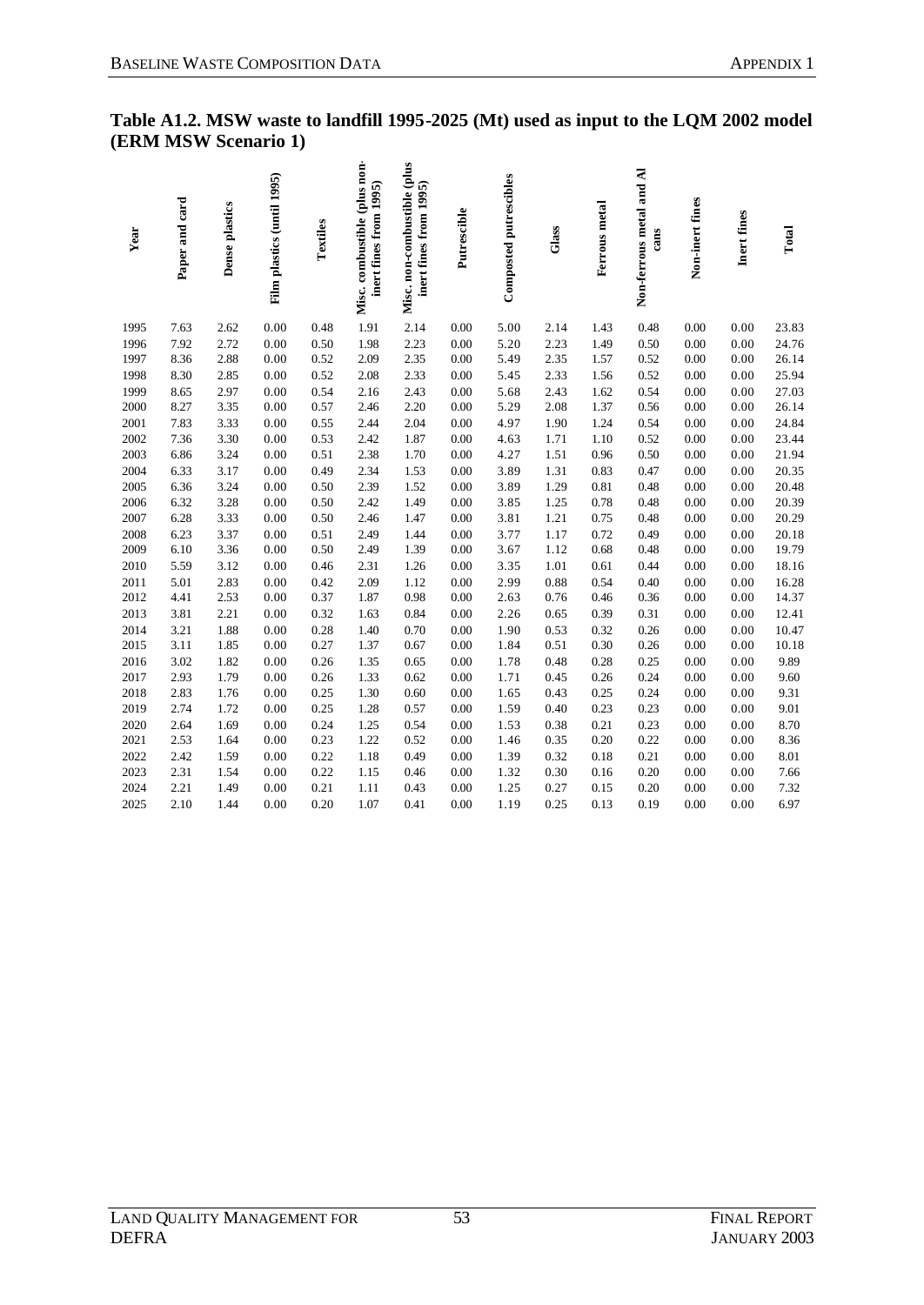## **Table A1.2. MSW waste to landfill 1995-2025 (Mt) used as input to the LQM 2002 model (ERM MSW Scenario 1)**

| Year | Paper and card | Dense plastics | Film plastics (until 1995) | Textiles | Misc. combustible (plus non-<br>inert fines from 1995) | Misc. non-combustible (plus<br>inert fines from 1995) | Putrescible | Composted putrescibles | Glass | Ferrous metal | Non-ferrous metal and Al<br>cans | Non-inert fines | Inert fines | Total |
|------|----------------|----------------|----------------------------|----------|--------------------------------------------------------|-------------------------------------------------------|-------------|------------------------|-------|---------------|----------------------------------|-----------------|-------------|-------|
| 1995 | 7.63           | 2.62           | 0.00                       | 0.48     | 1.91                                                   | 2.14                                                  | 0.00        | 5.00                   | 2.14  | 1.43          | 0.48                             | 0.00            | 0.00        | 23.83 |
| 1996 | 7.92           | 2.72           | 0.00                       | 0.50     | 1.98                                                   | 2.23                                                  | $0.00\,$    | 5.20                   | 2.23  | 1.49          | 0.50                             | 0.00            | 0.00        | 24.76 |
| 1997 | 8.36           | 2.88           | 0.00                       | 0.52     | 2.09                                                   | 2.35                                                  | $0.00\,$    | 5.49                   | 2.35  | 1.57          | 0.52                             | 0.00            | 0.00        | 26.14 |
| 1998 | 8.30           | 2.85           | 0.00                       | 0.52     | 2.08                                                   | 2.33                                                  | $0.00\,$    | 5.45                   | 2.33  | 1.56          | 0.52                             | 0.00            | 0.00        | 25.94 |
| 1999 | 8.65           | 2.97           | 0.00                       | 0.54     | 2.16                                                   | 2.43                                                  | $0.00\,$    | 5.68                   | 2.43  | 1.62          | 0.54                             | 0.00            | 0.00        | 27.03 |
| 2000 | 8.27           | 3.35           | 0.00                       | 0.57     | 2.46                                                   | 2.20                                                  | 0.00        | 5.29                   | 2.08  | 1.37          | 0.56                             | 0.00            | 0.00        | 26.14 |
| 2001 | 7.83           | 3.33           | 0.00                       | 0.55     | 2.44                                                   | 2.04                                                  | 0.00        | 4.97                   | 1.90  | 1.24          | 0.54                             | 0.00            | 0.00        | 24.84 |
| 2002 | 7.36           | 3.30           | 0.00                       | 0.53     | 2.42                                                   | 1.87                                                  | 0.00        | 4.63                   | 1.71  | 1.10          | 0.52                             | 0.00            | 0.00        | 23.44 |
| 2003 | 6.86           | 3.24           | 0.00                       | 0.51     | 2.38                                                   | 1.70                                                  | 0.00        | 4.27                   | 1.51  | 0.96          | 0.50                             | 0.00            | 0.00        | 21.94 |
| 2004 | 6.33           | 3.17           | 0.00                       | 0.49     | 2.34                                                   | 1.53                                                  | $0.00\,$    | 3.89                   | 1.31  | 0.83          | 0.47                             | 0.00            | 0.00        | 20.35 |
| 2005 | 6.36           | 3.24           | 0.00                       | 0.50     | 2.39                                                   | 1.52                                                  | 0.00        | 3.89                   | 1.29  | 0.81          | 0.48                             | 0.00            | 0.00        | 20.48 |
| 2006 | 6.32           | 3.28           | 0.00                       | 0.50     | 2.42                                                   | 1.49                                                  | 0.00        | 3.85                   | 1.25  | 0.78          | 0.48                             | 0.00            | 0.00        | 20.39 |
| 2007 | 6.28           | 3.33           | 0.00                       | 0.50     | 2.46                                                   | 1.47                                                  | 0.00        | 3.81                   | 1.21  | 0.75          | 0.48                             | 0.00            | 0.00        | 20.29 |
| 2008 | 6.23           | 3.37           | 0.00                       | 0.51     | 2.49                                                   | 1.44                                                  | $0.00\,$    | 3.77                   | 1.17  | 0.72          | 0.49                             | 0.00            | 0.00        | 20.18 |
| 2009 | 6.10           | 3.36           | 0.00                       | 0.50     | 2.49                                                   | 1.39                                                  | $0.00\,$    | 3.67                   | 1.12  | 0.68          | 0.48                             | 0.00            | 0.00        | 19.79 |
| 2010 | 5.59           | 3.12           | 0.00                       | 0.46     | 2.31                                                   | 1.26                                                  | $0.00\,$    | 3.35                   | 1.01  | 0.61          | 0.44                             | 0.00            | 0.00        | 18.16 |
| 2011 | 5.01           | 2.83           | 0.00                       | 0.42     | 2.09                                                   | 1.12                                                  | 0.00        | 2.99                   | 0.88  | 0.54          | 0.40                             | 0.00            | 0.00        | 16.28 |
| 2012 | 4.41           | 2.53           | 0.00                       | 0.37     | 1.87                                                   | 0.98                                                  | 0.00        | 2.63                   | 0.76  | 0.46          | 0.36                             | 0.00            | 0.00        | 14.37 |
| 2013 | 3.81           | 2.21           | 0.00                       | 0.32     | 1.63                                                   | 0.84                                                  | 0.00        | 2.26                   | 0.65  | 0.39          | 0.31                             | 0.00            | 0.00        | 12.41 |
| 2014 | 3.21           | 1.88           | 0.00                       | 0.28     | 1.40                                                   | 0.70                                                  | $0.00\,$    | 1.90                   | 0.53  | 0.32          | 0.26                             | 0.00            | 0.00        | 10.47 |
| 2015 | 3.11           | 1.85           | 0.00                       | 0.27     | 1.37                                                   | 0.67                                                  | 0.00        | 1.84                   | 0.51  | 0.30          | 0.26                             | 0.00            | 0.00        | 10.18 |
| 2016 | 3.02           | 1.82           | 0.00                       | 0.26     | 1.35                                                   | 0.65                                                  | $0.00\,$    | 1.78                   | 0.48  | 0.28          | 0.25                             | 0.00            | 0.00        | 9.89  |
| 2017 | 2.93           | 1.79           | 0.00                       | 0.26     | 1.33                                                   | 0.62                                                  | 0.00        | 1.71                   | 0.45  | 0.26          | 0.24                             | 0.00            | 0.00        | 9.60  |
| 2018 | 2.83           | 1.76           | 0.00                       | 0.25     | 1.30                                                   | 0.60                                                  | $0.00\,$    | 1.65                   | 0.43  | 0.25          | 0.24                             | 0.00            | 0.00        | 9.31  |
| 2019 | 2.74           | 1.72           | 0.00                       | 0.25     | 1.28                                                   | 0.57                                                  | $0.00\,$    | 1.59                   | 0.40  | 0.23          | 0.23                             | 0.00            | 0.00        | 9.01  |
| 2020 | 2.64           | 1.69           | 0.00                       | 0.24     | 1.25                                                   | 0.54                                                  | 0.00        | 1.53                   | 0.38  | 0.21          | 0.23                             | 0.00            | 0.00        | 8.70  |
| 2021 | 2.53           | 1.64           | 0.00                       | 0.23     | 1.22                                                   | 0.52                                                  | 0.00        | 1.46                   | 0.35  | 0.20          | 0.22                             | 0.00            | 0.00        | 8.36  |
| 2022 | 2.42           | 1.59           | 0.00                       | 0.22     | 1.18                                                   | 0.49                                                  | 0.00        | 1.39                   | 0.32  | 0.18          | 0.21                             | 0.00            | 0.00        | 8.01  |
| 2023 | 2.31           | 1.54           | 0.00                       | 0.22     | 1.15                                                   | 0.46                                                  | $0.00\,$    | 1.32                   | 0.30  | 0.16          | 0.20                             | 0.00            | 0.00        | 7.66  |
| 2024 | 2.21           | 1.49           | 0.00                       | 0.21     | 1.11                                                   | 0.43                                                  | $0.00\,$    | 1.25                   | 0.27  | 0.15          | 0.20                             | 0.00            | 0.00        | 7.32  |
| 2025 | 2.10           | 1.44           | 0.00                       | 0.20     | 1.07                                                   | 0.41                                                  | $0.00\,$    | 1.19                   | 0.25  | 0.13          | 0.19                             | 0.00            | 0.00        | 6.97  |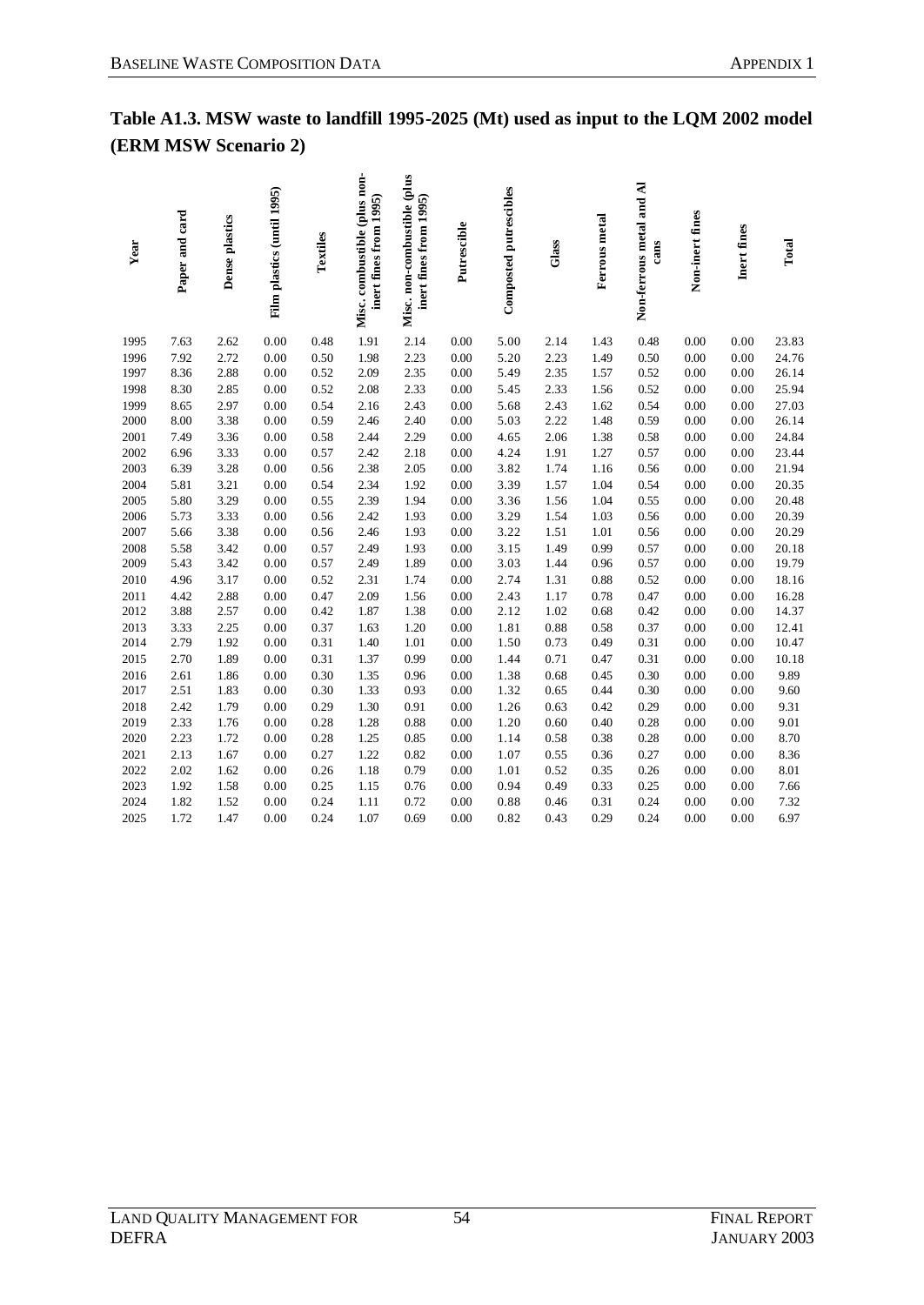| Table A1.3. MSW waste to landfill 1995-2025 (Mt) used as input to the LQM 2002 model |  |  |
|--------------------------------------------------------------------------------------|--|--|
| <b>(ERM MSW Scenario 2)</b>                                                          |  |  |

| Year | Paper and card | Dense plastics | Film plastics (until 1995) | Textiles | Misc. combustible (plus non-<br>inert fines from 1995) | Misc. non-combustible (plus<br>inert fines from 1995) | Putrescible | <b>Composted putrescibles</b> | Glass | Ferrous metal | Non-ferrous metal and Al<br>cans | Non-inert fines | Inert fines | Total    |
|------|----------------|----------------|----------------------------|----------|--------------------------------------------------------|-------------------------------------------------------|-------------|-------------------------------|-------|---------------|----------------------------------|-----------------|-------------|----------|
| 1995 | 7.63           | 2.62           | 0.00                       | 0.48     | 1.91                                                   | 2.14                                                  | 0.00        | 5.00                          | 2.14  | 1.43          | 0.48                             | 0.00            | 0.00        | 23.83    |
| 1996 | 7.92           | 2.72           | 0.00                       | 0.50     | 1.98                                                   | 2.23                                                  | $0.00\,$    | 5.20                          | 2.23  | 1.49          | 0.50                             | 0.00            | 0.00        | 24.76    |
| 1997 | 8.36           | 2.88           | 0.00                       | 0.52     | 2.09                                                   | 2.35                                                  | 0.00        | 5.49                          | 2.35  | 1.57          | 0.52                             | 0.00            | 0.00        | 26.14    |
| 1998 | 8.30           | 2.85           | 0.00                       | 0.52     | 2.08                                                   | 2.33                                                  | $0.00\,$    | 5.45                          | 2.33  | 1.56          | 0.52                             | 0.00            | 0.00        | 25.94    |
| 1999 | 8.65           | 2.97           | 0.00                       | 0.54     | 2.16                                                   | 2.43                                                  | $0.00\,$    | 5.68                          | 2.43  | 1.62          | 0.54                             | 0.00            | 0.00        | 27.03    |
| 2000 | 8.00           | 3.38           | 0.00                       | 0.59     | 2.46                                                   | 2.40                                                  | $0.00\,$    | 5.03                          | 2.22  | 1.48          | 0.59                             | 0.00            | 0.00        | 26.14    |
| 2001 | 7.49           | 3.36           | 0.00                       | 0.58     | 2.44                                                   | 2.29                                                  | $0.00\,$    | 4.65                          | 2.06  | 1.38          | 0.58                             | 0.00            | 0.00        | 24.84    |
| 2002 | 6.96           | 3.33           | 0.00                       | 0.57     | 2.42                                                   | 2.18                                                  | 0.00        | 4.24                          | 1.91  | 1.27          | 0.57                             | 0.00            | 0.00        | 23.44    |
| 2003 | 6.39           | 3.28           | 0.00                       | 0.56     | 2.38                                                   | 2.05                                                  | $0.00\,$    | 3.82                          | 1.74  | 1.16          | 0.56                             | 0.00            | 0.00        | 21.94    |
| 2004 | 5.81           | 3.21           | 0.00                       | 0.54     | 2.34                                                   | 1.92                                                  | $0.00\,$    | 3.39                          | 1.57  | 1.04          | 0.54                             | 0.00            | 0.00        | 20.35    |
| 2005 | 5.80           | 3.29           | 0.00                       | 0.55     | 2.39                                                   | 1.94                                                  | 0.00        | 3.36                          | 1.56  | 1.04          | 0.55                             | 0.00            | 0.00        | 20.48    |
| 2006 | 5.73           | 3.33           | 0.00                       | 0.56     | 2.42                                                   | 1.93                                                  | 0.00        | 3.29                          | 1.54  | 1.03          | 0.56                             | 0.00            | 0.00        | 20.39    |
| 2007 | 5.66           | 3.38           | 0.00                       | 0.56     | 2.46                                                   | 1.93                                                  | 0.00        | 3.22                          | 1.51  | 1.01          | 0.56                             | 0.00            | 0.00        | 20.29    |
| 2008 | 5.58           | 3.42           | 0.00                       | 0.57     | 2.49                                                   | 1.93                                                  | $0.00\,$    | 3.15                          | 1.49  | 0.99          | 0.57                             | 0.00            | 0.00        | 20.18    |
| 2009 | 5.43           | 3.42           | 0.00                       | 0.57     | 2.49                                                   | 1.89                                                  | $0.00\,$    | 3.03                          | 1.44  | 0.96          | 0.57                             | 0.00            | 0.00        | 19.79    |
| 2010 | 4.96           | 3.17           | 0.00                       | 0.52     | 2.31                                                   | 1.74                                                  | $0.00\,$    | 2.74                          | 1.31  | 0.88          | 0.52                             | $0.00\,$        | 0.00        | 18.16    |
| 2011 | 4.42           | 2.88           | 0.00                       | 0.47     | 2.09                                                   | 1.56                                                  | $0.00\,$    | 2.43                          | 1.17  | 0.78          | 0.47                             | 0.00            | 0.00        | 16.28    |
| 2012 | 3.88           | 2.57           | 0.00                       | 0.42     | 1.87                                                   | 1.38                                                  | 0.00        | 2.12                          | 1.02  | 0.68          | 0.42                             | 0.00            | 0.00        | 14.37    |
| 2013 | 3.33           | 2.25           | 0.00                       | 0.37     | 1.63                                                   | 1.20                                                  | $0.00\,$    | 1.81                          | 0.88  | 0.58          | 0.37                             | 0.00            | 0.00        | 12.41    |
| 2014 | 2.79           | 1.92           | 0.00                       | 0.31     | 1.40                                                   | 1.01                                                  | $0.00\,$    | 1.50                          | 0.73  | 0.49          | 0.31                             | 0.00            | 0.00        | 10.47    |
| 2015 | 2.70           | 1.89           | 0.00                       | 0.31     | 1.37                                                   | 0.99                                                  | $0.00\,$    | 1.44                          | 0.71  | 0.47          | 0.31                             | 0.00            | 0.00        | 10.18    |
| 2016 | 2.61           | 1.86           | 0.00                       | 0.30     | 1.35                                                   | 0.96                                                  | $0.00\,$    | 1.38                          | 0.68  | 0.45          | 0.30                             | 0.00            | 0.00        | 9.89     |
| 2017 | 2.51           | 1.83           | 0.00                       | 0.30     | 1.33                                                   | 0.93                                                  | $0.00\,$    | 1.32                          | 0.65  | 0.44          | 0.30                             | 0.00            | 0.00        | 9.60     |
| 2018 | 2.42           | 1.79           | 0.00                       | 0.29     | 1.30                                                   | 0.91                                                  | $0.00\,$    | 1.26                          | 0.63  | 0.42          | 0.29                             | 0.00            | 0.00        | 9.31     |
| 2019 | 2.33           | 1.76           | 0.00                       | 0.28     | 1.28                                                   | 0.88                                                  | 0.00        | 1.20                          | 0.60  | 0.40          | 0.28                             | 0.00            | 0.00        | 9.01     |
| 2020 | 2.23           | 1.72           | 0.00                       | 0.28     | 1.25                                                   | 0.85                                                  | 0.00        | 1.14                          | 0.58  | 0.38          | 0.28                             | 0.00            | 0.00        | 8.70     |
| 2021 | 2.13           | 1.67           | $0.00\,$                   | 0.27     | 1.22                                                   | 0.82                                                  | 0.00        | 1.07                          | 0.55  | 0.36          | 0.27                             | 0.00            | 0.00        | 8.36     |
| 2022 | 2.02           | 1.62           | 0.00                       | 0.26     | 1.18                                                   | 0.79                                                  | 0.00        | 1.01                          | 0.52  | 0.35          | 0.26                             | 0.00            | 0.00        | $8.01\,$ |
| 2023 | 1.92           | 1.58           | $0.00\,$                   | 0.25     | 1.15                                                   | 0.76                                                  | $0.00\,$    | 0.94                          | 0.49  | 0.33          | 0.25                             | 0.00            | 0.00        | 7.66     |
| 2024 | 1.82           | 1.52           | 0.00                       | 0.24     | 1.11                                                   | 0.72                                                  | $0.00\,$    | 0.88                          | 0.46  | 0.31          | 0.24                             | 0.00            | 0.00        | 7.32     |
| 2025 | 1.72           | 1.47           | 0.00                       | 0.24     | 1.07                                                   | 0.69                                                  | 0.00        | 0.82                          | 0.43  | 0.29          | 0.24                             | 0.00            | 0.00        | 6.97     |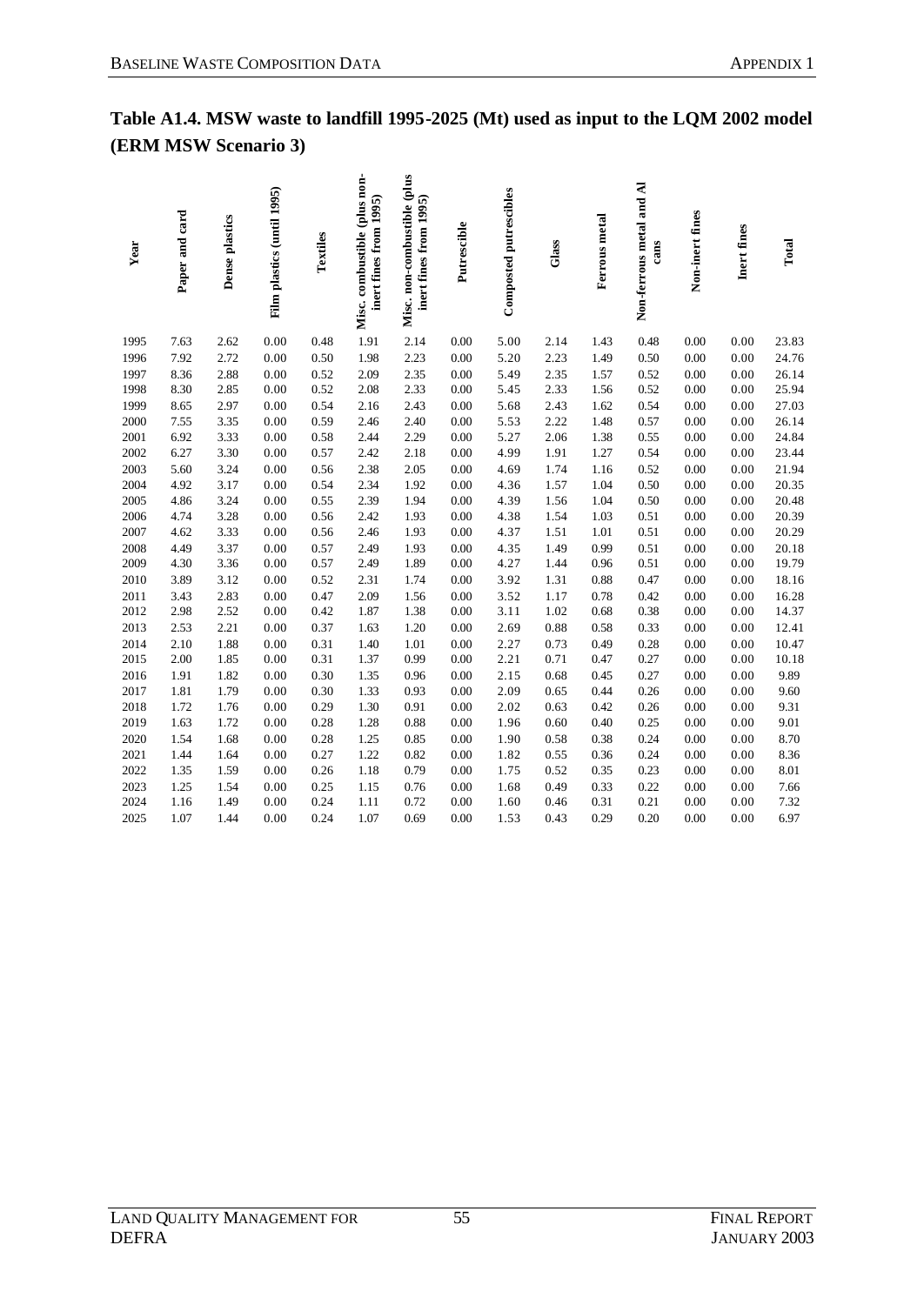| Table A1.4. MSW waste to landfill 1995-2025 (Mt) used as input to the LQM 2002 model |  |  |  |
|--------------------------------------------------------------------------------------|--|--|--|
| <b>(ERM MSW Scenario 3)</b>                                                          |  |  |  |

| Year | Paper and card | Dense plastics | Film plastics (until 1995) | Textiles | Misc. combustible (plus non-<br>inert fines from 1995) | Misc. non-combustible (plus<br>inert fines from 1995) | Putrescible | <b>Composted putrescibles</b> | Glass | Ferrous metal | Non-ferrous metal and Al<br>cans | Non-inert fines | Inert fines | Total    |
|------|----------------|----------------|----------------------------|----------|--------------------------------------------------------|-------------------------------------------------------|-------------|-------------------------------|-------|---------------|----------------------------------|-----------------|-------------|----------|
| 1995 | 7.63           | 2.62           | 0.00                       | 0.48     | 1.91                                                   | 2.14                                                  | 0.00        | 5.00                          | 2.14  | 1.43          | 0.48                             | 0.00            | 0.00        | 23.83    |
| 1996 | 7.92           | 2.72           | 0.00                       | 0.50     | 1.98                                                   | 2.23                                                  | $0.00\,$    | 5.20                          | 2.23  | 1.49          | 0.50                             | 0.00            | 0.00        | 24.76    |
| 1997 | 8.36           | 2.88           | 0.00                       | 0.52     | 2.09                                                   | 2.35                                                  | $0.00\,$    | 5.49                          | 2.35  | 1.57          | 0.52                             | 0.00            | 0.00        | 26.14    |
| 1998 | 8.30           | 2.85           | 0.00                       | 0.52     | 2.08                                                   | 2.33                                                  | 0.00        | 5.45                          | 2.33  | 1.56          | 0.52                             | 0.00            | 0.00        | 25.94    |
| 1999 | 8.65           | 2.97           | 0.00                       | 0.54     | 2.16                                                   | 2.43                                                  | $0.00\,$    | 5.68                          | 2.43  | 1.62          | 0.54                             | $0.00\,$        | 0.00        | 27.03    |
| 2000 | 7.55           | 3.35           | 0.00                       | 0.59     | 2.46                                                   | 2.40                                                  | 0.00        | 5.53                          | 2.22  | 1.48          | 0.57                             | 0.00            | 0.00        | 26.14    |
| 2001 | 6.92           | 3.33           | $0.00\,$                   | 0.58     | 2.44                                                   | 2.29                                                  | 0.00        | 5.27                          | 2.06  | 1.38          | 0.55                             | 0.00            | 0.00        | 24.84    |
| 2002 | 6.27           | 3.30           | 0.00                       | 0.57     | 2.42                                                   | 2.18                                                  | $0.00\,$    | 4.99                          | 1.91  | 1.27          | 0.54                             | 0.00            | 0.00        | 23.44    |
| 2003 | 5.60           | 3.24           | 0.00                       | 0.56     | 2.38                                                   | 2.05                                                  | $0.00\,$    | 4.69                          | 1.74  | 1.16          | 0.52                             | 0.00            | 0.00        | 21.94    |
| 2004 | 4.92           | 3.17           | 0.00                       | 0.54     | 2.34                                                   | 1.92                                                  | $0.00\,$    | 4.36                          | 1.57  | 1.04          | 0.50                             | 0.00            | 0.00        | 20.35    |
| 2005 | 4.86           | 3.24           | 0.00                       | 0.55     | 2.39                                                   | 1.94                                                  | 0.00        | 4.39                          | 1.56  | 1.04          | 0.50                             | 0.00            | 0.00        | 20.48    |
| 2006 | 4.74           | 3.28           | 0.00                       | 0.56     | 2.42                                                   | 1.93                                                  | 0.00        | 4.38                          | 1.54  | 1.03          | 0.51                             | 0.00            | 0.00        | 20.39    |
| 2007 | 4.62           | 3.33           | 0.00                       | 0.56     | 2.46                                                   | 1.93                                                  | 0.00        | 4.37                          | 1.51  | 1.01          | 0.51                             | 0.00            | 0.00        | 20.29    |
| 2008 | 4.49           | 3.37           | 0.00                       | 0.57     | 2.49                                                   | 1.93                                                  | $0.00\,$    | 4.35                          | 1.49  | 0.99          | 0.51                             | 0.00            | 0.00        | 20.18    |
| 2009 | 4.30           | 3.36           | 0.00                       | 0.57     | 2.49                                                   | 1.89                                                  | 0.00        | 4.27                          | 1.44  | 0.96          | 0.51                             | 0.00            | 0.00        | 19.79    |
| 2010 | 3.89           | 3.12           | 0.00                       | 0.52     | 2.31                                                   | 1.74                                                  | 0.00        | 3.92                          | 1.31  | 0.88          | 0.47                             | $0.00\,$        | 0.00        | 18.16    |
| 2011 | 3.43           | 2.83           | 0.00                       | 0.47     | 2.09                                                   | 1.56                                                  | 0.00        | 3.52                          | 1.17  | 0.78          | 0.42                             | 0.00            | 0.00        | 16.28    |
| 2012 | 2.98           | 2.52           | 0.00                       | 0.42     | 1.87                                                   | 1.38                                                  | 0.00        | 3.11                          | 1.02  | 0.68          | 0.38                             | 0.00            | 0.00        | 14.37    |
| 2013 | 2.53           | 2.21           | 0.00                       | 0.37     | 1.63                                                   | 1.20                                                  | 0.00        | 2.69                          | 0.88  | 0.58          | 0.33                             | 0.00            | 0.00        | 12.41    |
| 2014 | 2.10           | 1.88           | 0.00                       | 0.31     | 1.40                                                   | 1.01                                                  | $0.00\,$    | 2.27                          | 0.73  | 0.49          | 0.28                             | 0.00            | 0.00        | 10.47    |
| 2015 | 2.00           | 1.85           | 0.00                       | 0.31     | 1.37                                                   | 0.99                                                  | $0.00\,$    | 2.21                          | 0.71  | 0.47          | 0.27                             | 0.00            | 0.00        | 10.18    |
| 2016 | 1.91           | 1.82           | 0.00                       | 0.30     | 1.35                                                   | 0.96                                                  | 0.00        | 2.15                          | 0.68  | 0.45          | 0.27                             | 0.00            | 0.00        | 9.89     |
| 2017 | 1.81           | 1.79           | 0.00                       | 0.30     | 1.33                                                   | 0.93                                                  | 0.00        | 2.09                          | 0.65  | 0.44          | 0.26                             | 0.00            | 0.00        | 9.60     |
| 2018 | 1.72           | 1.76           | $0.00\,$                   | 0.29     | 1.30                                                   | 0.91                                                  | $0.00\,$    | 2.02                          | 0.63  | 0.42          | 0.26                             | 0.00            | 0.00        | 9.31     |
| 2019 | 1.63           | 1.72           | 0.00                       | 0.28     | 1.28                                                   | 0.88                                                  | $0.00\,$    | 1.96                          | 0.60  | 0.40          | 0.25                             | 0.00            | 0.00        | 9.01     |
| 2020 | 1.54           | 1.68           | 0.00                       | 0.28     | 1.25                                                   | 0.85                                                  | 0.00        | 1.90                          | 0.58  | 0.38          | 0.24                             | 0.00            | 0.00        | 8.70     |
| 2021 | 1.44           | 1.64           | 0.00                       | 0.27     | 1.22                                                   | 0.82                                                  | 0.00        | 1.82                          | 0.55  | 0.36          | 0.24                             | 0.00            | 0.00        | 8.36     |
| 2022 | 1.35           | 1.59           | $0.00\,$                   | 0.26     | 1.18                                                   | 0.79                                                  | 0.00        | 1.75                          | 0.52  | 0.35          | 0.23                             | 0.00            | 0.00        | $8.01\,$ |
| 2023 | 1.25           | 1.54           | 0.00                       | 0.25     | 1.15                                                   | 0.76                                                  | $0.00\,$    | 1.68                          | 0.49  | 0.33          | 0.22                             | 0.00            | 0.00        | 7.66     |
| 2024 | 1.16           | 1.49           | 0.00                       | 0.24     | 1.11                                                   | 0.72                                                  | 0.00        | 1.60                          | 0.46  | 0.31          | 0.21                             | 0.00            | 0.00        | 7.32     |
| 2025 | 1.07           | 1.44           | 0.00                       | 0.24     | 1.07                                                   | 0.69                                                  | 0.00        | 1.53                          | 0.43  | 0.29          | 0.20                             | 0.00            | 0.00        | 6.97     |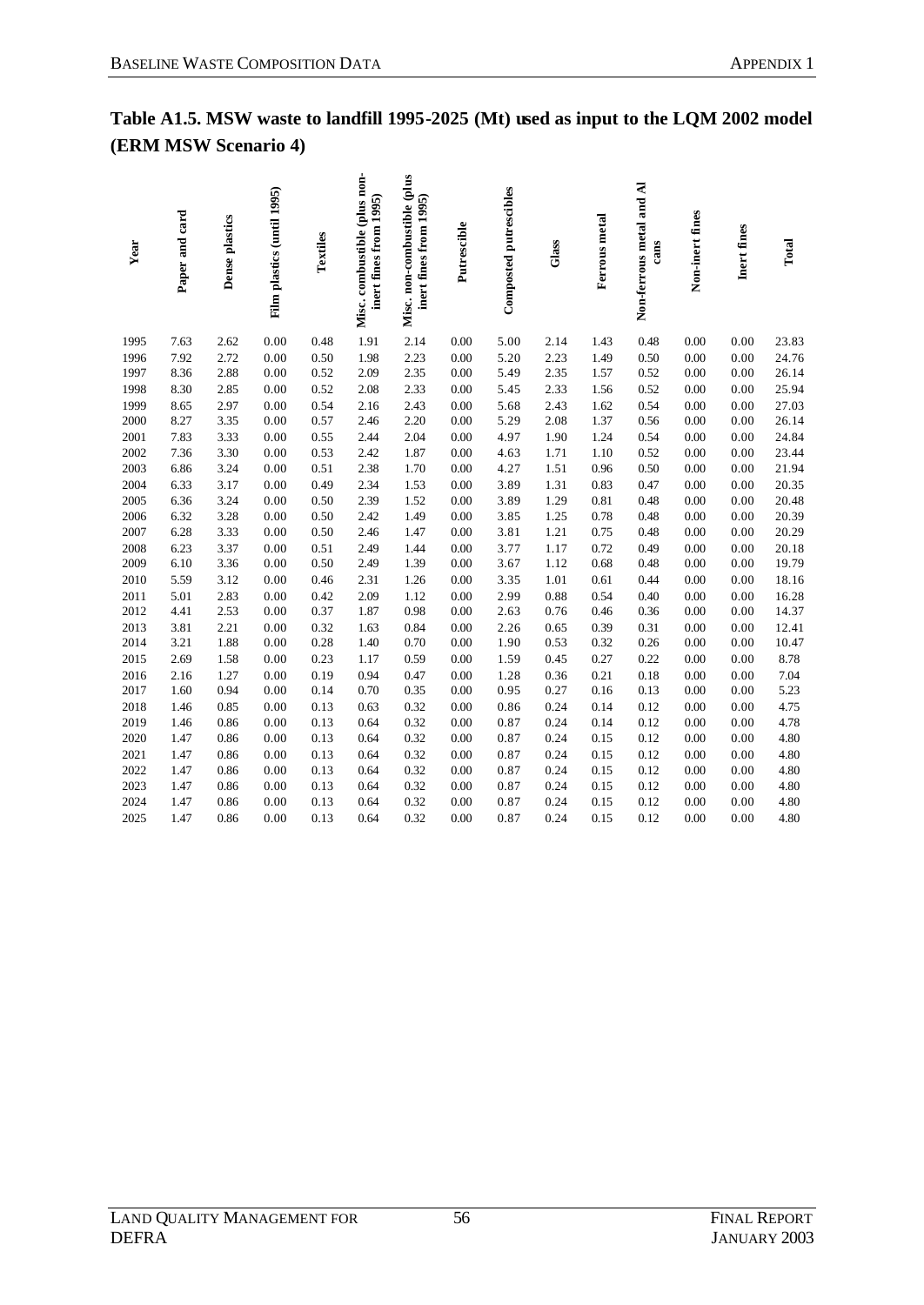| Table A1.5. MSW waste to landfill 1995-2025 (Mt) used as input to the LQM 2002 model |  |  |  |
|--------------------------------------------------------------------------------------|--|--|--|
| <b>(ERM MSW Scenario 4)</b>                                                          |  |  |  |

| Year     | Paper and card | Dense plastics | Film plastics (until 1995) | Textiles | Misc. combustible (plus non-<br>inert fines from 1995) | Misc. non-combustible (plus<br>inert fines from 1995) | Putrescible | <b>Composted putrescibles</b> | Glass | Ferrous metal | Non-ferrous metal and Al<br>cans | Non-inert fines | Inert fines | Total |
|----------|----------------|----------------|----------------------------|----------|--------------------------------------------------------|-------------------------------------------------------|-------------|-------------------------------|-------|---------------|----------------------------------|-----------------|-------------|-------|
| 1995     | 7.63           | 2.62           | 0.00                       | 0.48     | 1.91                                                   | 2.14                                                  | 0.00        | 5.00                          | 2.14  | 1.43          | 0.48                             | 0.00            | 0.00        | 23.83 |
| 1996     | 7.92           | 2.72           | 0.00                       | 0.50     | 1.98                                                   | 2.23                                                  | 0.00        | 5.20                          | 2.23  | 1.49          | 0.50                             | 0.00            | 0.00        | 24.76 |
| 1997     | 8.36           | 2.88           | 0.00                       | 0.52     | 2.09                                                   | 2.35                                                  | 0.00        | 5.49                          | 2.35  | 1.57          | 0.52                             | 0.00            | 0.00        | 26.14 |
| 1998     | 8.30           | 2.85           | 0.00                       | 0.52     | 2.08                                                   | 2.33                                                  | $0.00\,$    | 5.45                          | 2.33  | 1.56          | 0.52                             | 0.00            | 0.00        | 25.94 |
| 1999     | 8.65           | 2.97           | 0.00                       | 0.54     | 2.16                                                   | 2.43                                                  | $0.00\,$    | 5.68                          | 2.43  | 1.62          | 0.54                             | 0.00            | 0.00        | 27.03 |
| 2000     | 8.27           | 3.35           | 0.00                       | 0.57     | 2.46                                                   | 2.20                                                  | 0.00        | 5.29                          | 2.08  | 1.37          | 0.56                             | 0.00            | 0.00        | 26.14 |
| 2001     | 7.83           | 3.33           | 0.00                       | 0.55     | 2.44                                                   | 2.04                                                  | 0.00        | 4.97                          | 1.90  | 1.24          | 0.54                             | $0.00\,$        | 0.00        | 24.84 |
| 2002     | 7.36           | 3.30           | 0.00                       | 0.53     | 2.42                                                   | 1.87                                                  | $0.00\,$    | 4.63                          | 1.71  | 1.10          | 0.52                             | 0.00            | 0.00        | 23.44 |
| 2003     | 6.86           | 3.24           | $0.00\,$                   | 0.51     | 2.38                                                   | 1.70                                                  | $0.00\,$    | 4.27                          | 1.51  | 0.96          | 0.50                             | 0.00            | $0.00\,$    | 21.94 |
| 2004     | 6.33           | 3.17           | 0.00                       | 0.49     | 2.34                                                   | 1.53                                                  | $0.00\,$    | 3.89                          | 1.31  | 0.83          | 0.47                             | 0.00            | 0.00        | 20.35 |
| 2005     | 6.36           | 3.24           | 0.00                       | 0.50     | 2.39                                                   | 1.52                                                  | 0.00        | 3.89                          | 1.29  | 0.81          | 0.48                             | 0.00            | 0.00        | 20.48 |
| 2006     | 6.32           | 3.28           | 0.00                       | 0.50     | 2.42                                                   | 1.49                                                  | 0.00        | 3.85                          | 1.25  | 0.78          | 0.48                             | 0.00            | 0.00        | 20.39 |
| 2007     | 6.28           | 3.33           | 0.00                       | 0.50     | 2.46                                                   | 1.47                                                  | 0.00        | 3.81                          | 1.21  | 0.75          | 0.48                             | 0.00            | 0.00        | 20.29 |
| 2008     | 6.23           | 3.37           | 0.00                       | 0.51     | 2.49                                                   | 1.44                                                  | $0.00\,$    | 3.77                          | 1.17  | 0.72          | 0.49                             | 0.00            | 0.00        | 20.18 |
| 2009     | 6.10           | 3.36           | 0.00                       | 0.50     | 2.49                                                   | 1.39                                                  | $0.00\,$    | 3.67                          | 1.12  | 0.68          | 0.48                             | 0.00            | 0.00        | 19.79 |
| 2010     | 5.59           | 3.12           | 0.00                       | 0.46     | 2.31                                                   | 1.26                                                  | 0.00        | 3.35                          | 1.01  | 0.61          | 0.44                             | 0.00            | 0.00        | 18.16 |
| 2011     | 5.01           | 2.83           | 0.00                       | 0.42     | 2.09                                                   | 1.12                                                  | 0.00        | 2.99                          | 0.88  | 0.54          | 0.40                             | 0.00            | 0.00        | 16.28 |
| 2012     | 4.41           | 2.53           | 0.00                       | 0.37     | 1.87                                                   | 0.98                                                  | 0.00        | 2.63                          | 0.76  | 0.46          | 0.36                             | 0.00            | 0.00        | 14.37 |
| 2013     | 3.81           | 2.21           | 0.00                       | 0.32     | 1.63                                                   | 0.84                                                  | 0.00        | 2.26                          | 0.65  | 0.39          | 0.31                             | 0.00            | 0.00        | 12.41 |
| 2014     | 3.21           | 1.88           | 0.00                       | 0.28     | 1.40                                                   | 0.70                                                  | 0.00        | 1.90                          | 0.53  | 0.32          | 0.26                             | 0.00            | 0.00        | 10.47 |
| 2015     | 2.69           | 1.58           | 0.00                       | 0.23     | 1.17                                                   | 0.59                                                  | 0.00        | 1.59                          | 0.45  | 0.27          | 0.22                             | 0.00            | 0.00        | 8.78  |
| 2016     | 2.16           | 1.27           | 0.00                       | 0.19     | 0.94                                                   | 0.47                                                  | $0.00\,$    | 1.28                          | 0.36  | 0.21          | 0.18                             | $0.00\,$        | 0.00        | 7.04  |
| 2017     | 1.60           | 0.94           | 0.00                       | 0.14     | 0.70                                                   | 0.35                                                  | $0.00\,$    | 0.95                          | 0.27  | 0.16          | 0.13                             | 0.00            | 0.00        | 5.23  |
| $2018\,$ | 1.46           | 0.85           | 0.00                       | 0.13     | 0.63                                                   | 0.32                                                  | $0.00\,$    | 0.86                          | 0.24  | 0.14          | 0.12                             | 0.00            | 0.00        | 4.75  |
| 2019     | 1.46           | 0.86           | 0.00                       | 0.13     | 0.64                                                   | 0.32                                                  | 0.00        | 0.87                          | 0.24  | 0.14          | 0.12                             | 0.00            | 0.00        | 4.78  |
| 2020     | 1.47           | 0.86           | 0.00                       | 0.13     | 0.64                                                   | 0.32                                                  | 0.00        | 0.87                          | 0.24  | 0.15          | 0.12                             | 0.00            | 0.00        | 4.80  |
| 2021     | 1.47           | 0.86           | 0.00                       | 0.13     | 0.64                                                   | 0.32                                                  | 0.00        | 0.87                          | 0.24  | 0.15          | 0.12                             | 0.00            | 0.00        | 4.80  |
| 2022     | 1.47           | 0.86           | 0.00                       | 0.13     | 0.64                                                   | 0.32                                                  | 0.00        | 0.87                          | 0.24  | 0.15          | 0.12                             | 0.00            | 0.00        | 4.80  |
| 2023     | 1.47           | 0.86           | 0.00                       | 0.13     | 0.64                                                   | 0.32                                                  | 0.00        | 0.87                          | 0.24  | 0.15          | 0.12                             | 0.00            | 0.00        | 4.80  |
| 2024     | 1.47           | 0.86           | 0.00                       | 0.13     | 0.64                                                   | 0.32                                                  | 0.00        | 0.87                          | 0.24  | 0.15          | 0.12                             | 0.00            | 0.00        | 4.80  |
| 2025     | 1.47           | 0.86           | 0.00                       | 0.13     | 0.64                                                   | 0.32                                                  | $0.00\,$    | 0.87                          | 0.24  | 0.15          | 0.12                             | 0.00            | 0.00        | 4.80  |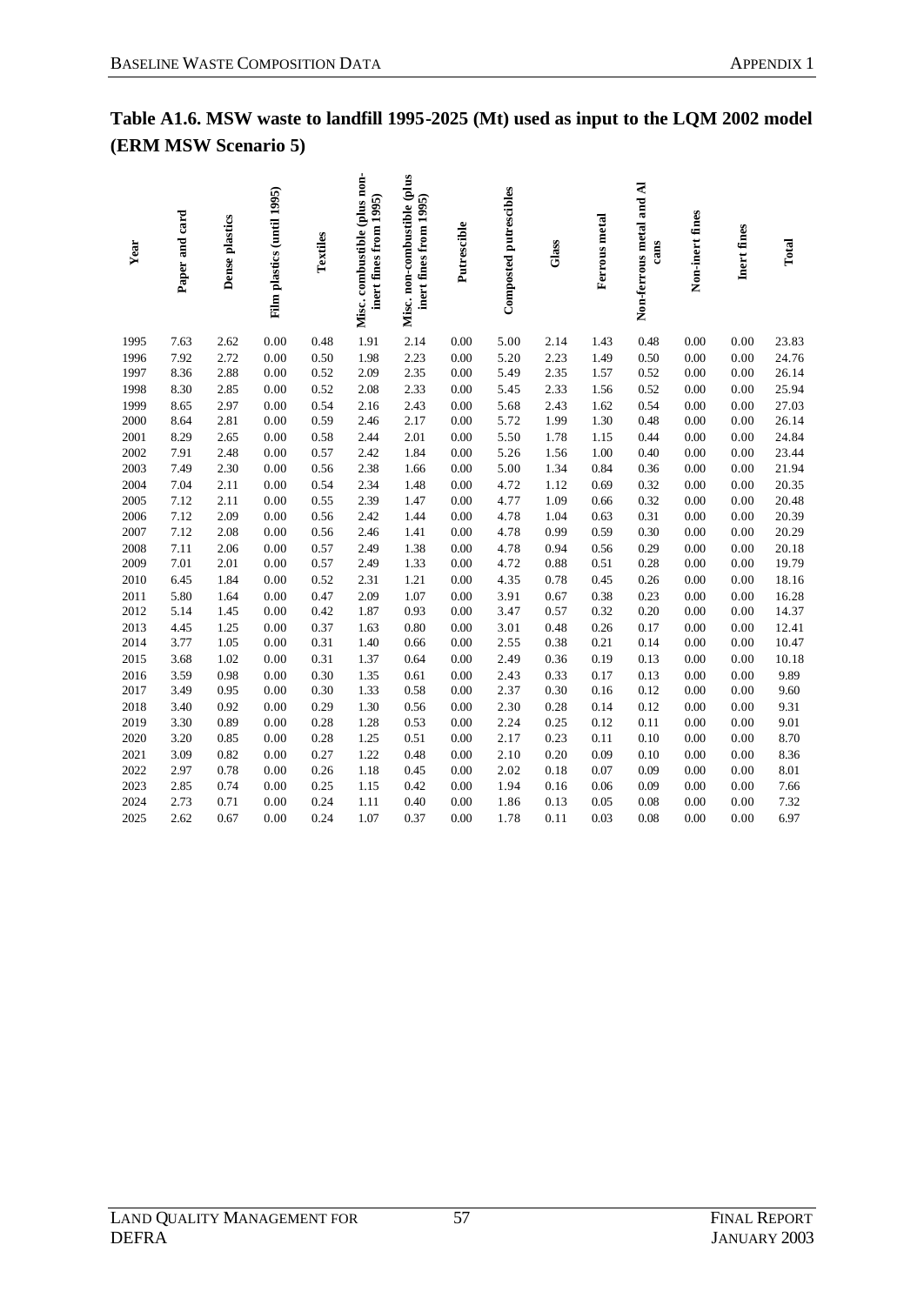# **Table A1.6. MSW waste to landfill 1995-2025 (Mt) used as input to the LQM 2002 model (ERM MSW Scenario 5)**

| Year | Paper and card | Dense plastics | Film plastics (until 1995) | Textiles | Misc. combustible (plus non-<br>inert fines from 1995) | Misc. non-combustible (plus<br>inert fines from 1995) | Putrescible | <b>Composted putrescibles</b> | Glass | Ferrous metal | Non-ferrous metal and Al<br>cans | Non-inert fines | Inert fines | Total |
|------|----------------|----------------|----------------------------|----------|--------------------------------------------------------|-------------------------------------------------------|-------------|-------------------------------|-------|---------------|----------------------------------|-----------------|-------------|-------|
| 1995 | 7.63           | 2.62           | 0.00                       | 0.48     | 1.91                                                   | 2.14                                                  | 0.00        | 5.00                          | 2.14  | 1.43          | 0.48                             | 0.00            | 0.00        | 23.83 |
| 1996 | 7.92           | 2.72           | 0.00                       | 0.50     | 1.98                                                   | 2.23                                                  | 0.00        | 5.20                          | 2.23  | 1.49          | 0.50                             | 0.00            | 0.00        | 24.76 |
| 1997 | 8.36           | 2.88           | 0.00                       | 0.52     | 2.09                                                   | 2.35                                                  | 0.00        | 5.49                          | 2.35  | 1.57          | 0.52                             | 0.00            | 0.00        | 26.14 |
| 1998 | 8.30           | 2.85           | 0.00                       | 0.52     | 2.08                                                   | 2.33                                                  | $0.00\,$    | 5.45                          | 2.33  | 1.56          | 0.52                             | 0.00            | 0.00        | 25.94 |
| 1999 | 8.65           | 2.97           | 0.00                       | 0.54     | 2.16                                                   | 2.43                                                  | 0.00        | 5.68                          | 2.43  | 1.62          | 0.54                             | 0.00            | 0.00        | 27.03 |
| 2000 | 8.64           | 2.81           | 0.00                       | 0.59     | 2.46                                                   | 2.17                                                  | 0.00        | 5.72                          | 1.99  | 1.30          | 0.48                             | 0.00            | 0.00        | 26.14 |
| 2001 | 8.29           | 2.65           | 0.00                       | 0.58     | 2.44                                                   | 2.01                                                  | $0.00\,$    | 5.50                          | 1.78  | 1.15          | 0.44                             | 0.00            | 0.00        | 24.84 |
| 2002 | 7.91           | 2.48           | 0.00                       | 0.57     | 2.42                                                   | 1.84                                                  | $0.00\,$    | 5.26                          | 1.56  | 1.00          | 0.40                             | 0.00            | 0.00        | 23.44 |
| 2003 | 7.49           | 2.30           | 0.00                       | 0.56     | 2.38                                                   | 1.66                                                  | $0.00\,$    | 5.00                          | 1.34  | 0.84          | 0.36                             | 0.00            | 0.00        | 21.94 |
| 2004 | 7.04           | 2.11           | 0.00                       | 0.54     | 2.34                                                   | 1.48                                                  | $0.00\,$    | 4.72                          | 1.12  | 0.69          | 0.32                             | 0.00            | 0.00        | 20.35 |
| 2005 | 7.12           | 2.11           | 0.00                       | 0.55     | 2.39                                                   | 1.47                                                  | 0.00        | 4.77                          | 1.09  | 0.66          | 0.32                             | 0.00            | 0.00        | 20.48 |
| 2006 | 7.12           | 2.09           | 0.00                       | 0.56     | 2.42                                                   | 1.44                                                  | $0.00\,$    | 4.78                          | 1.04  | 0.63          | 0.31                             | 0.00            | 0.00        | 20.39 |
| 2007 | 7.12           | 2.08           | 0.00                       | 0.56     | 2.46                                                   | 1.41                                                  | $0.00\,$    | 4.78                          | 0.99  | 0.59          | 0.30                             | 0.00            | 0.00        | 20.29 |
| 2008 | 7.11           | 2.06           | 0.00                       | 0.57     | 2.49                                                   | 1.38                                                  | 0.00        | 4.78                          | 0.94  | 0.56          | 0.29                             | 0.00            | 0.00        | 20.18 |
| 2009 | 7.01           | 2.01           | 0.00                       | 0.57     | 2.49                                                   | 1.33                                                  | $0.00\,$    | 4.72                          | 0.88  | 0.51          | 0.28                             | 0.00            | 0.00        | 19.79 |
| 2010 | 6.45           | 1.84           | 0.00                       | 0.52     | 2.31                                                   | 1.21                                                  | 0.00        | 4.35                          | 0.78  | 0.45          | 0.26                             | 0.00            | 0.00        | 18.16 |
| 2011 | 5.80           | 1.64           | 0.00                       | 0.47     | 2.09                                                   | 1.07                                                  | 0.00        | 3.91                          | 0.67  | 0.38          | 0.23                             | 0.00            | 0.00        | 16.28 |
| 2012 | 5.14           | 1.45           | $0.00\,$                   | 0.42     | 1.87                                                   | 0.93                                                  | 0.00        | 3.47                          | 0.57  | 0.32          | 0.20                             | 0.00            | 0.00        | 14.37 |
| 2013 | 4.45           | 1.25           | 0.00                       | 0.37     | 1.63                                                   | 0.80                                                  | $0.00\,$    | 3.01                          | 0.48  | 0.26          | 0.17                             | 0.00            | 0.00        | 12.41 |
| 2014 | 3.77           | 1.05           | 0.00                       | 0.31     | 1.40                                                   | 0.66                                                  | 0.00        | 2.55                          | 0.38  | 0.21          | 0.14                             | 0.00            | 0.00        | 10.47 |
| 2015 | 3.68           | 1.02           | 0.00                       | 0.31     | 1.37                                                   | 0.64                                                  | 0.00        | 2.49                          | 0.36  | 0.19          | 0.13                             | 0.00            | 0.00        | 10.18 |
| 2016 | 3.59           | 0.98           | 0.00                       | 0.30     | 1.35                                                   | 0.61                                                  | $0.00\,$    | 2.43                          | 0.33  | 0.17          | 0.13                             | 0.00            | 0.00        | 9.89  |
| 2017 | 3.49           | 0.95           | 0.00                       | 0.30     | 1.33                                                   | 0.58                                                  | 0.00        | 2.37                          | 0.30  | 0.16          | 0.12                             | 0.00            | 0.00        | 9.60  |
| 2018 | 3.40           | 0.92           | 0.00                       | 0.29     | 1.30                                                   | 0.56                                                  | $0.00\,$    | 2.30                          | 0.28  | 0.14          | 0.12                             | 0.00            | 0.00        | 9.31  |
| 2019 | 3.30           | 0.89           | 0.00                       | 0.28     | 1.28                                                   | 0.53                                                  | $0.00\,$    | 2.24                          | 0.25  | 0.12          | 0.11                             | 0.00            | 0.00        | 9.01  |
| 2020 | 3.20           | 0.85           | 0.00                       | 0.28     | 1.25                                                   | 0.51                                                  | 0.00        | 2.17                          | 0.23  | 0.11          | 0.10                             | 0.00            | 0.00        | 8.70  |
| 2021 | 3.09           | 0.82           | 0.00                       | 0.27     | 1.22                                                   | 0.48                                                  | $0.00\,$    | 2.10                          | 0.20  | 0.09          | 0.10                             | 0.00            | 0.00        | 8.36  |
| 2022 | 2.97           | 0.78           | 0.00                       | 0.26     | 1.18                                                   | 0.45                                                  | 0.00        | 2.02                          | 0.18  | 0.07          | 0.09                             | 0.00            | 0.00        | 8.01  |
| 2023 | 2.85           | 0.74           | 0.00                       | 0.25     | 1.15                                                   | 0.42                                                  | 0.00        | 1.94                          | 0.16  | 0.06          | 0.09                             | 0.00            | 0.00        | 7.66  |
| 2024 | 2.73           | 0.71           | 0.00                       | 0.24     | 1.11                                                   | 0.40                                                  | 0.00        | 1.86                          | 0.13  | 0.05          | 0.08                             | 0.00            | 0.00        | 7.32  |
| 2025 | 2.62           | 0.67           | 0.00                       | 0.24     | 1.07                                                   | 0.37                                                  | 0.00        | 1.78                          | 0.11  | 0.03          | 0.08                             | 0.00            | 0.00        | 6.97  |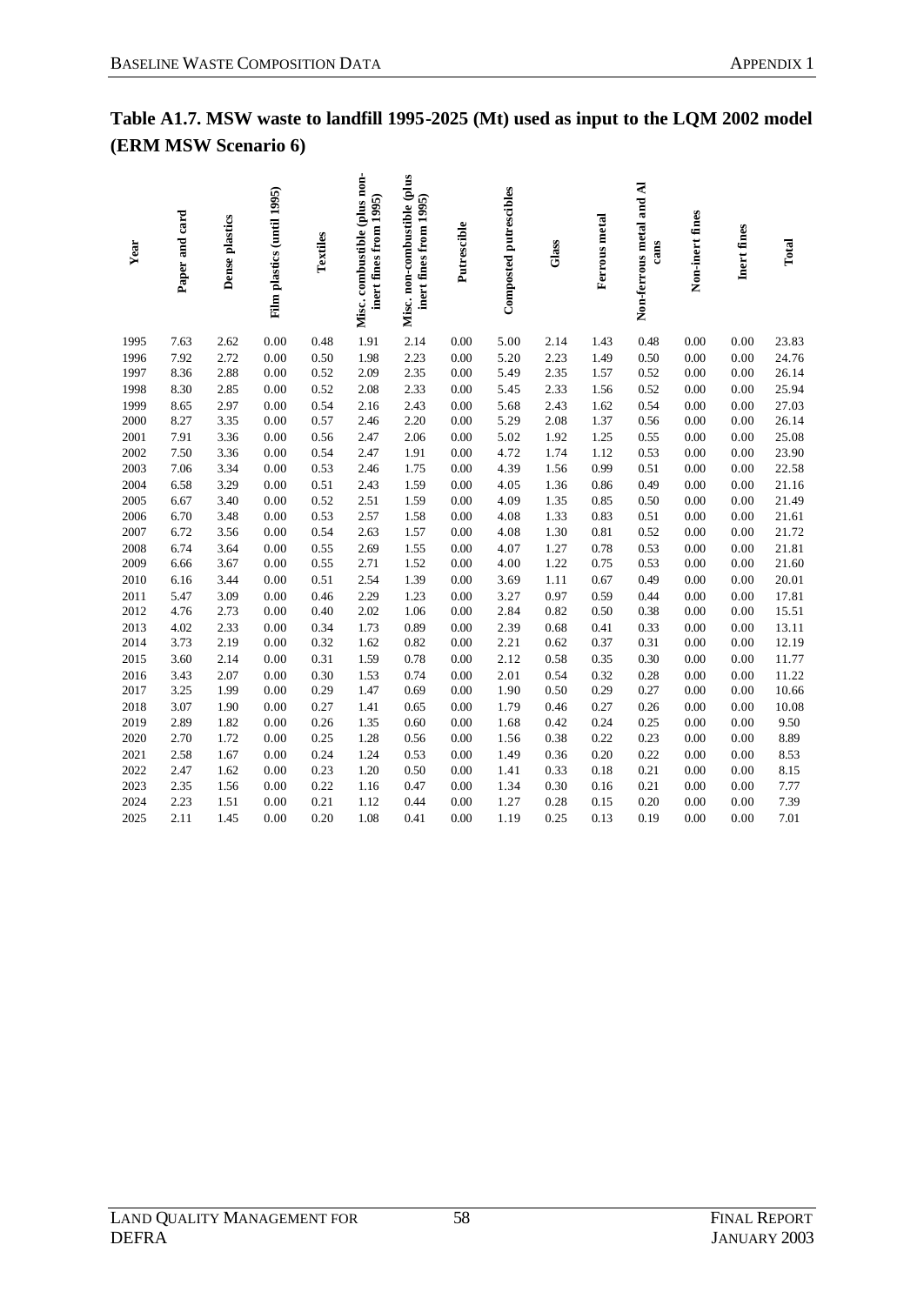| Table A1.7. MSW waste to landfill 1995-2025 (Mt) used as input to the LQM 2002 model |  |  |  |
|--------------------------------------------------------------------------------------|--|--|--|
| <b>(ERM MSW Scenario 6)</b>                                                          |  |  |  |

| Year | Paper and card | Dense plastics | Film plastics (until 1995) | Textiles | Misc. combustible (plus non-<br>inert fines from 1995) | Misc. non-combustible (plus<br>inert fines from 1995) | Putrescible | <b>Composted putrescibles</b> | Glass | Ferrous metal | Non-ferrous metal and Al<br>cans | Non-inert fines | Inert fines | Total |
|------|----------------|----------------|----------------------------|----------|--------------------------------------------------------|-------------------------------------------------------|-------------|-------------------------------|-------|---------------|----------------------------------|-----------------|-------------|-------|
| 1995 | 7.63           | 2.62           | 0.00                       | 0.48     | 1.91                                                   | 2.14                                                  | 0.00        | 5.00                          | 2.14  | 1.43          | 0.48                             | 0.00            | 0.00        | 23.83 |
| 1996 | 7.92           | 2.72           | 0.00                       | 0.50     | 1.98                                                   | 2.23                                                  | 0.00        | 5.20                          | 2.23  | 1.49          | 0.50                             | 0.00            | 0.00        | 24.76 |
| 1997 | 8.36           | 2.88           | 0.00                       | 0.52     | 2.09                                                   | 2.35                                                  | 0.00        | 5.49                          | 2.35  | 1.57          | 0.52                             | 0.00            | 0.00        | 26.14 |
| 1998 | 8.30           | 2.85           | 0.00                       | 0.52     | 2.08                                                   | 2.33                                                  | $0.00\,$    | 5.45                          | 2.33  | 1.56          | 0.52                             | 0.00            | 0.00        | 25.94 |
| 1999 | 8.65           | 2.97           | 0.00                       | 0.54     | 2.16                                                   | 2.43                                                  | $0.00\,$    | 5.68                          | 2.43  | 1.62          | 0.54                             | 0.00            | 0.00        | 27.03 |
| 2000 | 8.27           | 3.35           | 0.00                       | 0.57     | 2.46                                                   | 2.20                                                  | 0.00        | 5.29                          | 2.08  | 1.37          | 0.56                             | 0.00            | 0.00        | 26.14 |
| 2001 | 7.91           | 3.36           | 0.00                       | 0.56     | 2.47                                                   | 2.06                                                  | $0.00\,$    | 5.02                          | 1.92  | 1.25          | 0.55                             | 0.00            | 0.00        | 25.08 |
| 2002 | 7.50           | 3.36           | 0.00                       | 0.54     | 2.47                                                   | 1.91                                                  | $0.00\,$    | 4.72                          | 1.74  | 1.12          | 0.53                             | 0.00            | 0.00        | 23.90 |
| 2003 | 7.06           | 3.34           | 0.00                       | 0.53     | 2.46                                                   | 1.75                                                  | $0.00\,$    | 4.39                          | 1.56  | 0.99          | 0.51                             | 0.00            | 0.00        | 22.58 |
| 2004 | 6.58           | 3.29           | 0.00                       | 0.51     | 2.43                                                   | 1.59                                                  | $0.00\,$    | 4.05                          | 1.36  | 0.86          | 0.49                             | 0.00            | 0.00        | 21.16 |
| 2005 | 6.67           | 3.40           | 0.00                       | 0.52     | 2.51                                                   | 1.59                                                  | 0.00        | 4.09                          | 1.35  | 0.85          | 0.50                             | 0.00            | 0.00        | 21.49 |
| 2006 | 6.70           | 3.48           | 0.00                       | 0.53     | 2.57                                                   | 1.58                                                  | 0.00        | 4.08                          | 1.33  | 0.83          | 0.51                             | 0.00            | 0.00        | 21.61 |
| 2007 | 6.72           | 3.56           | 0.00                       | 0.54     | 2.63                                                   | 1.57                                                  | 0.00        | 4.08                          | 1.30  | 0.81          | 0.52                             | 0.00            | 0.00        | 21.72 |
| 2008 | 6.74           | 3.64           | 0.00                       | 0.55     | 2.69                                                   | 1.55                                                  | 0.00        | 4.07                          | 1.27  | 0.78          | 0.53                             | 0.00            | 0.00        | 21.81 |
| 2009 | 6.66           | 3.67           | 0.00                       | 0.55     | 2.71                                                   | 1.52                                                  | $0.00\,$    | 4.00                          | 1.22  | 0.75          | 0.53                             | 0.00            | 0.00        | 21.60 |
| 2010 | 6.16           | 3.44           | 0.00                       | 0.51     | 2.54                                                   | 1.39                                                  | 0.00        | 3.69                          | 1.11  | 0.67          | 0.49                             | 0.00            | 0.00        | 20.01 |
| 2011 | 5.47           | 3.09           | 0.00                       | 0.46     | 2.29                                                   | 1.23                                                  | $0.00\,$    | 3.27                          | 0.97  | 0.59          | 0.44                             | 0.00            | 0.00        | 17.81 |
| 2012 | 4.76           | 2.73           | 0.00                       | 0.40     | 2.02                                                   | 1.06                                                  | $0.00\,$    | 2.84                          | 0.82  | 0.50          | 0.38                             | 0.00            | 0.00        | 15.51 |
| 2013 | 4.02           | 2.33           | 0.00                       | 0.34     | 1.73                                                   | 0.89                                                  | $0.00\,$    | 2.39                          | 0.68  | 0.41          | 0.33                             | 0.00            | 0.00        | 13.11 |
| 2014 | 3.73           | 2.19           | 0.00                       | 0.32     | 1.62                                                   | 0.82                                                  | 0.00        | 2.21                          | 0.62  | 0.37          | 0.31                             | 0.00            | 0.00        | 12.19 |
| 2015 | 3.60           | 2.14           | 0.00                       | 0.31     | 1.59                                                   | 0.78                                                  | 0.00        | 2.12                          | 0.58  | 0.35          | 0.30                             | 0.00            | 0.00        | 11.77 |
| 2016 | 3.43           | 2.07           | 0.00                       | 0.30     | 1.53                                                   | 0.74                                                  | $0.00\,$    | 2.01                          | 0.54  | 0.32          | 0.28                             | 0.00            | 0.00        | 11.22 |
| 2017 | 3.25           | 1.99           | 0.00                       | 0.29     | 1.47                                                   | 0.69                                                  | 0.00        | 1.90                          | 0.50  | 0.29          | 0.27                             | 0.00            | 0.00        | 10.66 |
| 2018 | 3.07           | 1.90           | 0.00                       | 0.27     | 1.41                                                   | 0.65                                                  | $0.00\,$    | 1.79                          | 0.46  | 0.27          | 0.26                             | 0.00            | 0.00        | 10.08 |
| 2019 | 2.89           | 1.82           | 0.00                       | 0.26     | 1.35                                                   | 0.60                                                  | $0.00\,$    | 1.68                          | 0.42  | 0.24          | 0.25                             | 0.00            | 0.00        | 9.50  |
| 2020 | 2.70           | 1.72           | 0.00                       | 0.25     | 1.28                                                   | 0.56                                                  | 0.00        | 1.56                          | 0.38  | 0.22          | 0.23                             | 0.00            | 0.00        | 8.89  |
| 2021 | 2.58           | 1.67           | 0.00                       | 0.24     | 1.24                                                   | 0.53                                                  | 0.00        | 1.49                          | 0.36  | 0.20          | 0.22                             | 0.00            | 0.00        | 8.53  |
| 2022 | 2.47           | 1.62           | 0.00                       | 0.23     | 1.20                                                   | 0.50                                                  | $0.00\,$    | 1.41                          | 0.33  | 0.18          | 0.21                             | 0.00            | 0.00        | 8.15  |
| 2023 | 2.35           | 1.56           | 0.00                       | 0.22     | 1.16                                                   | 0.47                                                  | 0.00        | 1.34                          | 0.30  | 0.16          | 0.21                             | 0.00            | 0.00        | 7.77  |
| 2024 | 2.23           | 1.51           | 0.00                       | 0.21     | 1.12                                                   | 0.44                                                  | $0.00\,$    | 1.27                          | 0.28  | 0.15          | 0.20                             | 0.00            | 0.00        | 7.39  |
| 2025 | 2.11           | 1.45           | 0.00                       | 0.20     | 1.08                                                   | 0.41                                                  | 0.00        | 1.19                          | 0.25  | 0.13          | 0.19                             | 0.00            | 0.00        | 7.01  |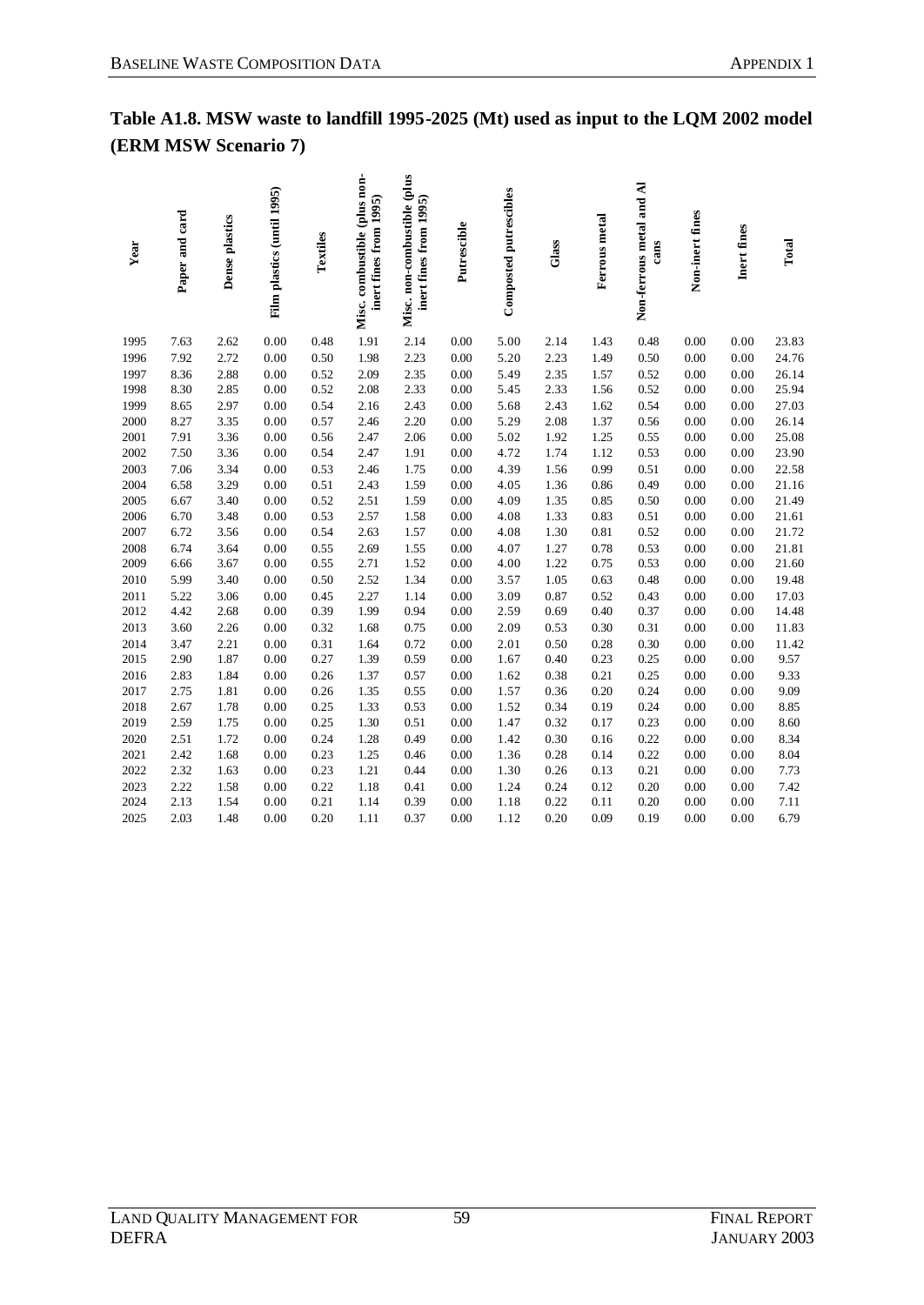# **Table A1.8. MSW waste to landfill 1995-2025 (Mt) used as input to the LQM 2002 model (ERM MSW Scenario 7)**

| Year | Paper and card | Dense plastics | Film plastics (until 1995) | Textiles | Misc. combustible (plus non-<br>inert fines from 1995) | Misc. non-combustible (plus<br>inert fines from 1995) | Putrescible | <b>Composted putrescibles</b> | Glass | Ferrous metal | Non-ferrous metal and Al<br>cans | Non-inert fines | Inert fines | Total |
|------|----------------|----------------|----------------------------|----------|--------------------------------------------------------|-------------------------------------------------------|-------------|-------------------------------|-------|---------------|----------------------------------|-----------------|-------------|-------|
| 1995 | 7.63           | 2.62           | 0.00                       | 0.48     | 1.91                                                   | 2.14                                                  | 0.00        | 5.00                          | 2.14  | 1.43          | 0.48                             | 0.00            | 0.00        | 23.83 |
| 1996 | 7.92           | 2.72           | 0.00                       | 0.50     | 1.98                                                   | 2.23                                                  | 0.00        | 5.20                          | 2.23  | 1.49          | 0.50                             | 0.00            | 0.00        | 24.76 |
| 1997 | 8.36           | 2.88           | 0.00                       | 0.52     | 2.09                                                   | 2.35                                                  | $0.00\,$    | 5.49                          | 2.35  | 1.57          | 0.52                             | 0.00            | 0.00        | 26.14 |
| 1998 | 8.30           | 2.85           | 0.00                       | 0.52     | 2.08                                                   | 2.33                                                  | 0.00        | 5.45                          | 2.33  | 1.56          | 0.52                             | 0.00            | 0.00        | 25.94 |
| 1999 | 8.65           | 2.97           | 0.00                       | 0.54     | 2.16                                                   | 2.43                                                  | $0.00\,$    | 5.68                          | 2.43  | 1.62          | 0.54                             | 0.00            | 0.00        | 27.03 |
| 2000 | 8.27           | 3.35           | 0.00                       | 0.57     | 2.46                                                   | 2.20                                                  | 0.00        | 5.29                          | 2.08  | 1.37          | 0.56                             | 0.00            | 0.00        | 26.14 |
| 2001 | 7.91           | 3.36           | 0.00                       | 0.56     | 2.47                                                   | 2.06                                                  | $0.00\,$    | 5.02                          | 1.92  | 1.25          | 0.55                             | 0.00            | 0.00        | 25.08 |
| 2002 | 7.50           | 3.36           | 0.00                       | 0.54     | 2.47                                                   | 1.91                                                  | 0.00        | 4.72                          | 1.74  | 1.12          | 0.53                             | 0.00            | 0.00        | 23.90 |
| 2003 | 7.06           | 3.34           | 0.00                       | 0.53     | 2.46                                                   | 1.75                                                  | 0.00        | 4.39                          | 1.56  | 0.99          | 0.51                             | 0.00            | 0.00        | 22.58 |
| 2004 | 6.58           | 3.29           | 0.00                       | 0.51     | 2.43                                                   | 1.59                                                  | 0.00        | 4.05                          | 1.36  | 0.86          | 0.49                             | 0.00            | 0.00        | 21.16 |
| 2005 | 6.67           | 3.40           | 0.00                       | 0.52     | 2.51                                                   | 1.59                                                  | 0.00        | 4.09                          | 1.35  | 0.85          | 0.50                             | 0.00            | 0.00        | 21.49 |
| 2006 | 6.70           | 3.48           | 0.00                       | 0.53     | 2.57                                                   | 1.58                                                  | 0.00        | 4.08                          | 1.33  | 0.83          | 0.51                             | 0.00            | 0.00        | 21.61 |
| 2007 | 6.72           | 3.56           | 0.00                       | 0.54     | 2.63                                                   | 1.57                                                  | 0.00        | 4.08                          | 1.30  | 0.81          | 0.52                             | 0.00            | 0.00        | 21.72 |
| 2008 | 6.74           | 3.64           | 0.00                       | 0.55     | 2.69                                                   | 1.55                                                  | $0.00\,$    | 4.07                          | 1.27  | 0.78          | 0.53                             | 0.00            | 0.00        | 21.81 |
| 2009 | 6.66           | 3.67           | 0.00                       | 0.55     | 2.71                                                   | 1.52                                                  | 0.00        | 4.00                          | 1.22  | 0.75          | 0.53                             | 0.00            | 0.00        | 21.60 |
| 2010 | 5.99           | 3.40           | 0.00                       | 0.50     | 2.52                                                   | 1.34                                                  | 0.00        | 3.57                          | 1.05  | 0.63          | 0.48                             | 0.00            | 0.00        | 19.48 |
| 2011 | 5.22           | 3.06           | 0.00                       | 0.45     | 2.27                                                   | 1.14                                                  | 0.00        | 3.09                          | 0.87  | 0.52          | 0.43                             | 0.00            | 0.00        | 17.03 |
| 2012 | 4.42           | 2.68           | 0.00                       | 0.39     | 1.99                                                   | 0.94                                                  | 0.00        | 2.59                          | 0.69  | 0.40          | 0.37                             | 0.00            | 0.00        | 14.48 |
| 2013 | 3.60           | 2.26           | 0.00                       | 0.32     | 1.68                                                   | 0.75                                                  | 0.00        | 2.09                          | 0.53  | 0.30          | 0.31                             | 0.00            | 0.00        | 11.83 |
| 2014 | 3.47           | 2.21           | 0.00                       | 0.31     | 1.64                                                   | 0.72                                                  | 0.00        | 2.01                          | 0.50  | 0.28          | 0.30                             | 0.00            | 0.00        | 11.42 |
| 2015 | 2.90           | 1.87           | 0.00                       | 0.27     | 1.39                                                   | 0.59                                                  | 0.00        | 1.67                          | 0.40  | 0.23          | 0.25                             | 0.00            | 0.00        | 9.57  |
| 2016 | 2.83           | 1.84           | 0.00                       | 0.26     | 1.37                                                   | 0.57                                                  | $0.00\,$    | 1.62                          | 0.38  | 0.21          | 0.25                             | 0.00            | 0.00        | 9.33  |
| 2017 | 2.75           | 1.81           | 0.00                       | 0.26     | 1.35                                                   | 0.55                                                  | $0.00\,$    | 1.57                          | 0.36  | 0.20          | 0.24                             | 0.00            | 0.00        | 9.09  |
| 2018 | 2.67           | 1.78           | 0.00                       | 0.25     | 1.33                                                   | 0.53                                                  | $0.00\,$    | 1.52                          | 0.34  | 0.19          | 0.24                             | 0.00            | 0.00        | 8.85  |
| 2019 | 2.59           | 1.75           | 0.00                       | 0.25     | 1.30                                                   | 0.51                                                  | $0.00\,$    | 1.47                          | 0.32  | 0.17          | 0.23                             | 0.00            | 0.00        | 8.60  |
| 2020 | 2.51           | 1.72           | 0.00                       | 0.24     | 1.28                                                   | 0.49                                                  | 0.00        | 1.42                          | 0.30  | 0.16          | 0.22                             | 0.00            | 0.00        | 8.34  |
| 2021 | 2.42           | 1.68           | 0.00                       | 0.23     | 1.25                                                   | 0.46                                                  | 0.00        | 1.36                          | 0.28  | 0.14          | 0.22                             | 0.00            | 0.00        | 8.04  |
| 2022 | 2.32           | 1.63           | 0.00                       | 0.23     | 1.21                                                   | 0.44                                                  | 0.00        | 1.30                          | 0.26  | 0.13          | 0.21                             | 0.00            | 0.00        | 7.73  |
| 2023 | 2.22           | 1.58           | 0.00                       | 0.22     | 1.18                                                   | 0.41                                                  | $0.00\,$    | 1.24                          | 0.24  | 0.12          | 0.20                             | 0.00            | 0.00        | 7.42  |
| 2024 | 2.13           | 1.54           | 0.00                       | 0.21     | 1.14                                                   | 0.39                                                  | 0.00        | 1.18                          | 0.22  | 0.11          | 0.20                             | 0.00            | 0.00        | 7.11  |
| 2025 | 2.03           | 1.48           | 0.00                       | 0.20     | 1.11                                                   | 0.37                                                  | 0.00        | 1.12                          | 0.20  | 0.09          | 0.19                             | 0.00            | 0.00        | 6.79  |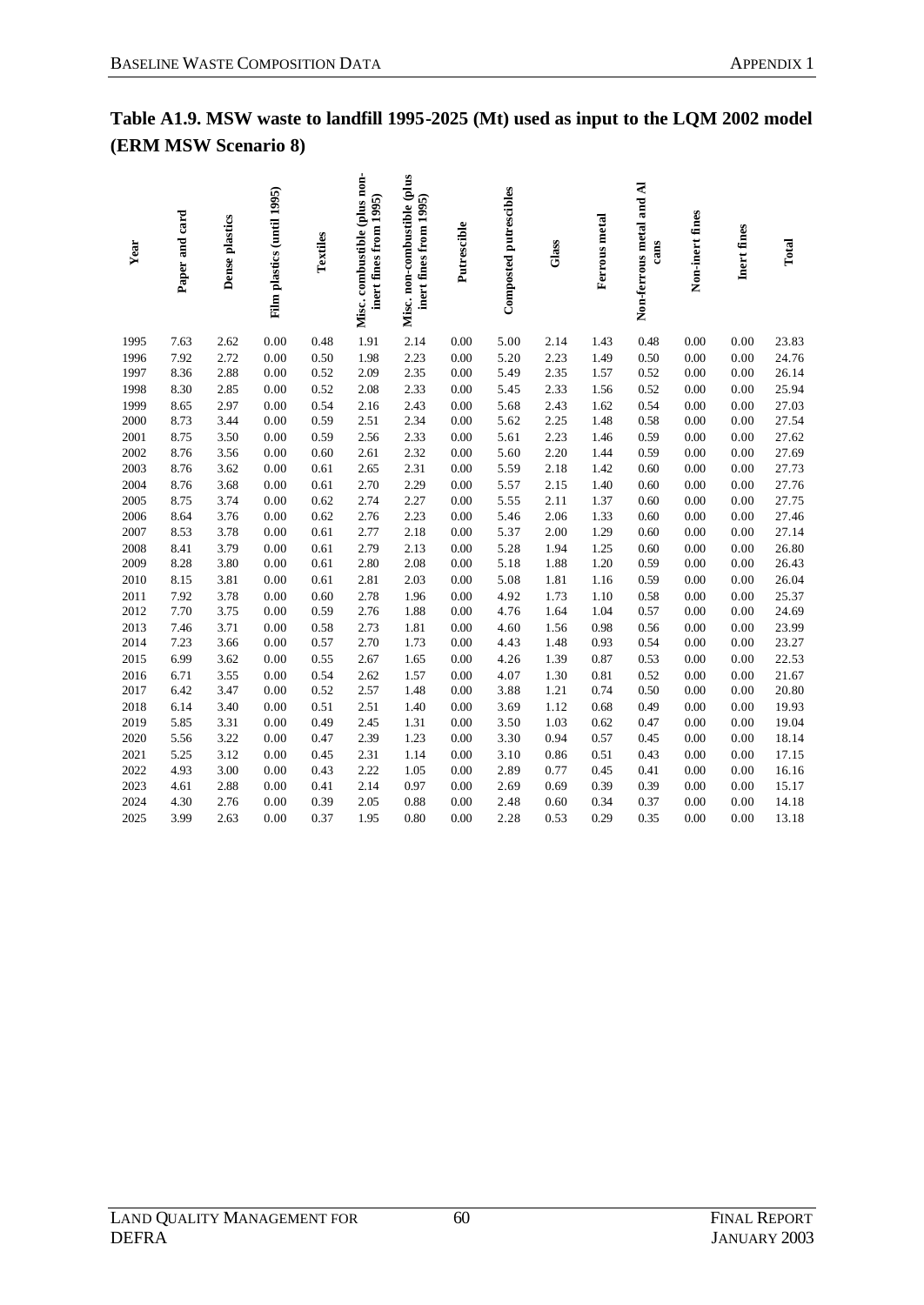# **Table A1.9. MSW waste to landfill 1995-2025 (Mt) used as input to the LQM 2002 model (ERM MSW Scenario 8)**

| Year | Paper and card | Dense plastics | Film plastics (until 1995) | Textiles | Misc. combustible (plus non-<br>inert fines from 1995) | Misc. non-combustible (plus<br>inert fines from 1995) | Putrescible | <b>Composted putrescibles</b> | Glass | Ferrous metal | Non-ferrous metal and Al<br>cans | Non-inert fines | Inert fines | Total |
|------|----------------|----------------|----------------------------|----------|--------------------------------------------------------|-------------------------------------------------------|-------------|-------------------------------|-------|---------------|----------------------------------|-----------------|-------------|-------|
| 1995 | 7.63           | 2.62           | 0.00                       | 0.48     | 1.91                                                   | 2.14                                                  | 0.00        | 5.00                          | 2.14  | 1.43          | 0.48                             | 0.00            | 0.00        | 23.83 |
| 1996 | 7.92           | 2.72           | 0.00                       | 0.50     | 1.98                                                   | 2.23                                                  | $0.00\,$    | 5.20                          | 2.23  | 1.49          | 0.50                             | 0.00            | 0.00        | 24.76 |
| 1997 | 8.36           | 2.88           | 0.00                       | 0.52     | 2.09                                                   | 2.35                                                  | $0.00\,$    | 5.49                          | 2.35  | 1.57          | 0.52                             | 0.00            | 0.00        | 26.14 |
| 1998 | 8.30           | 2.85           | 0.00                       | 0.52     | 2.08                                                   | 2.33                                                  | $0.00\,$    | 5.45                          | 2.33  | 1.56          | 0.52                             | 0.00            | 0.00        | 25.94 |
| 1999 | 8.65           | 2.97           | 0.00                       | 0.54     | 2.16                                                   | 2.43                                                  | $0.00\,$    | 5.68                          | 2.43  | 1.62          | 0.54                             | 0.00            | 0.00        | 27.03 |
| 2000 | 8.73           | 3.44           | 0.00                       | 0.59     | 2.51                                                   | 2.34                                                  | $0.00\,$    | 5.62                          | 2.25  | 1.48          | 0.58                             | 0.00            | 0.00        | 27.54 |
| 2001 | 8.75           | 3.50           | 0.00                       | 0.59     | 2.56                                                   | 2.33                                                  | $0.00\,$    | 5.61                          | 2.23  | 1.46          | 0.59                             | 0.00            | 0.00        | 27.62 |
| 2002 | 8.76           | 3.56           | 0.00                       | 0.60     | 2.61                                                   | 2.32                                                  | 0.00        | 5.60                          | 2.20  | 1.44          | 0.59                             | 0.00            | 0.00        | 27.69 |
| 2003 | 8.76           | 3.62           | 0.00                       | 0.61     | 2.65                                                   | 2.31                                                  | $0.00\,$    | 5.59                          | 2.18  | 1.42          | 0.60                             | 0.00            | 0.00        | 27.73 |
| 2004 | 8.76           | 3.68           | 0.00                       | 0.61     | 2.70                                                   | 2.29                                                  | $0.00\,$    | 5.57                          | 2.15  | 1.40          | 0.60                             | 0.00            | 0.00        | 27.76 |
| 2005 | 8.75           | 3.74           | 0.00                       | 0.62     | 2.74                                                   | 2.27                                                  | 0.00        | 5.55                          | 2.11  | 1.37          | 0.60                             | 0.00            | 0.00        | 27.75 |
| 2006 | 8.64           | 3.76           | 0.00                       | 0.62     | 2.76                                                   | 2.23                                                  | 0.00        | 5.46                          | 2.06  | 1.33          | 0.60                             | 0.00            | 0.00        | 27.46 |
| 2007 | 8.53           | 3.78           | 0.00                       | 0.61     | 2.77                                                   | 2.18                                                  | $0.00\,$    | 5.37                          | 2.00  | 1.29          | 0.60                             | 0.00            | 0.00        | 27.14 |
| 2008 | 8.41           | 3.79           | 0.00                       | 0.61     | 2.79                                                   | 2.13                                                  | $0.00\,$    | 5.28                          | 1.94  | 1.25          | 0.60                             | 0.00            | 0.00        | 26.80 |
| 2009 | 8.28           | 3.80           | $0.00\,$                   | 0.61     | 2.80                                                   | 2.08                                                  | $0.00\,$    | 5.18                          | 1.88  | 1.20          | 0.59                             | 0.00            | 0.00        | 26.43 |
| 2010 | 8.15           | 3.81           | 0.00                       | 0.61     | 2.81                                                   | 2.03                                                  | $0.00\,$    | 5.08                          | 1.81  | 1.16          | 0.59                             | 0.00            | 0.00        | 26.04 |
| 2011 | 7.92           | 3.78           | 0.00                       | 0.60     | 2.78                                                   | 1.96                                                  | $0.00\,$    | 4.92                          | 1.73  | 1.10          | 0.58                             | 0.00            | 0.00        | 25.37 |
| 2012 | 7.70           | 3.75           | 0.00                       | 0.59     | 2.76                                                   | 1.88                                                  | 0.00        | 4.76                          | 1.64  | 1.04          | 0.57                             | 0.00            | 0.00        | 24.69 |
| 2013 | 7.46           | 3.71           | 0.00                       | 0.58     | 2.73                                                   | 1.81                                                  | $0.00\,$    | 4.60                          | 1.56  | 0.98          | 0.56                             | 0.00            | 0.00        | 23.99 |
| 2014 | 7.23           | 3.66           | 0.00                       | 0.57     | 2.70                                                   | 1.73                                                  | 0.00        | 4.43                          | 1.48  | 0.93          | 0.54                             | 0.00            | 0.00        | 23.27 |
| 2015 | 6.99           | 3.62           | 0.00                       | 0.55     | 2.67                                                   | 1.65                                                  | 0.00        | 4.26                          | 1.39  | 0.87          | 0.53                             | 0.00            | 0.00        | 22.53 |
| 2016 | 6.71           | 3.55           | 0.00                       | 0.54     | 2.62                                                   | 1.57                                                  | 0.00        | 4.07                          | 1.30  | 0.81          | 0.52                             | 0.00            | 0.00        | 21.67 |
| 2017 | 6.42           | 3.47           | 0.00                       | 0.52     | 2.57                                                   | 1.48                                                  | 0.00        | 3.88                          | 1.21  | 0.74          | 0.50                             | 0.00            | 0.00        | 20.80 |
| 2018 | 6.14           | 3.40           | 0.00                       | 0.51     | 2.51                                                   | 1.40                                                  | $0.00\,$    | 3.69                          | 1.12  | 0.68          | 0.49                             | 0.00            | 0.00        | 19.93 |
| 2019 | 5.85           | 3.31           | 0.00                       | 0.49     | 2.45                                                   | 1.31                                                  | 0.00        | 3.50                          | 1.03  | 0.62          | 0.47                             | 0.00            | 0.00        | 19.04 |
| 2020 | 5.56           | 3.22           | 0.00                       | 0.47     | 2.39                                                   | 1.23                                                  | $0.00\,$    | 3.30                          | 0.94  | 0.57          | 0.45                             | 0.00            | 0.00        | 18.14 |
| 2021 | 5.25           | 3.12           | 0.00                       | 0.45     | 2.31                                                   | 1.14                                                  | 0.00        | 3.10                          | 0.86  | 0.51          | 0.43                             | 0.00            | 0.00        | 17.15 |
| 2022 | 4.93           | 3.00           | 0.00                       | 0.43     | 2.22                                                   | 1.05                                                  | 0.00        | 2.89                          | 0.77  | 0.45          | 0.41                             | 0.00            | 0.00        | 16.16 |
| 2023 | 4.61           | 2.88           | 0.00                       | 0.41     | 2.14                                                   | 0.97                                                  | 0.00        | 2.69                          | 0.69  | 0.39          | 0.39                             | 0.00            | 0.00        | 15.17 |
| 2024 | 4.30           | 2.76           | 0.00                       | 0.39     | 2.05                                                   | 0.88                                                  | 0.00        | 2.48                          | 0.60  | 0.34          | 0.37                             | 0.00            | 0.00        | 14.18 |
| 2025 | 3.99           | 2.63           | 0.00                       | 0.37     | 1.95                                                   | 0.80                                                  | 0.00        | 2.28                          | 0.53  | 0.29          | 0.35                             | 0.00            | 0.00        | 13.18 |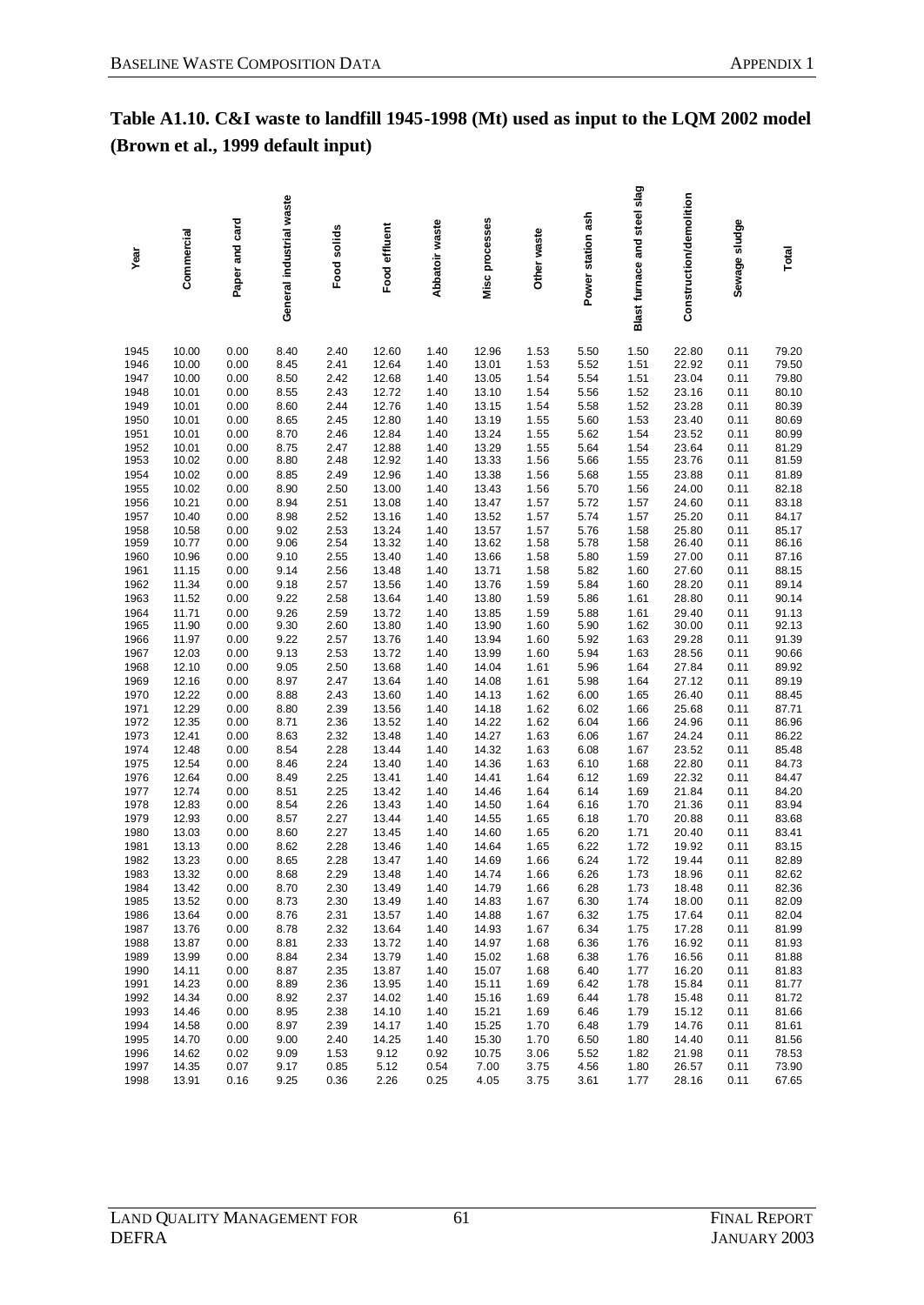# **Table A1.10. C&I waste to landfill 1945-1998 (Mt) used as input to the LQM 2002 model (Brown et al., 1999 default input)**

| Year         | Commercial     | Paper and card | General industrial waste | Food solids  | Food effluent  | Abbatoir waste | Misc processes | Other waste  | Power station ash | Blast furnace and steel slag | <b>Construction/demolition</b> | Sewage sludge | Total          |
|--------------|----------------|----------------|--------------------------|--------------|----------------|----------------|----------------|--------------|-------------------|------------------------------|--------------------------------|---------------|----------------|
| 1945         | 10.00          | 0.00           | 8.40                     | 2.40         | 12.60          | 1.40           | 12.96          | 1.53         | 5.50              | 1.50                         | 22.80                          | 0.11          | 79.20          |
| 1946         | 10.00          | 0.00           | 8.45                     | 2.41         | 12.64          | 1.40           | 13.01          | 1.53         | 5.52              | 1.51                         | 22.92                          | 0.11          | 79.50          |
| 1947         | 10.00          | 0.00           | 8.50                     | 2.42         | 12.68          | 1.40           | 13.05          | 1.54         | 5.54              | 1.51                         | 23.04                          | 0.11          | 79.80          |
| 1948         | 10.01          | 0.00           | 8.55                     | 2.43         | 12.72          | 1.40           | 13.10          | 1.54         | 5.56              | 1.52                         | 23.16                          | 0.11          | 80.10          |
| 1949         | 10.01          | 0.00           | 8.60                     | 2.44         | 12.76          | 1.40           | 13.15          | 1.54         | 5.58              | 1.52                         | 23.28                          | 0.11          | 80.39          |
| 1950<br>1951 | 10.01<br>10.01 | 0.00<br>0.00   | 8.65<br>8.70             | 2.45<br>2.46 | 12.80<br>12.84 | 1.40<br>1.40   | 13.19<br>13.24 | 1.55<br>1.55 | 5.60<br>5.62      | 1.53<br>1.54                 | 23.40<br>23.52                 | 0.11<br>0.11  | 80.69<br>80.99 |
| 1952         | 10.01          | 0.00           | 8.75                     | 2.47         | 12.88          | 1.40           | 13.29          | 1.55         | 5.64              | 1.54                         | 23.64                          | 0.11          | 81.29          |
| 1953         | 10.02          | 0.00           | 8.80                     | 2.48         | 12.92          | 1.40           | 13.33          | 1.56         | 5.66              | 1.55                         | 23.76                          | 0.11          | 81.59          |
| 1954         | 10.02          | 0.00           | 8.85                     | 2.49         | 12.96          | 1.40           | 13.38          | 1.56         | 5.68              | 1.55                         | 23.88                          | 0.11          | 81.89          |
| 1955         | 10.02          | 0.00           | 8.90                     | 2.50         | 13.00          | 1.40           | 13.43          | 1.56         | 5.70              | 1.56                         | 24.00                          | 0.11          | 82.18          |
| 1956         | 10.21          | 0.00           | 8.94                     | 2.51         | 13.08          | 1.40           | 13.47          | 1.57         | 5.72              | 1.57                         | 24.60                          | 0.11          | 83.18          |
| 1957         | 10.40          | 0.00           | 8.98                     | 2.52         | 13.16          | 1.40           | 13.52          | 1.57         | 5.74              | 1.57                         | 25.20                          | 0.11          | 84.17          |
| 1958         | 10.58          | 0.00           | 9.02                     | 2.53         | 13.24          | 1.40           | 13.57          | 1.57         | 5.76              | 1.58                         | 25.80                          | 0.11          | 85.17          |
| 1959<br>1960 | 10.77<br>10.96 | 0.00<br>0.00   | 9.06<br>9.10             | 2.54<br>2.55 | 13.32<br>13.40 | 1.40<br>1.40   | 13.62<br>13.66 | 1.58<br>1.58 | 5.78<br>5.80      | 1.58<br>1.59                 | 26.40<br>27.00                 | 0.11<br>0.11  | 86.16<br>87.16 |
| 1961         | 11.15          | 0.00           | 9.14                     | 2.56         | 13.48          | 1.40           | 13.71          | 1.58         | 5.82              | 1.60                         | 27.60                          | 0.11          | 88.15          |
| 1962         | 11.34          | 0.00           | 9.18                     | 2.57         | 13.56          | 1.40           | 13.76          | 1.59         | 5.84              | 1.60                         | 28.20                          | 0.11          | 89.14          |
| 1963         | 11.52          | 0.00           | 9.22                     | 2.58         | 13.64          | 1.40           | 13.80          | 1.59         | 5.86              | 1.61                         | 28.80                          | 0.11          | 90.14          |
| 1964         | 11.71          | 0.00           | 9.26                     | 2.59         | 13.72          | 1.40           | 13.85          | 1.59         | 5.88              | 1.61                         | 29.40                          | 0.11          | 91.13          |
| 1965         | 11.90          | 0.00           | 9.30                     | 2.60         | 13.80          | 1.40           | 13.90          | 1.60         | 5.90              | 1.62                         | 30.00                          | 0.11          | 92.13          |
| 1966         | 11.97          | 0.00           | 9.22                     | 2.57         | 13.76          | 1.40           | 13.94          | 1.60         | 5.92              | 1.63                         | 29.28                          | 0.11          | 91.39          |
| 1967         | 12.03          | 0.00           | 9.13                     | 2.53         | 13.72          | 1.40           | 13.99          | 1.60         | 5.94              | 1.63                         | 28.56                          | 0.11          | 90.66          |
| 1968         | 12.10          | 0.00           | 9.05                     | 2.50         | 13.68          | 1.40           | 14.04          | 1.61         | 5.96              | 1.64                         | 27.84                          | 0.11          | 89.92          |
| 1969<br>1970 | 12.16<br>12.22 | 0.00<br>0.00   | 8.97<br>8.88             | 2.47<br>2.43 | 13.64<br>13.60 | 1.40<br>1.40   | 14.08<br>14.13 | 1.61<br>1.62 | 5.98<br>6.00      | 1.64<br>1.65                 | 27.12<br>26.40                 | 0.11<br>0.11  | 89.19<br>88.45 |
| 1971         | 12.29          | 0.00           | 8.80                     | 2.39         | 13.56          | 1.40           | 14.18          | 1.62         | 6.02              | 1.66                         | 25.68                          | 0.11          | 87.71          |
| 1972         | 12.35          | 0.00           | 8.71                     | 2.36         | 13.52          | 1.40           | 14.22          | 1.62         | 6.04              | 1.66                         | 24.96                          | 0.11          | 86.96          |
| 1973         | 12.41          | 0.00           | 8.63                     | 2.32         | 13.48          | 1.40           | 14.27          | 1.63         | 6.06              | 1.67                         | 24.24                          | 0.11          | 86.22          |
| 1974         | 12.48          | 0.00           | 8.54                     | 2.28         | 13.44          | 1.40           | 14.32          | 1.63         | 6.08              | 1.67                         | 23.52                          | 0.11          | 85.48          |
| 1975         | 12.54          | 0.00           | 8.46                     | 2.24         | 13.40          | 1.40           | 14.36          | 1.63         | 6.10              | 1.68                         | 22.80                          | 0.11          | 84.73          |
| 1976         | 12.64          | 0.00           | 8.49                     | 2.25         | 13.41          | 1.40           | 14.41          | 1.64         | 6.12              | 1.69                         | 22.32                          | 0.11          | 84.47          |
| 1977         | 12.74          | 0.00           | 8.51                     | 2.25         | 13.42          | 1.40           | 14.46          | 1.64         | 6.14              | 1.69                         | 21.84                          | 0.11          | 84.20          |
| 1978<br>1979 | 12.83<br>12.93 | 0.00<br>0.00   | 8.54<br>8.57             | 2.26<br>2.27 | 13.43<br>13.44 | 1.40<br>1.40   | 14.50<br>14.55 | 1.64<br>1.65 | 6.16<br>6.18      | 1.70<br>1.70                 | 21.36<br>20.88                 | 0.11<br>0.11  | 83.94<br>83.68 |
| 1980         | 13.03          | 0.00           | 8.60                     | 2.27         | 13.45          | 1.40           | 14.60          | 1.65         | 6.20              | 1.71                         | 20.40                          | 0.11          | 83.41          |
| 1981         | 13.13          | 0.00           | 8.62                     | 2.28         | 13.46          | 1.40           | 14.64          | 1.65         | 6.22              | 1.72                         | 19.92                          | 0.11          | 83.15          |
| 1982         | 13.23          | 0.00           | 8.65                     | 2.28         | 13.47          | 1.40           | 14.69          | 1.66         | 6.24              | 1.72                         | 19.44                          | 0.11          | 82.89          |
| 1983         | 13.32          | 0.00           | 8.68                     | 2.29         | 13.48          | 1.40           | 14.74          | 1.66         | 6.26              | 1.73                         | 18.96                          | 0.11          | 82.62          |
| 1984         | 13.42          | 0.00           | 8.70                     | 2.30         | 13.49          | 1.40           | 14.79          | 1.66         | 6.28              | 1.73                         | 18.48                          | 0.11          | 82.36          |
| 1985         | 13.52          | 0.00           | 8.73                     | 2.30         | 13.49          | 1.40           | 14.83          | 1.67         | 6.30              | 1.74                         | 18.00                          | 0.11          | 82.09          |
| 1986         | 13.64          | 0.00           | 8.76                     | 2.31         | 13.57          | 1.40           | 14.88          | 1.67         | 6.32              | 1.75                         | 17.64                          | 0.11          | 82.04          |
| 1987         | 13.76          | 0.00           | 8.78                     | 2.32         | 13.64          | 1.40           | 14.93          | 1.67         | 6.34              | 1.75                         | 17.28                          | 0.11          | 81.99          |
| 1988<br>1989 | 13.87<br>13.99 | 0.00<br>0.00   | 8.81<br>8.84             | 2.33<br>2.34 | 13.72<br>13.79 | 1.40<br>1.40   | 14.97<br>15.02 | 1.68<br>1.68 | 6.36<br>6.38      | 1.76<br>1.76                 | 16.92<br>16.56                 | 0.11<br>0.11  | 81.93<br>81.88 |
| 1990         | 14.11          | 0.00           | 8.87                     | 2.35         | 13.87          | 1.40           | 15.07          | 1.68         | 6.40              | 1.77                         | 16.20                          | 0.11          | 81.83          |
| 1991         | 14.23          | 0.00           | 8.89                     | 2.36         | 13.95          | 1.40           | 15.11          | 1.69         | 6.42              | 1.78                         | 15.84                          | 0.11          | 81.77          |
| 1992         | 14.34          | 0.00           | 8.92                     | 2.37         | 14.02          | 1.40           | 15.16          | 1.69         | 6.44              | 1.78                         | 15.48                          | 0.11          | 81.72          |
| 1993         | 14.46          | 0.00           | 8.95                     | 2.38         | 14.10          | 1.40           | 15.21          | 1.69         | 6.46              | 1.79                         | 15.12                          | 0.11          | 81.66          |
| 1994         | 14.58          | 0.00           | 8.97                     | 2.39         | 14.17          | 1.40           | 15.25          | 1.70         | 6.48              | 1.79                         | 14.76                          | 0.11          | 81.61          |
| 1995         | 14.70          | 0.00           | 9.00                     | 2.40         | 14.25          | 1.40           | 15.30          | 1.70         | 6.50              | 1.80                         | 14.40                          | 0.11          | 81.56          |
| 1996         | 14.62          | 0.02           | 9.09                     | 1.53         | 9.12           | 0.92           | 10.75          | 3.06         | 5.52              | 1.82                         | 21.98                          | 0.11          | 78.53          |
| 1997         | 14.35          | 0.07           | 9.17                     | 0.85         | 5.12           | 0.54           | 7.00           | 3.75         | 4.56              | 1.80                         | 26.57                          | 0.11          | 73.90          |
| 1998         | 13.91          | 0.16           | 9.25                     | 0.36         | 2.26           | 0.25           | 4.05           | 3.75         | 3.61              | 1.77                         | 28.16                          | 0.11          | 67.65          |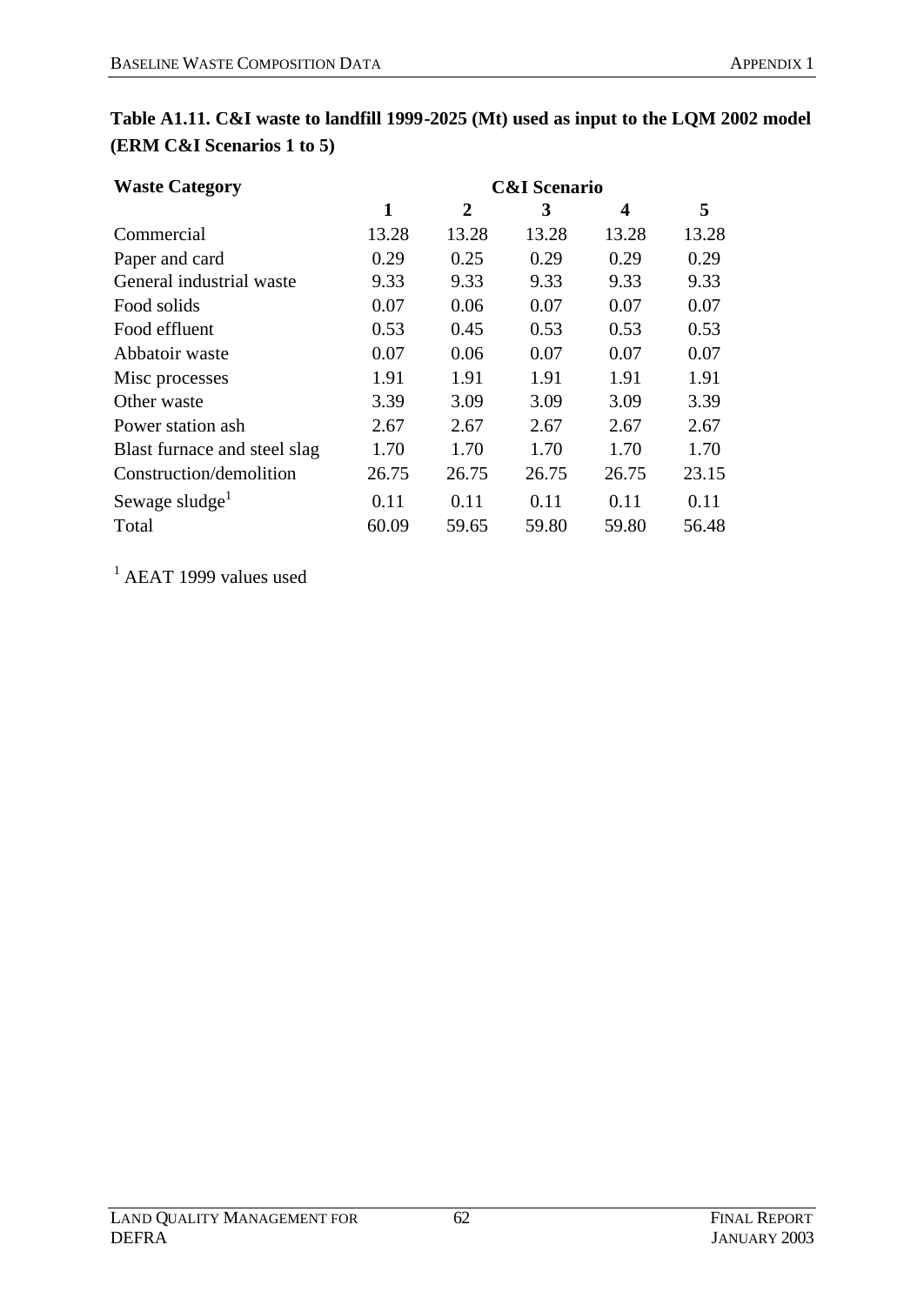| <b>Waste Category</b>        | <b>C&amp;I Scenario</b> |       |       |                  |       |  |  |  |  |  |  |
|------------------------------|-------------------------|-------|-------|------------------|-------|--|--|--|--|--|--|
|                              | 1                       | 2     | 3     | $\boldsymbol{4}$ | 5     |  |  |  |  |  |  |
| Commercial                   | 13.28                   | 13.28 | 13.28 | 13.28            | 13.28 |  |  |  |  |  |  |
| Paper and card               | 0.29                    | 0.25  | 0.29  | 0.29             | 0.29  |  |  |  |  |  |  |
| General industrial waste     | 9.33                    | 9.33  | 9.33  | 9.33             | 9.33  |  |  |  |  |  |  |
| Food solids                  | 0.07                    | 0.06  | 0.07  | 0.07             | 0.07  |  |  |  |  |  |  |
| Food effluent                | 0.53                    | 0.45  | 0.53  | 0.53             | 0.53  |  |  |  |  |  |  |
| Abbatoir waste               | 0.07                    | 0.06  | 0.07  | 0.07             | 0.07  |  |  |  |  |  |  |
| Misc processes               | 1.91                    | 1.91  | 1.91  | 1.91             | 1.91  |  |  |  |  |  |  |
| Other waste                  | 3.39                    | 3.09  | 3.09  | 3.09             | 3.39  |  |  |  |  |  |  |
| Power station ash            | 2.67                    | 2.67  | 2.67  | 2.67             | 2.67  |  |  |  |  |  |  |
| Blast furnace and steel slag | 1.70                    | 1.70  | 1.70  | 1.70             | 1.70  |  |  |  |  |  |  |
| Construction/demolition      | 26.75                   | 26.75 | 26.75 | 26.75            | 23.15 |  |  |  |  |  |  |
| Sewage sludge <sup>1</sup>   | 0.11                    | 0.11  | 0.11  | 0.11             | 0.11  |  |  |  |  |  |  |
| Total                        | 60.09                   | 59.65 | 59.80 | 59.80            | 56.48 |  |  |  |  |  |  |

# **Table A1.11. C&I waste to landfill 1999-2025 (Mt) used as input to the LQM 2002 model (ERM C&I Scenarios 1 to 5)**

 $1$  AEAT 1999 values used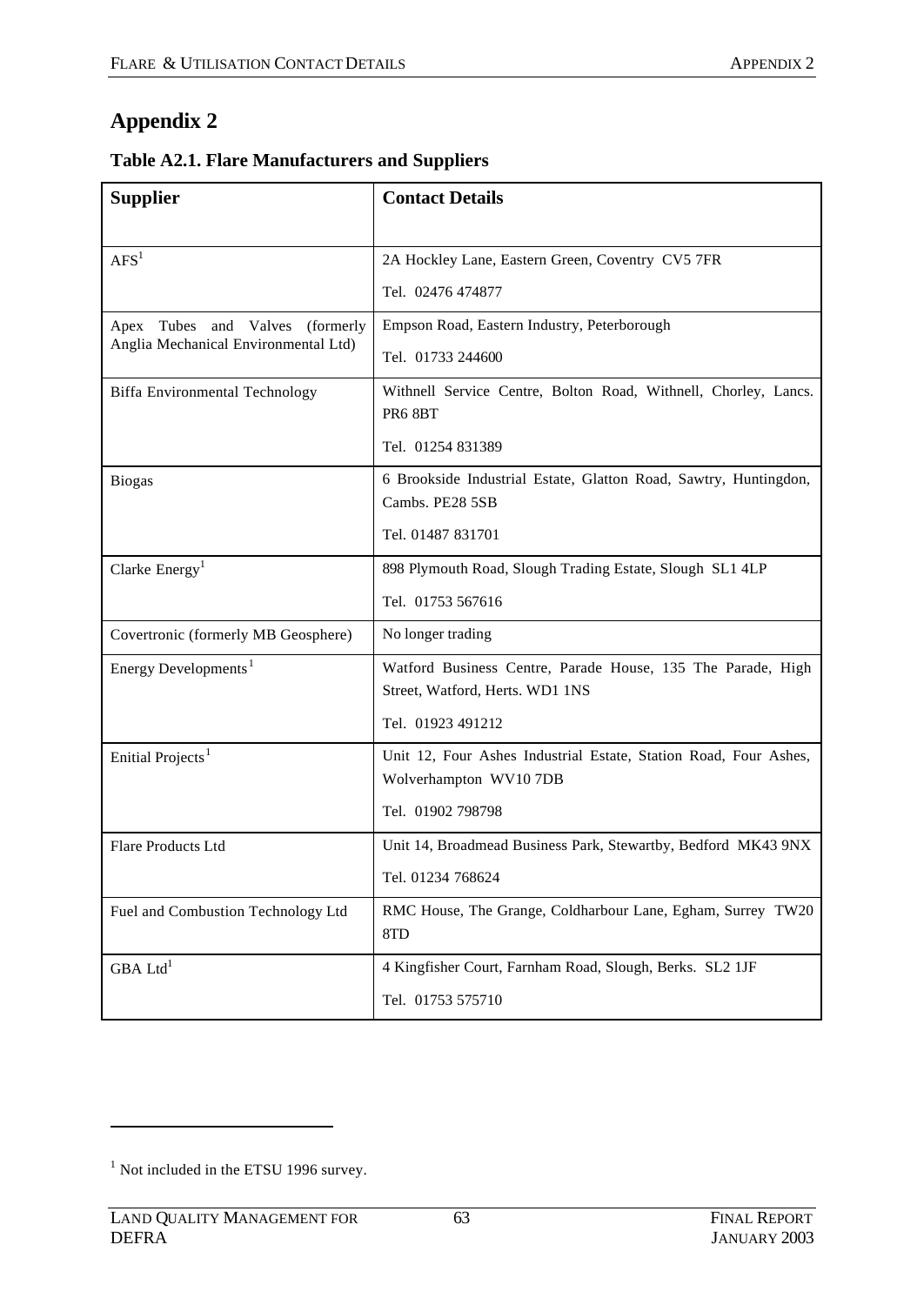# **Appendix 2**

# **Table A2.1. Flare Manufacturers and Suppliers**

| <b>Supplier</b>                       | <b>Contact Details</b>                                                                         |
|---------------------------------------|------------------------------------------------------------------------------------------------|
|                                       |                                                                                                |
| AFS <sup>1</sup>                      | 2A Hockley Lane, Eastern Green, Coventry CV5 7FR                                               |
|                                       | Tel. 02476 474877                                                                              |
| (formerly<br>Tubes and Valves<br>Apex | Empson Road, Eastern Industry, Peterborough                                                    |
| Anglia Mechanical Environmental Ltd)  | Tel. 01733 244600                                                                              |
| <b>Biffa Environmental Technology</b> | Withnell Service Centre, Bolton Road, Withnell, Chorley, Lancs.<br>PR6 8BT                     |
|                                       | Tel. 01254 831389                                                                              |
| <b>Biogas</b>                         | 6 Brookside Industrial Estate, Glatton Road, Sawtry, Huntingdon,<br>Cambs. PE28 5SB            |
|                                       | Tel. 01487 831701                                                                              |
| Clarke $Energy1$                      | 898 Plymouth Road, Slough Trading Estate, Slough SL1 4LP                                       |
|                                       | Tel. 01753 567616                                                                              |
| Covertronic (formerly MB Geosphere)   | No longer trading                                                                              |
| Energy Developments <sup>1</sup>      | Watford Business Centre, Parade House, 135 The Parade, High<br>Street, Watford, Herts. WD1 1NS |
|                                       | Tel. 01923 491212                                                                              |
| Enitial Projects <sup>1</sup>         | Unit 12, Four Ashes Industrial Estate, Station Road, Four Ashes,<br>Wolverhampton WV107DB      |
|                                       | Tel. 01902 798798                                                                              |
| Flare Products Ltd                    | Unit 14, Broadmead Business Park, Stewartby, Bedford MK43 9NX                                  |
|                                       | Tel. 01234 768624                                                                              |
| Fuel and Combustion Technology Ltd    | RMC House, The Grange, Coldharbour Lane, Egham, Surrey TW20<br>8TD                             |
| GBA Ltd <sup>1</sup>                  | 4 Kingfisher Court, Farnham Road, Slough, Berks. SL2 1JF                                       |
|                                       | Tel. 01753 575710                                                                              |

l

<sup>&</sup>lt;sup>1</sup> Not included in the ETSU 1996 survey.